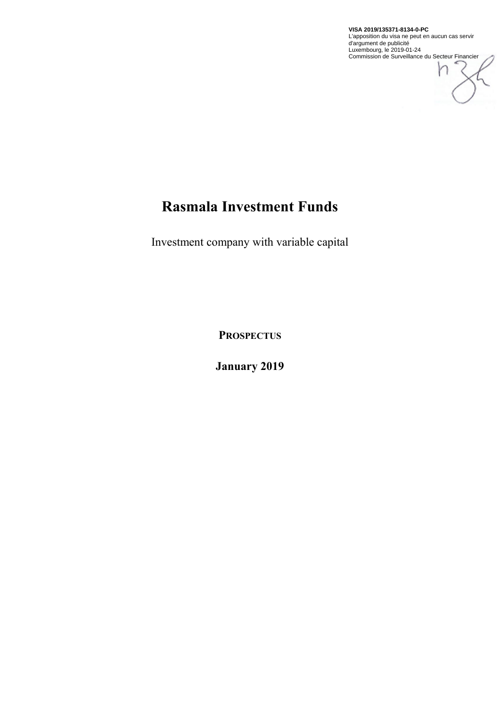

# **Rasmala Investment Funds**

Investment company with variable capital

**PROSPECTUS**

**January 2019**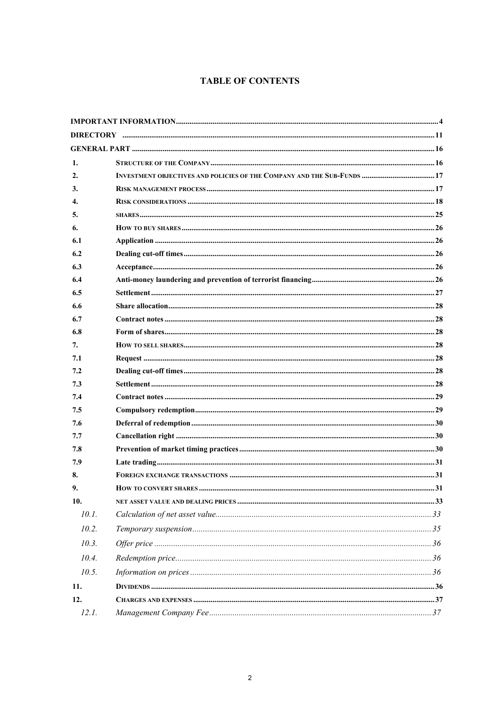# **TABLE OF CONTENTS**

| 1.                 |  |  |
|--------------------|--|--|
| 2.                 |  |  |
| 3.                 |  |  |
| $\boldsymbol{4}$ . |  |  |
| 5.                 |  |  |
| 6.                 |  |  |
| 6.1                |  |  |
| 6.2                |  |  |
| 6.3                |  |  |
| 6.4                |  |  |
| 6.5                |  |  |
| 6.6                |  |  |
| 6.7                |  |  |
| 6.8                |  |  |
| 7.                 |  |  |
| 7.1                |  |  |
| 7.2                |  |  |
| 7.3                |  |  |
| 7.4                |  |  |
| 7.5                |  |  |
| 7.6                |  |  |
| 7.7                |  |  |
| 7.8                |  |  |
| 7.9                |  |  |
| 8.                 |  |  |
| 9.                 |  |  |
| 10.                |  |  |
| 10.1.              |  |  |
| 10.2.              |  |  |
| 10.3.              |  |  |
| 10.4.              |  |  |
| 10.5.              |  |  |
| 11.                |  |  |
| 12.                |  |  |
| 12.1.              |  |  |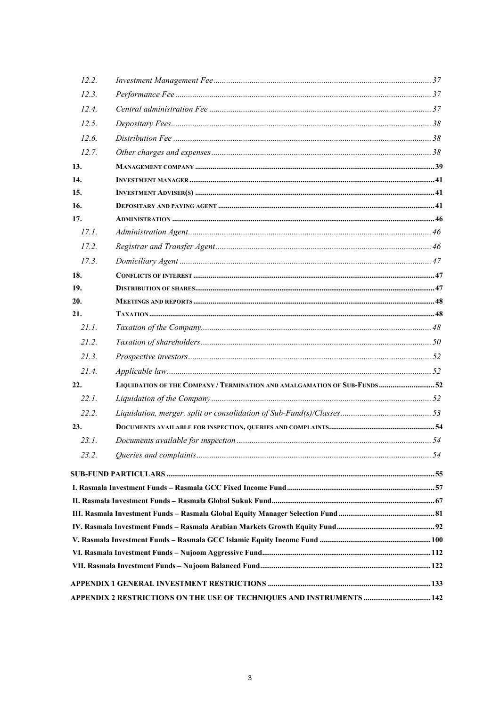| 12.2. |                                                                            |  |
|-------|----------------------------------------------------------------------------|--|
| 12.3. |                                                                            |  |
| 12.4. |                                                                            |  |
| 12.5. |                                                                            |  |
| 12.6. |                                                                            |  |
| 12.7. |                                                                            |  |
| 13.   |                                                                            |  |
| 14.   |                                                                            |  |
| 15.   |                                                                            |  |
| 16.   |                                                                            |  |
| 17.   |                                                                            |  |
| 17.1. |                                                                            |  |
| 17.2. |                                                                            |  |
| 17.3. |                                                                            |  |
| 18.   |                                                                            |  |
| 19.   |                                                                            |  |
| 20.   |                                                                            |  |
| 21.   |                                                                            |  |
| 21.1. |                                                                            |  |
| 21.2. |                                                                            |  |
| 21.3. |                                                                            |  |
| 21.4. |                                                                            |  |
| 22.   | LIQUIDATION OF THE COMPANY / TERMINATION AND AMALGAMATION OF SUB-FUNDS  52 |  |
| 22.1. |                                                                            |  |
| 22.2. |                                                                            |  |
| 23.   |                                                                            |  |
| 231   |                                                                            |  |
| 23.2. |                                                                            |  |
|       |                                                                            |  |
|       |                                                                            |  |
|       |                                                                            |  |
|       |                                                                            |  |
|       |                                                                            |  |
|       |                                                                            |  |
|       |                                                                            |  |
|       |                                                                            |  |
|       |                                                                            |  |
|       | APPENDIX 2 RESTRICTIONS ON THE USE OF TECHNIQUES AND INSTRUMENTS  142      |  |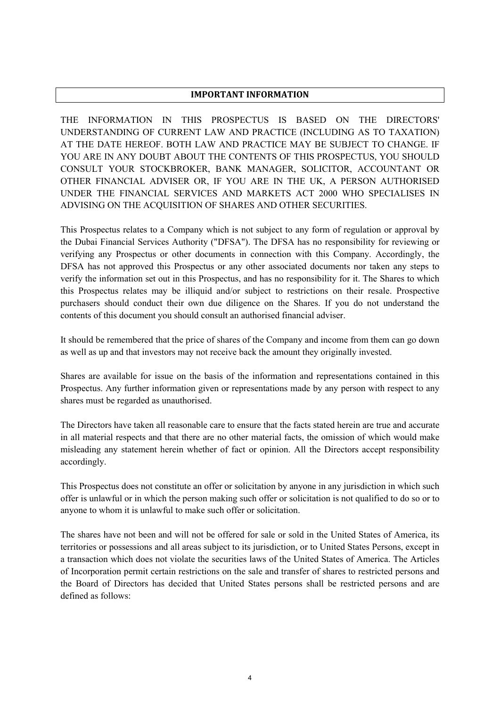#### **IMPORTANT INFORMATION**

THE INFORMATION IN THIS PROSPECTUS IS BASED ON THE DIRECTORS' UNDERSTANDING OF CURRENT LAW AND PRACTICE (INCLUDING AS TO TAXATION) AT THE DATE HEREOF. BOTH LAW AND PRACTICE MAY BE SUBJECT TO CHANGE. IF YOU ARE IN ANY DOUBT ABOUT THE CONTENTS OF THIS PROSPECTUS, YOU SHOULD CONSULT YOUR STOCKBROKER, BANK MANAGER, SOLICITOR, ACCOUNTANT OR OTHER FINANCIAL ADVISER OR, IF YOU ARE IN THE UK, A PERSON AUTHORISED UNDER THE FINANCIAL SERVICES AND MARKETS ACT 2000 WHO SPECIALISES IN ADVISING ON THE ACQUISITION OF SHARES AND OTHER SECURITIES.

This Prospectus relates to a Company which is not subject to any form of regulation or approval by the Dubai Financial Services Authority ("DFSA"). The DFSA has no responsibility for reviewing or verifying any Prospectus or other documents in connection with this Company. Accordingly, the DFSA has not approved this Prospectus or any other associated documents nor taken any steps to verify the information set out in this Prospectus, and has no responsibility for it. The Shares to which this Prospectus relates may be illiquid and/or subject to restrictions on their resale. Prospective purchasers should conduct their own due diligence on the Shares. If you do not understand the contents of this document you should consult an authorised financial adviser.

It should be remembered that the price of shares of the Company and income from them can go down as well as up and that investors may not receive back the amount they originally invested.

Shares are available for issue on the basis of the information and representations contained in this Prospectus. Any further information given or representations made by any person with respect to any shares must be regarded as unauthorised.

The Directors have taken all reasonable care to ensure that the facts stated herein are true and accurate in all material respects and that there are no other material facts, the omission of which would make misleading any statement herein whether of fact or opinion. All the Directors accept responsibility accordingly.

This Prospectus does not constitute an offer or solicitation by anyone in any jurisdiction in which such offer is unlawful or in which the person making such offer or solicitation is not qualified to do so or to anyone to whom it is unlawful to make such offer or solicitation.

The shares have not been and will not be offered for sale or sold in the United States of America, its territories or possessions and all areas subject to its jurisdiction, or to United States Persons, except in a transaction which does not violate the securities laws of the United States of America. The Articles of Incorporation permit certain restrictions on the sale and transfer of shares to restricted persons and the Board of Directors has decided that United States persons shall be restricted persons and are defined as follows: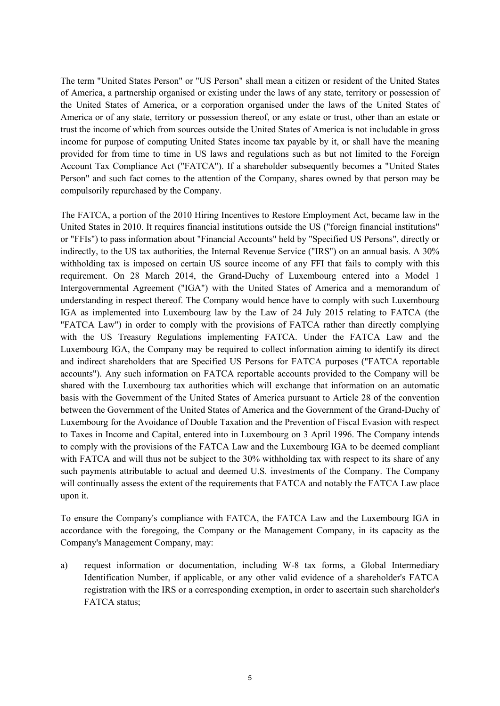The term "United States Person" or "US Person" shall mean a citizen or resident of the United States of America, a partnership organised or existing under the laws of any state, territory or possession of the United States of America, or a corporation organised under the laws of the United States of America or of any state, territory or possession thereof, or any estate or trust, other than an estate or trust the income of which from sources outside the United States of America is not includable in gross income for purpose of computing United States income tax payable by it, or shall have the meaning provided for from time to time in US laws and regulations such as but not limited to the Foreign Account Tax Compliance Act ("FATCA"). If a shareholder subsequently becomes a "United States Person" and such fact comes to the attention of the Company, shares owned by that person may be compulsorily repurchased by the Company.

The FATCA, a portion of the 2010 Hiring Incentives to Restore Employment Act, became law in the United States in 2010. It requires financial institutions outside the US ("foreign financial institutions" or "FFIs") to pass information about "Financial Accounts" held by "Specified US Persons", directly or indirectly, to the US tax authorities, the Internal Revenue Service ("IRS") on an annual basis. A 30% withholding tax is imposed on certain US source income of any FFI that fails to comply with this requirement. On 28 March 2014, the Grand-Duchy of Luxembourg entered into a Model 1 Intergovernmental Agreement ("IGA") with the United States of America and a memorandum of understanding in respect thereof. The Company would hence have to comply with such Luxembourg IGA as implemented into Luxembourg law by the Law of 24 July 2015 relating to FATCA (the "FATCA Law") in order to comply with the provisions of FATCA rather than directly complying with the US Treasury Regulations implementing FATCA. Under the FATCA Law and the Luxembourg IGA, the Company may be required to collect information aiming to identify its direct and indirect shareholders that are Specified US Persons for FATCA purposes ("FATCA reportable accounts"). Any such information on FATCA reportable accounts provided to the Company will be shared with the Luxembourg tax authorities which will exchange that information on an automatic basis with the Government of the United States of America pursuant to Article 28 of the convention between the Government of the United States of America and the Government of the Grand-Duchy of Luxembourg for the Avoidance of Double Taxation and the Prevention of Fiscal Evasion with respect to Taxes in Income and Capital, entered into in Luxembourg on 3 April 1996. The Company intends to comply with the provisions of the FATCA Law and the Luxembourg IGA to be deemed compliant with FATCA and will thus not be subject to the 30% withholding tax with respect to its share of any such payments attributable to actual and deemed U.S. investments of the Company. The Company will continually assess the extent of the requirements that FATCA and notably the FATCA Law place upon it.

To ensure the Company's compliance with FATCA, the FATCA Law and the Luxembourg IGA in accordance with the foregoing, the Company or the Management Company, in its capacity as the Company's Management Company, may:

a) request information or documentation, including W-8 tax forms, a Global Intermediary Identification Number, if applicable, or any other valid evidence of a shareholder's FATCA registration with the IRS or a corresponding exemption, in order to ascertain such shareholder's FATCA status;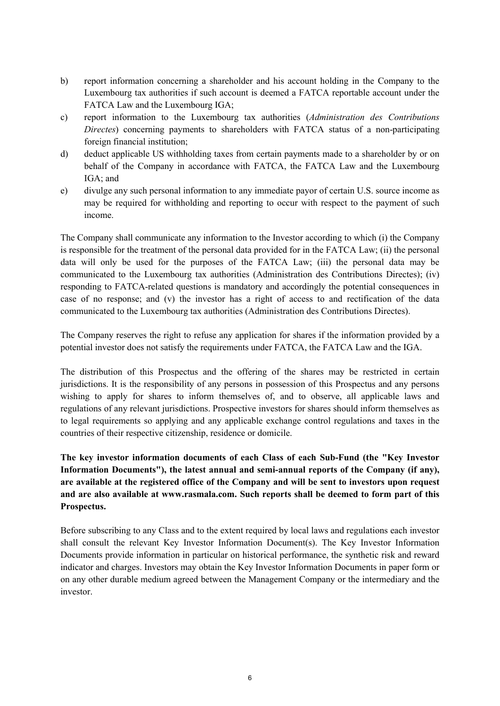- b) report information concerning a shareholder and his account holding in the Company to the Luxembourg tax authorities if such account is deemed a FATCA reportable account under the FATCA Law and the Luxembourg IGA;
- c) report information to the Luxembourg tax authorities (*Administration des Contributions Directes*) concerning payments to shareholders with FATCA status of a non-participating foreign financial institution;
- d) deduct applicable US withholding taxes from certain payments made to a shareholder by or on behalf of the Company in accordance with FATCA, the FATCA Law and the Luxembourg IGA; and
- e) divulge any such personal information to any immediate payor of certain U.S. source income as may be required for withholding and reporting to occur with respect to the payment of such income.

The Company shall communicate any information to the Investor according to which (i) the Company is responsible for the treatment of the personal data provided for in the FATCA Law; (ii) the personal data will only be used for the purposes of the FATCA Law; (iii) the personal data may be communicated to the Luxembourg tax authorities (Administration des Contributions Directes); (iv) responding to FATCA-related questions is mandatory and accordingly the potential consequences in case of no response; and (v) the investor has a right of access to and rectification of the data communicated to the Luxembourg tax authorities (Administration des Contributions Directes).

The Company reserves the right to refuse any application for shares if the information provided by a potential investor does not satisfy the requirements under FATCA, the FATCA Law and the IGA.

The distribution of this Prospectus and the offering of the shares may be restricted in certain jurisdictions. It is the responsibility of any persons in possession of this Prospectus and any persons wishing to apply for shares to inform themselves of, and to observe, all applicable laws and regulations of any relevant jurisdictions. Prospective investors for shares should inform themselves as to legal requirements so applying and any applicable exchange control regulations and taxes in the countries of their respective citizenship, residence or domicile.

**The key investor information documents of each Class of each Sub-Fund (the "Key Investor Information Documents"), the latest annual and semi-annual reports of the Company (if any), are available at the registered office of the Company and will be sent to investors upon request and are also available at www.rasmala.com. Such reports shall be deemed to form part of this Prospectus.**

Before subscribing to any Class and to the extent required by local laws and regulations each investor shall consult the relevant Key Investor Information Document(s). The Key Investor Information Documents provide information in particular on historical performance, the synthetic risk and reward indicator and charges. Investors may obtain the Key Investor Information Documents in paper form or on any other durable medium agreed between the Management Company or the intermediary and the investor.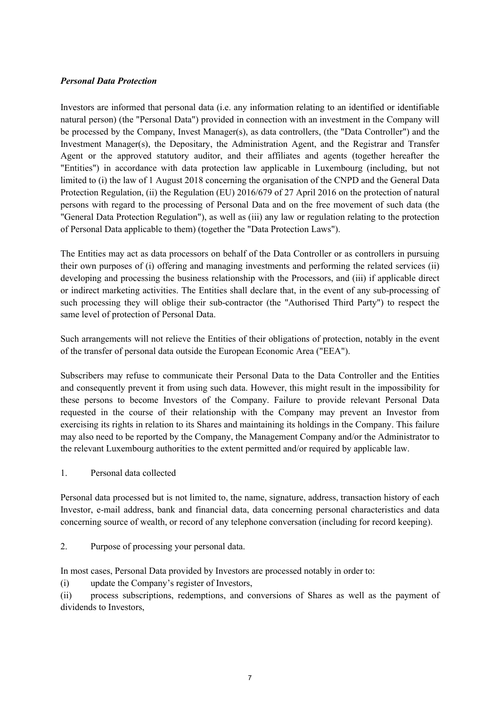## *Personal Data Protection*

Investors are informed that personal data (i.e. any information relating to an identified or identifiable natural person) (the "Personal Data") provided in connection with an investment in the Company will be processed by the Company, Invest Manager(s), as data controllers, (the "Data Controller") and the Investment Manager(s), the Depositary, the Administration Agent, and the Registrar and Transfer Agent or the approved statutory auditor, and their affiliates and agents (together hereafter the "Entities") in accordance with data protection law applicable in Luxembourg (including, but not limited to (i) the law of 1 August 2018 concerning the organisation of the CNPD and the General Data Protection Regulation, (ii) the Regulation (EU) 2016/679 of 27 April 2016 on the protection of natural persons with regard to the processing of Personal Data and on the free movement of such data (the "General Data Protection Regulation"), as well as (iii) any law or regulation relating to the protection of Personal Data applicable to them) (together the "Data Protection Laws").

The Entities may act as data processors on behalf of the Data Controller or as controllers in pursuing their own purposes of (i) offering and managing investments and performing the related services (ii) developing and processing the business relationship with the Processors, and (iii) if applicable direct or indirect marketing activities. The Entities shall declare that, in the event of any sub-processing of such processing they will oblige their sub-contractor (the "Authorised Third Party") to respect the same level of protection of Personal Data.

Such arrangements will not relieve the Entities of their obligations of protection, notably in the event of the transfer of personal data outside the European Economic Area ("EEA").

Subscribers may refuse to communicate their Personal Data to the Data Controller and the Entities and consequently prevent it from using such data. However, this might result in the impossibility for these persons to become Investors of the Company. Failure to provide relevant Personal Data requested in the course of their relationship with the Company may prevent an Investor from exercising its rights in relation to its Shares and maintaining its holdings in the Company. This failure may also need to be reported by the Company, the Management Company and/or the Administrator to the relevant Luxembourg authorities to the extent permitted and/or required by applicable law.

1. Personal data collected

Personal data processed but is not limited to, the name, signature, address, transaction history of each Investor, e-mail address, bank and financial data, data concerning personal characteristics and data concerning source of wealth, or record of any telephone conversation (including for record keeping).

2. Purpose of processing your personal data.

In most cases, Personal Data provided by Investors are processed notably in order to:

(i) update the Company's register of Investors,

(ii) process subscriptions, redemptions, and conversions of Shares as well as the payment of dividends to Investors,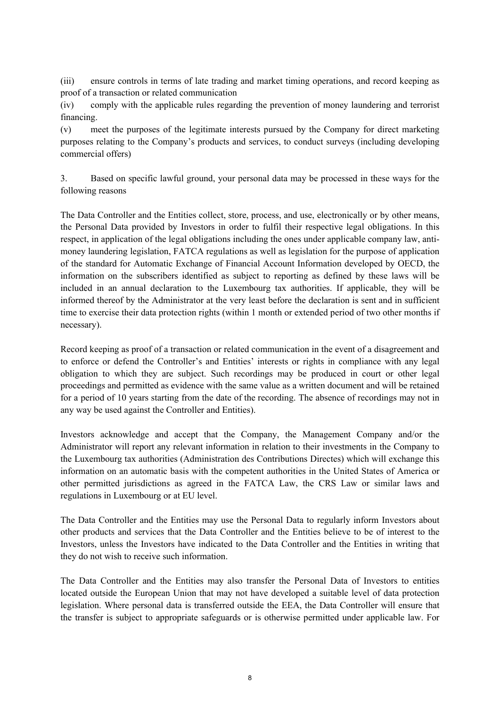(iii) ensure controls in terms of late trading and market timing operations, and record keeping as proof of a transaction or related communication

(iv) comply with the applicable rules regarding the prevention of money laundering and terrorist financing.

(v) meet the purposes of the legitimate interests pursued by the Company for direct marketing purposes relating to the Company's products and services, to conduct surveys (including developing commercial offers)

3. Based on specific lawful ground, your personal data may be processed in these ways for the following reasons

The Data Controller and the Entities collect, store, process, and use, electronically or by other means, the Personal Data provided by Investors in order to fulfil their respective legal obligations. In this respect, in application of the legal obligations including the ones under applicable company law, antimoney laundering legislation, FATCA regulations as well as legislation for the purpose of application of the standard for Automatic Exchange of Financial Account Information developed by OECD, the information on the subscribers identified as subject to reporting as defined by these laws will be included in an annual declaration to the Luxembourg tax authorities. If applicable, they will be informed thereof by the Administrator at the very least before the declaration is sent and in sufficient time to exercise their data protection rights (within 1 month or extended period of two other months if necessary).

Record keeping as proof of a transaction or related communication in the event of a disagreement and to enforce or defend the Controller's and Entities' interests or rights in compliance with any legal obligation to which they are subject. Such recordings may be produced in court or other legal proceedings and permitted as evidence with the same value as a written document and will be retained for a period of 10 years starting from the date of the recording. The absence of recordings may not in any way be used against the Controller and Entities).

Investors acknowledge and accept that the Company, the Management Company and/or the Administrator will report any relevant information in relation to their investments in the Company to the Luxembourg tax authorities (Administration des Contributions Directes) which will exchange this information on an automatic basis with the competent authorities in the United States of America or other permitted jurisdictions as agreed in the FATCA Law, the CRS Law or similar laws and regulations in Luxembourg or at EU level.

The Data Controller and the Entities may use the Personal Data to regularly inform Investors about other products and services that the Data Controller and the Entities believe to be of interest to the Investors, unless the Investors have indicated to the Data Controller and the Entities in writing that they do not wish to receive such information.

The Data Controller and the Entities may also transfer the Personal Data of Investors to entities located outside the European Union that may not have developed a suitable level of data protection legislation. Where personal data is transferred outside the EEA, the Data Controller will ensure that the transfer is subject to appropriate safeguards or is otherwise permitted under applicable law. For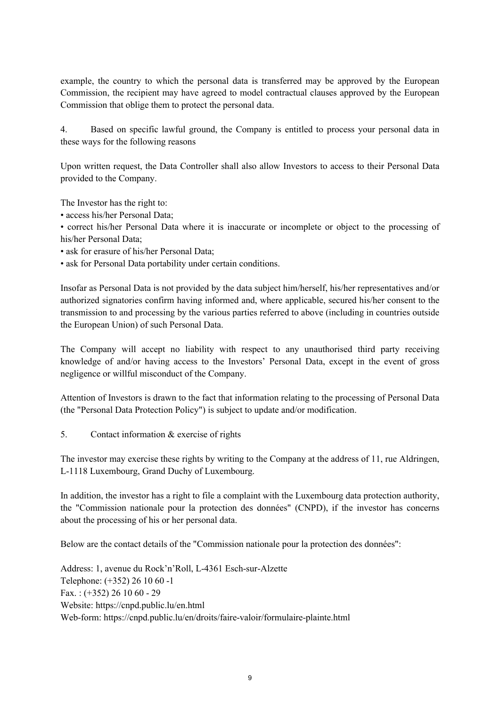example, the country to which the personal data is transferred may be approved by the European Commission, the recipient may have agreed to model contractual clauses approved by the European Commission that oblige them to protect the personal data.

4. Based on specific lawful ground, the Company is entitled to process your personal data in these ways for the following reasons

Upon written request, the Data Controller shall also allow Investors to access to their Personal Data provided to the Company.

The Investor has the right to:

• access his/her Personal Data;

• correct his/her Personal Data where it is inaccurate or incomplete or object to the processing of his/her Personal Data;

- ask for erasure of his/her Personal Data;
- ask for Personal Data portability under certain conditions.

Insofar as Personal Data is not provided by the data subject him/herself, his/her representatives and/or authorized signatories confirm having informed and, where applicable, secured his/her consent to the transmission to and processing by the various parties referred to above (including in countries outside the European Union) of such Personal Data.

The Company will accept no liability with respect to any unauthorised third party receiving knowledge of and/or having access to the Investors' Personal Data, except in the event of gross negligence or willful misconduct of the Company.

Attention of Investors is drawn to the fact that information relating to the processing of Personal Data (the "Personal Data Protection Policy") is subject to update and/or modification.

5. Contact information & exercise of rights

The investor may exercise these rights by writing to the Company at the address of 11, rue Aldringen, L-1118 Luxembourg, Grand Duchy of Luxembourg.

In addition, the investor has a right to file a complaint with the Luxembourg data protection authority, the "Commission nationale pour la protection des données" (CNPD), if the investor has concerns about the processing of his or her personal data.

Below are the contact details of the "Commission nationale pour la protection des données":

Address: 1, avenue du Rock'n'Roll, L-4361 Esch-sur-Alzette Telephone: (+352) 26 10 60 -1 Fax.:  $(+352)$  26 10 60 - 29 Website: https://cnpd.public.lu/en.html Web-form: https://cnpd.public.lu/en/droits/faire-valoir/formulaire-plainte.html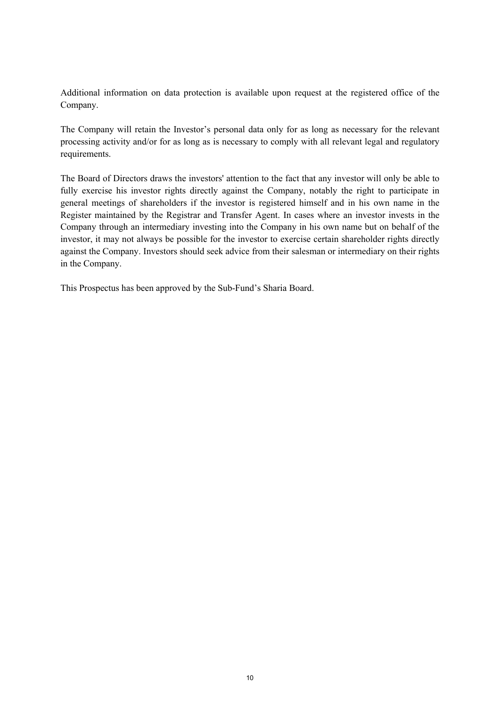Additional information on data protection is available upon request at the registered office of the Company.

The Company will retain the Investor's personal data only for as long as necessary for the relevant processing activity and/or for as long as is necessary to comply with all relevant legal and regulatory requirements.

The Board of Directors draws the investors' attention to the fact that any investor will only be able to fully exercise his investor rights directly against the Company, notably the right to participate in general meetings of shareholders if the investor is registered himself and in his own name in the Register maintained by the Registrar and Transfer Agent. In cases where an investor invests in the Company through an intermediary investing into the Company in his own name but on behalf of the investor, it may not always be possible for the investor to exercise certain shareholder rights directly against the Company. Investors should seek advice from their salesman or intermediary on their rights in the Company.

This Prospectus has been approved by the Sub-Fund's Sharia Board.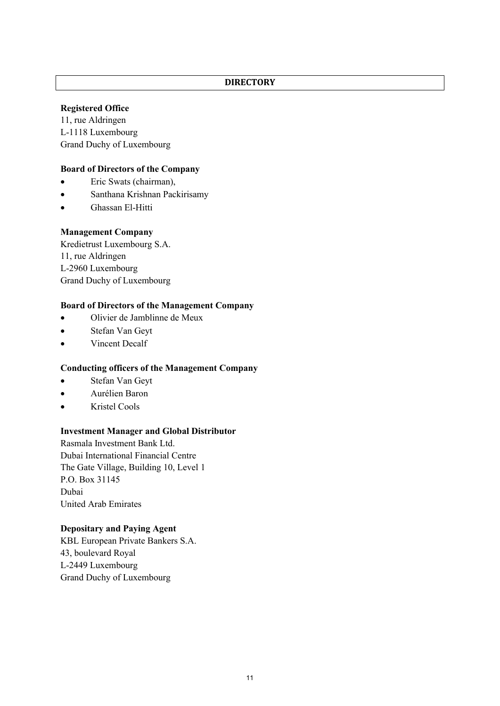#### **DIRECTORY**

## **Registered Office**

11, rue Aldringen L-1118 Luxembourg Grand Duchy of Luxembourg

## **Board of Directors of the Company**

- Eric Swats (chairman),
- Santhana Krishnan Packirisamy
- Ghassan El-Hitti

## **Management Company**

Kredietrust Luxembourg S.A. 11, rue Aldringen L-2960 Luxembourg Grand Duchy of Luxembourg

## **Board of Directors of the Management Company**

- Olivier de Jamblinne de Meux
- Stefan Van Geyt
- Vincent Decalf

#### **Conducting officers of the Management Company**

- Stefan Van Geyt
- Aurélien Baron
- Kristel Cools

#### **Investment Manager and Global Distributor**

Rasmala Investment Bank Ltd. Dubai International Financial Centre The Gate Village, Building 10, Level 1 P.O. Box 31145 Dubai United Arab Emirates

# **Depositary and Paying Agent**

KBL European Private Bankers S.A. 43, boulevard Royal L-2449 Luxembourg Grand Duchy of Luxembourg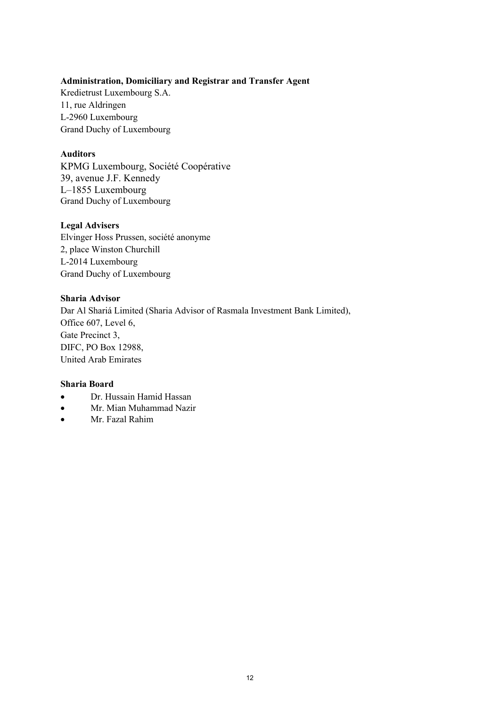# **Administration, Domiciliary and Registrar and Transfer Agent**

Kredietrust Luxembourg S.A. 11, rue Aldringen L-2960 Luxembourg Grand Duchy of Luxembourg

## **Auditors**

KPMG Luxembourg, Société Coopérative 39, avenue J.F. Kennedy L–1855 Luxembourg Grand Duchy of Luxembourg

## **Legal Advisers**

Elvinger Hoss Prussen, société anonyme 2, place Winston Churchill L-2014 Luxembourg Grand Duchy of Luxembourg

## **Sharia Advisor**

Dar Al Shariá Limited (Sharia Advisor of Rasmala Investment Bank Limited), Office 607, Level 6, Gate Precinct 3, DIFC, PO Box 12988, United Arab Emirates

#### **Sharia Board**

- Dr. Hussain Hamid Hassan
- Mr. Mian Muhammad Nazir
- Mr. Fazal Rahim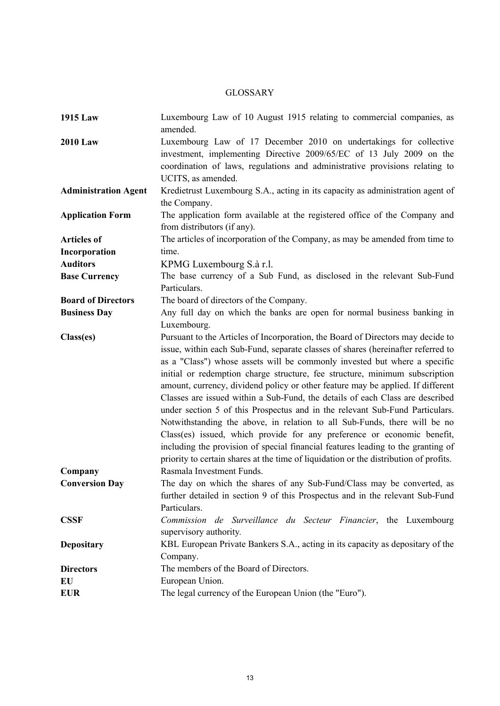# GLOSSARY

| <b>1915 Law</b>             | Luxembourg Law of 10 August 1915 relating to commercial companies, as<br>amended.                                                                                                                                                                                                                                                                                                                                                                                                                                                                                                                                                                                                                                                                                                                                                                                                                                        |
|-----------------------------|--------------------------------------------------------------------------------------------------------------------------------------------------------------------------------------------------------------------------------------------------------------------------------------------------------------------------------------------------------------------------------------------------------------------------------------------------------------------------------------------------------------------------------------------------------------------------------------------------------------------------------------------------------------------------------------------------------------------------------------------------------------------------------------------------------------------------------------------------------------------------------------------------------------------------|
| <b>2010 Law</b>             | Luxembourg Law of 17 December 2010 on undertakings for collective<br>investment, implementing Directive 2009/65/EC of 13 July 2009 on the<br>coordination of laws, regulations and administrative provisions relating to<br>UCITS, as amended.                                                                                                                                                                                                                                                                                                                                                                                                                                                                                                                                                                                                                                                                           |
| <b>Administration Agent</b> | Kredietrust Luxembourg S.A., acting in its capacity as administration agent of<br>the Company.                                                                                                                                                                                                                                                                                                                                                                                                                                                                                                                                                                                                                                                                                                                                                                                                                           |
| <b>Application Form</b>     | The application form available at the registered office of the Company and<br>from distributors (if any).                                                                                                                                                                                                                                                                                                                                                                                                                                                                                                                                                                                                                                                                                                                                                                                                                |
| <b>Articles of</b>          | The articles of incorporation of the Company, as may be amended from time to                                                                                                                                                                                                                                                                                                                                                                                                                                                                                                                                                                                                                                                                                                                                                                                                                                             |
| Incorporation               | time.                                                                                                                                                                                                                                                                                                                                                                                                                                                                                                                                                                                                                                                                                                                                                                                                                                                                                                                    |
| <b>Auditors</b>             | KPMG Luxembourg S.à r.l.                                                                                                                                                                                                                                                                                                                                                                                                                                                                                                                                                                                                                                                                                                                                                                                                                                                                                                 |
| <b>Base Currency</b>        | The base currency of a Sub Fund, as disclosed in the relevant Sub-Fund<br>Particulars.                                                                                                                                                                                                                                                                                                                                                                                                                                                                                                                                                                                                                                                                                                                                                                                                                                   |
| <b>Board of Directors</b>   | The board of directors of the Company.                                                                                                                                                                                                                                                                                                                                                                                                                                                                                                                                                                                                                                                                                                                                                                                                                                                                                   |
| <b>Business Day</b>         | Any full day on which the banks are open for normal business banking in<br>Luxembourg.                                                                                                                                                                                                                                                                                                                                                                                                                                                                                                                                                                                                                                                                                                                                                                                                                                   |
| Class(es)                   | Pursuant to the Articles of Incorporation, the Board of Directors may decide to<br>issue, within each Sub-Fund, separate classes of shares (hereinafter referred to<br>as a "Class") whose assets will be commonly invested but where a specific<br>initial or redemption charge structure, fee structure, minimum subscription<br>amount, currency, dividend policy or other feature may be applied. If different<br>Classes are issued within a Sub-Fund, the details of each Class are described<br>under section 5 of this Prospectus and in the relevant Sub-Fund Particulars.<br>Notwithstanding the above, in relation to all Sub-Funds, there will be no<br>Class(es) issued, which provide for any preference or economic benefit,<br>including the provision of special financial features leading to the granting of<br>priority to certain shares at the time of liquidation or the distribution of profits. |
| Company                     | Rasmala Investment Funds.                                                                                                                                                                                                                                                                                                                                                                                                                                                                                                                                                                                                                                                                                                                                                                                                                                                                                                |
| <b>Conversion Day</b>       | The day on which the shares of any Sub-Fund/Class may be converted, as<br>further detailed in section 9 of this Prospectus and in the relevant Sub-Fund<br>Particulars.                                                                                                                                                                                                                                                                                                                                                                                                                                                                                                                                                                                                                                                                                                                                                  |
| <b>CSSF</b>                 | Commission de Surveillance du Secteur Financier, the Luxembourg<br>supervisory authority.                                                                                                                                                                                                                                                                                                                                                                                                                                                                                                                                                                                                                                                                                                                                                                                                                                |
| <b>Depositary</b>           | KBL European Private Bankers S.A., acting in its capacity as depositary of the<br>Company.                                                                                                                                                                                                                                                                                                                                                                                                                                                                                                                                                                                                                                                                                                                                                                                                                               |
| <b>Directors</b>            | The members of the Board of Directors.                                                                                                                                                                                                                                                                                                                                                                                                                                                                                                                                                                                                                                                                                                                                                                                                                                                                                   |
| EU                          | European Union.                                                                                                                                                                                                                                                                                                                                                                                                                                                                                                                                                                                                                                                                                                                                                                                                                                                                                                          |
| <b>EUR</b>                  | The legal currency of the European Union (the "Euro").                                                                                                                                                                                                                                                                                                                                                                                                                                                                                                                                                                                                                                                                                                                                                                                                                                                                   |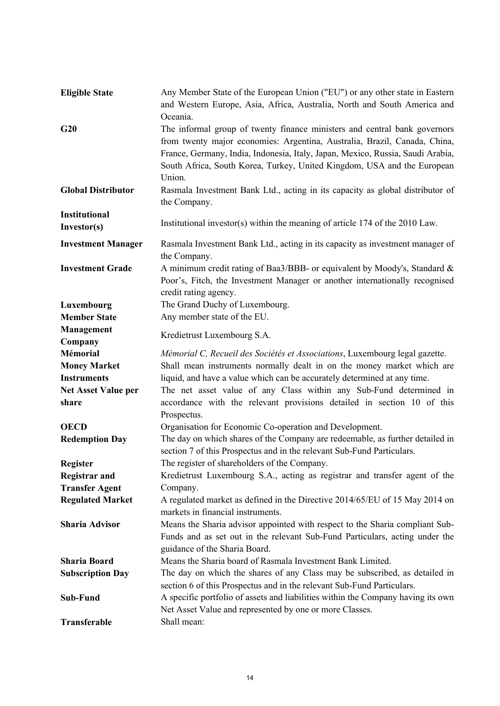| <b>Eligible State</b>      | Any Member State of the European Union ("EU") or any other state in Eastern<br>and Western Europe, Asia, Africa, Australia, North and South America and |
|----------------------------|---------------------------------------------------------------------------------------------------------------------------------------------------------|
|                            | Oceania.                                                                                                                                                |
| G20                        | The informal group of twenty finance ministers and central bank governors                                                                               |
|                            | from twenty major economies: Argentina, Australia, Brazil, Canada, China,                                                                               |
|                            | France, Germany, India, Indonesia, Italy, Japan, Mexico, Russia, Saudi Arabia,                                                                          |
|                            | South Africa, South Korea, Turkey, United Kingdom, USA and the European                                                                                 |
|                            | Union.                                                                                                                                                  |
| <b>Global Distributor</b>  | Rasmala Investment Bank Ltd., acting in its capacity as global distributor of<br>the Company.                                                           |
| <b>Institutional</b>       |                                                                                                                                                         |
| Investor(s)                | Institutional investor(s) within the meaning of article 174 of the 2010 Law.                                                                            |
| <b>Investment Manager</b>  | Rasmala Investment Bank Ltd., acting in its capacity as investment manager of                                                                           |
|                            | the Company.                                                                                                                                            |
| <b>Investment Grade</b>    | A minimum credit rating of Baa3/BBB- or equivalent by Moody's, Standard &                                                                               |
|                            | Poor's, Fitch, the Investment Manager or another internationally recognised                                                                             |
|                            | credit rating agency.                                                                                                                                   |
| Luxembourg                 | The Grand Duchy of Luxembourg.                                                                                                                          |
| <b>Member State</b>        | Any member state of the EU.                                                                                                                             |
| <b>Management</b>          |                                                                                                                                                         |
| Company                    | Kredietrust Luxembourg S.A.                                                                                                                             |
| <b>Mémorial</b>            | Mémorial C, Recueil des Sociétés et Associations, Luxembourg legal gazette.                                                                             |
| <b>Money Market</b>        | Shall mean instruments normally dealt in on the money market which are                                                                                  |
| <b>Instruments</b>         | liquid, and have a value which can be accurately determined at any time.                                                                                |
| <b>Net Asset Value per</b> | The net asset value of any Class within any Sub-Fund determined in                                                                                      |
| share                      | accordance with the relevant provisions detailed in section 10 of this                                                                                  |
|                            | Prospectus.                                                                                                                                             |
| <b>OECD</b>                | Organisation for Economic Co-operation and Development.                                                                                                 |
| <b>Redemption Day</b>      | The day on which shares of the Company are redeemable, as further detailed in                                                                           |
|                            | section 7 of this Prospectus and in the relevant Sub-Fund Particulars.                                                                                  |
| <b>Register</b>            | The register of shareholders of the Company.                                                                                                            |
| <b>Registrar and</b>       | Kredietrust Luxembourg S.A., acting as registrar and transfer agent of the                                                                              |
| <b>Transfer Agent</b>      | Company.                                                                                                                                                |
| <b>Regulated Market</b>    | A regulated market as defined in the Directive 2014/65/EU of 15 May 2014 on                                                                             |
|                            | markets in financial instruments.                                                                                                                       |
| <b>Sharia Advisor</b>      | Means the Sharia advisor appointed with respect to the Sharia compliant Sub-                                                                            |
|                            | Funds and as set out in the relevant Sub-Fund Particulars, acting under the                                                                             |
|                            | guidance of the Sharia Board.                                                                                                                           |
| <b>Sharia Board</b>        | Means the Sharia board of Rasmala Investment Bank Limited.                                                                                              |
| <b>Subscription Day</b>    | The day on which the shares of any Class may be subscribed, as detailed in                                                                              |
|                            | section 6 of this Prospectus and in the relevant Sub-Fund Particulars.                                                                                  |
| Sub-Fund                   | A specific portfolio of assets and liabilities within the Company having its own                                                                        |
|                            | Net Asset Value and represented by one or more Classes.                                                                                                 |
| Transferable               | Shall mean:                                                                                                                                             |
|                            |                                                                                                                                                         |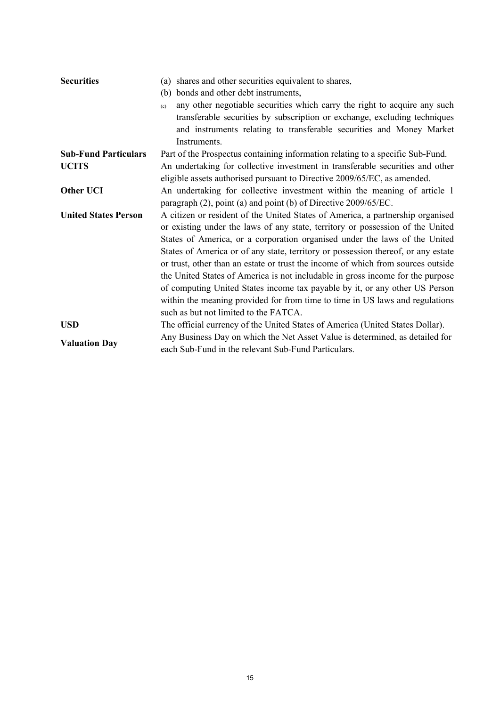| <b>Securities</b>           | (a) shares and other securities equivalent to shares,                             |
|-----------------------------|-----------------------------------------------------------------------------------|
|                             | (b) bonds and other debt instruments,                                             |
|                             | any other negotiable securities which carry the right to acquire any such<br>(c)  |
|                             | transferable securities by subscription or exchange, excluding techniques         |
|                             | and instruments relating to transferable securities and Money Market              |
|                             | Instruments.                                                                      |
| <b>Sub-Fund Particulars</b> | Part of the Prospectus containing information relating to a specific Sub-Fund.    |
| <b>UCITS</b>                | An undertaking for collective investment in transferable securities and other     |
|                             | eligible assets authorised pursuant to Directive 2009/65/EC, as amended.          |
| <b>Other UCI</b>            | An undertaking for collective investment within the meaning of article 1          |
|                             | paragraph (2), point (a) and point (b) of Directive 2009/65/EC.                   |
| <b>United States Person</b> | A citizen or resident of the United States of America, a partnership organised    |
|                             | or existing under the laws of any state, territory or possession of the United    |
|                             | States of America, or a corporation organised under the laws of the United        |
|                             | States of America or of any state, territory or possession thereof, or any estate |
|                             | or trust, other than an estate or trust the income of which from sources outside  |
|                             | the United States of America is not includable in gross income for the purpose    |
|                             | of computing United States income tax payable by it, or any other US Person       |
|                             | within the meaning provided for from time to time in US laws and regulations      |
|                             | such as but not limited to the FATCA.                                             |
| <b>USD</b>                  | The official currency of the United States of America (United States Dollar).     |
|                             | Any Business Day on which the Net Asset Value is determined, as detailed for      |
| <b>Valuation Day</b>        | each Sub-Fund in the relevant Sub-Fund Particulars.                               |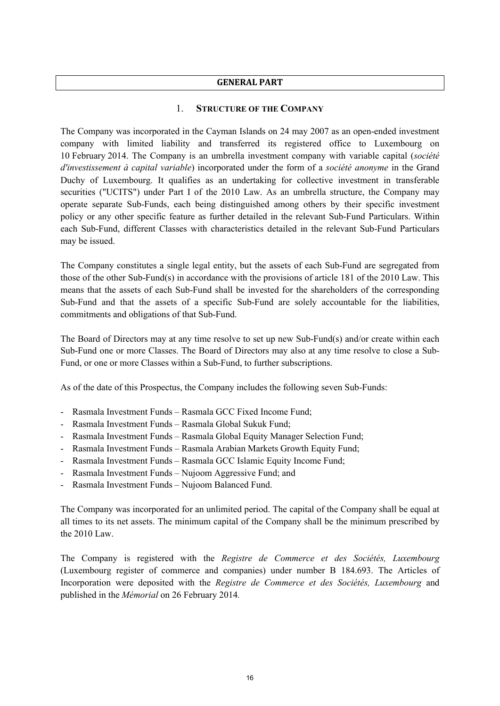#### **GENERAL PART**

## 1. **STRUCTURE OF THE COMPANY**

The Company was incorporated in the Cayman Islands on 24 may 2007 as an open-ended investment company with limited liability and transferred its registered office to Luxembourg on 10 February 2014. The Company is an umbrella investment company with variable capital (*société d'investissement à capital variable*) incorporated under the form of a *société anonyme* in the Grand Duchy of Luxembourg. It qualifies as an undertaking for collective investment in transferable securities ("UCITS") under Part I of the 2010 Law. As an umbrella structure, the Company may operate separate Sub-Funds, each being distinguished among others by their specific investment policy or any other specific feature as further detailed in the relevant Sub-Fund Particulars. Within each Sub-Fund, different Classes with characteristics detailed in the relevant Sub-Fund Particulars may be issued.

The Company constitutes a single legal entity, but the assets of each Sub-Fund are segregated from those of the other Sub-Fund(s) in accordance with the provisions of article 181 of the 2010 Law. This means that the assets of each Sub-Fund shall be invested for the shareholders of the corresponding Sub-Fund and that the assets of a specific Sub-Fund are solely accountable for the liabilities, commitments and obligations of that Sub-Fund.

The Board of Directors may at any time resolve to set up new Sub-Fund(s) and/or create within each Sub-Fund one or more Classes. The Board of Directors may also at any time resolve to close a Sub-Fund, or one or more Classes within a Sub-Fund, to further subscriptions.

As of the date of this Prospectus, the Company includes the following seven Sub-Funds:

- Rasmala Investment Funds Rasmala GCC Fixed Income Fund;
- Rasmala Investment Funds Rasmala Global Sukuk Fund;
- Rasmala Investment Funds Rasmala Global Equity Manager Selection Fund;
- Rasmala Investment Funds Rasmala Arabian Markets Growth Equity Fund;
- Rasmala Investment Funds Rasmala GCC Islamic Equity Income Fund;
- Rasmala Investment Funds Nujoom Aggressive Fund; and
- Rasmala Investment Funds Nujoom Balanced Fund.

The Company was incorporated for an unlimited period. The capital of the Company shall be equal at all times to its net assets. The minimum capital of the Company shall be the minimum prescribed by the 2010 Law.

The Company is registered with the *Registre de Commerce et des Sociétés, Luxembourg* (Luxembourg register of commerce and companies) under number B 184.693. The Articles of Incorporation were deposited with the *Registre de Commerce et des Sociétés, Luxembourg* and published in the *Mémorial* on 26 February 2014*.*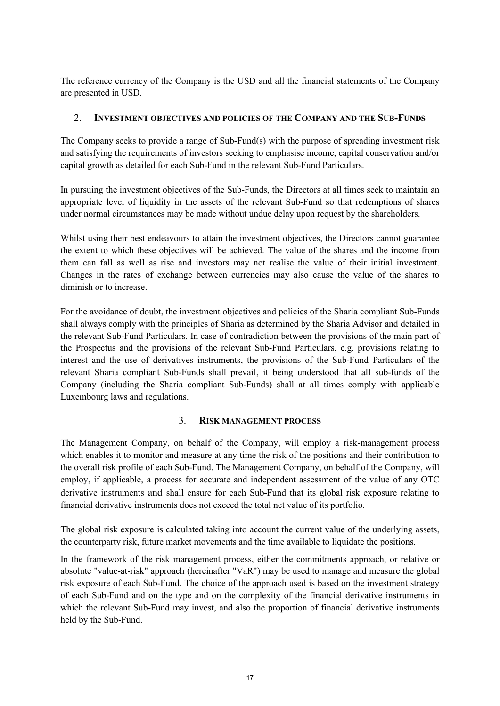The reference currency of the Company is the USD and all the financial statements of the Company are presented in USD.

## 2. **INVESTMENT OBJECTIVES AND POLICIES OF THE COMPANY AND THE SUB-FUNDS**

The Company seeks to provide a range of Sub-Fund(s) with the purpose of spreading investment risk and satisfying the requirements of investors seeking to emphasise income, capital conservation and/or capital growth as detailed for each Sub-Fund in the relevant Sub-Fund Particulars.

In pursuing the investment objectives of the Sub-Funds, the Directors at all times seek to maintain an appropriate level of liquidity in the assets of the relevant Sub-Fund so that redemptions of shares under normal circumstances may be made without undue delay upon request by the shareholders.

Whilst using their best endeavours to attain the investment objectives, the Directors cannot guarantee the extent to which these objectives will be achieved. The value of the shares and the income from them can fall as well as rise and investors may not realise the value of their initial investment. Changes in the rates of exchange between currencies may also cause the value of the shares to diminish or to increase.

For the avoidance of doubt, the investment objectives and policies of the Sharia compliant Sub-Funds shall always comply with the principles of Sharia as determined by the Sharia Advisor and detailed in the relevant Sub-Fund Particulars. In case of contradiction between the provisions of the main part of the Prospectus and the provisions of the relevant Sub-Fund Particulars, e.g. provisions relating to interest and the use of derivatives instruments, the provisions of the Sub-Fund Particulars of the relevant Sharia compliant Sub-Funds shall prevail, it being understood that all sub-funds of the Company (including the Sharia compliant Sub-Funds) shall at all times comply with applicable Luxembourg laws and regulations.

## 3. **RISK MANAGEMENT PROCESS**

The Management Company, on behalf of the Company, will employ a risk-management process which enables it to monitor and measure at any time the risk of the positions and their contribution to the overall risk profile of each Sub-Fund. The Management Company, on behalf of the Company, will employ, if applicable, a process for accurate and independent assessment of the value of any OTC derivative instruments and shall ensure for each Sub-Fund that its global risk exposure relating to financial derivative instruments does not exceed the total net value of its portfolio.

The global risk exposure is calculated taking into account the current value of the underlying assets, the counterparty risk, future market movements and the time available to liquidate the positions.

In the framework of the risk management process, either the commitments approach, or relative or absolute "value-at-risk" approach (hereinafter "VaR") may be used to manage and measure the global risk exposure of each Sub-Fund. The choice of the approach used is based on the investment strategy of each Sub-Fund and on the type and on the complexity of the financial derivative instruments in which the relevant Sub-Fund may invest, and also the proportion of financial derivative instruments held by the Sub-Fund.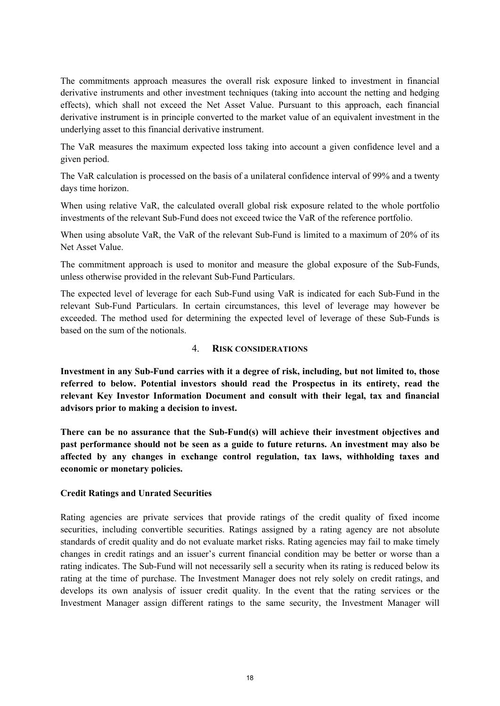The commitments approach measures the overall risk exposure linked to investment in financial derivative instruments and other investment techniques (taking into account the netting and hedging effects), which shall not exceed the Net Asset Value. Pursuant to this approach, each financial derivative instrument is in principle converted to the market value of an equivalent investment in the underlying asset to this financial derivative instrument.

The VaR measures the maximum expected loss taking into account a given confidence level and a given period.

The VaR calculation is processed on the basis of a unilateral confidence interval of 99% and a twenty days time horizon.

When using relative VaR, the calculated overall global risk exposure related to the whole portfolio investments of the relevant Sub-Fund does not exceed twice the VaR of the reference portfolio.

When using absolute VaR, the VaR of the relevant Sub-Fund is limited to a maximum of 20% of its Net Asset Value.

The commitment approach is used to monitor and measure the global exposure of the Sub-Funds, unless otherwise provided in the relevant Sub-Fund Particulars.

The expected level of leverage for each Sub-Fund using VaR is indicated for each Sub-Fund in the relevant Sub-Fund Particulars. In certain circumstances, this level of leverage may however be exceeded. The method used for determining the expected level of leverage of these Sub-Funds is based on the sum of the notionals.

#### 4. **RISK CONSIDERATIONS**

**Investment in any Sub-Fund carries with it a degree of risk, including, but not limited to, those referred to below. Potential investors should read the Prospectus in its entirety, read the relevant Key Investor Information Document and consult with their legal, tax and financial advisors prior to making a decision to invest.** 

**There can be no assurance that the Sub-Fund(s) will achieve their investment objectives and past performance should not be seen as a guide to future returns. An investment may also be affected by any changes in exchange control regulation, tax laws, withholding taxes and economic or monetary policies.**

#### **Credit Ratings and Unrated Securities**

Rating agencies are private services that provide ratings of the credit quality of fixed income securities, including convertible securities. Ratings assigned by a rating agency are not absolute standards of credit quality and do not evaluate market risks. Rating agencies may fail to make timely changes in credit ratings and an issuer's current financial condition may be better or worse than a rating indicates. The Sub-Fund will not necessarily sell a security when its rating is reduced below its rating at the time of purchase. The Investment Manager does not rely solely on credit ratings, and develops its own analysis of issuer credit quality. In the event that the rating services or the Investment Manager assign different ratings to the same security, the Investment Manager will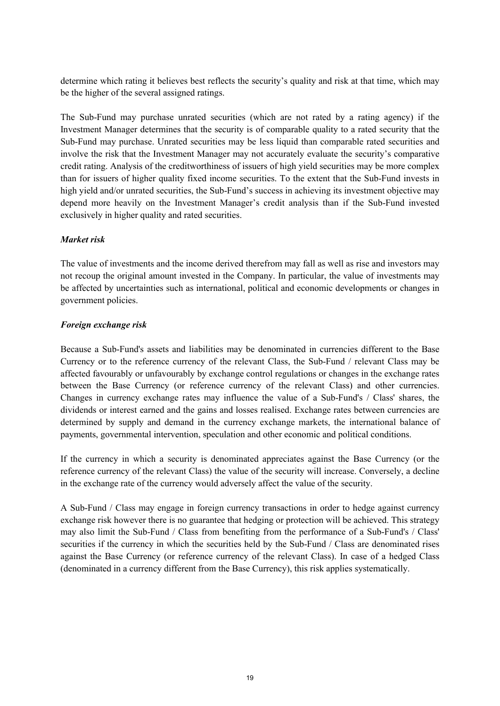determine which rating it believes best reflects the security's quality and risk at that time, which may be the higher of the several assigned ratings.

The Sub-Fund may purchase unrated securities (which are not rated by a rating agency) if the Investment Manager determines that the security is of comparable quality to a rated security that the Sub-Fund may purchase. Unrated securities may be less liquid than comparable rated securities and involve the risk that the Investment Manager may not accurately evaluate the security's comparative credit rating. Analysis of the creditworthiness of issuers of high yield securities may be more complex than for issuers of higher quality fixed income securities. To the extent that the Sub-Fund invests in high yield and/or unrated securities, the Sub-Fund's success in achieving its investment objective may depend more heavily on the Investment Manager's credit analysis than if the Sub-Fund invested exclusively in higher quality and rated securities.

# *Market risk*

The value of investments and the income derived therefrom may fall as well as rise and investors may not recoup the original amount invested in the Company. In particular, the value of investments may be affected by uncertainties such as international, political and economic developments or changes in government policies.

# *Foreign exchange risk*

Because a Sub-Fund's assets and liabilities may be denominated in currencies different to the Base Currency or to the reference currency of the relevant Class, the Sub-Fund / relevant Class may be affected favourably or unfavourably by exchange control regulations or changes in the exchange rates between the Base Currency (or reference currency of the relevant Class) and other currencies. Changes in currency exchange rates may influence the value of a Sub-Fund's / Class' shares, the dividends or interest earned and the gains and losses realised. Exchange rates between currencies are determined by supply and demand in the currency exchange markets, the international balance of payments, governmental intervention, speculation and other economic and political conditions.

If the currency in which a security is denominated appreciates against the Base Currency (or the reference currency of the relevant Class) the value of the security will increase. Conversely, a decline in the exchange rate of the currency would adversely affect the value of the security.

A Sub-Fund / Class may engage in foreign currency transactions in order to hedge against currency exchange risk however there is no guarantee that hedging or protection will be achieved. This strategy may also limit the Sub-Fund / Class from benefiting from the performance of a Sub-Fund's / Class' securities if the currency in which the securities held by the Sub-Fund / Class are denominated rises against the Base Currency (or reference currency of the relevant Class). In case of a hedged Class (denominated in a currency different from the Base Currency), this risk applies systematically.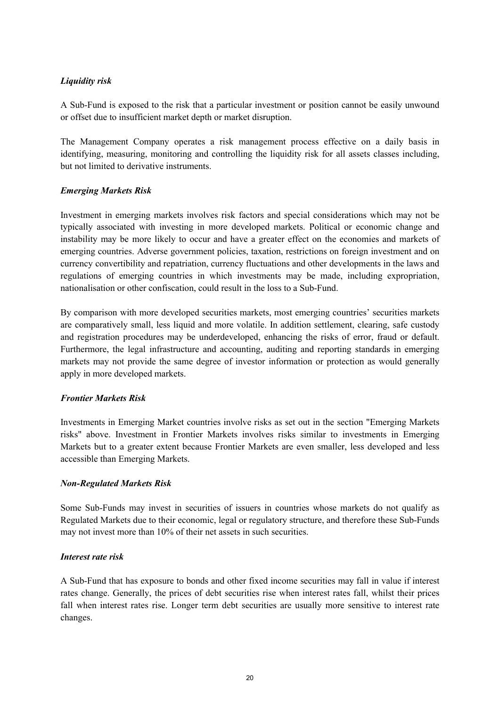# *Liquidity risk*

A Sub-Fund is exposed to the risk that a particular investment or position cannot be easily unwound or offset due to insufficient market depth or market disruption.

The Management Company operates a risk management process effective on a daily basis in identifying, measuring, monitoring and controlling the liquidity risk for all assets classes including, but not limited to derivative instruments.

## *Emerging Markets Risk*

Investment in emerging markets involves risk factors and special considerations which may not be typically associated with investing in more developed markets. Political or economic change and instability may be more likely to occur and have a greater effect on the economies and markets of emerging countries. Adverse government policies, taxation, restrictions on foreign investment and on currency convertibility and repatriation, currency fluctuations and other developments in the laws and regulations of emerging countries in which investments may be made, including expropriation, nationalisation or other confiscation, could result in the loss to a Sub-Fund.

By comparison with more developed securities markets, most emerging countries' securities markets are comparatively small, less liquid and more volatile. In addition settlement, clearing, safe custody and registration procedures may be underdeveloped, enhancing the risks of error, fraud or default. Furthermore, the legal infrastructure and accounting, auditing and reporting standards in emerging markets may not provide the same degree of investor information or protection as would generally apply in more developed markets.

## *Frontier Markets Risk*

Investments in Emerging Market countries involve risks as set out in the section "Emerging Markets risks" above. Investment in Frontier Markets involves risks similar to investments in Emerging Markets but to a greater extent because Frontier Markets are even smaller, less developed and less accessible than Emerging Markets.

## *Non-Regulated Markets Risk*

Some Sub-Funds may invest in securities of issuers in countries whose markets do not qualify as Regulated Markets due to their economic, legal or regulatory structure, and therefore these Sub-Funds may not invest more than 10% of their net assets in such securities.

#### *Interest rate risk*

A Sub-Fund that has exposure to bonds and other fixed income securities may fall in value if interest rates change. Generally, the prices of debt securities rise when interest rates fall, whilst their prices fall when interest rates rise. Longer term debt securities are usually more sensitive to interest rate changes.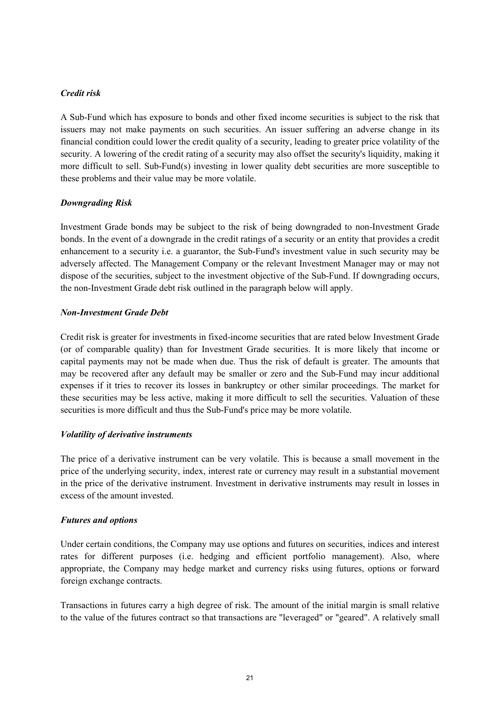## *Credit risk*

A Sub-Fund which has exposure to bonds and other fixed income securities is subject to the risk that issuers may not make payments on such securities. An issuer suffering an adverse change in its financial condition could lower the credit quality of a security, leading to greater price volatility of the security. A lowering of the credit rating of a security may also offset the security's liquidity, making it more difficult to sell. Sub-Fund(s) investing in lower quality debt securities are more susceptible to these problems and their value may be more volatile.

## *Downgrading Risk*

Investment Grade bonds may be subject to the risk of being downgraded to non-Investment Grade bonds. In the event of a downgrade in the credit ratings of a security or an entity that provides a credit enhancement to a security i.e. a guarantor, the Sub-Fund's investment value in such security may be adversely affected. The Management Company or the relevant Investment Manager may or may not dispose of the securities, subject to the investment objective of the Sub-Fund. If downgrading occurs, the non-Investment Grade debt risk outlined in the paragraph below will apply.

#### *Non-Investment Grade Debt*

Credit risk is greater for investments in fixed-income securities that are rated below Investment Grade (or of comparable quality) than for Investment Grade securities. It is more likely that income or capital payments may not be made when due. Thus the risk of default is greater. The amounts that may be recovered after any default may be smaller or zero and the Sub-Fund may incur additional expenses if it tries to recover its losses in bankruptcy or other similar proceedings. The market for these securities may be less active, making it more difficult to sell the securities. Valuation of these securities is more difficult and thus the Sub-Fund's price may be more volatile.

#### *Volatility of derivative instruments*

The price of a derivative instrument can be very volatile. This is because a small movement in the price of the underlying security, index, interest rate or currency may result in a substantial movement in the price of the derivative instrument. Investment in derivative instruments may result in losses in excess of the amount invested.

## *Futures and options*

Under certain conditions, the Company may use options and futures on securities, indices and interest rates for different purposes (i.e. hedging and efficient portfolio management). Also, where appropriate, the Company may hedge market and currency risks using futures, options or forward foreign exchange contracts.

Transactions in futures carry a high degree of risk. The amount of the initial margin is small relative to the value of the futures contract so that transactions are "leveraged" or "geared". A relatively small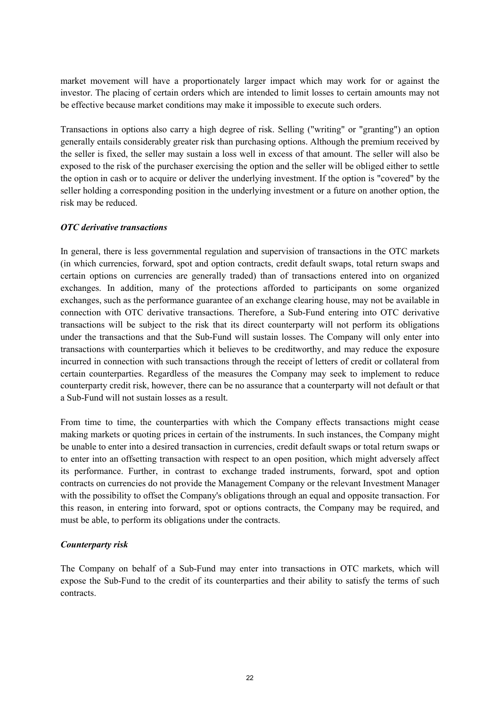market movement will have a proportionately larger impact which may work for or against the investor. The placing of certain orders which are intended to limit losses to certain amounts may not be effective because market conditions may make it impossible to execute such orders.

Transactions in options also carry a high degree of risk. Selling ("writing" or "granting") an option generally entails considerably greater risk than purchasing options. Although the premium received by the seller is fixed, the seller may sustain a loss well in excess of that amount. The seller will also be exposed to the risk of the purchaser exercising the option and the seller will be obliged either to settle the option in cash or to acquire or deliver the underlying investment. If the option is "covered" by the seller holding a corresponding position in the underlying investment or a future on another option, the risk may be reduced.

## *OTC derivative transactions*

In general, there is less governmental regulation and supervision of transactions in the OTC markets (in which currencies, forward, spot and option contracts, credit default swaps, total return swaps and certain options on currencies are generally traded) than of transactions entered into on organized exchanges. In addition, many of the protections afforded to participants on some organized exchanges, such as the performance guarantee of an exchange clearing house, may not be available in connection with OTC derivative transactions. Therefore, a Sub-Fund entering into OTC derivative transactions will be subject to the risk that its direct counterparty will not perform its obligations under the transactions and that the Sub-Fund will sustain losses. The Company will only enter into transactions with counterparties which it believes to be creditworthy, and may reduce the exposure incurred in connection with such transactions through the receipt of letters of credit or collateral from certain counterparties. Regardless of the measures the Company may seek to implement to reduce counterparty credit risk, however, there can be no assurance that a counterparty will not default or that a Sub-Fund will not sustain losses as a result.

From time to time, the counterparties with which the Company effects transactions might cease making markets or quoting prices in certain of the instruments. In such instances, the Company might be unable to enter into a desired transaction in currencies, credit default swaps or total return swaps or to enter into an offsetting transaction with respect to an open position, which might adversely affect its performance. Further, in contrast to exchange traded instruments, forward, spot and option contracts on currencies do not provide the Management Company or the relevant Investment Manager with the possibility to offset the Company's obligations through an equal and opposite transaction. For this reason, in entering into forward, spot or options contracts, the Company may be required, and must be able, to perform its obligations under the contracts.

## *Counterparty risk*

The Company on behalf of a Sub-Fund may enter into transactions in OTC markets, which will expose the Sub-Fund to the credit of its counterparties and their ability to satisfy the terms of such contracts.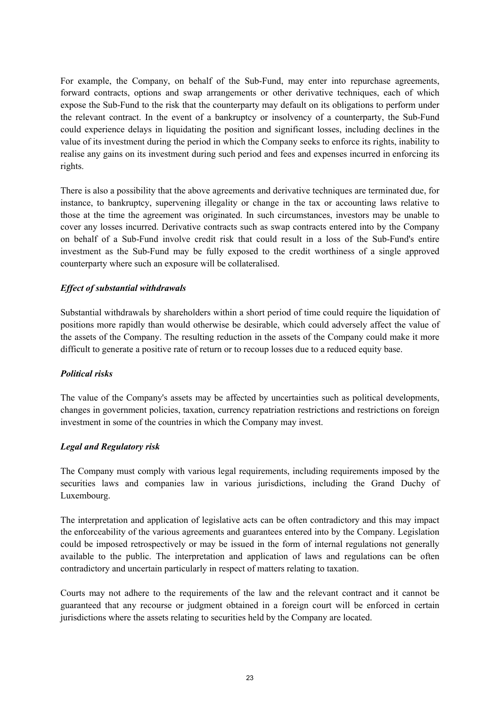For example, the Company, on behalf of the Sub-Fund, may enter into repurchase agreements, forward contracts, options and swap arrangements or other derivative techniques, each of which expose the Sub-Fund to the risk that the counterparty may default on its obligations to perform under the relevant contract. In the event of a bankruptcy or insolvency of a counterparty, the Sub-Fund could experience delays in liquidating the position and significant losses, including declines in the value of its investment during the period in which the Company seeks to enforce its rights, inability to realise any gains on its investment during such period and fees and expenses incurred in enforcing its rights.

There is also a possibility that the above agreements and derivative techniques are terminated due, for instance, to bankruptcy, supervening illegality or change in the tax or accounting laws relative to those at the time the agreement was originated. In such circumstances, investors may be unable to cover any losses incurred. Derivative contracts such as swap contracts entered into by the Company on behalf of a Sub-Fund involve credit risk that could result in a loss of the Sub-Fund's entire investment as the Sub-Fund may be fully exposed to the credit worthiness of a single approved counterparty where such an exposure will be collateralised.

## *Effect of substantial withdrawals*

Substantial withdrawals by shareholders within a short period of time could require the liquidation of positions more rapidly than would otherwise be desirable, which could adversely affect the value of the assets of the Company. The resulting reduction in the assets of the Company could make it more difficult to generate a positive rate of return or to recoup losses due to a reduced equity base.

#### *Political risks*

The value of the Company's assets may be affected by uncertainties such as political developments, changes in government policies, taxation, currency repatriation restrictions and restrictions on foreign investment in some of the countries in which the Company may invest.

#### *Legal and Regulatory risk*

The Company must comply with various legal requirements, including requirements imposed by the securities laws and companies law in various jurisdictions, including the Grand Duchy of Luxembourg.

The interpretation and application of legislative acts can be often contradictory and this may impact the enforceability of the various agreements and guarantees entered into by the Company. Legislation could be imposed retrospectively or may be issued in the form of internal regulations not generally available to the public. The interpretation and application of laws and regulations can be often contradictory and uncertain particularly in respect of matters relating to taxation.

Courts may not adhere to the requirements of the law and the relevant contract and it cannot be guaranteed that any recourse or judgment obtained in a foreign court will be enforced in certain jurisdictions where the assets relating to securities held by the Company are located.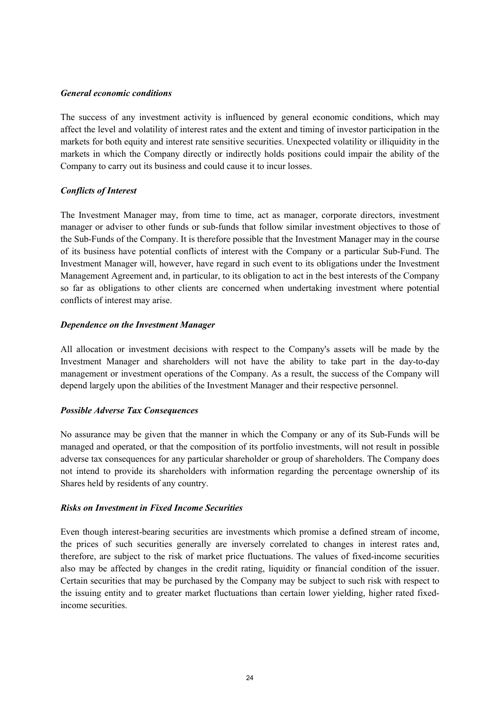#### *General economic conditions*

The success of any investment activity is influenced by general economic conditions, which may affect the level and volatility of interest rates and the extent and timing of investor participation in the markets for both equity and interest rate sensitive securities. Unexpected volatility or illiquidity in the markets in which the Company directly or indirectly holds positions could impair the ability of the Company to carry out its business and could cause it to incur losses.

## *Conflicts of Interest*

The Investment Manager may, from time to time, act as manager, corporate directors, investment manager or adviser to other funds or sub-funds that follow similar investment objectives to those of the Sub-Funds of the Company. It is therefore possible that the Investment Manager may in the course of its business have potential conflicts of interest with the Company or a particular Sub-Fund. The Investment Manager will, however, have regard in such event to its obligations under the Investment Management Agreement and, in particular, to its obligation to act in the best interests of the Company so far as obligations to other clients are concerned when undertaking investment where potential conflicts of interest may arise.

## *Dependence on the Investment Manager*

All allocation or investment decisions with respect to the Company's assets will be made by the Investment Manager and shareholders will not have the ability to take part in the day-to-day management or investment operations of the Company. As a result, the success of the Company will depend largely upon the abilities of the Investment Manager and their respective personnel.

## *Possible Adverse Tax Consequences*

No assurance may be given that the manner in which the Company or any of its Sub-Funds will be managed and operated, or that the composition of its portfolio investments, will not result in possible adverse tax consequences for any particular shareholder or group of shareholders. The Company does not intend to provide its shareholders with information regarding the percentage ownership of its Shares held by residents of any country.

## *Risks on Investment in Fixed Income Securities*

Even though interest-bearing securities are investments which promise a defined stream of income, the prices of such securities generally are inversely correlated to changes in interest rates and, therefore, are subject to the risk of market price fluctuations. The values of fixed-income securities also may be affected by changes in the credit rating, liquidity or financial condition of the issuer. Certain securities that may be purchased by the Company may be subject to such risk with respect to the issuing entity and to greater market fluctuations than certain lower yielding, higher rated fixedincome securities.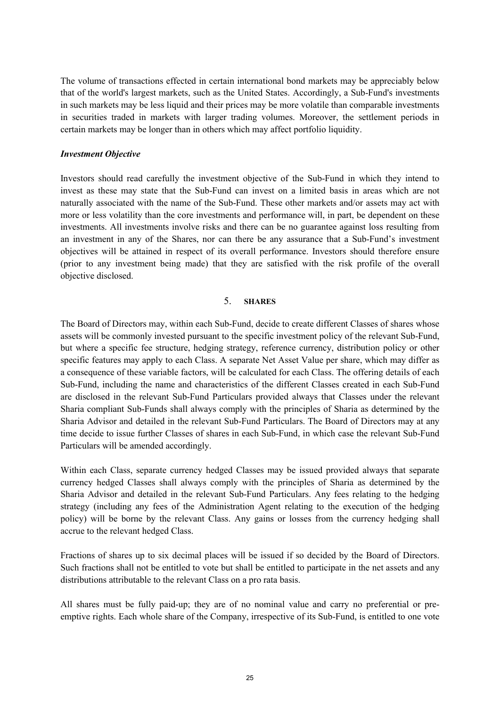The volume of transactions effected in certain international bond markets may be appreciably below that of the world's largest markets, such as the United States. Accordingly, a Sub-Fund's investments in such markets may be less liquid and their prices may be more volatile than comparable investments in securities traded in markets with larger trading volumes. Moreover, the settlement periods in certain markets may be longer than in others which may affect portfolio liquidity.

#### *Investment Objective*

Investors should read carefully the investment objective of the Sub-Fund in which they intend to invest as these may state that the Sub-Fund can invest on a limited basis in areas which are not naturally associated with the name of the Sub-Fund. These other markets and/or assets may act with more or less volatility than the core investments and performance will, in part, be dependent on these investments. All investments involve risks and there can be no guarantee against loss resulting from an investment in any of the Shares, nor can there be any assurance that a Sub-Fund's investment objectives will be attained in respect of its overall performance. Investors should therefore ensure (prior to any investment being made) that they are satisfied with the risk profile of the overall objective disclosed.

## 5. **SHARES**

The Board of Directors may, within each Sub-Fund, decide to create different Classes of shares whose assets will be commonly invested pursuant to the specific investment policy of the relevant Sub-Fund, but where a specific fee structure, hedging strategy, reference currency, distribution policy or other specific features may apply to each Class. A separate Net Asset Value per share, which may differ as a consequence of these variable factors, will be calculated for each Class. The offering details of each Sub-Fund, including the name and characteristics of the different Classes created in each Sub-Fund are disclosed in the relevant Sub-Fund Particulars provided always that Classes under the relevant Sharia compliant Sub-Funds shall always comply with the principles of Sharia as determined by the Sharia Advisor and detailed in the relevant Sub-Fund Particulars. The Board of Directors may at any time decide to issue further Classes of shares in each Sub-Fund, in which case the relevant Sub-Fund Particulars will be amended accordingly.

Within each Class, separate currency hedged Classes may be issued provided always that separate currency hedged Classes shall always comply with the principles of Sharia as determined by the Sharia Advisor and detailed in the relevant Sub-Fund Particulars. Any fees relating to the hedging strategy (including any fees of the Administration Agent relating to the execution of the hedging policy) will be borne by the relevant Class. Any gains or losses from the currency hedging shall accrue to the relevant hedged Class.

Fractions of shares up to six decimal places will be issued if so decided by the Board of Directors. Such fractions shall not be entitled to vote but shall be entitled to participate in the net assets and any distributions attributable to the relevant Class on a pro rata basis.

All shares must be fully paid-up; they are of no nominal value and carry no preferential or preemptive rights. Each whole share of the Company, irrespective of its Sub-Fund, is entitled to one vote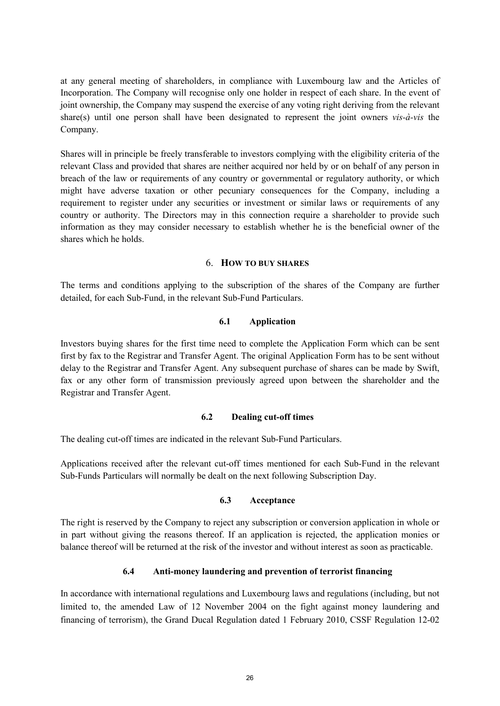at any general meeting of shareholders, in compliance with Luxembourg law and the Articles of Incorporation. The Company will recognise only one holder in respect of each share. In the event of joint ownership, the Company may suspend the exercise of any voting right deriving from the relevant share(s) until one person shall have been designated to represent the joint owners *vis-à-vis* the Company.

Shares will in principle be freely transferable to investors complying with the eligibility criteria of the relevant Class and provided that shares are neither acquired nor held by or on behalf of any person in breach of the law or requirements of any country or governmental or regulatory authority, or which might have adverse taxation or other pecuniary consequences for the Company, including a requirement to register under any securities or investment or similar laws or requirements of any country or authority. The Directors may in this connection require a shareholder to provide such information as they may consider necessary to establish whether he is the beneficial owner of the shares which he holds.

#### 6. **HOW TO BUY SHARES**

The terms and conditions applying to the subscription of the shares of the Company are further detailed, for each Sub-Fund, in the relevant Sub-Fund Particulars.

## **6.1 Application**

Investors buying shares for the first time need to complete the Application Form which can be sent first by fax to the Registrar and Transfer Agent. The original Application Form has to be sent without delay to the Registrar and Transfer Agent. Any subsequent purchase of shares can be made by Swift, fax or any other form of transmission previously agreed upon between the shareholder and the Registrar and Transfer Agent.

## **6.2 Dealing cut-off times**

The dealing cut-off times are indicated in the relevant Sub-Fund Particulars.

Applications received after the relevant cut-off times mentioned for each Sub-Fund in the relevant Sub-Funds Particulars will normally be dealt on the next following Subscription Day.

## **6.3 Acceptance**

The right is reserved by the Company to reject any subscription or conversion application in whole or in part without giving the reasons thereof. If an application is rejected, the application monies or balance thereof will be returned at the risk of the investor and without interest as soon as practicable.

## **6.4 Anti-money laundering and prevention of terrorist financing**

In accordance with international regulations and Luxembourg laws and regulations (including, but not limited to, the amended Law of 12 November 2004 on the fight against money laundering and financing of terrorism), the Grand Ducal Regulation dated 1 February 2010, CSSF Regulation 12-02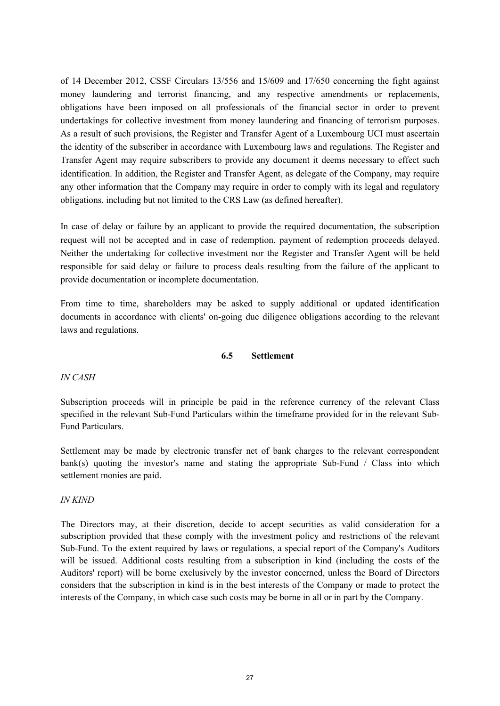of 14 December 2012, CSSF Circulars 13/556 and 15/609 and 17/650 concerning the fight against money laundering and terrorist financing, and any respective amendments or replacements, obligations have been imposed on all professionals of the financial sector in order to prevent undertakings for collective investment from money laundering and financing of terrorism purposes. As a result of such provisions, the Register and Transfer Agent of a Luxembourg UCI must ascertain the identity of the subscriber in accordance with Luxembourg laws and regulations. The Register and Transfer Agent may require subscribers to provide any document it deems necessary to effect such identification. In addition, the Register and Transfer Agent, as delegate of the Company, may require any other information that the Company may require in order to comply with its legal and regulatory obligations, including but not limited to the CRS Law (as defined hereafter).

In case of delay or failure by an applicant to provide the required documentation, the subscription request will not be accepted and in case of redemption, payment of redemption proceeds delayed. Neither the undertaking for collective investment nor the Register and Transfer Agent will be held responsible for said delay or failure to process deals resulting from the failure of the applicant to provide documentation or incomplete documentation.

From time to time, shareholders may be asked to supply additional or updated identification documents in accordance with clients' on-going due diligence obligations according to the relevant laws and regulations.

## **6.5 Settlement**

## *IN CASH*

Subscription proceeds will in principle be paid in the reference currency of the relevant Class specified in the relevant Sub-Fund Particulars within the timeframe provided for in the relevant Sub-Fund Particulars.

Settlement may be made by electronic transfer net of bank charges to the relevant correspondent bank(s) quoting the investor's name and stating the appropriate Sub-Fund  $\ell$  Class into which settlement monies are paid.

#### *IN KIND*

The Directors may, at their discretion, decide to accept securities as valid consideration for a subscription provided that these comply with the investment policy and restrictions of the relevant Sub-Fund. To the extent required by laws or regulations, a special report of the Company's Auditors will be issued. Additional costs resulting from a subscription in kind (including the costs of the Auditors' report) will be borne exclusively by the investor concerned, unless the Board of Directors considers that the subscription in kind is in the best interests of the Company or made to protect the interests of the Company, in which case such costs may be borne in all or in part by the Company.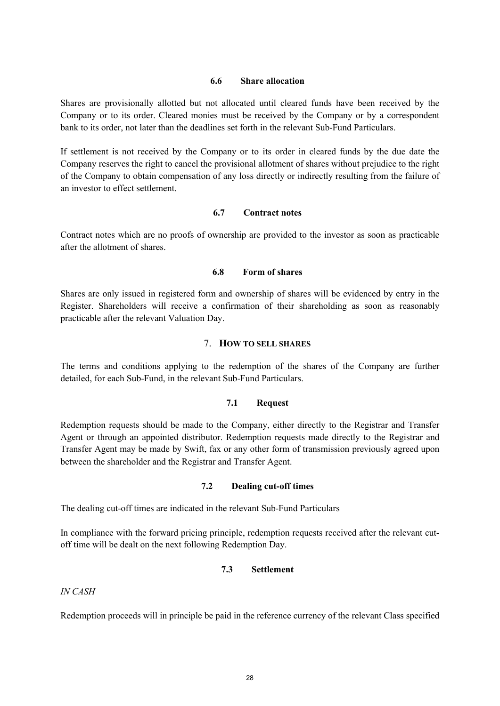#### **6.6 Share allocation**

Shares are provisionally allotted but not allocated until cleared funds have been received by the Company or to its order. Cleared monies must be received by the Company or by a correspondent bank to its order, not later than the deadlines set forth in the relevant Sub-Fund Particulars.

If settlement is not received by the Company or to its order in cleared funds by the due date the Company reserves the right to cancel the provisional allotment of shares without prejudice to the right of the Company to obtain compensation of any loss directly or indirectly resulting from the failure of an investor to effect settlement.

#### **6.7 Contract notes**

Contract notes which are no proofs of ownership are provided to the investor as soon as practicable after the allotment of shares.

#### **6.8 Form of shares**

Shares are only issued in registered form and ownership of shares will be evidenced by entry in the Register. Shareholders will receive a confirmation of their shareholding as soon as reasonably practicable after the relevant Valuation Day.

#### 7. **HOW TO SELL SHARES**

The terms and conditions applying to the redemption of the shares of the Company are further detailed, for each Sub-Fund, in the relevant Sub-Fund Particulars.

#### **7.1 Request**

Redemption requests should be made to the Company, either directly to the Registrar and Transfer Agent or through an appointed distributor. Redemption requests made directly to the Registrar and Transfer Agent may be made by Swift, fax or any other form of transmission previously agreed upon between the shareholder and the Registrar and Transfer Agent.

#### **7.2 Dealing cut-off times**

The dealing cut-off times are indicated in the relevant Sub-Fund Particulars

In compliance with the forward pricing principle, redemption requests received after the relevant cutoff time will be dealt on the next following Redemption Day.

#### **7.3 Settlement**

*IN CASH*

Redemption proceeds will in principle be paid in the reference currency of the relevant Class specified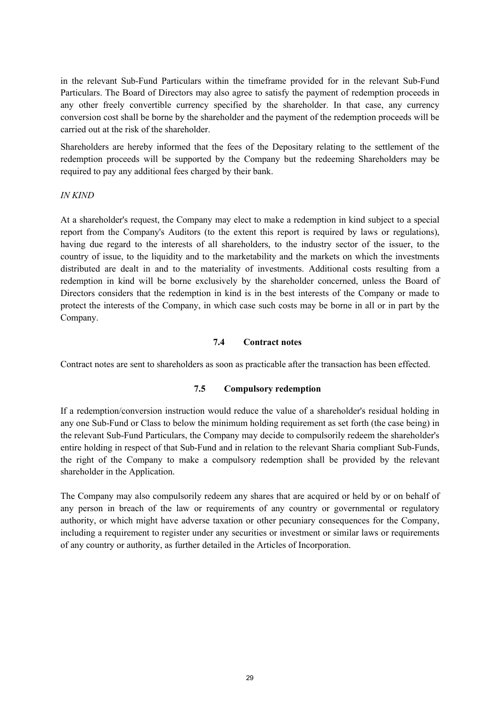in the relevant Sub-Fund Particulars within the timeframe provided for in the relevant Sub-Fund Particulars. The Board of Directors may also agree to satisfy the payment of redemption proceeds in any other freely convertible currency specified by the shareholder. In that case, any currency conversion cost shall be borne by the shareholder and the payment of the redemption proceeds will be carried out at the risk of the shareholder.

Shareholders are hereby informed that the fees of the Depositary relating to the settlement of the redemption proceeds will be supported by the Company but the redeeming Shareholders may be required to pay any additional fees charged by their bank.

#### *IN KIND*

At a shareholder's request, the Company may elect to make a redemption in kind subject to a special report from the Company's Auditors (to the extent this report is required by laws or regulations), having due regard to the interests of all shareholders, to the industry sector of the issuer, to the country of issue, to the liquidity and to the marketability and the markets on which the investments distributed are dealt in and to the materiality of investments. Additional costs resulting from a redemption in kind will be borne exclusively by the shareholder concerned, unless the Board of Directors considers that the redemption in kind is in the best interests of the Company or made to protect the interests of the Company, in which case such costs may be borne in all or in part by the Company.

#### **7.4 Contract notes**

Contract notes are sent to shareholders as soon as practicable after the transaction has been effected.

#### **7.5 Compulsory redemption**

If a redemption/conversion instruction would reduce the value of a shareholder's residual holding in any one Sub-Fund or Class to below the minimum holding requirement as set forth (the case being) in the relevant Sub-Fund Particulars, the Company may decide to compulsorily redeem the shareholder's entire holding in respect of that Sub-Fund and in relation to the relevant Sharia compliant Sub-Funds, the right of the Company to make a compulsory redemption shall be provided by the relevant shareholder in the Application.

The Company may also compulsorily redeem any shares that are acquired or held by or on behalf of any person in breach of the law or requirements of any country or governmental or regulatory authority, or which might have adverse taxation or other pecuniary consequences for the Company, including a requirement to register under any securities or investment or similar laws or requirements of any country or authority, as further detailed in the Articles of Incorporation.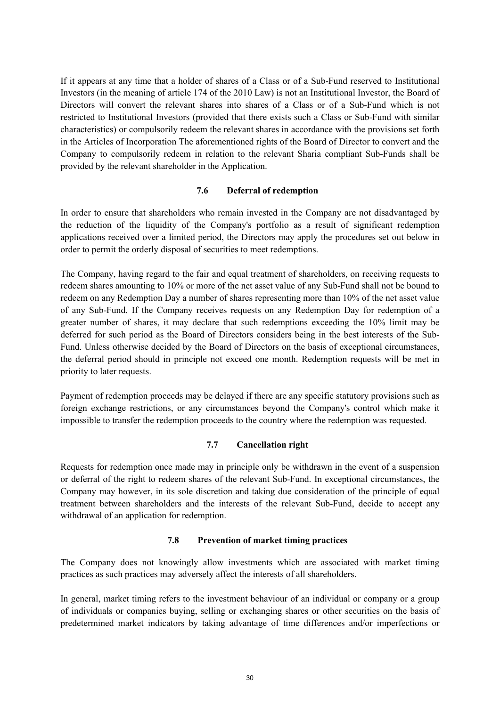If it appears at any time that a holder of shares of a Class or of a Sub-Fund reserved to Institutional Investors (in the meaning of article 174 of the 2010 Law) is not an Institutional Investor, the Board of Directors will convert the relevant shares into shares of a Class or of a Sub-Fund which is not restricted to Institutional Investors (provided that there exists such a Class or Sub-Fund with similar characteristics) or compulsorily redeem the relevant shares in accordance with the provisions set forth in the Articles of Incorporation The aforementioned rights of the Board of Director to convert and the Company to compulsorily redeem in relation to the relevant Sharia compliant Sub-Funds shall be provided by the relevant shareholder in the Application.

#### **7.6 Deferral of redemption**

In order to ensure that shareholders who remain invested in the Company are not disadvantaged by the reduction of the liquidity of the Company's portfolio as a result of significant redemption applications received over a limited period, the Directors may apply the procedures set out below in order to permit the orderly disposal of securities to meet redemptions.

The Company, having regard to the fair and equal treatment of shareholders, on receiving requests to redeem shares amounting to 10% or more of the net asset value of any Sub-Fund shall not be bound to redeem on any Redemption Day a number of shares representing more than 10% of the net asset value of any Sub-Fund. If the Company receives requests on any Redemption Day for redemption of a greater number of shares, it may declare that such redemptions exceeding the 10% limit may be deferred for such period as the Board of Directors considers being in the best interests of the Sub-Fund. Unless otherwise decided by the Board of Directors on the basis of exceptional circumstances, the deferral period should in principle not exceed one month. Redemption requests will be met in priority to later requests.

Payment of redemption proceeds may be delayed if there are any specific statutory provisions such as foreign exchange restrictions, or any circumstances beyond the Company's control which make it impossible to transfer the redemption proceeds to the country where the redemption was requested.

## **7.7 Cancellation right**

Requests for redemption once made may in principle only be withdrawn in the event of a suspension or deferral of the right to redeem shares of the relevant Sub-Fund. In exceptional circumstances, the Company may however, in its sole discretion and taking due consideration of the principle of equal treatment between shareholders and the interests of the relevant Sub-Fund, decide to accept any withdrawal of an application for redemption.

## **7.8 Prevention of market timing practices**

The Company does not knowingly allow investments which are associated with market timing practices as such practices may adversely affect the interests of all shareholders.

In general, market timing refers to the investment behaviour of an individual or company or a group of individuals or companies buying, selling or exchanging shares or other securities on the basis of predetermined market indicators by taking advantage of time differences and/or imperfections or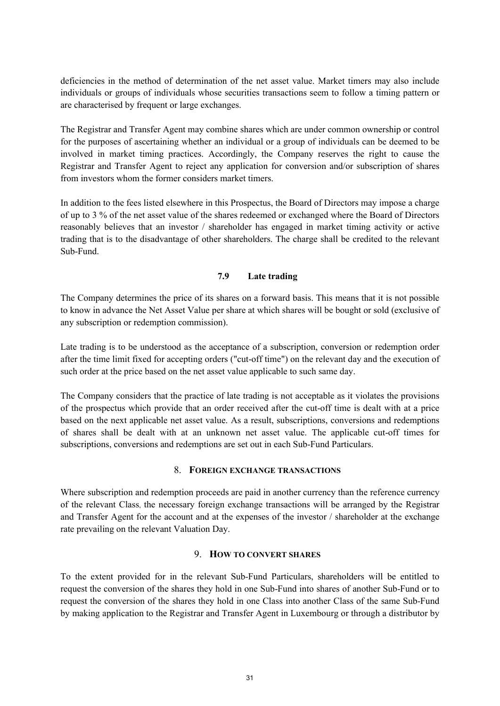deficiencies in the method of determination of the net asset value. Market timers may also include individuals or groups of individuals whose securities transactions seem to follow a timing pattern or are characterised by frequent or large exchanges.

The Registrar and Transfer Agent may combine shares which are under common ownership or control for the purposes of ascertaining whether an individual or a group of individuals can be deemed to be involved in market timing practices. Accordingly, the Company reserves the right to cause the Registrar and Transfer Agent to reject any application for conversion and/or subscription of shares from investors whom the former considers market timers.

In addition to the fees listed elsewhere in this Prospectus, the Board of Directors may impose a charge of up to 3 % of the net asset value of the shares redeemed or exchanged where the Board of Directors reasonably believes that an investor / shareholder has engaged in market timing activity or active trading that is to the disadvantage of other shareholders. The charge shall be credited to the relevant Sub-Fund.

## **7.9 Late trading**

The Company determines the price of its shares on a forward basis. This means that it is not possible to know in advance the Net Asset Value per share at which shares will be bought or sold (exclusive of any subscription or redemption commission).

Late trading is to be understood as the acceptance of a subscription, conversion or redemption order after the time limit fixed for accepting orders ("cut-off time") on the relevant day and the execution of such order at the price based on the net asset value applicable to such same day.

The Company considers that the practice of late trading is not acceptable as it violates the provisions of the prospectus which provide that an order received after the cut-off time is dealt with at a price based on the next applicable net asset value. As a result, subscriptions, conversions and redemptions of shares shall be dealt with at an unknown net asset value. The applicable cut-off times for subscriptions, conversions and redemptions are set out in each Sub-Fund Particulars.

#### 8. **FOREIGN EXCHANGE TRANSACTIONS**

Where subscription and redemption proceeds are paid in another currency than the reference currency of the relevant Class, the necessary foreign exchange transactions will be arranged by the Registrar and Transfer Agent for the account and at the expenses of the investor / shareholder at the exchange rate prevailing on the relevant Valuation Day.

#### 9. **HOW TO CONVERT SHARES**

To the extent provided for in the relevant Sub-Fund Particulars, shareholders will be entitled to request the conversion of the shares they hold in one Sub-Fund into shares of another Sub-Fund or to request the conversion of the shares they hold in one Class into another Class of the same Sub-Fund by making application to the Registrar and Transfer Agent in Luxembourg or through a distributor by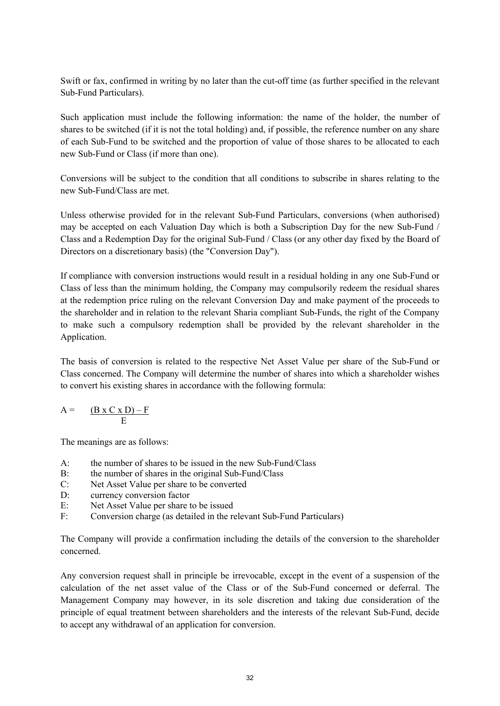Swift or fax, confirmed in writing by no later than the cut-off time (as further specified in the relevant Sub-Fund Particulars).

Such application must include the following information: the name of the holder, the number of shares to be switched (if it is not the total holding) and, if possible, the reference number on any share of each Sub-Fund to be switched and the proportion of value of those shares to be allocated to each new Sub-Fund or Class (if more than one).

Conversions will be subject to the condition that all conditions to subscribe in shares relating to the new Sub-Fund/Class are met.

Unless otherwise provided for in the relevant Sub-Fund Particulars, conversions (when authorised) may be accepted on each Valuation Day which is both a Subscription Day for the new Sub-Fund / Class and a Redemption Day for the original Sub-Fund / Class (or any other day fixed by the Board of Directors on a discretionary basis) (the "Conversion Day").

If compliance with conversion instructions would result in a residual holding in any one Sub-Fund or Class of less than the minimum holding, the Company may compulsorily redeem the residual shares at the redemption price ruling on the relevant Conversion Day and make payment of the proceeds to the shareholder and in relation to the relevant Sharia compliant Sub-Funds, the right of the Company to make such a compulsory redemption shall be provided by the relevant shareholder in the Application.

The basis of conversion is related to the respective Net Asset Value per share of the Sub-Fund or Class concerned. The Company will determine the number of shares into which a shareholder wishes to convert his existing shares in accordance with the following formula:

$$
A = \frac{(B \times C \times D) - F}{E}
$$

The meanings are as follows:

- A: the number of shares to be issued in the new Sub-Fund/Class
- B: the number of shares in the original Sub-Fund/Class<br>C: Net Asset Value per share to be converted
- Net Asset Value per share to be converted
- D: currency conversion factor
- E: Net Asset Value per share to be issued
- F: Conversion charge (as detailed in the relevant Sub-Fund Particulars)

The Company will provide a confirmation including the details of the conversion to the shareholder concerned.

Any conversion request shall in principle be irrevocable, except in the event of a suspension of the calculation of the net asset value of the Class or of the Sub-Fund concerned or deferral. The Management Company may however, in its sole discretion and taking due consideration of the principle of equal treatment between shareholders and the interests of the relevant Sub-Fund, decide to accept any withdrawal of an application for conversion.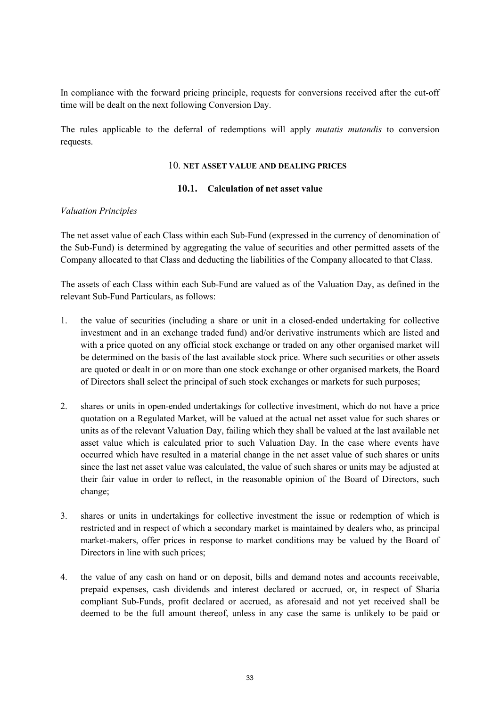In compliance with the forward pricing principle, requests for conversions received after the cut-off time will be dealt on the next following Conversion Day.

The rules applicable to the deferral of redemptions will apply *mutatis mutandis* to conversion requests.

#### 10. **NET ASSET VALUE AND DEALING PRICES**

#### **10.1. Calculation of net asset value**

#### *Valuation Principles*

The net asset value of each Class within each Sub-Fund (expressed in the currency of denomination of the Sub-Fund) is determined by aggregating the value of securities and other permitted assets of the Company allocated to that Class and deducting the liabilities of the Company allocated to that Class.

The assets of each Class within each Sub-Fund are valued as of the Valuation Day, as defined in the relevant Sub-Fund Particulars, as follows:

- 1. the value of securities (including a share or unit in a closed-ended undertaking for collective investment and in an exchange traded fund) and/or derivative instruments which are listed and with a price quoted on any official stock exchange or traded on any other organised market will be determined on the basis of the last available stock price. Where such securities or other assets are quoted or dealt in or on more than one stock exchange or other organised markets, the Board of Directors shall select the principal of such stock exchanges or markets for such purposes;
- 2. shares or units in open-ended undertakings for collective investment, which do not have a price quotation on a Regulated Market, will be valued at the actual net asset value for such shares or units as of the relevant Valuation Day, failing which they shall be valued at the last available net asset value which is calculated prior to such Valuation Day. In the case where events have occurred which have resulted in a material change in the net asset value of such shares or units since the last net asset value was calculated, the value of such shares or units may be adjusted at their fair value in order to reflect, in the reasonable opinion of the Board of Directors, such change;
- 3. shares or units in undertakings for collective investment the issue or redemption of which is restricted and in respect of which a secondary market is maintained by dealers who, as principal market-makers, offer prices in response to market conditions may be valued by the Board of Directors in line with such prices;
- 4. the value of any cash on hand or on deposit, bills and demand notes and accounts receivable, prepaid expenses, cash dividends and interest declared or accrued, or, in respect of Sharia compliant Sub-Funds, profit declared or accrued, as aforesaid and not yet received shall be deemed to be the full amount thereof, unless in any case the same is unlikely to be paid or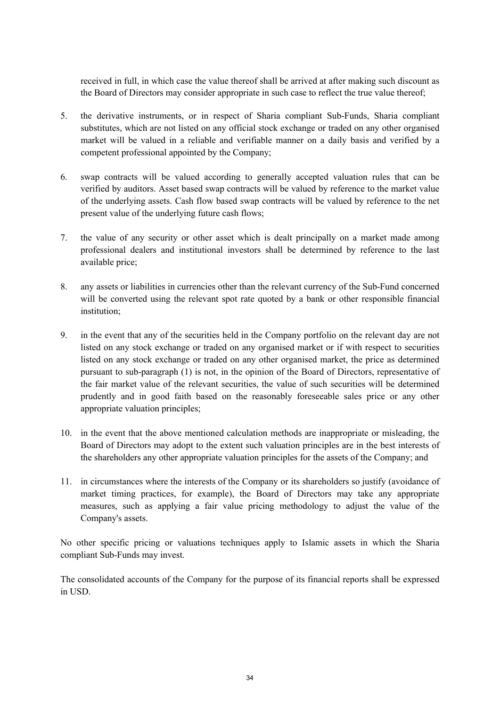received in full, in which case the value thereof shall be arrived at after making such discount as the Board of Directors may consider appropriate in such case to reflect the true value thereof;

- 5. the derivative instruments, or in respect of Sharia compliant Sub-Funds, Sharia compliant substitutes, which are not listed on any official stock exchange or traded on any other organised market will be valued in a reliable and verifiable manner on a daily basis and verified by a competent professional appointed by the Company;
- 6. swap contracts will be valued according to generally accepted valuation rules that can be verified by auditors. Asset based swap contracts will be valued by reference to the market value of the underlying assets. Cash flow based swap contracts will be valued by reference to the net present value of the underlying future cash flows;
- 7. the value of any security or other asset which is dealt principally on a market made among professional dealers and institutional investors shall be determined by reference to the last available price;
- 8. any assets or liabilities in currencies other than the relevant currency of the Sub-Fund concerned will be converted using the relevant spot rate quoted by a bank or other responsible financial institution<sup>.</sup>
- 9. in the event that any of the securities held in the Company portfolio on the relevant day are not listed on any stock exchange or traded on any organised market or if with respect to securities listed on any stock exchange or traded on any other organised market, the price as determined pursuant to sub-paragraph (1) is not, in the opinion of the Board of Directors, representative of the fair market value of the relevant securities, the value of such securities will be determined prudently and in good faith based on the reasonably foreseeable sales price or any other appropriate valuation principles;
- 10. in the event that the above mentioned calculation methods are inappropriate or misleading, the Board of Directors may adopt to the extent such valuation principles are in the best interests of the shareholders any other appropriate valuation principles for the assets of the Company; and
- 11. in circumstances where the interests of the Company or its shareholders so justify (avoidance of market timing practices, for example), the Board of Directors may take any appropriate measures, such as applying a fair value pricing methodology to adjust the value of the Company's assets.

No other specific pricing or valuations techniques apply to Islamic assets in which the Sharia compliant Sub-Funds may invest.

The consolidated accounts of the Company for the purpose of its financial reports shall be expressed in USD.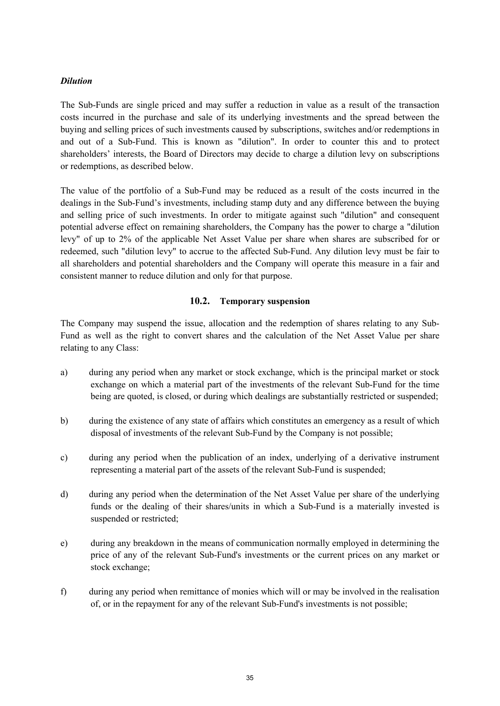## *Dilution*

The Sub-Funds are single priced and may suffer a reduction in value as a result of the transaction costs incurred in the purchase and sale of its underlying investments and the spread between the buying and selling prices of such investments caused by subscriptions, switches and/or redemptions in and out of a Sub-Fund. This is known as "dilution". In order to counter this and to protect shareholders' interests, the Board of Directors may decide to charge a dilution levy on subscriptions or redemptions, as described below.

The value of the portfolio of a Sub-Fund may be reduced as a result of the costs incurred in the dealings in the Sub-Fund's investments, including stamp duty and any difference between the buying and selling price of such investments. In order to mitigate against such "dilution" and consequent potential adverse effect on remaining shareholders, the Company has the power to charge a "dilution levy" of up to 2% of the applicable Net Asset Value per share when shares are subscribed for or redeemed, such "dilution levy" to accrue to the affected Sub-Fund. Any dilution levy must be fair to all shareholders and potential shareholders and the Company will operate this measure in a fair and consistent manner to reduce dilution and only for that purpose.

## **10.2. Temporary suspension**

The Company may suspend the issue, allocation and the redemption of shares relating to any Sub-Fund as well as the right to convert shares and the calculation of the Net Asset Value per share relating to any Class:

- a) during any period when any market or stock exchange, which is the principal market or stock exchange on which a material part of the investments of the relevant Sub-Fund for the time being are quoted, is closed, or during which dealings are substantially restricted or suspended;
- b) during the existence of any state of affairs which constitutes an emergency as a result of which disposal of investments of the relevant Sub-Fund by the Company is not possible;
- c) during any period when the publication of an index, underlying of a derivative instrument representing a material part of the assets of the relevant Sub-Fund is suspended;
- d) during any period when the determination of the Net Asset Value per share of the underlying funds or the dealing of their shares/units in which a Sub-Fund is a materially invested is suspended or restricted;
- e) during any breakdown in the means of communication normally employed in determining the price of any of the relevant Sub-Fund's investments or the current prices on any market or stock exchange;
- f) during any period when remittance of monies which will or may be involved in the realisation of, or in the repayment for any of the relevant Sub-Fund's investments is not possible;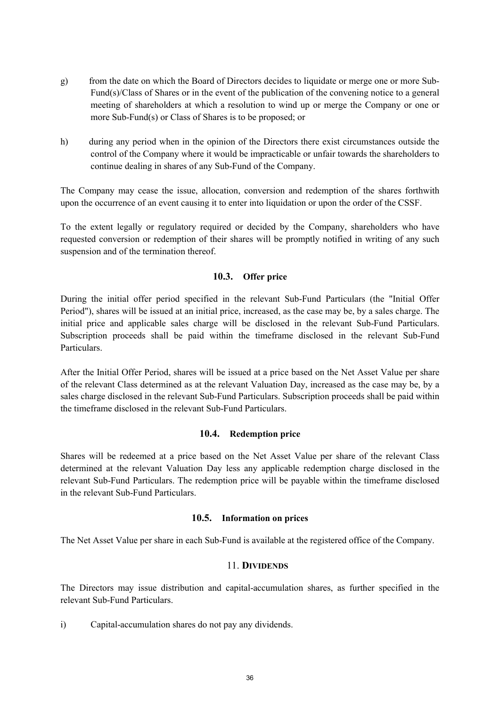- g) from the date on which the Board of Directors decides to liquidate or merge one or more Sub-Fund(s)/Class of Shares or in the event of the publication of the convening notice to a general meeting of shareholders at which a resolution to wind up or merge the Company or one or more Sub-Fund(s) or Class of Shares is to be proposed; or
- h) during any period when in the opinion of the Directors there exist circumstances outside the control of the Company where it would be impracticable or unfair towards the shareholders to continue dealing in shares of any Sub-Fund of the Company.

The Company may cease the issue, allocation, conversion and redemption of the shares forthwith upon the occurrence of an event causing it to enter into liquidation or upon the order of the CSSF.

To the extent legally or regulatory required or decided by the Company, shareholders who have requested conversion or redemption of their shares will be promptly notified in writing of any such suspension and of the termination thereof.

# **10.3. Offer price**

During the initial offer period specified in the relevant Sub-Fund Particulars (the "Initial Offer Period"), shares will be issued at an initial price, increased, as the case may be, by a sales charge. The initial price and applicable sales charge will be disclosed in the relevant Sub-Fund Particulars. Subscription proceeds shall be paid within the timeframe disclosed in the relevant Sub-Fund Particulars.

After the Initial Offer Period, shares will be issued at a price based on the Net Asset Value per share of the relevant Class determined as at the relevant Valuation Day, increased as the case may be, by a sales charge disclosed in the relevant Sub-Fund Particulars. Subscription proceeds shall be paid within the timeframe disclosed in the relevant Sub-Fund Particulars.

#### **10.4. Redemption price**

Shares will be redeemed at a price based on the Net Asset Value per share of the relevant Class determined at the relevant Valuation Day less any applicable redemption charge disclosed in the relevant Sub-Fund Particulars. The redemption price will be payable within the timeframe disclosed in the relevant Sub-Fund Particulars.

#### **10.5. Information on prices**

The Net Asset Value per share in each Sub-Fund is available at the registered office of the Company.

#### 11. **DIVIDENDS**

The Directors may issue distribution and capital-accumulation shares, as further specified in the relevant Sub-Fund Particulars.

i) Capital-accumulation shares do not pay any dividends.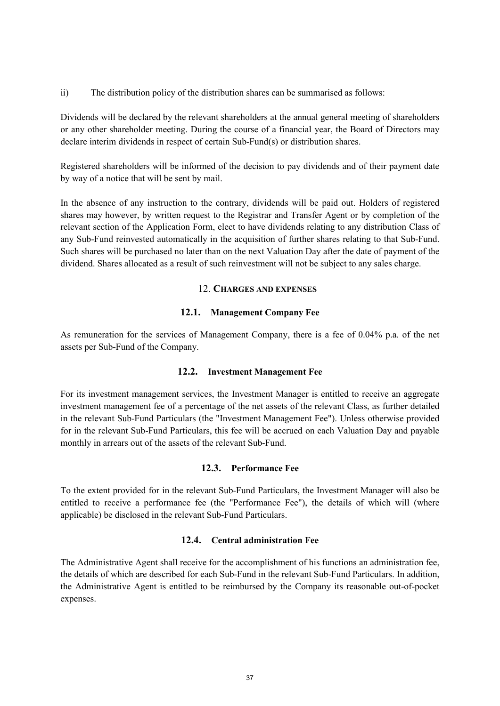ii) The distribution policy of the distribution shares can be summarised as follows:

Dividends will be declared by the relevant shareholders at the annual general meeting of shareholders or any other shareholder meeting. During the course of a financial year, the Board of Directors may declare interim dividends in respect of certain Sub-Fund(s) or distribution shares.

Registered shareholders will be informed of the decision to pay dividends and of their payment date by way of a notice that will be sent by mail.

In the absence of any instruction to the contrary, dividends will be paid out. Holders of registered shares may however, by written request to the Registrar and Transfer Agent or by completion of the relevant section of the Application Form, elect to have dividends relating to any distribution Class of any Sub-Fund reinvested automatically in the acquisition of further shares relating to that Sub-Fund. Such shares will be purchased no later than on the next Valuation Day after the date of payment of the dividend. Shares allocated as a result of such reinvestment will not be subject to any sales charge.

#### 12. **CHARGES AND EXPENSES**

#### **12.1. Management Company Fee**

As remuneration for the services of Management Company, there is a fee of 0.04% p.a. of the net assets per Sub-Fund of the Company.

#### **12.2. Investment Management Fee**

For its investment management services, the Investment Manager is entitled to receive an aggregate investment management fee of a percentage of the net assets of the relevant Class, as further detailed in the relevant Sub-Fund Particulars (the "Investment Management Fee"). Unless otherwise provided for in the relevant Sub-Fund Particulars, this fee will be accrued on each Valuation Day and payable monthly in arrears out of the assets of the relevant Sub-Fund.

### **12.3. Performance Fee**

To the extent provided for in the relevant Sub-Fund Particulars, the Investment Manager will also be entitled to receive a performance fee (the "Performance Fee"), the details of which will (where applicable) be disclosed in the relevant Sub-Fund Particulars.

#### **12.4. Central administration Fee**

The Administrative Agent shall receive for the accomplishment of his functions an administration fee, the details of which are described for each Sub-Fund in the relevant Sub-Fund Particulars. In addition, the Administrative Agent is entitled to be reimbursed by the Company its reasonable out-of-pocket expenses.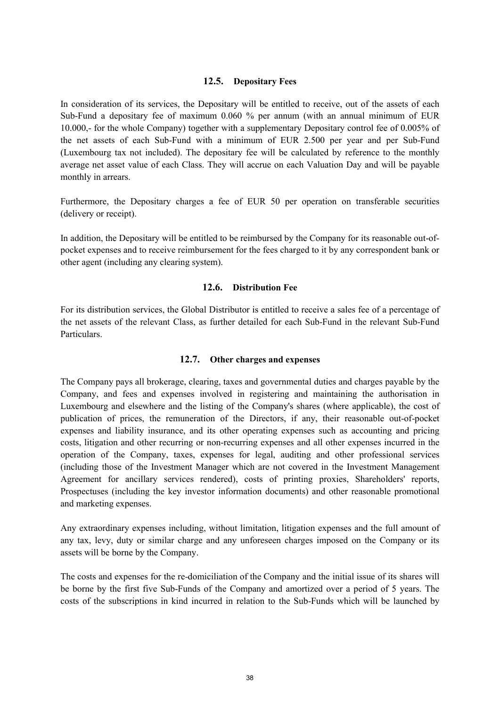#### **12.5. Depositary Fees**

In consideration of its services, the Depositary will be entitled to receive, out of the assets of each Sub-Fund a depositary fee of maximum 0.060 % per annum (with an annual minimum of EUR 10.000,- for the whole Company) together with a supplementary Depositary control fee of 0.005% of the net assets of each Sub-Fund with a minimum of EUR 2.500 per year and per Sub-Fund (Luxembourg tax not included). The depositary fee will be calculated by reference to the monthly average net asset value of each Class. They will accrue on each Valuation Day and will be payable monthly in arrears.

Furthermore, the Depositary charges a fee of EUR 50 per operation on transferable securities (delivery or receipt).

In addition, the Depositary will be entitled to be reimbursed by the Company for its reasonable out-ofpocket expenses and to receive reimbursement for the fees charged to it by any correspondent bank or other agent (including any clearing system).

#### **12.6. Distribution Fee**

For its distribution services, the Global Distributor is entitled to receive a sales fee of a percentage of the net assets of the relevant Class, as further detailed for each Sub-Fund in the relevant Sub-Fund Particulars.

### **12.7. Other charges and expenses**

The Company pays all brokerage, clearing, taxes and governmental duties and charges payable by the Company, and fees and expenses involved in registering and maintaining the authorisation in Luxembourg and elsewhere and the listing of the Company's shares (where applicable), the cost of publication of prices, the remuneration of the Directors, if any, their reasonable out-of-pocket expenses and liability insurance, and its other operating expenses such as accounting and pricing costs, litigation and other recurring or non-recurring expenses and all other expenses incurred in the operation of the Company, taxes, expenses for legal, auditing and other professional services (including those of the Investment Manager which are not covered in the Investment Management Agreement for ancillary services rendered), costs of printing proxies, Shareholders' reports, Prospectuses (including the key investor information documents) and other reasonable promotional and marketing expenses.

Any extraordinary expenses including, without limitation, litigation expenses and the full amount of any tax, levy, duty or similar charge and any unforeseen charges imposed on the Company or its assets will be borne by the Company.

The costs and expenses for the re-domiciliation of the Company and the initial issue of its shares will be borne by the first five Sub-Funds of the Company and amortized over a period of 5 years. The costs of the subscriptions in kind incurred in relation to the Sub-Funds which will be launched by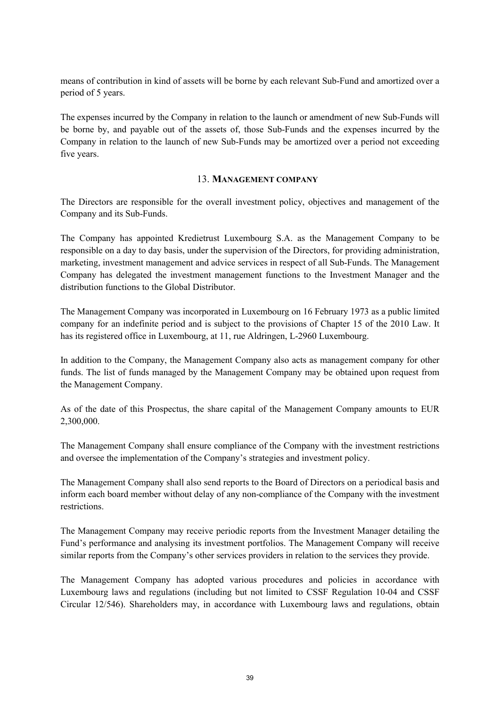means of contribution in kind of assets will be borne by each relevant Sub-Fund and amortized over a period of 5 years.

The expenses incurred by the Company in relation to the launch or amendment of new Sub-Funds will be borne by, and payable out of the assets of, those Sub-Funds and the expenses incurred by the Company in relation to the launch of new Sub-Funds may be amortized over a period not exceeding five years.

#### 13. **MANAGEMENT COMPANY**

The Directors are responsible for the overall investment policy, objectives and management of the Company and its Sub-Funds.

The Company has appointed Kredietrust Luxembourg S.A. as the Management Company to be responsible on a day to day basis, under the supervision of the Directors, for providing administration, marketing, investment management and advice services in respect of all Sub-Funds. The Management Company has delegated the investment management functions to the Investment Manager and the distribution functions to the Global Distributor.

The Management Company was incorporated in Luxembourg on 16 February 1973 as a public limited company for an indefinite period and is subject to the provisions of Chapter 15 of the 2010 Law. It has its registered office in Luxembourg, at 11, rue Aldringen, L-2960 Luxembourg.

In addition to the Company, the Management Company also acts as management company for other funds. The list of funds managed by the Management Company may be obtained upon request from the Management Company.

As of the date of this Prospectus, the share capital of the Management Company amounts to EUR 2,300,000.

The Management Company shall ensure compliance of the Company with the investment restrictions and oversee the implementation of the Company's strategies and investment policy.

The Management Company shall also send reports to the Board of Directors on a periodical basis and inform each board member without delay of any non-compliance of the Company with the investment restrictions.

The Management Company may receive periodic reports from the Investment Manager detailing the Fund's performance and analysing its investment portfolios. The Management Company will receive similar reports from the Company's other services providers in relation to the services they provide.

The Management Company has adopted various procedures and policies in accordance with Luxembourg laws and regulations (including but not limited to CSSF Regulation 10-04 and CSSF Circular 12/546). Shareholders may, in accordance with Luxembourg laws and regulations, obtain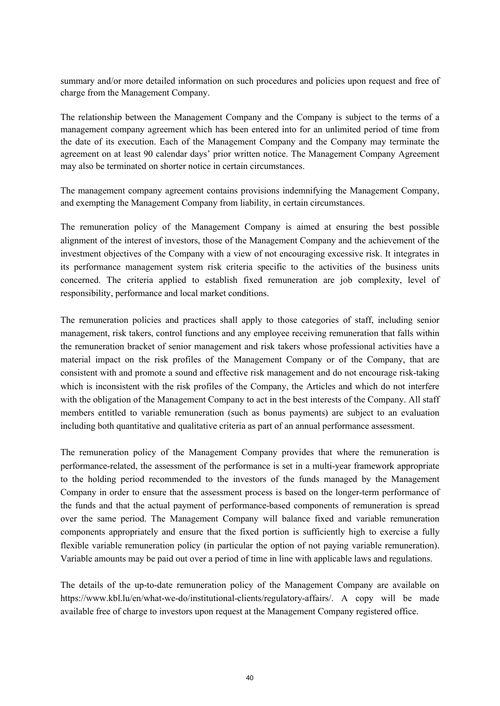summary and/or more detailed information on such procedures and policies upon request and free of charge from the Management Company.

The relationship between the Management Company and the Company is subject to the terms of a management company agreement which has been entered into for an unlimited period of time from the date of its execution. Each of the Management Company and the Company may terminate the agreement on at least 90 calendar days' prior written notice. The Management Company Agreement may also be terminated on shorter notice in certain circumstances.

The management company agreement contains provisions indemnifying the Management Company, and exempting the Management Company from liability, in certain circumstances.

The remuneration policy of the Management Company is aimed at ensuring the best possible alignment of the interest of investors, those of the Management Company and the achievement of the investment objectives of the Company with a view of not encouraging excessive risk. It integrates in its performance management system risk criteria specific to the activities of the business units concerned. The criteria applied to establish fixed remuneration are job complexity, level of responsibility, performance and local market conditions.

The remuneration policies and practices shall apply to those categories of staff, including senior management, risk takers, control functions and any employee receiving remuneration that falls within the remuneration bracket of senior management and risk takers whose professional activities have a material impact on the risk profiles of the Management Company or of the Company, that are consistent with and promote a sound and effective risk management and do not encourage risk-taking which is inconsistent with the risk profiles of the Company, the Articles and which do not interfere with the obligation of the Management Company to act in the best interests of the Company. All staff members entitled to variable remuneration (such as bonus payments) are subject to an evaluation including both quantitative and qualitative criteria as part of an annual performance assessment.

The remuneration policy of the Management Company provides that where the remuneration is performance-related, the assessment of the performance is set in a multi-year framework appropriate to the holding period recommended to the investors of the funds managed by the Management Company in order to ensure that the assessment process is based on the longer-term performance of the funds and that the actual payment of performance-based components of remuneration is spread over the same period. The Management Company will balance fixed and variable remuneration components appropriately and ensure that the fixed portion is sufficiently high to exercise a fully flexible variable remuneration policy (in particular the option of not paying variable remuneration). Variable amounts may be paid out over a period of time in line with applicable laws and regulations.

The details of the up-to-date remuneration policy of the Management Company are available on https://www.kbl.lu/en/what-we-do/institutional-clients/regulatory-affairs/. A copy will be made available free of charge to investors upon request at the Management Company registered office.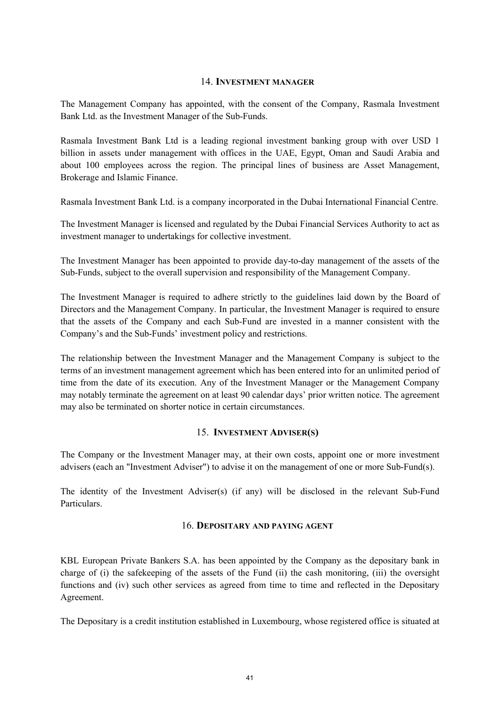#### 14. **INVESTMENT MANAGER**

The Management Company has appointed, with the consent of the Company, Rasmala Investment Bank Ltd. as the Investment Manager of the Sub-Funds.

Rasmala Investment Bank Ltd is a leading regional investment banking group with over USD 1 billion in assets under management with offices in the UAE, Egypt, Oman and Saudi Arabia and about 100 employees across the region. The principal lines of business are Asset Management, Brokerage and Islamic Finance.

Rasmala Investment Bank Ltd. is a company incorporated in the Dubai International Financial Centre.

The Investment Manager is licensed and regulated by the Dubai Financial Services Authority to act as investment manager to undertakings for collective investment.

The Investment Manager has been appointed to provide day-to-day management of the assets of the Sub-Funds, subject to the overall supervision and responsibility of the Management Company.

The Investment Manager is required to adhere strictly to the guidelines laid down by the Board of Directors and the Management Company. In particular, the Investment Manager is required to ensure that the assets of the Company and each Sub-Fund are invested in a manner consistent with the Company's and the Sub-Funds' investment policy and restrictions.

The relationship between the Investment Manager and the Management Company is subject to the terms of an investment management agreement which has been entered into for an unlimited period of time from the date of its execution. Any of the Investment Manager or the Management Company may notably terminate the agreement on at least 90 calendar days' prior written notice. The agreement may also be terminated on shorter notice in certain circumstances.

### 15. **INVESTMENT ADVISER(S)**

The Company or the Investment Manager may, at their own costs, appoint one or more investment advisers (each an "Investment Adviser") to advise it on the management of one or more Sub-Fund(s).

The identity of the Investment Adviser(s) (if any) will be disclosed in the relevant Sub-Fund Particulars.

#### 16. **DEPOSITARY AND PAYING AGENT**

KBL European Private Bankers S.A. has been appointed by the Company as the depositary bank in charge of (i) the safekeeping of the assets of the Fund (ii) the cash monitoring, (iii) the oversight functions and (iv) such other services as agreed from time to time and reflected in the Depositary Agreement.

The Depositary is a credit institution established in Luxembourg, whose registered office is situated at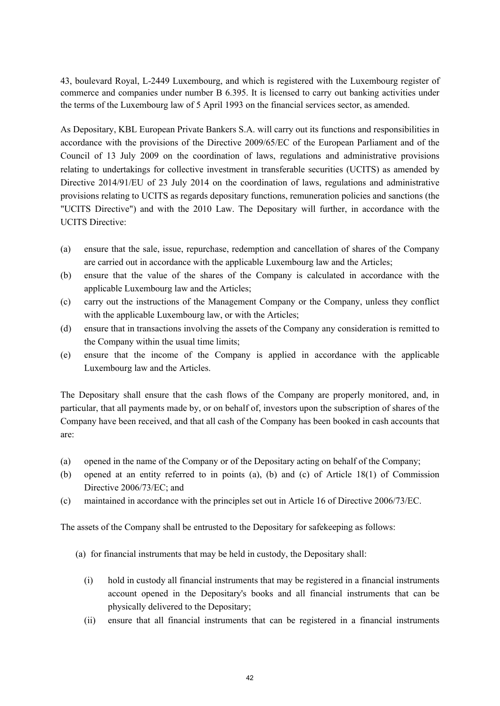43, boulevard Royal, L-2449 Luxembourg, and which is registered with the Luxembourg register of commerce and companies under number B 6.395. It is licensed to carry out banking activities under the terms of the Luxembourg law of 5 April 1993 on the financial services sector, as amended.

As Depositary, KBL European Private Bankers S.A. will carry out its functions and responsibilities in accordance with the provisions of the Directive 2009/65/EC of the European Parliament and of the Council of 13 July 2009 on the coordination of laws, regulations and administrative provisions relating to undertakings for collective investment in transferable securities (UCITS) as amended by Directive 2014/91/EU of 23 July 2014 on the coordination of laws, regulations and administrative provisions relating to UCITS as regards depositary functions, remuneration policies and sanctions (the "UCITS Directive") and with the 2010 Law. The Depositary will further, in accordance with the UCITS Directive:

- (a) ensure that the sale, issue, repurchase, redemption and cancellation of shares of the Company are carried out in accordance with the applicable Luxembourg law and the Articles;
- (b) ensure that the value of the shares of the Company is calculated in accordance with the applicable Luxembourg law and the Articles;
- (c) carry out the instructions of the Management Company or the Company, unless they conflict with the applicable Luxembourg law, or with the Articles;
- (d) ensure that in transactions involving the assets of the Company any consideration is remitted to the Company within the usual time limits;
- (e) ensure that the income of the Company is applied in accordance with the applicable Luxembourg law and the Articles.

The Depositary shall ensure that the cash flows of the Company are properly monitored, and, in particular, that all payments made by, or on behalf of, investors upon the subscription of shares of the Company have been received, and that all cash of the Company has been booked in cash accounts that are:

- (a) opened in the name of the Company or of the Depositary acting on behalf of the Company;
- (b) opened at an entity referred to in points (a), (b) and (c) of Article 18(1) of Commission Directive 2006/73/EC; and
- (c) maintained in accordance with the principles set out in Article 16 of Directive 2006/73/EC.

The assets of the Company shall be entrusted to the Depositary for safekeeping as follows:

- (a) for financial instruments that may be held in custody, the Depositary shall:
	- (i) hold in custody all financial instruments that may be registered in a financial instruments account opened in the Depositary's books and all financial instruments that can be physically delivered to the Depositary;
	- (ii) ensure that all financial instruments that can be registered in a financial instruments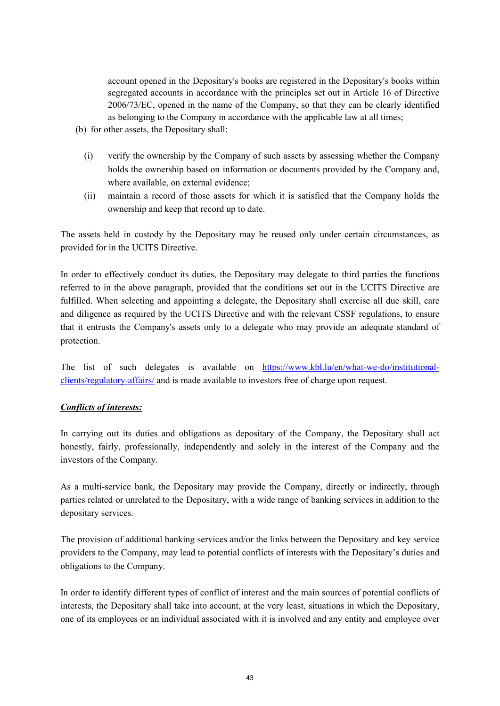account opened in the Depositary's books are registered in the Depositary's books within segregated accounts in accordance with the principles set out in Article 16 of Directive 2006/73/EC, opened in the name of the Company, so that they can be clearly identified as belonging to the Company in accordance with the applicable law at all times;

- (b) for other assets, the Depositary shall:
	- (i) verify the ownership by the Company of such assets by assessing whether the Company holds the ownership based on information or documents provided by the Company and, where available, on external evidence;
	- (ii) maintain a record of those assets for which it is satisfied that the Company holds the ownership and keep that record up to date.

The assets held in custody by the Depositary may be reused only under certain circumstances, as provided for in the UCITS Directive.

In order to effectively conduct its duties, the Depositary may delegate to third parties the functions referred to in the above paragraph, provided that the conditions set out in the UCITS Directive are fulfilled. When selecting and appointing a delegate, the Depositary shall exercise all due skill, care and diligence as required by the UCITS Directive and with the relevant CSSF regulations, to ensure that it entrusts the Company's assets only to a delegate who may provide an adequate standard of protection.

The list of such delegates is available on https://www.kbl.lu/en/what-we-do/institutionalclients/regulatory-affairs/ and is made available to investors free of charge upon request.

### *Conflicts of interests:*

In carrying out its duties and obligations as depositary of the Company, the Depositary shall act honestly, fairly, professionally, independently and solely in the interest of the Company and the investors of the Company.

As a multi-service bank, the Depositary may provide the Company, directly or indirectly, through parties related or unrelated to the Depositary, with a wide range of banking services in addition to the depositary services.

The provision of additional banking services and/or the links between the Depositary and key service providers to the Company, may lead to potential conflicts of interests with the Depositary's duties and obligations to the Company.

In order to identify different types of conflict of interest and the main sources of potential conflicts of interests, the Depositary shall take into account, at the very least, situations in which the Depositary, one of its employees or an individual associated with it is involved and any entity and employee over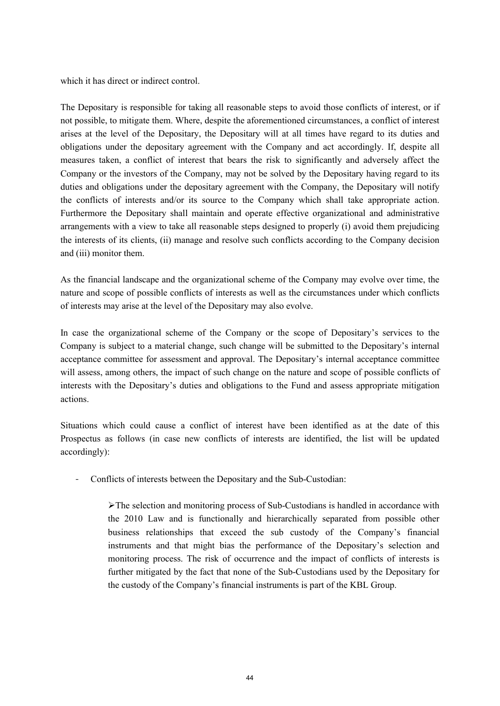which it has direct or indirect control.

The Depositary is responsible for taking all reasonable steps to avoid those conflicts of interest, or if not possible, to mitigate them. Where, despite the aforementioned circumstances, a conflict of interest arises at the level of the Depositary, the Depositary will at all times have regard to its duties and obligations under the depositary agreement with the Company and act accordingly. If, despite all measures taken, a conflict of interest that bears the risk to significantly and adversely affect the Company or the investors of the Company, may not be solved by the Depositary having regard to its duties and obligations under the depositary agreement with the Company, the Depositary will notify the conflicts of interests and/or its source to the Company which shall take appropriate action. Furthermore the Depositary shall maintain and operate effective organizational and administrative arrangements with a view to take all reasonable steps designed to properly (i) avoid them prejudicing the interests of its clients, (ii) manage and resolve such conflicts according to the Company decision and (iii) monitor them.

As the financial landscape and the organizational scheme of the Company may evolve over time, the nature and scope of possible conflicts of interests as well as the circumstances under which conflicts of interests may arise at the level of the Depositary may also evolve.

In case the organizational scheme of the Company or the scope of Depositary's services to the Company is subject to a material change, such change will be submitted to the Depositary's internal acceptance committee for assessment and approval. The Depositary's internal acceptance committee will assess, among others, the impact of such change on the nature and scope of possible conflicts of interests with the Depositary's duties and obligations to the Fund and assess appropriate mitigation actions.

Situations which could cause a conflict of interest have been identified as at the date of this Prospectus as follows (in case new conflicts of interests are identified, the list will be updated accordingly):

- Conflicts of interests between the Depositary and the Sub-Custodian:

 $\triangleright$  The selection and monitoring process of Sub-Custodians is handled in accordance with the 2010 Law and is functionally and hierarchically separated from possible other business relationships that exceed the sub custody of the Company's financial instruments and that might bias the performance of the Depositary's selection and monitoring process. The risk of occurrence and the impact of conflicts of interests is further mitigated by the fact that none of the Sub-Custodians used by the Depositary for the custody of the Company's financial instruments is part of the KBL Group.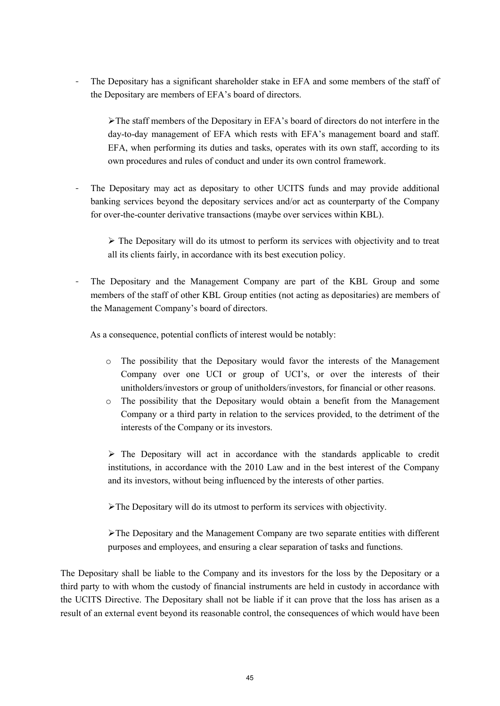- The Depositary has a significant shareholder stake in EFA and some members of the staff of the Depositary are members of EFA's board of directors.

The staff members of the Depositary in EFA's board of directors do not interfere in the day-to-day management of EFA which rests with EFA's management board and staff. EFA, when performing its duties and tasks, operates with its own staff, according to its own procedures and rules of conduct and under its own control framework.

The Depositary may act as depositary to other UCITS funds and may provide additional banking services beyond the depositary services and/or act as counterparty of the Company for over-the-counter derivative transactions (maybe over services within KBL).

 $\triangleright$  The Depositary will do its utmost to perform its services with objectivity and to treat all its clients fairly, in accordance with its best execution policy.

- The Depositary and the Management Company are part of the KBL Group and some members of the staff of other KBL Group entities (not acting as depositaries) are members of the Management Company's board of directors.

As a consequence, potential conflicts of interest would be notably:

- o The possibility that the Depositary would favor the interests of the Management Company over one UCI or group of UCI's, or over the interests of their unitholders/investors or group of unitholders/investors, for financial or other reasons.
- o The possibility that the Depositary would obtain a benefit from the Management Company or a third party in relation to the services provided, to the detriment of the interests of the Company or its investors.

 $\triangleright$  The Depositary will act in accordance with the standards applicable to credit institutions, in accordance with the 2010 Law and in the best interest of the Company and its investors, without being influenced by the interests of other parties.

The Depositary will do its utmost to perform its services with objectivity.

The Depositary and the Management Company are two separate entities with different purposes and employees, and ensuring a clear separation of tasks and functions.

The Depositary shall be liable to the Company and its investors for the loss by the Depositary or a third party to with whom the custody of financial instruments are held in custody in accordance with the UCITS Directive. The Depositary shall not be liable if it can prove that the loss has arisen as a result of an external event beyond its reasonable control, the consequences of which would have been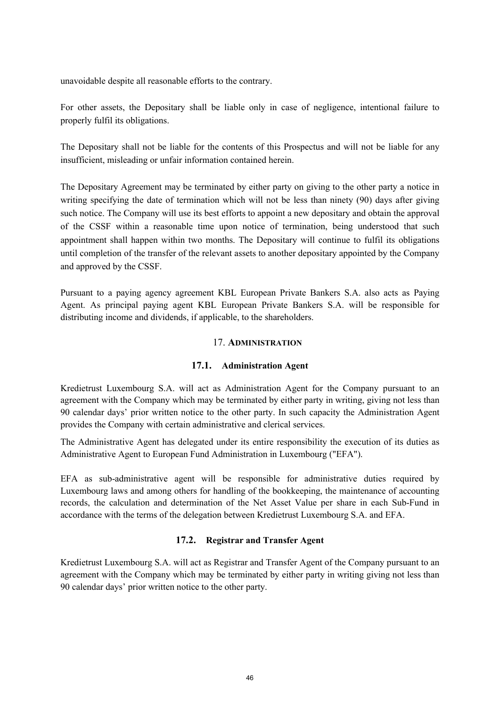unavoidable despite all reasonable efforts to the contrary.

For other assets, the Depositary shall be liable only in case of negligence, intentional failure to properly fulfil its obligations.

The Depositary shall not be liable for the contents of this Prospectus and will not be liable for any insufficient, misleading or unfair information contained herein.

The Depositary Agreement may be terminated by either party on giving to the other party a notice in writing specifying the date of termination which will not be less than ninety (90) days after giving such notice. The Company will use its best efforts to appoint a new depositary and obtain the approval of the CSSF within a reasonable time upon notice of termination, being understood that such appointment shall happen within two months. The Depositary will continue to fulfil its obligations until completion of the transfer of the relevant assets to another depositary appointed by the Company and approved by the CSSF.

Pursuant to a paying agency agreement KBL European Private Bankers S.A. also acts as Paying Agent. As principal paying agent KBL European Private Bankers S.A. will be responsible for distributing income and dividends, if applicable, to the shareholders.

#### 17. **ADMINISTRATION**

### **17.1. Administration Agent**

Kredietrust Luxembourg S.A. will act as Administration Agent for the Company pursuant to an agreement with the Company which may be terminated by either party in writing, giving not less than 90 calendar days' prior written notice to the other party. In such capacity the Administration Agent provides the Company with certain administrative and clerical services.

The Administrative Agent has delegated under its entire responsibility the execution of its duties as Administrative Agent to European Fund Administration in Luxembourg ("EFA").

EFA as sub-administrative agent will be responsible for administrative duties required by Luxembourg laws and among others for handling of the bookkeeping, the maintenance of accounting records, the calculation and determination of the Net Asset Value per share in each Sub-Fund in accordance with the terms of the delegation between Kredietrust Luxembourg S.A. and EFA.

### **17.2. Registrar and Transfer Agent**

Kredietrust Luxembourg S.A. will act as Registrar and Transfer Agent of the Company pursuant to an agreement with the Company which may be terminated by either party in writing giving not less than 90 calendar days' prior written notice to the other party.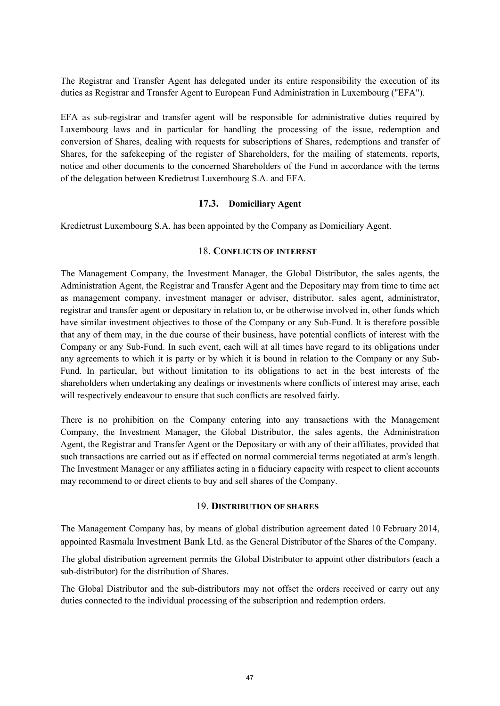The Registrar and Transfer Agent has delegated under its entire responsibility the execution of its duties as Registrar and Transfer Agent to European Fund Administration in Luxembourg ("EFA").

EFA as sub-registrar and transfer agent will be responsible for administrative duties required by Luxembourg laws and in particular for handling the processing of the issue, redemption and conversion of Shares, dealing with requests for subscriptions of Shares, redemptions and transfer of Shares, for the safekeeping of the register of Shareholders, for the mailing of statements, reports, notice and other documents to the concerned Shareholders of the Fund in accordance with the terms of the delegation between Kredietrust Luxembourg S.A. and EFA.

#### **17.3. Domiciliary Agent**

Kredietrust Luxembourg S.A. has been appointed by the Company as Domiciliary Agent.

#### 18. **CONFLICTS OF INTEREST**

The Management Company, the Investment Manager, the Global Distributor, the sales agents, the Administration Agent, the Registrar and Transfer Agent and the Depositary may from time to time act as management company, investment manager or adviser, distributor, sales agent, administrator, registrar and transfer agent or depositary in relation to, or be otherwise involved in, other funds which have similar investment objectives to those of the Company or any Sub-Fund. It is therefore possible that any of them may, in the due course of their business, have potential conflicts of interest with the Company or any Sub-Fund. In such event, each will at all times have regard to its obligations under any agreements to which it is party or by which it is bound in relation to the Company or any Sub-Fund. In particular, but without limitation to its obligations to act in the best interests of the shareholders when undertaking any dealings or investments where conflicts of interest may arise, each will respectively endeavour to ensure that such conflicts are resolved fairly.

There is no prohibition on the Company entering into any transactions with the Management Company, the Investment Manager, the Global Distributor, the sales agents, the Administration Agent, the Registrar and Transfer Agent or the Depositary or with any of their affiliates, provided that such transactions are carried out as if effected on normal commercial terms negotiated at arm's length. The Investment Manager or any affiliates acting in a fiduciary capacity with respect to client accounts may recommend to or direct clients to buy and sell shares of the Company.

#### 19. **DISTRIBUTION OF SHARES**

The Management Company has, by means of global distribution agreement dated 10 February 2014, appointed Rasmala Investment Bank Ltd. as the General Distributor of the Shares of the Company.

The global distribution agreement permits the Global Distributor to appoint other distributors (each a sub-distributor) for the distribution of Shares.

The Global Distributor and the sub-distributors may not offset the orders received or carry out any duties connected to the individual processing of the subscription and redemption orders.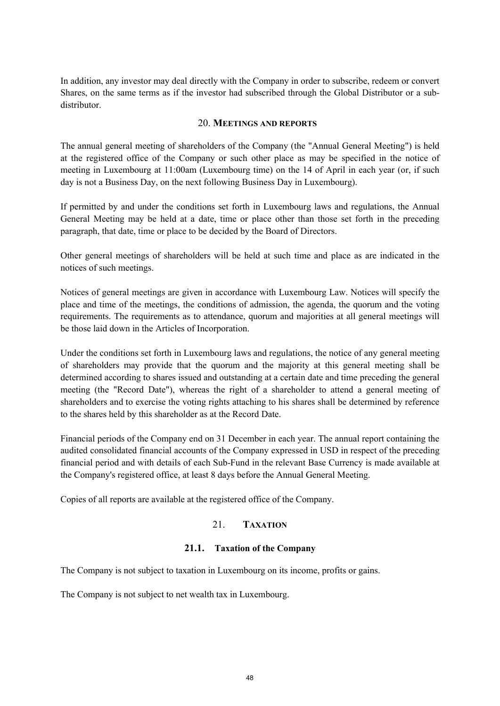In addition, any investor may deal directly with the Company in order to subscribe, redeem or convert Shares, on the same terms as if the investor had subscribed through the Global Distributor or a subdistributor.

#### 20. **MEETINGS AND REPORTS**

The annual general meeting of shareholders of the Company (the "Annual General Meeting") is held at the registered office of the Company or such other place as may be specified in the notice of meeting in Luxembourg at 11:00am (Luxembourg time) on the 14 of April in each year (or, if such day is not a Business Day, on the next following Business Day in Luxembourg).

If permitted by and under the conditions set forth in Luxembourg laws and regulations, the Annual General Meeting may be held at a date, time or place other than those set forth in the preceding paragraph, that date, time or place to be decided by the Board of Directors.

Other general meetings of shareholders will be held at such time and place as are indicated in the notices of such meetings.

Notices of general meetings are given in accordance with Luxembourg Law. Notices will specify the place and time of the meetings, the conditions of admission, the agenda, the quorum and the voting requirements. The requirements as to attendance, quorum and majorities at all general meetings will be those laid down in the Articles of Incorporation.

Under the conditions set forth in Luxembourg laws and regulations, the notice of any general meeting of shareholders may provide that the quorum and the majority at this general meeting shall be determined according to shares issued and outstanding at a certain date and time preceding the general meeting (the "Record Date"), whereas the right of a shareholder to attend a general meeting of shareholders and to exercise the voting rights attaching to his shares shall be determined by reference to the shares held by this shareholder as at the Record Date.

Financial periods of the Company end on 31 December in each year. The annual report containing the audited consolidated financial accounts of the Company expressed in USD in respect of the preceding financial period and with details of each Sub-Fund in the relevant Base Currency is made available at the Company's registered office, at least 8 days before the Annual General Meeting.

Copies of all reports are available at the registered office of the Company.

### 21. **TAXATION**

### **21.1. Taxation of the Company**

The Company is not subject to taxation in Luxembourg on its income, profits or gains.

The Company is not subject to net wealth tax in Luxembourg.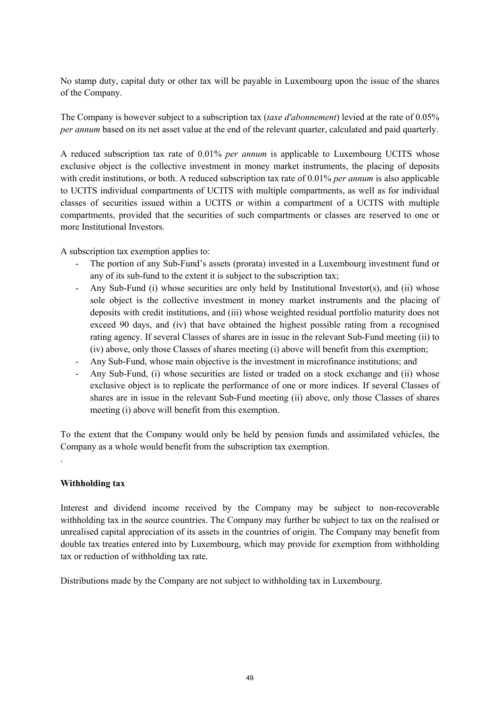No stamp duty, capital duty or other tax will be payable in Luxembourg upon the issue of the shares of the Company.

The Company is however subject to a subscription tax (*taxe d'abonnement*) levied at the rate of 0.05% *per annum* based on its net asset value at the end of the relevant quarter, calculated and paid quarterly.

A reduced subscription tax rate of 0.01% *per annum* is applicable to Luxembourg UCITS whose exclusive object is the collective investment in money market instruments, the placing of deposits with credit institutions, or both. A reduced subscription tax rate of 0.01% *per annum* is also applicable to UCITS individual compartments of UCITS with multiple compartments, as well as for individual classes of securities issued within a UCITS or within a compartment of a UCITS with multiple compartments, provided that the securities of such compartments or classes are reserved to one or more Institutional Investors.

A subscription tax exemption applies to:

- The portion of any Sub-Fund's assets (prorata) invested in a Luxembourg investment fund or any of its sub-fund to the extent it is subject to the subscription tax;
- Any Sub-Fund (i) whose securities are only held by Institutional Investor(s), and (ii) whose sole object is the collective investment in money market instruments and the placing of deposits with credit institutions, and (iii) whose weighted residual portfolio maturity does not exceed 90 days, and (iv) that have obtained the highest possible rating from a recognised rating agency. If several Classes of shares are in issue in the relevant Sub-Fund meeting (ii) to (iv) above, only those Classes of shares meeting (i) above will benefit from this exemption;
- Any Sub-Fund, whose main objective is the investment in microfinance institutions; and
- Any Sub-Fund, (i) whose securities are listed or traded on a stock exchange and (ii) whose exclusive object is to replicate the performance of one or more indices. If several Classes of shares are in issue in the relevant Sub-Fund meeting (ii) above, only those Classes of shares meeting (i) above will benefit from this exemption.

To the extent that the Company would only be held by pension funds and assimilated vehicles, the Company as a whole would benefit from the subscription tax exemption.

#### **Withholding tax**

.

Interest and dividend income received by the Company may be subject to non-recoverable withholding tax in the source countries. The Company may further be subject to tax on the realised or unrealised capital appreciation of its assets in the countries of origin. The Company may benefit from double tax treaties entered into by Luxembourg, which may provide for exemption from withholding tax or reduction of withholding tax rate.

Distributions made by the Company are not subject to withholding tax in Luxembourg.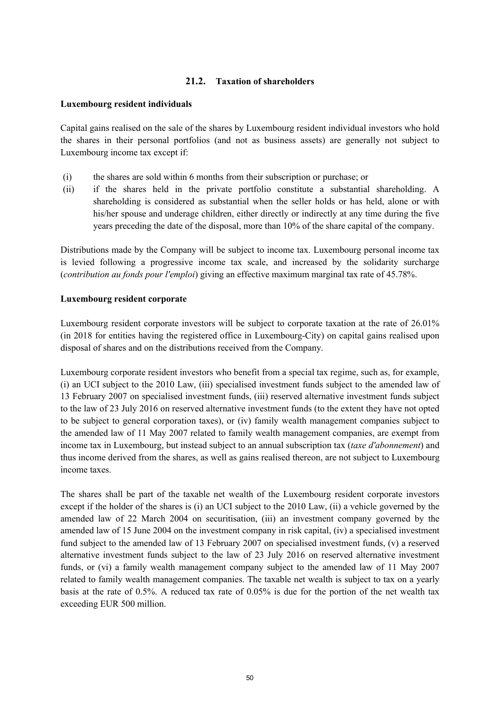## **21.2. Taxation of shareholders**

#### **Luxembourg resident individuals**

Capital gains realised on the sale of the shares by Luxembourg resident individual investors who hold the shares in their personal portfolios (and not as business assets) are generally not subject to Luxembourg income tax except if:

- (i) the shares are sold within 6 months from their subscription or purchase; or
- (ii) if the shares held in the private portfolio constitute a substantial shareholding. A shareholding is considered as substantial when the seller holds or has held, alone or with his/her spouse and underage children, either directly or indirectly at any time during the five years preceding the date of the disposal, more than 10% of the share capital of the company.

Distributions made by the Company will be subject to income tax. Luxembourg personal income tax is levied following a progressive income tax scale, and increased by the solidarity surcharge (*contribution au fonds pour l'emploi*) giving an effective maximum marginal tax rate of 45.78%.

#### **Luxembourg resident corporate**

Luxembourg resident corporate investors will be subject to corporate taxation at the rate of 26.01% (in 2018 for entities having the registered office in Luxembourg-City) on capital gains realised upon disposal of shares and on the distributions received from the Company.

Luxembourg corporate resident investors who benefit from a special tax regime, such as, for example, (i) an UCI subject to the 2010 Law, (iii) specialised investment funds subject to the amended law of 13 February 2007 on specialised investment funds, (iii) reserved alternative investment funds subject to the law of 23 July 2016 on reserved alternative investment funds (to the extent they have not opted to be subject to general corporation taxes), or (iv) family wealth management companies subject to the amended law of 11 May 2007 related to family wealth management companies, are exempt from income tax in Luxembourg, but instead subject to an annual subscription tax (*taxe d'abonnement*) and thus income derived from the shares, as well as gains realised thereon, are not subject to Luxembourg income taxes.

The shares shall be part of the taxable net wealth of the Luxembourg resident corporate investors except if the holder of the shares is (i) an UCI subject to the 2010 Law, (ii) a vehicle governed by the amended law of 22 March 2004 on securitisation, (iii) an investment company governed by the amended law of 15 June 2004 on the investment company in risk capital, (iv) a specialised investment fund subject to the amended law of 13 February 2007 on specialised investment funds, (v) a reserved alternative investment funds subject to the law of 23 July 2016 on reserved alternative investment funds, or (vi) a family wealth management company subject to the amended law of 11 May 2007 related to family wealth management companies. The taxable net wealth is subject to tax on a yearly basis at the rate of 0.5%. A reduced tax rate of 0.05% is due for the portion of the net wealth tax exceeding EUR 500 million.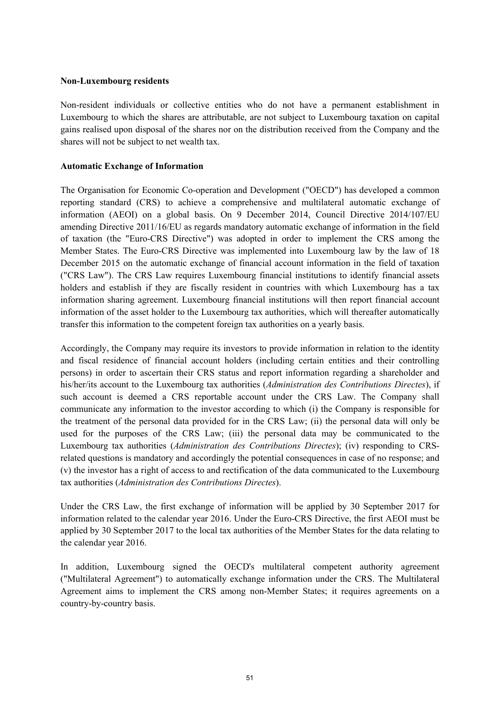#### **Non-Luxembourg residents**

Non-resident individuals or collective entities who do not have a permanent establishment in Luxembourg to which the shares are attributable, are not subject to Luxembourg taxation on capital gains realised upon disposal of the shares nor on the distribution received from the Company and the shares will not be subject to net wealth tax.

#### **Automatic Exchange of Information**

The Organisation for Economic Co-operation and Development ("OECD") has developed a common reporting standard (CRS) to achieve a comprehensive and multilateral automatic exchange of information (AEOI) on a global basis. On 9 December 2014, Council Directive 2014/107/EU amending Directive 2011/16/EU as regards mandatory automatic exchange of information in the field of taxation (the "Euro-CRS Directive") was adopted in order to implement the CRS among the Member States. The Euro-CRS Directive was implemented into Luxembourg law by the law of 18 December 2015 on the automatic exchange of financial account information in the field of taxation ("CRS Law"). The CRS Law requires Luxembourg financial institutions to identify financial assets holders and establish if they are fiscally resident in countries with which Luxembourg has a tax information sharing agreement. Luxembourg financial institutions will then report financial account information of the asset holder to the Luxembourg tax authorities, which will thereafter automatically transfer this information to the competent foreign tax authorities on a yearly basis.

Accordingly, the Company may require its investors to provide information in relation to the identity and fiscal residence of financial account holders (including certain entities and their controlling persons) in order to ascertain their CRS status and report information regarding a shareholder and his/her/its account to the Luxembourg tax authorities (*Administration des Contributions Directes*), if such account is deemed a CRS reportable account under the CRS Law. The Company shall communicate any information to the investor according to which (i) the Company is responsible for the treatment of the personal data provided for in the CRS Law; (ii) the personal data will only be used for the purposes of the CRS Law; (iii) the personal data may be communicated to the Luxembourg tax authorities (*Administration des Contributions Directes*); (iv) responding to CRSrelated questions is mandatory and accordingly the potential consequences in case of no response; and (v) the investor has a right of access to and rectification of the data communicated to the Luxembourg tax authorities (*Administration des Contributions Directes*).

Under the CRS Law, the first exchange of information will be applied by 30 September 2017 for information related to the calendar year 2016. Under the Euro-CRS Directive, the first AEOI must be applied by 30 September 2017 to the local tax authorities of the Member States for the data relating to the calendar year 2016.

In addition, Luxembourg signed the OECD's multilateral competent authority agreement ("Multilateral Agreement") to automatically exchange information under the CRS. The Multilateral Agreement aims to implement the CRS among non-Member States; it requires agreements on a country-by-country basis.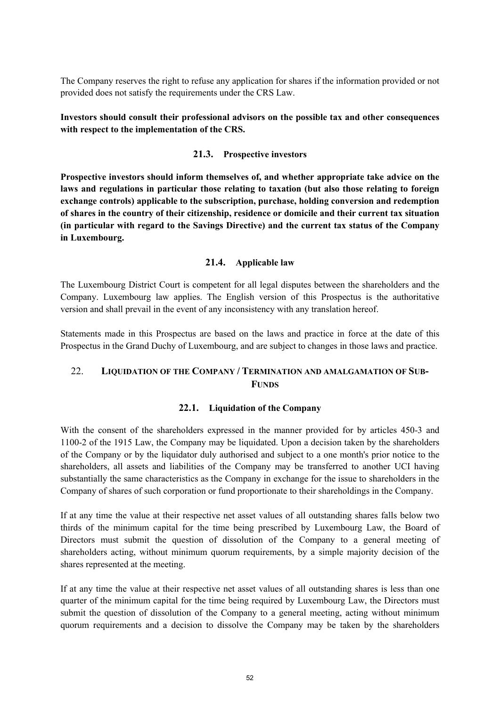The Company reserves the right to refuse any application for shares if the information provided or not provided does not satisfy the requirements under the CRS Law.

**Investors should consult their professional advisors on the possible tax and other consequences with respect to the implementation of the CRS.**

### **21.3. Prospective investors**

**Prospective investors should inform themselves of, and whether appropriate take advice on the laws and regulations in particular those relating to taxation (but also those relating to foreign exchange controls) applicable to the subscription, purchase, holding conversion and redemption of shares in the country of their citizenship, residence or domicile and their current tax situation (in particular with regard to the Savings Directive) and the current tax status of the Company in Luxembourg.** 

#### **21.4. Applicable law**

The Luxembourg District Court is competent for all legal disputes between the shareholders and the Company. Luxembourg law applies. The English version of this Prospectus is the authoritative version and shall prevail in the event of any inconsistency with any translation hereof.

Statements made in this Prospectus are based on the laws and practice in force at the date of this Prospectus in the Grand Duchy of Luxembourg, and are subject to changes in those laws and practice.

## 22. **LIQUIDATION OF THE COMPANY / TERMINATION AND AMALGAMATION OF SUB-FUNDS**

#### **22.1. Liquidation of the Company**

With the consent of the shareholders expressed in the manner provided for by articles 450-3 and 1100-2 of the 1915 Law, the Company may be liquidated. Upon a decision taken by the shareholders of the Company or by the liquidator duly authorised and subject to a one month's prior notice to the shareholders, all assets and liabilities of the Company may be transferred to another UCI having substantially the same characteristics as the Company in exchange for the issue to shareholders in the Company of shares of such corporation or fund proportionate to their shareholdings in the Company.

If at any time the value at their respective net asset values of all outstanding shares falls below two thirds of the minimum capital for the time being prescribed by Luxembourg Law, the Board of Directors must submit the question of dissolution of the Company to a general meeting of shareholders acting, without minimum quorum requirements, by a simple majority decision of the shares represented at the meeting.

If at any time the value at their respective net asset values of all outstanding shares is less than one quarter of the minimum capital for the time being required by Luxembourg Law, the Directors must submit the question of dissolution of the Company to a general meeting, acting without minimum quorum requirements and a decision to dissolve the Company may be taken by the shareholders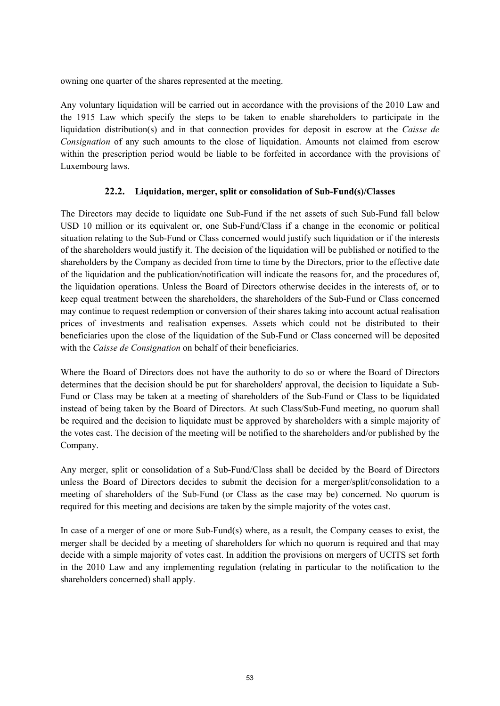owning one quarter of the shares represented at the meeting.

Any voluntary liquidation will be carried out in accordance with the provisions of the 2010 Law and the 1915 Law which specify the steps to be taken to enable shareholders to participate in the liquidation distribution(s) and in that connection provides for deposit in escrow at the *Caisse de Consignation* of any such amounts to the close of liquidation. Amounts not claimed from escrow within the prescription period would be liable to be forfeited in accordance with the provisions of Luxembourg laws.

## **22.2. Liquidation, merger, split or consolidation of Sub-Fund(s)/Classes**

The Directors may decide to liquidate one Sub-Fund if the net assets of such Sub-Fund fall below USD 10 million or its equivalent or, one Sub-Fund/Class if a change in the economic or political situation relating to the Sub-Fund or Class concerned would justify such liquidation or if the interests of the shareholders would justify it. The decision of the liquidation will be published or notified to the shareholders by the Company as decided from time to time by the Directors, prior to the effective date of the liquidation and the publication/notification will indicate the reasons for, and the procedures of, the liquidation operations. Unless the Board of Directors otherwise decides in the interests of, or to keep equal treatment between the shareholders, the shareholders of the Sub-Fund or Class concerned may continue to request redemption or conversion of their shares taking into account actual realisation prices of investments and realisation expenses. Assets which could not be distributed to their beneficiaries upon the close of the liquidation of the Sub-Fund or Class concerned will be deposited with the *Caisse de Consignation* on behalf of their beneficiaries.

Where the Board of Directors does not have the authority to do so or where the Board of Directors determines that the decision should be put for shareholders' approval, the decision to liquidate a Sub-Fund or Class may be taken at a meeting of shareholders of the Sub-Fund or Class to be liquidated instead of being taken by the Board of Directors. At such Class/Sub-Fund meeting, no quorum shall be required and the decision to liquidate must be approved by shareholders with a simple majority of the votes cast. The decision of the meeting will be notified to the shareholders and/or published by the Company.

Any merger, split or consolidation of a Sub-Fund/Class shall be decided by the Board of Directors unless the Board of Directors decides to submit the decision for a merger/split/consolidation to a meeting of shareholders of the Sub-Fund (or Class as the case may be) concerned. No quorum is required for this meeting and decisions are taken by the simple majority of the votes cast.

In case of a merger of one or more Sub-Fund(s) where, as a result, the Company ceases to exist, the merger shall be decided by a meeting of shareholders for which no quorum is required and that may decide with a simple majority of votes cast. In addition the provisions on mergers of UCITS set forth in the 2010 Law and any implementing regulation (relating in particular to the notification to the shareholders concerned) shall apply.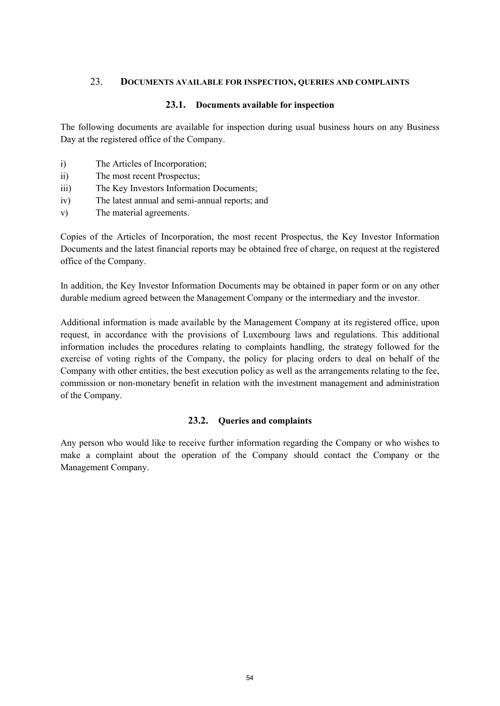#### 23. **DOCUMENTS AVAILABLE FOR INSPECTION, QUERIES AND COMPLAINTS**

#### **23.1. Documents available for inspection**

The following documents are available for inspection during usual business hours on any Business Day at the registered office of the Company.

- i) The Articles of Incorporation;
- ii) The most recent Prospectus;
- iii) The Key Investors Information Documents;
- iv) The latest annual and semi-annual reports; and
- v) The material agreements.

Copies of the Articles of Incorporation, the most recent Prospectus, the Key Investor Information Documents and the latest financial reports may be obtained free of charge, on request at the registered office of the Company.

In addition, the Key Investor Information Documents may be obtained in paper form or on any other durable medium agreed between the Management Company or the intermediary and the investor.

Additional information is made available by the Management Company at its registered office, upon request, in accordance with the provisions of Luxembourg laws and regulations. This additional information includes the procedures relating to complaints handling, the strategy followed for the exercise of voting rights of the Company, the policy for placing orders to deal on behalf of the Company with other entities, the best execution policy as well as the arrangements relating to the fee, commission or non-monetary benefit in relation with the investment management and administration of the Company.

### **23.2. Queries and complaints**

Any person who would like to receive further information regarding the Company or who wishes to make a complaint about the operation of the Company should contact the Company or the Management Company.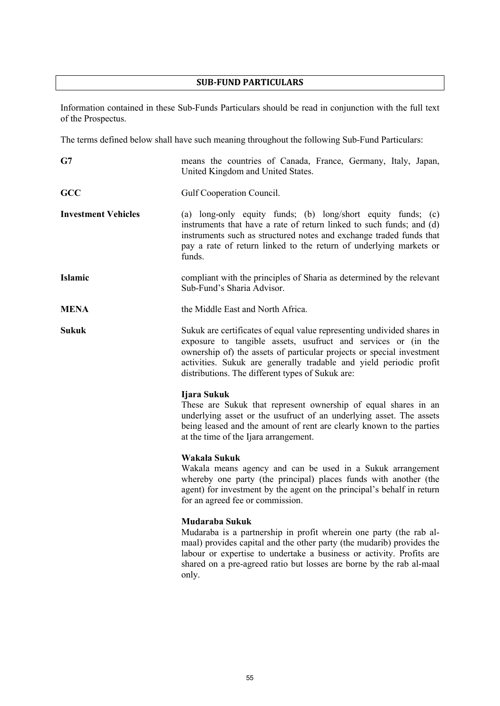# **SUB-FUND PARTICULARS**

Information contained in these Sub-Funds Particulars should be read in conjunction with the full text of the Prospectus.

The terms defined below shall have such meaning throughout the following Sub-Fund Particulars:

| G7                         | means the countries of Canada, France, Germany, Italy, Japan,<br>United Kingdom and United States.                                                                                                                                                                                                                                         |  |  |
|----------------------------|--------------------------------------------------------------------------------------------------------------------------------------------------------------------------------------------------------------------------------------------------------------------------------------------------------------------------------------------|--|--|
| <b>GCC</b>                 | Gulf Cooperation Council.                                                                                                                                                                                                                                                                                                                  |  |  |
| <b>Investment Vehicles</b> | (a) long-only equity funds; (b) long/short equity funds; (c)<br>instruments that have a rate of return linked to such funds; and (d)<br>instruments such as structured notes and exchange traded funds that<br>pay a rate of return linked to the return of underlying markets or<br>funds.                                                |  |  |
| Islamic                    | compliant with the principles of Sharia as determined by the relevant<br>Sub-Fund's Sharia Advisor.                                                                                                                                                                                                                                        |  |  |
| <b>MENA</b>                | the Middle East and North Africa.                                                                                                                                                                                                                                                                                                          |  |  |
| <b>Sukuk</b>               | Sukuk are certificates of equal value representing undivided shares in<br>exposure to tangible assets, usufruct and services or (in the<br>ownership of) the assets of particular projects or special investment<br>activities. Sukuk are generally tradable and yield periodic profit<br>distributions. The different types of Sukuk are: |  |  |
|                            | Ijara Sukuk<br>These are Sukuk that represent ownership of equal shares in an<br>underlying asset or the usufruct of an underlying asset. The assets<br>being leased and the amount of rent are clearly known to the parties<br>at the time of the Ijara arrangement.                                                                      |  |  |
|                            | Wakala Sukuk<br>Wakala means agency and can be used in a Sukuk arrangement<br>whereby one party (the principal) places funds with another (the<br>agent) for investment by the agent on the principal's behalf in return<br>for an agreed fee or commission.                                                                               |  |  |
|                            | Mudaraba Sukuk<br>Mudaraba is a partnership in profit wherein one party (the rab al-<br>maal) provides capital and the other party (the mudarib) provides the<br>labour or expertise to undertake a business or activity. Profits are<br>shared on a pre-agreed ratio but losses are borne by the rab al-maal<br>only.                     |  |  |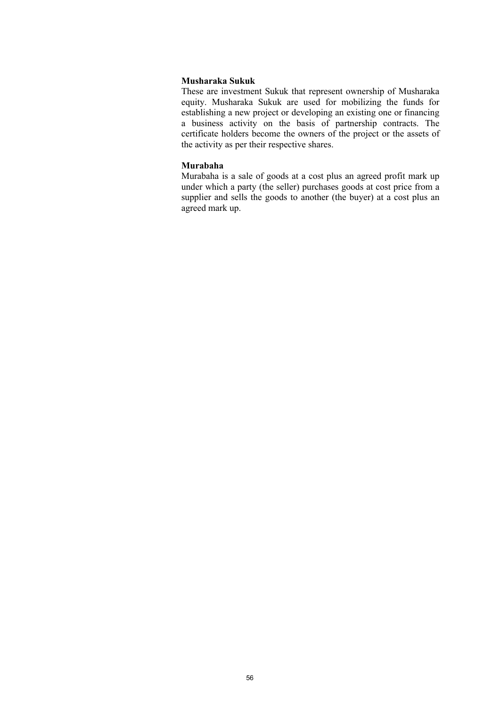#### **Musharaka Sukuk**

These are investment Sukuk that represent ownership of Musharaka equity. Musharaka Sukuk are used for mobilizing the funds for establishing a new project or developing an existing one or financing a business activity on the basis of partnership contracts. The certificate holders become the owners of the project or the assets of the activity as per their respective shares.

#### **Murabaha**

Murabaha is a sale of goods at a cost plus an agreed profit mark up under which a party (the seller) purchases goods at cost price from a supplier and sells the goods to another (the buyer) at a cost plus an agreed mark up.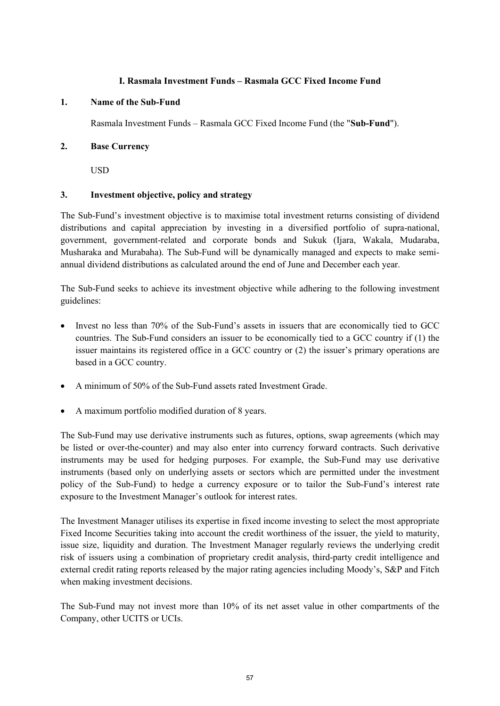### **I. Rasmala Investment Funds – Rasmala GCC Fixed Income Fund**

#### **1. Name of the Sub-Fund**

Rasmala Investment Funds – Rasmala GCC Fixed Income Fund (the "**Sub-Fund**").

### **2. Base Currency**

USD

### **3. Investment objective, policy and strategy**

The Sub-Fund's investment objective is to maximise total investment returns consisting of dividend distributions and capital appreciation by investing in a diversified portfolio of supra-national, government, government-related and corporate bonds and Sukuk (Ijara, Wakala, Mudaraba, Musharaka and Murabaha). The Sub-Fund will be dynamically managed and expects to make semiannual dividend distributions as calculated around the end of June and December each year.

The Sub-Fund seeks to achieve its investment objective while adhering to the following investment guidelines:

- Invest no less than 70% of the Sub-Fund's assets in issuers that are economically tied to GCC countries. The Sub-Fund considers an issuer to be economically tied to a GCC country if (1) the issuer maintains its registered office in a GCC country or (2) the issuer's primary operations are based in a GCC country.
- A minimum of 50% of the Sub-Fund assets rated Investment Grade.
- A maximum portfolio modified duration of 8 years.

The Sub-Fund may use derivative instruments such as futures, options, swap agreements (which may be listed or over-the-counter) and may also enter into currency forward contracts. Such derivative instruments may be used for hedging purposes. For example, the Sub-Fund may use derivative instruments (based only on underlying assets or sectors which are permitted under the investment policy of the Sub-Fund) to hedge a currency exposure or to tailor the Sub-Fund's interest rate exposure to the Investment Manager's outlook for interest rates.

The Investment Manager utilises its expertise in fixed income investing to select the most appropriate Fixed Income Securities taking into account the credit worthiness of the issuer, the yield to maturity, issue size, liquidity and duration. The Investment Manager regularly reviews the underlying credit risk of issuers using a combination of proprietary credit analysis, third-party credit intelligence and external credit rating reports released by the major rating agencies including Moody's, S&P and Fitch when making investment decisions.

The Sub-Fund may not invest more than 10% of its net asset value in other compartments of the Company, other UCITS or UCIs.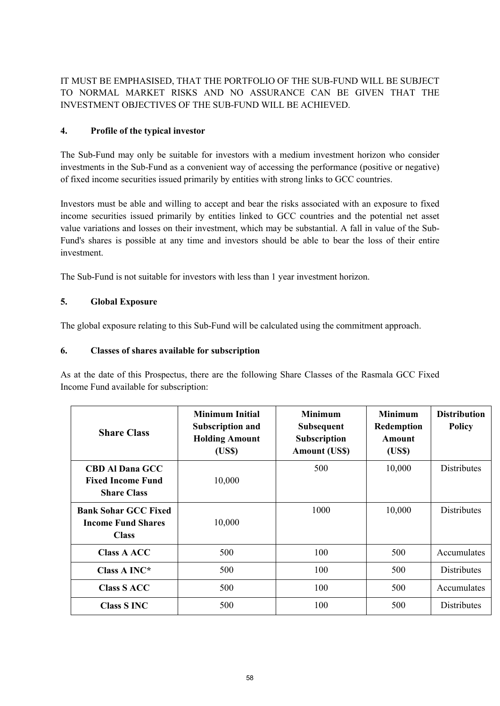IT MUST BE EMPHASISED, THAT THE PORTFOLIO OF THE SUB-FUND WILL BE SUBJECT TO NORMAL MARKET RISKS AND NO ASSURANCE CAN BE GIVEN THAT THE INVESTMENT OBJECTIVES OF THE SUB-FUND WILL BE ACHIEVED.

## **4. Profile of the typical investor**

The Sub-Fund may only be suitable for investors with a medium investment horizon who consider investments in the Sub-Fund as a convenient way of accessing the performance (positive or negative) of fixed income securities issued primarily by entities with strong links to GCC countries.

Investors must be able and willing to accept and bear the risks associated with an exposure to fixed income securities issued primarily by entities linked to GCC countries and the potential net asset value variations and losses on their investment, which may be substantial. A fall in value of the Sub-Fund's shares is possible at any time and investors should be able to bear the loss of their entire investment.

The Sub-Fund is not suitable for investors with less than 1 year investment horizon.

## **5. Global Exposure**

The global exposure relating to this Sub-Fund will be calculated using the commitment approach.

## **6. Classes of shares available for subscription**

As at the date of this Prospectus, there are the following Share Classes of the Rasmala GCC Fixed Income Fund available for subscription:

| <b>Share Class</b>                                                       | <b>Minimum Initial</b><br><b>Subscription and</b><br><b>Holding Amount</b><br>(US\$) | <b>Minimum</b><br><b>Subsequent</b><br>Subscription<br><b>Amount (US\$)</b> | <b>Minimum</b><br>Redemption<br>Amount<br>(US\$) | <b>Distribution</b><br><b>Policy</b> |
|--------------------------------------------------------------------------|--------------------------------------------------------------------------------------|-----------------------------------------------------------------------------|--------------------------------------------------|--------------------------------------|
| <b>CBD Al Dana GCC</b><br><b>Fixed Income Fund</b><br><b>Share Class</b> | 10,000                                                                               | 500                                                                         | 10,000                                           | Distributes                          |
| <b>Bank Sohar GCC Fixed</b><br><b>Income Fund Shares</b><br><b>Class</b> | 10,000                                                                               | 1000                                                                        | 10,000                                           | <b>Distributes</b>                   |
| <b>Class A ACC</b>                                                       | 500                                                                                  | 100                                                                         | 500                                              | Accumulates                          |
| Class A INC*                                                             | 500                                                                                  | 100                                                                         | 500                                              | <b>Distributes</b>                   |
| <b>Class S ACC</b>                                                       | 500                                                                                  | 100                                                                         | 500                                              | Accumulates                          |
| <b>Class S INC</b>                                                       | 500                                                                                  | 100                                                                         | 500                                              | <b>Distributes</b>                   |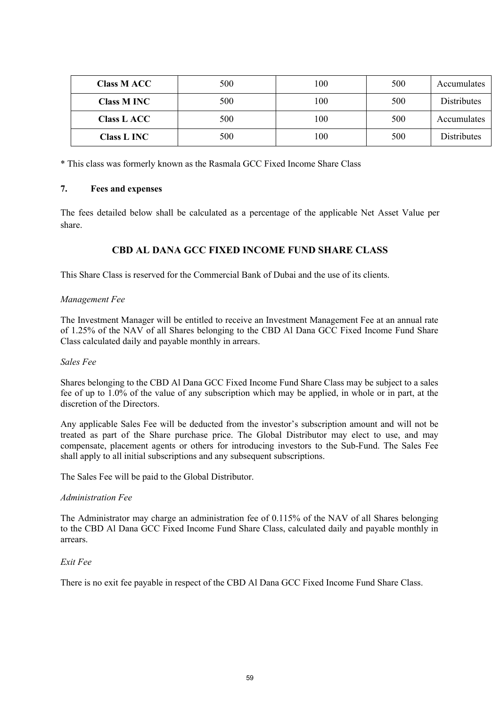| <b>Class M ACC</b> | 500 | 100 | 500 | Accumulates |
|--------------------|-----|-----|-----|-------------|
| <b>Class M INC</b> | 500 | 100 | 500 | Distributes |
| <b>Class L ACC</b> | 500 | 100 | 500 | Accumulates |
| <b>Class L INC</b> | 500 | 100 | 500 | Distributes |

\* This class was formerly known as the Rasmala GCC Fixed Income Share Class

### **7. Fees and expenses**

The fees detailed below shall be calculated as a percentage of the applicable Net Asset Value per share.

## **CBD AL DANA GCC FIXED INCOME FUND SHARE CLASS**

This Share Class is reserved for the Commercial Bank of Dubai and the use of its clients.

#### *Management Fee*

The Investment Manager will be entitled to receive an Investment Management Fee at an annual rate of 1.25% of the NAV of all Shares belonging to the CBD Al Dana GCC Fixed Income Fund Share Class calculated daily and payable monthly in arrears.

#### *Sales Fee*

Shares belonging to the CBD Al Dana GCC Fixed Income Fund Share Class may be subject to a sales fee of up to 1.0% of the value of any subscription which may be applied, in whole or in part, at the discretion of the Directors.

Any applicable Sales Fee will be deducted from the investor's subscription amount and will not be treated as part of the Share purchase price. The Global Distributor may elect to use, and may compensate, placement agents or others for introducing investors to the Sub-Fund. The Sales Fee shall apply to all initial subscriptions and any subsequent subscriptions.

The Sales Fee will be paid to the Global Distributor.

#### *Administration Fee*

The Administrator may charge an administration fee of 0.115% of the NAV of all Shares belonging to the CBD Al Dana GCC Fixed Income Fund Share Class, calculated daily and payable monthly in arrears.

#### *Exit Fee*

There is no exit fee payable in respect of the CBD Al Dana GCC Fixed Income Fund Share Class.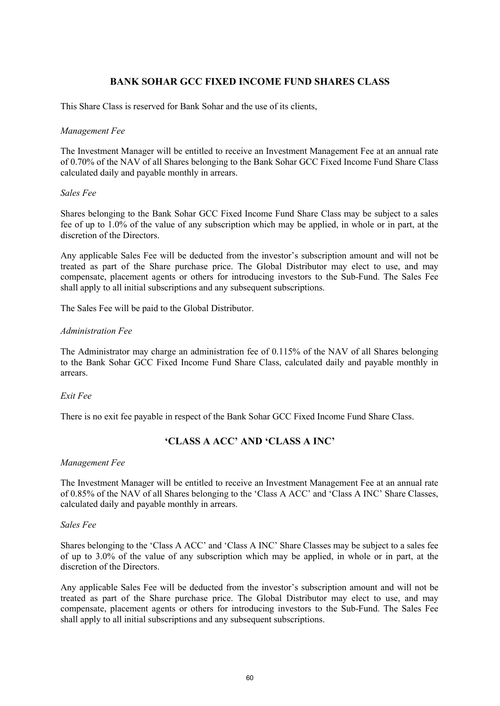## **BANK SOHAR GCC FIXED INCOME FUND SHARES CLASS**

This Share Class is reserved for Bank Sohar and the use of its clients,

#### *Management Fee*

The Investment Manager will be entitled to receive an Investment Management Fee at an annual rate of 0.70% of the NAV of all Shares belonging to the Bank Sohar GCC Fixed Income Fund Share Class calculated daily and payable monthly in arrears.

#### *Sales Fee*

Shares belonging to the Bank Sohar GCC Fixed Income Fund Share Class may be subject to a sales fee of up to 1.0% of the value of any subscription which may be applied, in whole or in part, at the discretion of the Directors.

Any applicable Sales Fee will be deducted from the investor's subscription amount and will not be treated as part of the Share purchase price. The Global Distributor may elect to use, and may compensate, placement agents or others for introducing investors to the Sub-Fund. The Sales Fee shall apply to all initial subscriptions and any subsequent subscriptions.

The Sales Fee will be paid to the Global Distributor.

#### *Administration Fee*

The Administrator may charge an administration fee of 0.115% of the NAV of all Shares belonging to the Bank Sohar GCC Fixed Income Fund Share Class, calculated daily and payable monthly in arrears.

#### *Exit Fee*

There is no exit fee payable in respect of the Bank Sohar GCC Fixed Income Fund Share Class.

## **'CLASS A ACC' AND 'CLASS A INC'**

#### *Management Fee*

The Investment Manager will be entitled to receive an Investment Management Fee at an annual rate of 0.85% of the NAV of all Shares belonging to the 'Class A ACC' and 'Class A INC' Share Classes, calculated daily and payable monthly in arrears.

#### *Sales Fee*

Shares belonging to the 'Class A ACC' and 'Class A INC' Share Classes may be subject to a sales fee of up to 3.0% of the value of any subscription which may be applied, in whole or in part, at the discretion of the Directors.

Any applicable Sales Fee will be deducted from the investor's subscription amount and will not be treated as part of the Share purchase price. The Global Distributor may elect to use, and may compensate, placement agents or others for introducing investors to the Sub-Fund. The Sales Fee shall apply to all initial subscriptions and any subsequent subscriptions.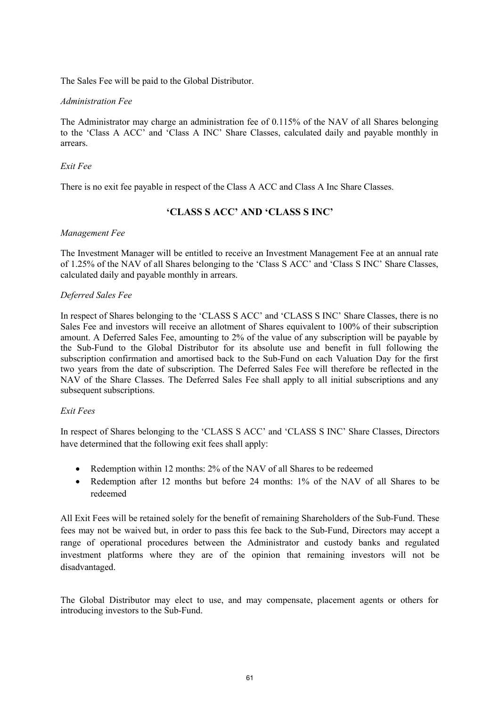The Sales Fee will be paid to the Global Distributor.

#### *Administration Fee*

The Administrator may charge an administration fee of 0.115% of the NAV of all Shares belonging to the 'Class A ACC' and 'Class A INC' Share Classes, calculated daily and payable monthly in arrears.

#### *Exit Fee*

There is no exit fee payable in respect of the Class A ACC and Class A Inc Share Classes.

## **'CLASS S ACC' AND 'CLASS S INC'**

#### *Management Fee*

The Investment Manager will be entitled to receive an Investment Management Fee at an annual rate of 1.25% of the NAV of all Shares belonging to the 'Class S ACC' and 'Class S INC' Share Classes, calculated daily and payable monthly in arrears.

#### *Deferred Sales Fee*

In respect of Shares belonging to the 'CLASS S ACC' and 'CLASS S INC' Share Classes, there is no Sales Fee and investors will receive an allotment of Shares equivalent to 100% of their subscription amount. A Deferred Sales Fee, amounting to 2% of the value of any subscription will be payable by the Sub-Fund to the Global Distributor for its absolute use and benefit in full following the subscription confirmation and amortised back to the Sub-Fund on each Valuation Day for the first two years from the date of subscription. The Deferred Sales Fee will therefore be reflected in the NAV of the Share Classes. The Deferred Sales Fee shall apply to all initial subscriptions and any subsequent subscriptions.

#### *Exit Fees*

In respect of Shares belonging to the 'CLASS S ACC' and 'CLASS S INC' Share Classes, Directors have determined that the following exit fees shall apply:

- Redemption within 12 months: 2% of the NAV of all Shares to be redeemed
- Redemption after 12 months but before 24 months: 1% of the NAV of all Shares to be redeemed

All Exit Fees will be retained solely for the benefit of remaining Shareholders of the Sub-Fund. These fees may not be waived but, in order to pass this fee back to the Sub-Fund, Directors may accept a range of operational procedures between the Administrator and custody banks and regulated investment platforms where they are of the opinion that remaining investors will not be disadvantaged.

The Global Distributor may elect to use, and may compensate, placement agents or others for introducing investors to the Sub-Fund.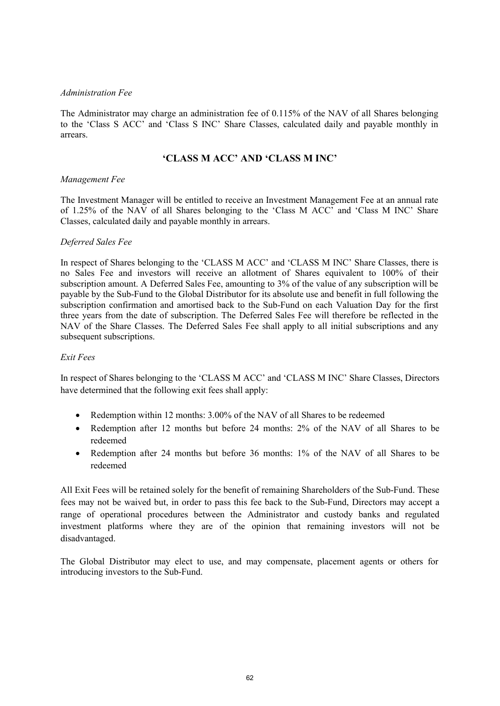#### *Administration Fee*

The Administrator may charge an administration fee of 0.115% of the NAV of all Shares belonging to the 'Class S ACC' and 'Class S INC' Share Classes, calculated daily and payable monthly in arrears.

## **'CLASS M ACC' AND 'CLASS M INC'**

#### *Management Fee*

The Investment Manager will be entitled to receive an Investment Management Fee at an annual rate of 1.25% of the NAV of all Shares belonging to the 'Class M ACC' and 'Class M INC' Share Classes, calculated daily and payable monthly in arrears.

#### *Deferred Sales Fee*

In respect of Shares belonging to the 'CLASS M ACC' and 'CLASS M INC' Share Classes, there is no Sales Fee and investors will receive an allotment of Shares equivalent to 100% of their subscription amount. A Deferred Sales Fee, amounting to 3% of the value of any subscription will be payable by the Sub-Fund to the Global Distributor for its absolute use and benefit in full following the subscription confirmation and amortised back to the Sub-Fund on each Valuation Day for the first three years from the date of subscription. The Deferred Sales Fee will therefore be reflected in the NAV of the Share Classes. The Deferred Sales Fee shall apply to all initial subscriptions and any subsequent subscriptions.

#### *Exit Fees*

In respect of Shares belonging to the 'CLASS M ACC' and 'CLASS M INC' Share Classes, Directors have determined that the following exit fees shall apply:

- Redemption within 12 months: 3.00% of the NAV of all Shares to be redeemed
- Redemption after 12 months but before 24 months: 2% of the NAV of all Shares to be redeemed
- Redemption after 24 months but before 36 months: 1% of the NAV of all Shares to be redeemed

All Exit Fees will be retained solely for the benefit of remaining Shareholders of the Sub-Fund. These fees may not be waived but, in order to pass this fee back to the Sub-Fund, Directors may accept a range of operational procedures between the Administrator and custody banks and regulated investment platforms where they are of the opinion that remaining investors will not be disadvantaged.

The Global Distributor may elect to use, and may compensate, placement agents or others for introducing investors to the Sub-Fund.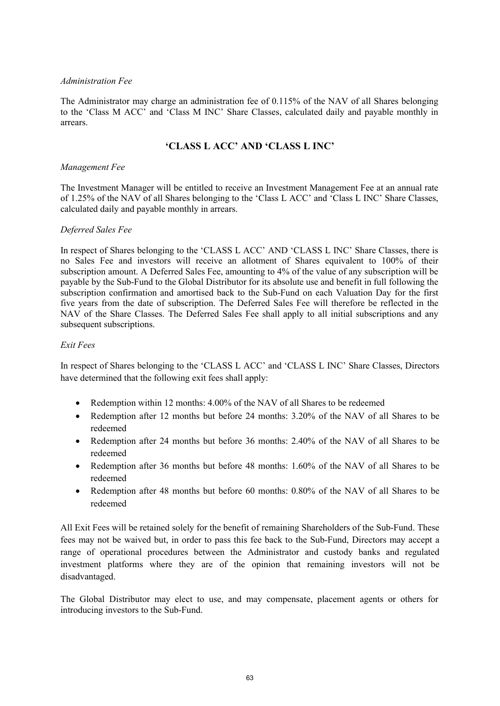#### *Administration Fee*

The Administrator may charge an administration fee of 0.115% of the NAV of all Shares belonging to the 'Class M ACC' and 'Class M INC' Share Classes, calculated daily and payable monthly in arrears.

## **'CLASS L ACC' AND 'CLASS L INC'**

#### *Management Fee*

The Investment Manager will be entitled to receive an Investment Management Fee at an annual rate of 1.25% of the NAV of all Shares belonging to the 'Class L ACC' and 'Class L INC' Share Classes, calculated daily and payable monthly in arrears.

#### *Deferred Sales Fee*

In respect of Shares belonging to the 'CLASS L ACC' AND 'CLASS L INC' Share Classes, there is no Sales Fee and investors will receive an allotment of Shares equivalent to 100% of their subscription amount. A Deferred Sales Fee, amounting to 4% of the value of any subscription will be payable by the Sub-Fund to the Global Distributor for its absolute use and benefit in full following the subscription confirmation and amortised back to the Sub-Fund on each Valuation Day for the first five years from the date of subscription. The Deferred Sales Fee will therefore be reflected in the NAV of the Share Classes. The Deferred Sales Fee shall apply to all initial subscriptions and any subsequent subscriptions.

#### *Exit Fees*

In respect of Shares belonging to the 'CLASS L ACC' and 'CLASS L INC' Share Classes, Directors have determined that the following exit fees shall apply:

- Redemption within 12 months: 4.00% of the NAV of all Shares to be redeemed
- Redemption after 12 months but before 24 months: 3.20% of the NAV of all Shares to be redeemed
- Redemption after 24 months but before 36 months: 2.40% of the NAV of all Shares to be redeemed
- Redemption after 36 months but before 48 months: 1.60% of the NAV of all Shares to be redeemed
- Redemption after 48 months but before 60 months: 0.80% of the NAV of all Shares to be redeemed

All Exit Fees will be retained solely for the benefit of remaining Shareholders of the Sub-Fund. These fees may not be waived but, in order to pass this fee back to the Sub-Fund, Directors may accept a range of operational procedures between the Administrator and custody banks and regulated investment platforms where they are of the opinion that remaining investors will not be disadvantaged.

The Global Distributor may elect to use, and may compensate, placement agents or others for introducing investors to the Sub-Fund.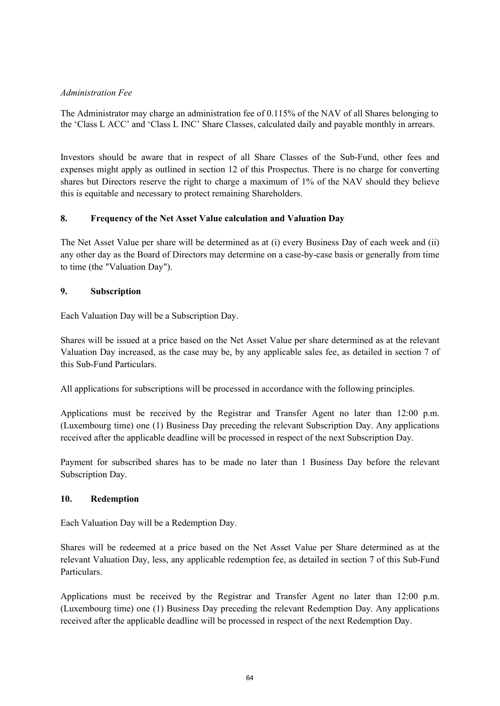### *Administration Fee*

The Administrator may charge an administration fee of 0.115% of the NAV of all Shares belonging to the 'Class L ACC' and 'Class L INC' Share Classes, calculated daily and payable monthly in arrears.

Investors should be aware that in respect of all Share Classes of the Sub-Fund, other fees and expenses might apply as outlined in section 12 of this Prospectus. There is no charge for converting shares but Directors reserve the right to charge a maximum of 1% of the NAV should they believe this is equitable and necessary to protect remaining Shareholders.

### **8. Frequency of the Net Asset Value calculation and Valuation Day**

The Net Asset Value per share will be determined as at (i) every Business Day of each week and (ii) any other day as the Board of Directors may determine on a case-by-case basis or generally from time to time (the "Valuation Day").

#### **9. Subscription**

Each Valuation Day will be a Subscription Day.

Shares will be issued at a price based on the Net Asset Value per share determined as at the relevant Valuation Day increased, as the case may be, by any applicable sales fee, as detailed in section 7 of this Sub-Fund Particulars.

All applications for subscriptions will be processed in accordance with the following principles.

Applications must be received by the Registrar and Transfer Agent no later than 12:00 p.m. (Luxembourg time) one (1) Business Day preceding the relevant Subscription Day. Any applications received after the applicable deadline will be processed in respect of the next Subscription Day.

Payment for subscribed shares has to be made no later than 1 Business Day before the relevant Subscription Day.

#### **10. Redemption**

Each Valuation Day will be a Redemption Day.

Shares will be redeemed at a price based on the Net Asset Value per Share determined as at the relevant Valuation Day, less, any applicable redemption fee, as detailed in section 7 of this Sub-Fund Particulars.

Applications must be received by the Registrar and Transfer Agent no later than 12:00 p.m. (Luxembourg time) one (1) Business Day preceding the relevant Redemption Day. Any applications received after the applicable deadline will be processed in respect of the next Redemption Day.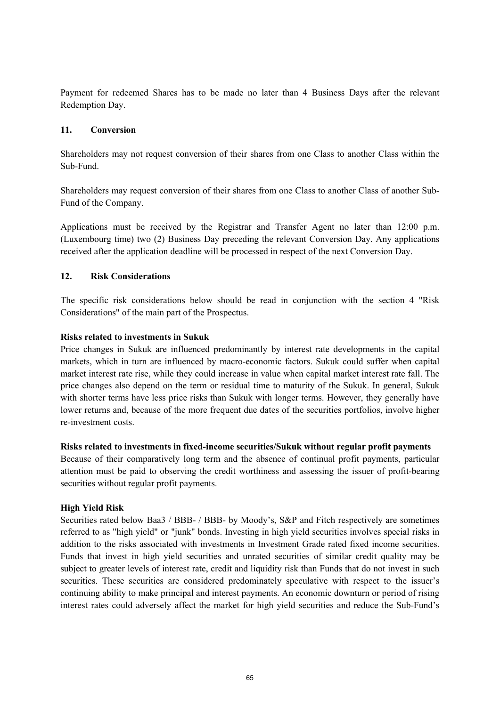Payment for redeemed Shares has to be made no later than 4 Business Days after the relevant Redemption Day.

#### **11. Conversion**

Shareholders may not request conversion of their shares from one Class to another Class within the Sub-Fund.

Shareholders may request conversion of their shares from one Class to another Class of another Sub-Fund of the Company.

Applications must be received by the Registrar and Transfer Agent no later than 12:00 p.m. (Luxembourg time) two (2) Business Day preceding the relevant Conversion Day. Any applications received after the application deadline will be processed in respect of the next Conversion Day.

#### **12. Risk Considerations**

The specific risk considerations below should be read in conjunction with the section 4 "Risk Considerations" of the main part of the Prospectus.

#### **Risks related to investments in Sukuk**

Price changes in Sukuk are influenced predominantly by interest rate developments in the capital markets, which in turn are influenced by macro-economic factors. Sukuk could suffer when capital market interest rate rise, while they could increase in value when capital market interest rate fall. The price changes also depend on the term or residual time to maturity of the Sukuk. In general, Sukuk with shorter terms have less price risks than Sukuk with longer terms. However, they generally have lower returns and, because of the more frequent due dates of the securities portfolios, involve higher re-investment costs.

#### **Risks related to investments in fixed-income securities/Sukuk without regular profit payments**

Because of their comparatively long term and the absence of continual profit payments, particular attention must be paid to observing the credit worthiness and assessing the issuer of profit-bearing securities without regular profit payments.

#### **High Yield Risk**

Securities rated below Baa3 / BBB- / BBB- by Moody's, S&P and Fitch respectively are sometimes referred to as "high yield" or "junk" bonds. Investing in high yield securities involves special risks in addition to the risks associated with investments in Investment Grade rated fixed income securities. Funds that invest in high yield securities and unrated securities of similar credit quality may be subject to greater levels of interest rate, credit and liquidity risk than Funds that do not invest in such securities. These securities are considered predominately speculative with respect to the issuer's continuing ability to make principal and interest payments. An economic downturn or period of rising interest rates could adversely affect the market for high yield securities and reduce the Sub-Fund's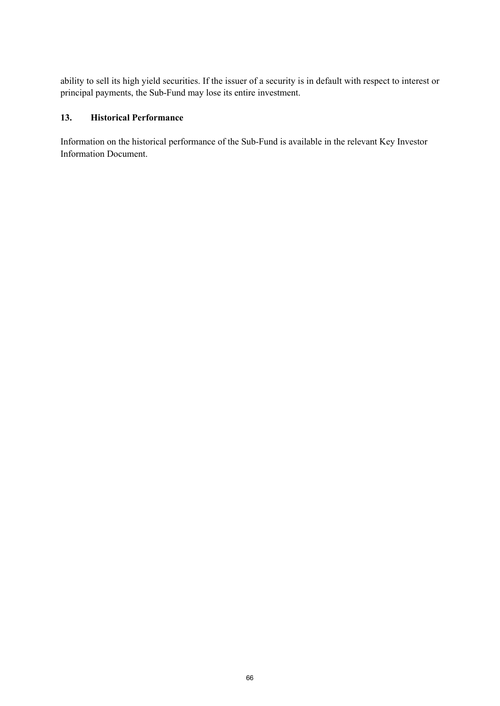ability to sell its high yield securities. If the issuer of a security is in default with respect to interest or principal payments, the Sub-Fund may lose its entire investment.

## **13. Historical Performance**

Information on the historical performance of the Sub-Fund is available in the relevant Key Investor Information Document.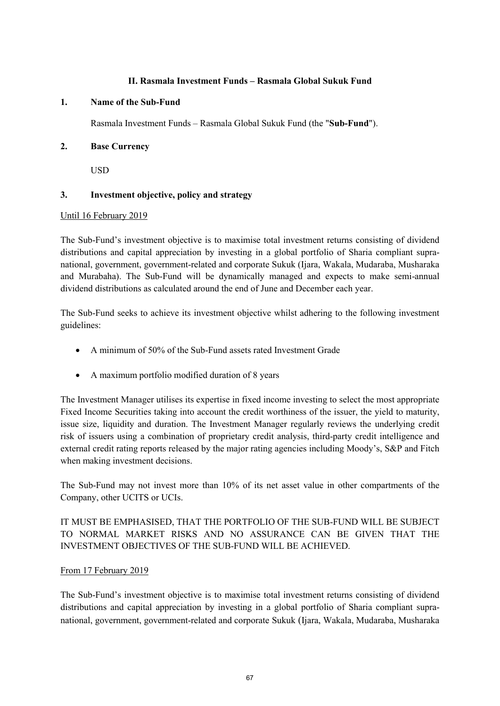#### **II. Rasmala Investment Funds – Rasmala Global Sukuk Fund**

#### **1. Name of the Sub-Fund**

Rasmala Investment Funds – Rasmala Global Sukuk Fund (the "**Sub-Fund**").

### **2. Base Currency**

USD

### **3. Investment objective, policy and strategy**

#### Until 16 February 2019

The Sub-Fund's investment objective is to maximise total investment returns consisting of dividend distributions and capital appreciation by investing in a global portfolio of Sharia compliant supranational, government, government-related and corporate Sukuk (Ijara, Wakala, Mudaraba, Musharaka and Murabaha). The Sub-Fund will be dynamically managed and expects to make semi-annual dividend distributions as calculated around the end of June and December each year.

The Sub-Fund seeks to achieve its investment objective whilst adhering to the following investment guidelines:

- A minimum of 50% of the Sub-Fund assets rated Investment Grade
- A maximum portfolio modified duration of 8 years

The Investment Manager utilises its expertise in fixed income investing to select the most appropriate Fixed Income Securities taking into account the credit worthiness of the issuer, the yield to maturity, issue size, liquidity and duration. The Investment Manager regularly reviews the underlying credit risk of issuers using a combination of proprietary credit analysis, third-party credit intelligence and external credit rating reports released by the major rating agencies including Moody's, S&P and Fitch when making investment decisions.

The Sub-Fund may not invest more than 10% of its net asset value in other compartments of the Company, other UCITS or UCIs.

# IT MUST BE EMPHASISED, THAT THE PORTFOLIO OF THE SUB-FUND WILL BE SUBJECT TO NORMAL MARKET RISKS AND NO ASSURANCE CAN BE GIVEN THAT THE INVESTMENT OBJECTIVES OF THE SUB-FUND WILL BE ACHIEVED.

### From 17 February 2019

The Sub-Fund's investment objective is to maximise total investment returns consisting of dividend distributions and capital appreciation by investing in a global portfolio of Sharia compliant supranational, government, government-related and corporate Sukuk (Ijara, Wakala, Mudaraba, Musharaka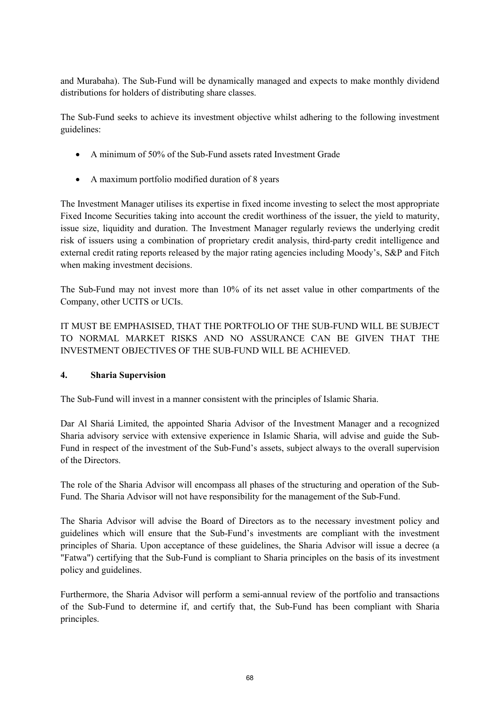and Murabaha). The Sub-Fund will be dynamically managed and expects to make monthly dividend distributions for holders of distributing share classes.

The Sub-Fund seeks to achieve its investment objective whilst adhering to the following investment guidelines:

- A minimum of 50% of the Sub-Fund assets rated Investment Grade
- A maximum portfolio modified duration of 8 years

The Investment Manager utilises its expertise in fixed income investing to select the most appropriate Fixed Income Securities taking into account the credit worthiness of the issuer, the yield to maturity, issue size, liquidity and duration. The Investment Manager regularly reviews the underlying credit risk of issuers using a combination of proprietary credit analysis, third-party credit intelligence and external credit rating reports released by the major rating agencies including Moody's, S&P and Fitch when making investment decisions.

The Sub-Fund may not invest more than 10% of its net asset value in other compartments of the Company, other UCITS or UCIs.

IT MUST BE EMPHASISED, THAT THE PORTFOLIO OF THE SUB-FUND WILL BE SUBJECT TO NORMAL MARKET RISKS AND NO ASSURANCE CAN BE GIVEN THAT THE INVESTMENT OBJECTIVES OF THE SUB-FUND WILL BE ACHIEVED.

### **4. Sharia Supervision**

The Sub-Fund will invest in a manner consistent with the principles of Islamic Sharia.

Dar Al Shariá Limited, the appointed Sharia Advisor of the Investment Manager and a recognized Sharia advisory service with extensive experience in Islamic Sharia, will advise and guide the Sub-Fund in respect of the investment of the Sub-Fund's assets, subject always to the overall supervision of the Directors.

The role of the Sharia Advisor will encompass all phases of the structuring and operation of the Sub-Fund. The Sharia Advisor will not have responsibility for the management of the Sub-Fund.

The Sharia Advisor will advise the Board of Directors as to the necessary investment policy and guidelines which will ensure that the Sub-Fund's investments are compliant with the investment principles of Sharia. Upon acceptance of these guidelines, the Sharia Advisor will issue a decree (a "Fatwa") certifying that the Sub-Fund is compliant to Sharia principles on the basis of its investment policy and guidelines.

Furthermore, the Sharia Advisor will perform a semi-annual review of the portfolio and transactions of the Sub-Fund to determine if, and certify that, the Sub-Fund has been compliant with Sharia principles.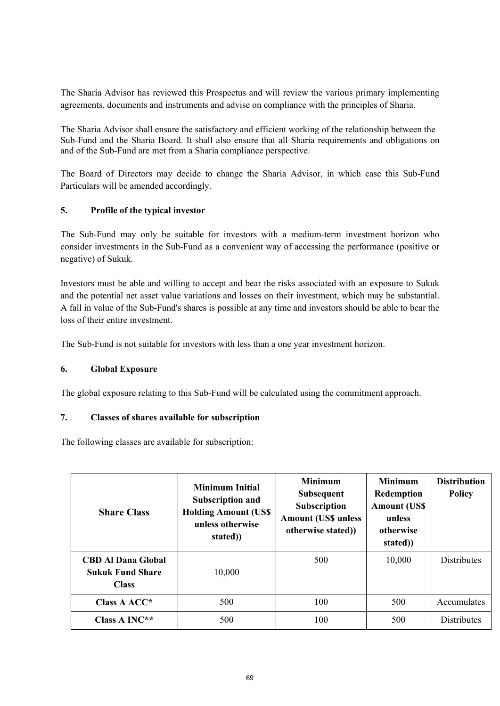The Sharia Advisor has reviewed this Prospectus and will review the various primary implementing agreements, documents and instruments and advise on compliance with the principles of Sharia.

The Sharia Advisor shall ensure the satisfactory and efficient working of the relationship between the Sub-Fund and the Sharia Board. It shall also ensure that all Sharia requirements and obligations on and of the Sub-Fund are met from a Sharia compliance perspective.

The Board of Directors may decide to change the Sharia Advisor, in which case this Sub-Fund Particulars will be amended accordingly.

### **5. Profile of the typical investor**

The Sub-Fund may only be suitable for investors with a medium-term investment horizon who consider investments in the Sub-Fund as a convenient way of accessing the performance (positive or negative) of Sukuk.

Investors must be able and willing to accept and bear the risks associated with an exposure to Sukuk and the potential net asset value variations and losses on their investment, which may be substantial. A fall in value of the Sub-Fund's shares is possible at any time and investors should be able to bear the loss of their entire investment.

The Sub-Fund is not suitable for investors with less than a one year investment horizon.

#### **6. Global Exposure**

The global exposure relating to this Sub-Fund will be calculated using the commitment approach.

### **7. Classes of shares available for subscription**

The following classes are available for subscription:

| <b>Share Class</b>                                                   | <b>Minimum Initial</b><br><b>Subscription and</b><br><b>Holding Amount (US\$)</b><br>unless otherwise<br>stated) | <b>Minimum</b><br><b>Subsequent</b><br><b>Subscription</b><br><b>Amount (US\$ unless</b><br>otherwise stated)) | <b>Minimum</b><br>Redemption<br><b>Amount (US\$)</b><br>unless<br>otherwise<br>stated) | <b>Distribution</b><br><b>Policy</b> |
|----------------------------------------------------------------------|------------------------------------------------------------------------------------------------------------------|----------------------------------------------------------------------------------------------------------------|----------------------------------------------------------------------------------------|--------------------------------------|
| <b>CBD Al Dana Global</b><br><b>Sukuk Fund Share</b><br><b>Class</b> | 10,000                                                                                                           | 500                                                                                                            | 10,000                                                                                 | <b>Distributes</b>                   |
| Class $A$ ACC*                                                       | 500                                                                                                              | 100                                                                                                            | 500                                                                                    | Accumulates                          |
| Class A INC**                                                        | 500                                                                                                              | 100                                                                                                            | 500                                                                                    | <b>Distributes</b>                   |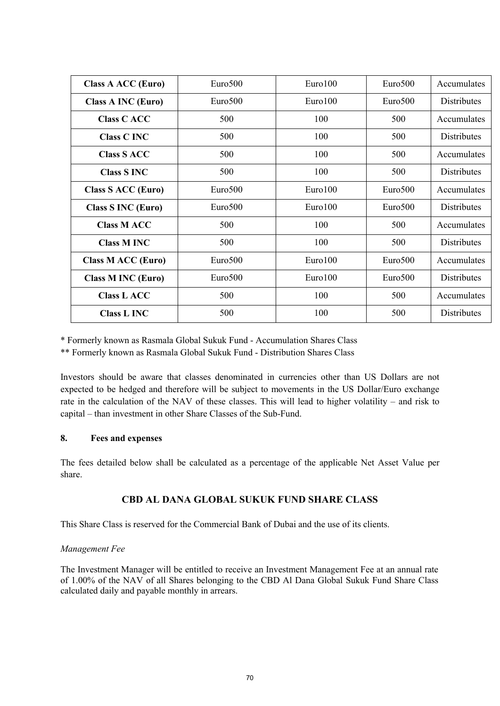| Class A ACC (Euro)        | Euro500             | Euro100 | Euro500             | Accumulates        |
|---------------------------|---------------------|---------|---------------------|--------------------|
| <b>Class A INC (Euro)</b> | Euro500             | Euro100 | Euro <sub>500</sub> | <b>Distributes</b> |
| <b>Class C ACC</b>        | 500                 | 100     | 500                 | Accumulates        |
| <b>Class C INC</b>        | 500                 | 100     | 500                 | Distributes        |
| <b>Class S ACC</b>        | 500                 | 100     | 500                 | Accumulates        |
| <b>Class S INC</b>        | 500                 | 100     | 500                 | Distributes        |
| Class S ACC (Euro)        | Euro <sub>500</sub> | Euro100 | Euro <sub>500</sub> | Accumulates        |
| <b>Class S INC (Euro)</b> | Euro <sub>500</sub> | Euro100 | Euro <sub>500</sub> | Distributes        |
| <b>Class M ACC</b>        | 500                 | 100     | 500                 | Accumulates        |
| <b>Class M INC</b>        | 500                 | 100     | 500                 | Distributes        |
| Class M ACC (Euro)        | Euro500             | Euro100 | Euro500             | Accumulates        |
| <b>Class M INC (Euro)</b> | Euro500             | Euro100 | Euro500             | Distributes        |
| <b>Class L ACC</b>        | 500                 | 100     | 500                 | Accumulates        |
| <b>Class L INC</b>        | 500                 | 100     | 500                 | Distributes        |

\* Formerly known as Rasmala Global Sukuk Fund - Accumulation Shares Class

\*\* Formerly known as Rasmala Global Sukuk Fund - Distribution Shares Class

Investors should be aware that classes denominated in currencies other than US Dollars are not expected to be hedged and therefore will be subject to movements in the US Dollar/Euro exchange rate in the calculation of the NAV of these classes. This will lead to higher volatility – and risk to capital – than investment in other Share Classes of the Sub-Fund.

### **8. Fees and expenses**

The fees detailed below shall be calculated as a percentage of the applicable Net Asset Value per share.

### **CBD AL DANA GLOBAL SUKUK FUND SHARE CLASS**

This Share Class is reserved for the Commercial Bank of Dubai and the use of its clients.

#### *Management Fee*

The Investment Manager will be entitled to receive an Investment Management Fee at an annual rate of 1.00% of the NAV of all Shares belonging to the CBD Al Dana Global Sukuk Fund Share Class calculated daily and payable monthly in arrears.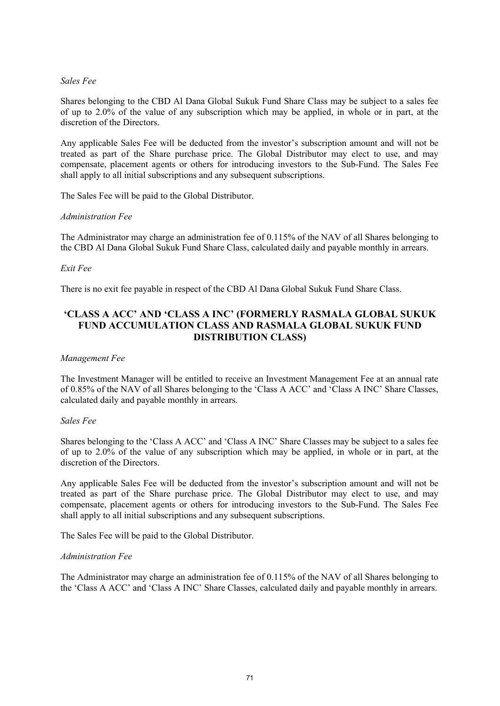#### *Sales Fee*

Shares belonging to the CBD Al Dana Global Sukuk Fund Share Class may be subject to a sales fee of up to 2.0% of the value of any subscription which may be applied, in whole or in part, at the discretion of the Directors.

Any applicable Sales Fee will be deducted from the investor's subscription amount and will not be treated as part of the Share purchase price. The Global Distributor may elect to use, and may compensate, placement agents or others for introducing investors to the Sub-Fund. The Sales Fee shall apply to all initial subscriptions and any subsequent subscriptions.

The Sales Fee will be paid to the Global Distributor.

#### *Administration Fee*

The Administrator may charge an administration fee of 0.115% of the NAV of all Shares belonging to the CBD Al Dana Global Sukuk Fund Share Class, calculated daily and payable monthly in arrears.

#### *Exit Fee*

There is no exit fee payable in respect of the CBD Al Dana Global Sukuk Fund Share Class.

## **'CLASS A ACC' AND 'CLASS A INC' (FORMERLY RASMALA GLOBAL SUKUK FUND ACCUMULATION CLASS AND RASMALA GLOBAL SUKUK FUND DISTRIBUTION CLASS)**

#### *Management Fee*

The Investment Manager will be entitled to receive an Investment Management Fee at an annual rate of 0.85% of the NAV of all Shares belonging to the 'Class A ACC' and 'Class A INC' Share Classes, calculated daily and payable monthly in arrears.

#### *Sales Fee*

Shares belonging to the 'Class A ACC' and 'Class A INC' Share Classes may be subject to a sales fee of up to 2.0% of the value of any subscription which may be applied, in whole or in part, at the discretion of the Directors.

Any applicable Sales Fee will be deducted from the investor's subscription amount and will not be treated as part of the Share purchase price. The Global Distributor may elect to use, and may compensate, placement agents or others for introducing investors to the Sub-Fund. The Sales Fee shall apply to all initial subscriptions and any subsequent subscriptions.

The Sales Fee will be paid to the Global Distributor.

#### *Administration Fee*

The Administrator may charge an administration fee of 0.115% of the NAV of all Shares belonging to the 'Class A ACC' and 'Class A INC' Share Classes, calculated daily and payable monthly in arrears.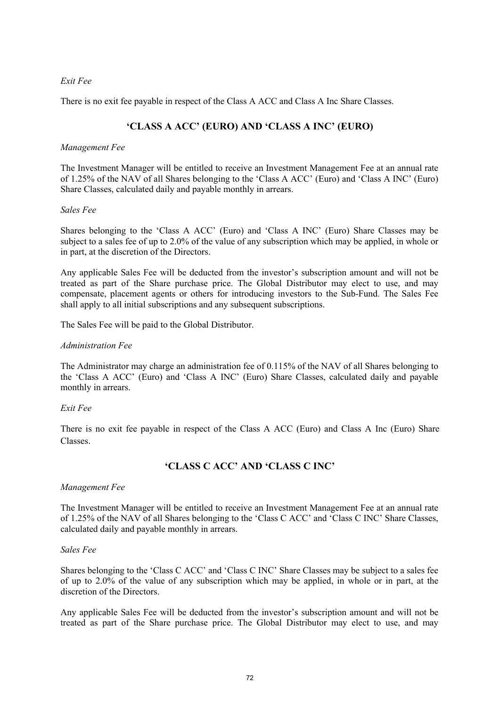#### *Exit Fee*

There is no exit fee payable in respect of the Class A ACC and Class A Inc Share Classes.

# **'CLASS A ACC' (EURO) AND 'CLASS A INC' (EURO)**

#### *Management Fee*

The Investment Manager will be entitled to receive an Investment Management Fee at an annual rate of 1.25% of the NAV of all Shares belonging to the 'Class A ACC' (Euro) and 'Class A INC' (Euro) Share Classes, calculated daily and payable monthly in arrears.

#### *Sales Fee*

Shares belonging to the 'Class A ACC' (Euro) and 'Class A INC' (Euro) Share Classes may be subject to a sales fee of up to 2.0% of the value of any subscription which may be applied, in whole or in part, at the discretion of the Directors.

Any applicable Sales Fee will be deducted from the investor's subscription amount and will not be treated as part of the Share purchase price. The Global Distributor may elect to use, and may compensate, placement agents or others for introducing investors to the Sub-Fund. The Sales Fee shall apply to all initial subscriptions and any subsequent subscriptions.

The Sales Fee will be paid to the Global Distributor.

#### *Administration Fee*

The Administrator may charge an administration fee of 0.115% of the NAV of all Shares belonging to the 'Class A ACC' (Euro) and 'Class A INC' (Euro) Share Classes, calculated daily and payable monthly in arrears.

#### *Exit Fee*

There is no exit fee payable in respect of the Class A ACC (Euro) and Class A Inc (Euro) Share Classes.

## **'CLASS C ACC' AND 'CLASS C INC'**

#### *Management Fee*

The Investment Manager will be entitled to receive an Investment Management Fee at an annual rate of 1.25% of the NAV of all Shares belonging to the 'Class C ACC' and 'Class C INC' Share Classes, calculated daily and payable monthly in arrears.

#### *Sales Fee*

Shares belonging to the 'Class C ACC' and 'Class C INC' Share Classes may be subject to a sales fee of up to 2.0% of the value of any subscription which may be applied, in whole or in part, at the discretion of the Directors.

Any applicable Sales Fee will be deducted from the investor's subscription amount and will not be treated as part of the Share purchase price. The Global Distributor may elect to use, and may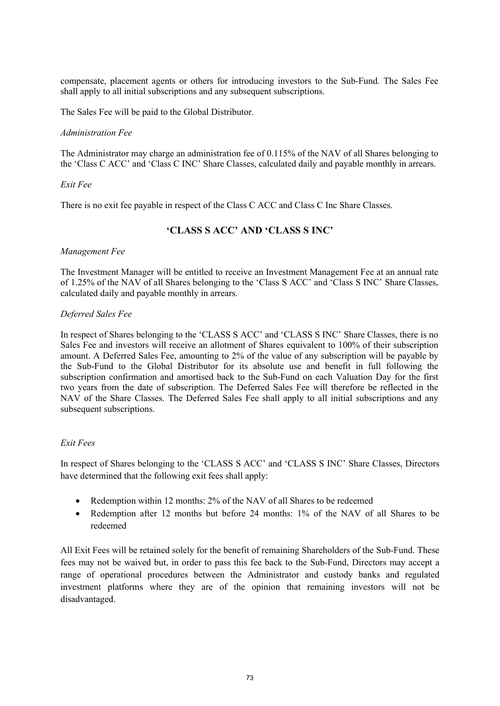compensate, placement agents or others for introducing investors to the Sub-Fund. The Sales Fee shall apply to all initial subscriptions and any subsequent subscriptions.

The Sales Fee will be paid to the Global Distributor.

#### *Administration Fee*

The Administrator may charge an administration fee of 0.115% of the NAV of all Shares belonging to the 'Class C ACC' and 'Class C INC' Share Classes, calculated daily and payable monthly in arrears.

#### *Exit Fee*

There is no exit fee payable in respect of the Class C ACC and Class C Inc Share Classes.

## **'CLASS S ACC' AND 'CLASS S INC'**

#### *Management Fee*

The Investment Manager will be entitled to receive an Investment Management Fee at an annual rate of 1.25% of the NAV of all Shares belonging to the 'Class S ACC' and 'Class S INC' Share Classes, calculated daily and payable monthly in arrears.

#### *Deferred Sales Fee*

In respect of Shares belonging to the 'CLASS S ACC' and 'CLASS S INC' Share Classes, there is no Sales Fee and investors will receive an allotment of Shares equivalent to 100% of their subscription amount. A Deferred Sales Fee, amounting to 2% of the value of any subscription will be payable by the Sub-Fund to the Global Distributor for its absolute use and benefit in full following the subscription confirmation and amortised back to the Sub-Fund on each Valuation Day for the first two years from the date of subscription. The Deferred Sales Fee will therefore be reflected in the NAV of the Share Classes. The Deferred Sales Fee shall apply to all initial subscriptions and any subsequent subscriptions.

### *Exit Fees*

In respect of Shares belonging to the 'CLASS S ACC' and 'CLASS S INC' Share Classes, Directors have determined that the following exit fees shall apply:

- Redemption within 12 months: 2% of the NAV of all Shares to be redeemed
- Redemption after 12 months but before 24 months: 1% of the NAV of all Shares to be redeemed

All Exit Fees will be retained solely for the benefit of remaining Shareholders of the Sub-Fund. These fees may not be waived but, in order to pass this fee back to the Sub-Fund, Directors may accept a range of operational procedures between the Administrator and custody banks and regulated investment platforms where they are of the opinion that remaining investors will not be disadvantaged.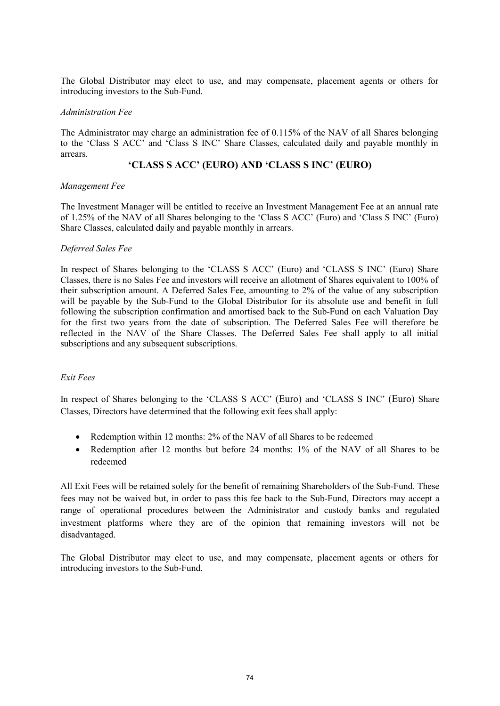The Global Distributor may elect to use, and may compensate, placement agents or others for introducing investors to the Sub-Fund.

#### *Administration Fee*

The Administrator may charge an administration fee of 0.115% of the NAV of all Shares belonging to the 'Class S ACC' and 'Class S INC' Share Classes, calculated daily and payable monthly in arrears.

### **'CLASS S ACC' (EURO) AND 'CLASS S INC' (EURO)**

### *Management Fee*

The Investment Manager will be entitled to receive an Investment Management Fee at an annual rate of 1.25% of the NAV of all Shares belonging to the 'Class S ACC' (Euro) and 'Class S INC' (Euro) Share Classes, calculated daily and payable monthly in arrears.

### *Deferred Sales Fee*

In respect of Shares belonging to the 'CLASS S ACC' (Euro) and 'CLASS S INC' (Euro) Share Classes, there is no Sales Fee and investors will receive an allotment of Shares equivalent to 100% of their subscription amount. A Deferred Sales Fee, amounting to 2% of the value of any subscription will be payable by the Sub-Fund to the Global Distributor for its absolute use and benefit in full following the subscription confirmation and amortised back to the Sub-Fund on each Valuation Day for the first two years from the date of subscription. The Deferred Sales Fee will therefore be reflected in the NAV of the Share Classes. The Deferred Sales Fee shall apply to all initial subscriptions and any subsequent subscriptions.

### *Exit Fees*

In respect of Shares belonging to the 'CLASS S ACC' (Euro) and 'CLASS S INC' (Euro) Share Classes, Directors have determined that the following exit fees shall apply:

- Redemption within 12 months: 2% of the NAV of all Shares to be redeemed
- Redemption after 12 months but before 24 months: 1% of the NAV of all Shares to be redeemed

All Exit Fees will be retained solely for the benefit of remaining Shareholders of the Sub-Fund. These fees may not be waived but, in order to pass this fee back to the Sub-Fund, Directors may accept a range of operational procedures between the Administrator and custody banks and regulated investment platforms where they are of the opinion that remaining investors will not be disadvantaged.

The Global Distributor may elect to use, and may compensate, placement agents or others for introducing investors to the Sub-Fund.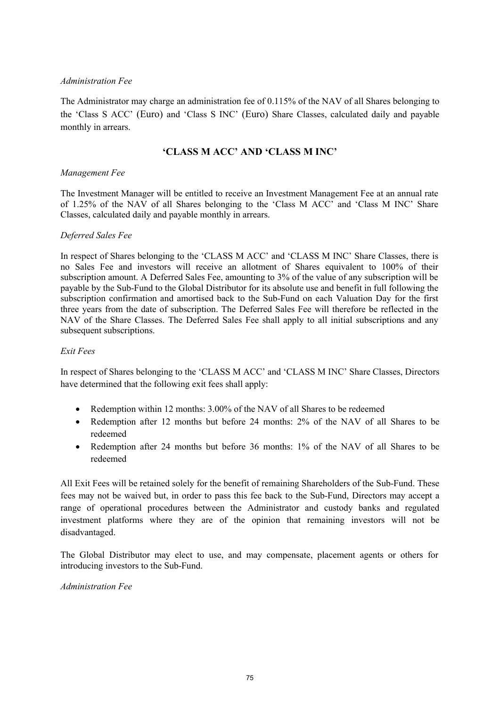### *Administration Fee*

The Administrator may charge an administration fee of 0.115% of the NAV of all Shares belonging to the 'Class S ACC' (Euro) and 'Class S INC' (Euro) Share Classes, calculated daily and payable monthly in arrears.

## **'CLASS M ACC' AND 'CLASS M INC'**

### *Management Fee*

The Investment Manager will be entitled to receive an Investment Management Fee at an annual rate of 1.25% of the NAV of all Shares belonging to the 'Class M ACC' and 'Class M INC' Share Classes, calculated daily and payable monthly in arrears.

### *Deferred Sales Fee*

In respect of Shares belonging to the 'CLASS M ACC' and 'CLASS M INC' Share Classes, there is no Sales Fee and investors will receive an allotment of Shares equivalent to 100% of their subscription amount. A Deferred Sales Fee, amounting to 3% of the value of any subscription will be payable by the Sub-Fund to the Global Distributor for its absolute use and benefit in full following the subscription confirmation and amortised back to the Sub-Fund on each Valuation Day for the first three years from the date of subscription. The Deferred Sales Fee will therefore be reflected in the NAV of the Share Classes. The Deferred Sales Fee shall apply to all initial subscriptions and any subsequent subscriptions.

### *Exit Fees*

In respect of Shares belonging to the 'CLASS M ACC' and 'CLASS M INC' Share Classes, Directors have determined that the following exit fees shall apply:

- Redemption within 12 months: 3.00% of the NAV of all Shares to be redeemed
- Redemption after 12 months but before 24 months: 2% of the NAV of all Shares to be redeemed
- Redemption after 24 months but before 36 months: 1% of the NAV of all Shares to be redeemed

All Exit Fees will be retained solely for the benefit of remaining Shareholders of the Sub-Fund. These fees may not be waived but, in order to pass this fee back to the Sub-Fund, Directors may accept a range of operational procedures between the Administrator and custody banks and regulated investment platforms where they are of the opinion that remaining investors will not be disadvantaged.

The Global Distributor may elect to use, and may compensate, placement agents or others for introducing investors to the Sub-Fund.

*Administration Fee*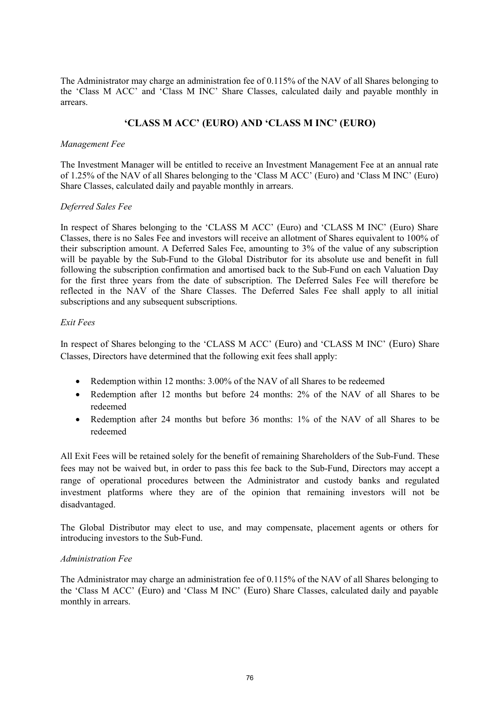The Administrator may charge an administration fee of 0.115% of the NAV of all Shares belonging to the 'Class M ACC' and 'Class M INC' Share Classes, calculated daily and payable monthly in arrears.

# **'CLASS M ACC' (EURO) AND 'CLASS M INC' (EURO)**

### *Management Fee*

The Investment Manager will be entitled to receive an Investment Management Fee at an annual rate of 1.25% of the NAV of all Shares belonging to the 'Class M ACC' (Euro) and 'Class M INC' (Euro) Share Classes, calculated daily and payable monthly in arrears.

### *Deferred Sales Fee*

In respect of Shares belonging to the 'CLASS M ACC' (Euro) and 'CLASS M INC' (Euro) Share Classes, there is no Sales Fee and investors will receive an allotment of Shares equivalent to 100% of their subscription amount. A Deferred Sales Fee, amounting to 3% of the value of any subscription will be payable by the Sub-Fund to the Global Distributor for its absolute use and benefit in full following the subscription confirmation and amortised back to the Sub-Fund on each Valuation Day for the first three years from the date of subscription. The Deferred Sales Fee will therefore be reflected in the NAV of the Share Classes. The Deferred Sales Fee shall apply to all initial subscriptions and any subsequent subscriptions.

#### *Exit Fees*

In respect of Shares belonging to the 'CLASS M ACC' (Euro) and 'CLASS M INC' (Euro) Share Classes, Directors have determined that the following exit fees shall apply:

- Redemption within 12 months: 3.00% of the NAV of all Shares to be redeemed
- Redemption after 12 months but before 24 months: 2% of the NAV of all Shares to be redeemed
- Redemption after 24 months but before 36 months: 1% of the NAV of all Shares to be redeemed

All Exit Fees will be retained solely for the benefit of remaining Shareholders of the Sub-Fund. These fees may not be waived but, in order to pass this fee back to the Sub-Fund, Directors may accept a range of operational procedures between the Administrator and custody banks and regulated investment platforms where they are of the opinion that remaining investors will not be disadvantaged.

The Global Distributor may elect to use, and may compensate, placement agents or others for introducing investors to the Sub-Fund.

### *Administration Fee*

The Administrator may charge an administration fee of 0.115% of the NAV of all Shares belonging to the 'Class M ACC' (Euro) and 'Class M INC' (Euro) Share Classes, calculated daily and payable monthly in arrears.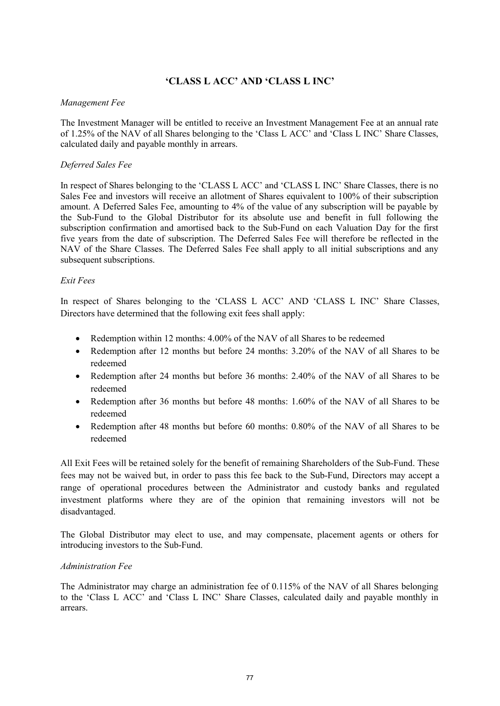# **'CLASS L ACC' AND 'CLASS L INC'**

### *Management Fee*

The Investment Manager will be entitled to receive an Investment Management Fee at an annual rate of 1.25% of the NAV of all Shares belonging to the 'Class L ACC' and 'Class L INC' Share Classes, calculated daily and payable monthly in arrears.

### *Deferred Sales Fee*

In respect of Shares belonging to the 'CLASS L ACC' and 'CLASS L INC' Share Classes, there is no Sales Fee and investors will receive an allotment of Shares equivalent to 100% of their subscription amount. A Deferred Sales Fee, amounting to 4% of the value of any subscription will be payable by the Sub-Fund to the Global Distributor for its absolute use and benefit in full following the subscription confirmation and amortised back to the Sub-Fund on each Valuation Day for the first five years from the date of subscription. The Deferred Sales Fee will therefore be reflected in the NAV of the Share Classes. The Deferred Sales Fee shall apply to all initial subscriptions and any subsequent subscriptions.

### *Exit Fees*

In respect of Shares belonging to the 'CLASS L ACC' AND 'CLASS L INC' Share Classes, Directors have determined that the following exit fees shall apply:

- Redemption within 12 months: 4.00% of the NAV of all Shares to be redeemed
- Redemption after 12 months but before 24 months: 3.20% of the NAV of all Shares to be redeemed
- Redemption after 24 months but before 36 months: 2.40% of the NAV of all Shares to be redeemed
- Redemption after 36 months but before 48 months: 1.60% of the NAV of all Shares to be redeemed
- Redemption after 48 months but before 60 months: 0.80% of the NAV of all Shares to be redeemed

All Exit Fees will be retained solely for the benefit of remaining Shareholders of the Sub-Fund. These fees may not be waived but, in order to pass this fee back to the Sub-Fund, Directors may accept a range of operational procedures between the Administrator and custody banks and regulated investment platforms where they are of the opinion that remaining investors will not be disadvantaged.

The Global Distributor may elect to use, and may compensate, placement agents or others for introducing investors to the Sub-Fund.

### *Administration Fee*

The Administrator may charge an administration fee of 0.115% of the NAV of all Shares belonging to the 'Class L ACC' and 'Class L INC' Share Classes, calculated daily and payable monthly in arrears.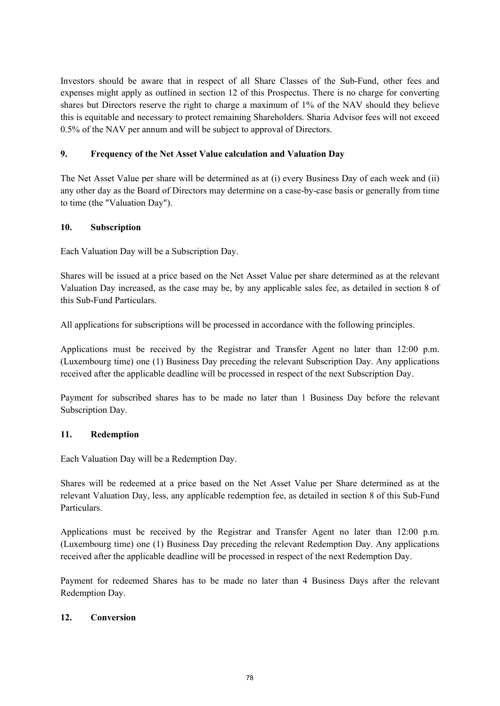Investors should be aware that in respect of all Share Classes of the Sub-Fund, other fees and expenses might apply as outlined in section 12 of this Prospectus. There is no charge for converting shares but Directors reserve the right to charge a maximum of 1% of the NAV should they believe this is equitable and necessary to protect remaining Shareholders. Sharia Advisor fees will not exceed 0.5% of the NAV per annum and will be subject to approval of Directors.

# **9. Frequency of the Net Asset Value calculation and Valuation Day**

The Net Asset Value per share will be determined as at (i) every Business Day of each week and (ii) any other day as the Board of Directors may determine on a case-by-case basis or generally from time to time (the "Valuation Day").

## **10. Subscription**

Each Valuation Day will be a Subscription Day.

Shares will be issued at a price based on the Net Asset Value per share determined as at the relevant Valuation Day increased, as the case may be, by any applicable sales fee, as detailed in section 8 of this Sub-Fund Particulars.

All applications for subscriptions will be processed in accordance with the following principles.

Applications must be received by the Registrar and Transfer Agent no later than 12:00 p.m. (Luxembourg time) one (1) Business Day preceding the relevant Subscription Day. Any applications received after the applicable deadline will be processed in respect of the next Subscription Day.

Payment for subscribed shares has to be made no later than 1 Business Day before the relevant Subscription Day.

## **11. Redemption**

Each Valuation Day will be a Redemption Day.

Shares will be redeemed at a price based on the Net Asset Value per Share determined as at the relevant Valuation Day, less, any applicable redemption fee, as detailed in section 8 of this Sub-Fund Particulars.

Applications must be received by the Registrar and Transfer Agent no later than 12:00 p.m. (Luxembourg time) one (1) Business Day preceding the relevant Redemption Day. Any applications received after the applicable deadline will be processed in respect of the next Redemption Day.

Payment for redeemed Shares has to be made no later than 4 Business Days after the relevant Redemption Day.

## **12. Conversion**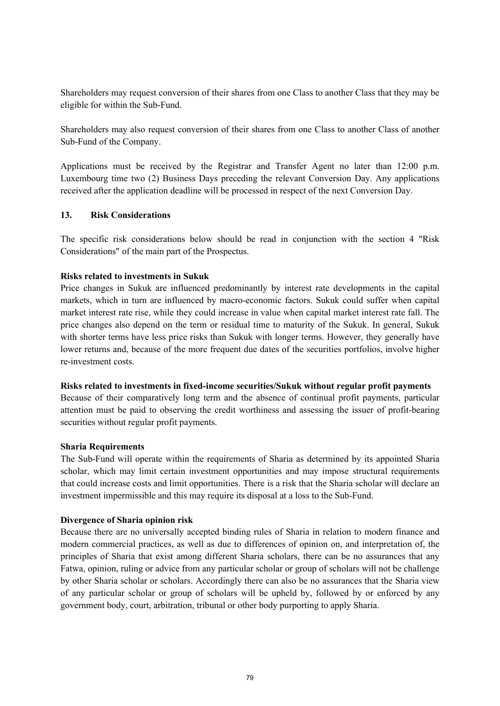Shareholders may request conversion of their shares from one Class to another Class that they may be eligible for within the Sub-Fund.

Shareholders may also request conversion of their shares from one Class to another Class of another Sub-Fund of the Company.

Applications must be received by the Registrar and Transfer Agent no later than 12:00 p.m. Luxembourg time two (2) Business Days preceding the relevant Conversion Day. Any applications received after the application deadline will be processed in respect of the next Conversion Day.

### **13. Risk Considerations**

The specific risk considerations below should be read in conjunction with the section 4 "Risk Considerations" of the main part of the Prospectus.

### **Risks related to investments in Sukuk**

Price changes in Sukuk are influenced predominantly by interest rate developments in the capital markets, which in turn are influenced by macro-economic factors. Sukuk could suffer when capital market interest rate rise, while they could increase in value when capital market interest rate fall. The price changes also depend on the term or residual time to maturity of the Sukuk. In general, Sukuk with shorter terms have less price risks than Sukuk with longer terms. However, they generally have lower returns and, because of the more frequent due dates of the securities portfolios, involve higher re-investment costs.

#### **Risks related to investments in fixed-income securities/Sukuk without regular profit payments**

Because of their comparatively long term and the absence of continual profit payments, particular attention must be paid to observing the credit worthiness and assessing the issuer of profit-bearing securities without regular profit payments.

#### **Sharia Requirements**

The Sub-Fund will operate within the requirements of Sharia as determined by its appointed Sharia scholar, which may limit certain investment opportunities and may impose structural requirements that could increase costs and limit opportunities. There is a risk that the Sharia scholar will declare an investment impermissible and this may require its disposal at a loss to the Sub-Fund.

### **Divergence of Sharia opinion risk**

Because there are no universally accepted binding rules of Sharia in relation to modern finance and modern commercial practices, as well as due to differences of opinion on, and interpretation of, the principles of Sharia that exist among different Sharia scholars, there can be no assurances that any Fatwa, opinion, ruling or advice from any particular scholar or group of scholars will not be challenge by other Sharia scholar or scholars. Accordingly there can also be no assurances that the Sharia view of any particular scholar or group of scholars will be upheld by, followed by or enforced by any government body, court, arbitration, tribunal or other body purporting to apply Sharia.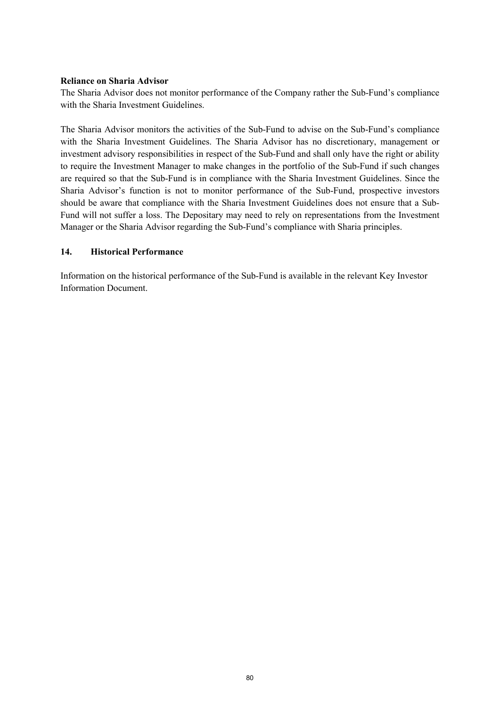### **Reliance on Sharia Advisor**

The Sharia Advisor does not monitor performance of the Company rather the Sub-Fund's compliance with the Sharia Investment Guidelines.

The Sharia Advisor monitors the activities of the Sub-Fund to advise on the Sub-Fund's compliance with the Sharia Investment Guidelines. The Sharia Advisor has no discretionary, management or investment advisory responsibilities in respect of the Sub-Fund and shall only have the right or ability to require the Investment Manager to make changes in the portfolio of the Sub-Fund if such changes are required so that the Sub-Fund is in compliance with the Sharia Investment Guidelines. Since the Sharia Advisor's function is not to monitor performance of the Sub-Fund, prospective investors should be aware that compliance with the Sharia Investment Guidelines does not ensure that a Sub-Fund will not suffer a loss. The Depositary may need to rely on representations from the Investment Manager or the Sharia Advisor regarding the Sub-Fund's compliance with Sharia principles.

### **14. Historical Performance**

Information on the historical performance of the Sub-Fund is available in the relevant Key Investor Information Document.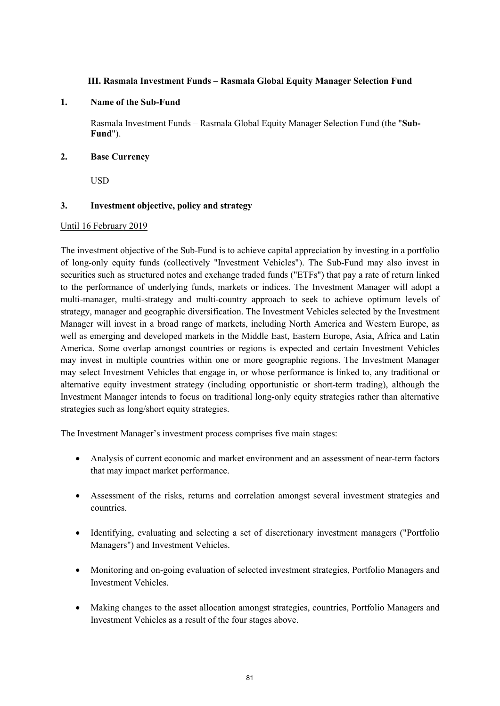## **III. Rasmala Investment Funds – Rasmala Global Equity Manager Selection Fund**

### **1. Name of the Sub-Fund**

Rasmala Investment Funds – Rasmala Global Equity Manager Selection Fund (the "**Sub-Fund**").

### **2. Base Currency**

USD

### **3. Investment objective, policy and strategy**

### Until 16 February 2019

The investment objective of the Sub-Fund is to achieve capital appreciation by investing in a portfolio of long-only equity funds (collectively "Investment Vehicles"). The Sub-Fund may also invest in securities such as structured notes and exchange traded funds ("ETFs") that pay a rate of return linked to the performance of underlying funds, markets or indices. The Investment Manager will adopt a multi-manager, multi-strategy and multi-country approach to seek to achieve optimum levels of strategy, manager and geographic diversification. The Investment Vehicles selected by the Investment Manager will invest in a broad range of markets, including North America and Western Europe, as well as emerging and developed markets in the Middle East, Eastern Europe, Asia, Africa and Latin America. Some overlap amongst countries or regions is expected and certain Investment Vehicles may invest in multiple countries within one or more geographic regions. The Investment Manager may select Investment Vehicles that engage in, or whose performance is linked to, any traditional or alternative equity investment strategy (including opportunistic or short-term trading), although the Investment Manager intends to focus on traditional long-only equity strategies rather than alternative strategies such as long/short equity strategies.

The Investment Manager's investment process comprises five main stages:

- Analysis of current economic and market environment and an assessment of near-term factors that may impact market performance.
- Assessment of the risks, returns and correlation amongst several investment strategies and countries.
- Identifying, evaluating and selecting a set of discretionary investment managers ("Portfolio Managers") and Investment Vehicles.
- Monitoring and on-going evaluation of selected investment strategies, Portfolio Managers and Investment Vehicles.
- Making changes to the asset allocation amongst strategies, countries, Portfolio Managers and Investment Vehicles as a result of the four stages above.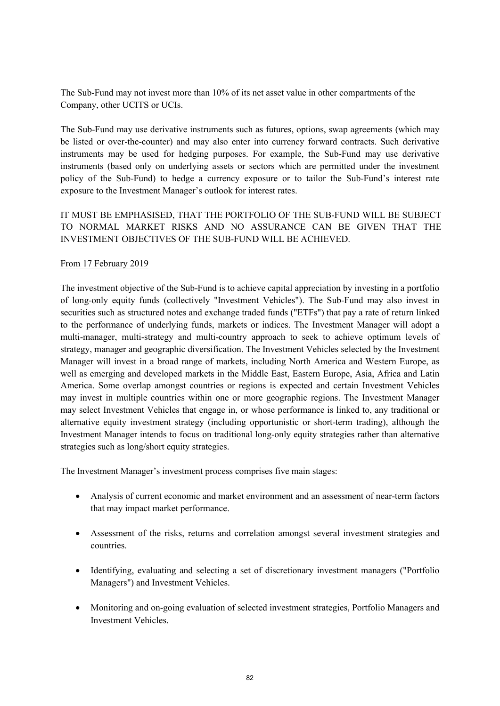The Sub-Fund may not invest more than 10% of its net asset value in other compartments of the Company, other UCITS or UCIs.

The Sub-Fund may use derivative instruments such as futures, options, swap agreements (which may be listed or over-the-counter) and may also enter into currency forward contracts. Such derivative instruments may be used for hedging purposes. For example, the Sub-Fund may use derivative instruments (based only on underlying assets or sectors which are permitted under the investment policy of the Sub-Fund) to hedge a currency exposure or to tailor the Sub-Fund's interest rate exposure to the Investment Manager's outlook for interest rates.

IT MUST BE EMPHASISED, THAT THE PORTFOLIO OF THE SUB-FUND WILL BE SUBJECT TO NORMAL MARKET RISKS AND NO ASSURANCE CAN BE GIVEN THAT THE INVESTMENT OBJECTIVES OF THE SUB-FUND WILL BE ACHIEVED.

### From 17 February 2019

The investment objective of the Sub-Fund is to achieve capital appreciation by investing in a portfolio of long-only equity funds (collectively "Investment Vehicles"). The Sub-Fund may also invest in securities such as structured notes and exchange traded funds ("ETFs") that pay a rate of return linked to the performance of underlying funds, markets or indices. The Investment Manager will adopt a multi-manager, multi-strategy and multi-country approach to seek to achieve optimum levels of strategy, manager and geographic diversification. The Investment Vehicles selected by the Investment Manager will invest in a broad range of markets, including North America and Western Europe, as well as emerging and developed markets in the Middle East, Eastern Europe, Asia, Africa and Latin America. Some overlap amongst countries or regions is expected and certain Investment Vehicles may invest in multiple countries within one or more geographic regions. The Investment Manager may select Investment Vehicles that engage in, or whose performance is linked to, any traditional or alternative equity investment strategy (including opportunistic or short-term trading), although the Investment Manager intends to focus on traditional long-only equity strategies rather than alternative strategies such as long/short equity strategies.

The Investment Manager's investment process comprises five main stages:

- Analysis of current economic and market environment and an assessment of near-term factors that may impact market performance.
- Assessment of the risks, returns and correlation amongst several investment strategies and countries.
- Identifying, evaluating and selecting a set of discretionary investment managers ("Portfolio Managers") and Investment Vehicles.
- Monitoring and on-going evaluation of selected investment strategies, Portfolio Managers and Investment Vehicles.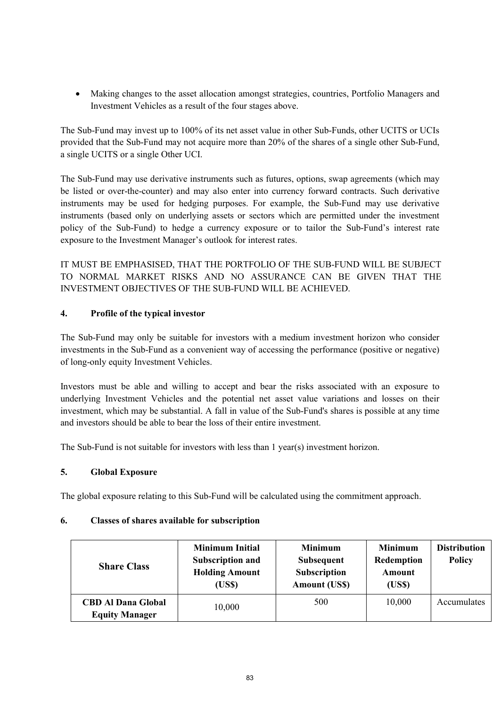Making changes to the asset allocation amongst strategies, countries, Portfolio Managers and Investment Vehicles as a result of the four stages above.

The Sub-Fund may invest up to 100% of its net asset value in other Sub-Funds, other UCITS or UCIs provided that the Sub-Fund may not acquire more than 20% of the shares of a single other Sub-Fund, a single UCITS or a single Other UCI.

The Sub-Fund may use derivative instruments such as futures, options, swap agreements (which may be listed or over-the-counter) and may also enter into currency forward contracts. Such derivative instruments may be used for hedging purposes. For example, the Sub-Fund may use derivative instruments (based only on underlying assets or sectors which are permitted under the investment policy of the Sub-Fund) to hedge a currency exposure or to tailor the Sub-Fund's interest rate exposure to the Investment Manager's outlook for interest rates.

IT MUST BE EMPHASISED, THAT THE PORTFOLIO OF THE SUB-FUND WILL BE SUBJECT TO NORMAL MARKET RISKS AND NO ASSURANCE CAN BE GIVEN THAT THE INVESTMENT OBJECTIVES OF THE SUB-FUND WILL BE ACHIEVED.

# **4. Profile of the typical investor**

The Sub-Fund may only be suitable for investors with a medium investment horizon who consider investments in the Sub-Fund as a convenient way of accessing the performance (positive or negative) of long-only equity Investment Vehicles.

Investors must be able and willing to accept and bear the risks associated with an exposure to underlying Investment Vehicles and the potential net asset value variations and losses on their investment, which may be substantial. A fall in value of the Sub-Fund's shares is possible at any time and investors should be able to bear the loss of their entire investment.

The Sub-Fund is not suitable for investors with less than 1 year(s) investment horizon.

## **5. Global Exposure**

The global exposure relating to this Sub-Fund will be calculated using the commitment approach.

## **6. Classes of shares available for subscription**

| <b>Share Class</b>                                 | <b>Minimum Initial</b><br><b>Subscription and</b><br><b>Holding Amount</b><br>(US\$) | <b>Minimum</b><br><b>Subsequent</b><br><b>Subscription</b><br><b>Amount (US\$)</b> | <b>Minimum</b><br>Redemption<br>Amount<br>(US\$) | <b>Distribution</b><br><b>Policy</b> |
|----------------------------------------------------|--------------------------------------------------------------------------------------|------------------------------------------------------------------------------------|--------------------------------------------------|--------------------------------------|
| <b>CBD Al Dana Global</b><br><b>Equity Manager</b> | 10,000                                                                               | 500                                                                                | 10,000                                           | Accumulates                          |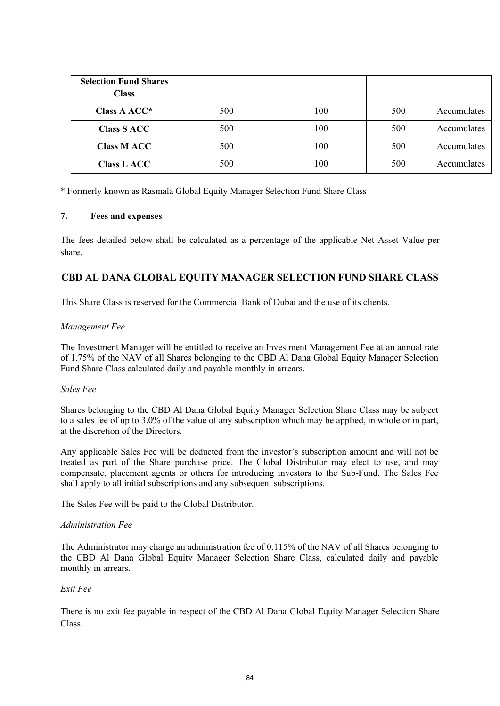| <b>Selection Fund Shares</b><br><b>Class</b> |     |     |     |             |
|----------------------------------------------|-----|-----|-----|-------------|
| Class A ACC*                                 | 500 | 100 | 500 | Accumulates |
| <b>Class S ACC</b>                           | 500 | 100 | 500 | Accumulates |
| <b>Class M ACC</b>                           | 500 | 100 | 500 | Accumulates |
| <b>Class L ACC</b>                           | 500 | 100 | 500 | Accumulates |

\* Formerly known as Rasmala Global Equity Manager Selection Fund Share Class

### **7. Fees and expenses**

The fees detailed below shall be calculated as a percentage of the applicable Net Asset Value per share.

# **CBD AL DANA GLOBAL EQUITY MANAGER SELECTION FUND SHARE CLASS**

This Share Class is reserved for the Commercial Bank of Dubai and the use of its clients.

### *Management Fee*

The Investment Manager will be entitled to receive an Investment Management Fee at an annual rate of 1.75% of the NAV of all Shares belonging to the CBD Al Dana Global Equity Manager Selection Fund Share Class calculated daily and payable monthly in arrears.

### *Sales Fee*

Shares belonging to the CBD Al Dana Global Equity Manager Selection Share Class may be subject to a sales fee of up to 3.0% of the value of any subscription which may be applied, in whole or in part, at the discretion of the Directors.

Any applicable Sales Fee will be deducted from the investor's subscription amount and will not be treated as part of the Share purchase price. The Global Distributor may elect to use, and may compensate, placement agents or others for introducing investors to the Sub-Fund. The Sales Fee shall apply to all initial subscriptions and any subsequent subscriptions.

The Sales Fee will be paid to the Global Distributor.

### *Administration Fee*

The Administrator may charge an administration fee of 0.115% of the NAV of all Shares belonging to the CBD Al Dana Global Equity Manager Selection Share Class, calculated daily and payable monthly in arrears.

## *Exit Fee*

There is no exit fee payable in respect of the CBD Al Dana Global Equity Manager Selection Share Class.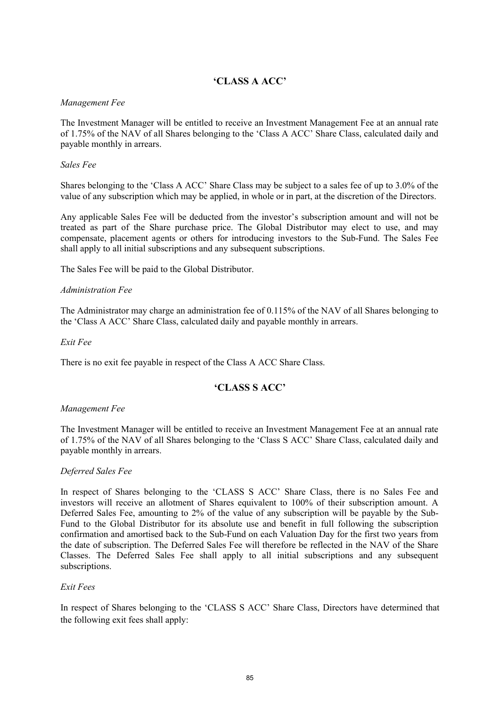# **'CLASS A ACC'**

### *Management Fee*

The Investment Manager will be entitled to receive an Investment Management Fee at an annual rate of 1.75% of the NAV of all Shares belonging to the 'Class A ACC' Share Class, calculated daily and payable monthly in arrears.

### *Sales Fee*

Shares belonging to the 'Class A ACC' Share Class may be subject to a sales fee of up to 3.0% of the value of any subscription which may be applied, in whole or in part, at the discretion of the Directors.

Any applicable Sales Fee will be deducted from the investor's subscription amount and will not be treated as part of the Share purchase price. The Global Distributor may elect to use, and may compensate, placement agents or others for introducing investors to the Sub-Fund. The Sales Fee shall apply to all initial subscriptions and any subsequent subscriptions.

The Sales Fee will be paid to the Global Distributor.

### *Administration Fee*

The Administrator may charge an administration fee of 0.115% of the NAV of all Shares belonging to the 'Class A ACC' Share Class, calculated daily and payable monthly in arrears.

*Exit Fee*

There is no exit fee payable in respect of the Class A ACC Share Class.

## **'CLASS S ACC'**

### *Management Fee*

The Investment Manager will be entitled to receive an Investment Management Fee at an annual rate of 1.75% of the NAV of all Shares belonging to the 'Class S ACC' Share Class, calculated daily and payable monthly in arrears.

### *Deferred Sales Fee*

In respect of Shares belonging to the 'CLASS S ACC' Share Class, there is no Sales Fee and investors will receive an allotment of Shares equivalent to 100% of their subscription amount. A Deferred Sales Fee, amounting to 2% of the value of any subscription will be payable by the Sub-Fund to the Global Distributor for its absolute use and benefit in full following the subscription confirmation and amortised back to the Sub-Fund on each Valuation Day for the first two years from the date of subscription. The Deferred Sales Fee will therefore be reflected in the NAV of the Share Classes. The Deferred Sales Fee shall apply to all initial subscriptions and any subsequent subscriptions.

### *Exit Fees*

In respect of Shares belonging to the 'CLASS S ACC' Share Class, Directors have determined that the following exit fees shall apply: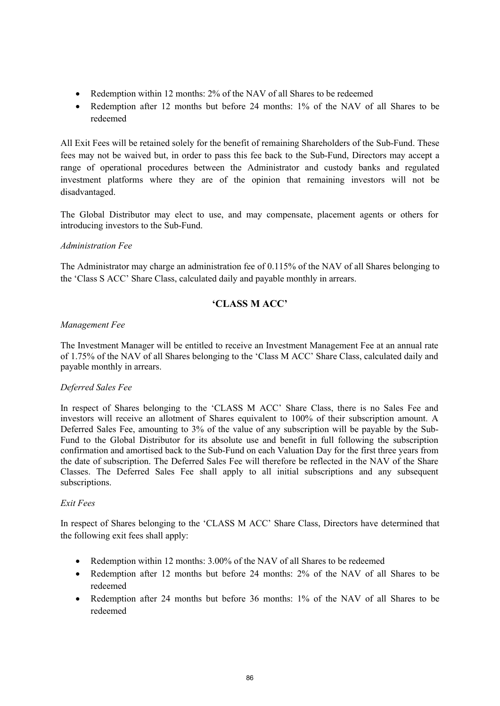- Redemption within 12 months: 2% of the NAV of all Shares to be redeemed
- Redemption after 12 months but before 24 months: 1% of the NAV of all Shares to be redeemed

All Exit Fees will be retained solely for the benefit of remaining Shareholders of the Sub-Fund. These fees may not be waived but, in order to pass this fee back to the Sub-Fund, Directors may accept a range of operational procedures between the Administrator and custody banks and regulated investment platforms where they are of the opinion that remaining investors will not be disadvantaged.

The Global Distributor may elect to use, and may compensate, placement agents or others for introducing investors to the Sub-Fund.

### *Administration Fee*

The Administrator may charge an administration fee of 0.115% of the NAV of all Shares belonging to the 'Class S ACC' Share Class, calculated daily and payable monthly in arrears.

# **'CLASS M ACC'**

### *Management Fee*

The Investment Manager will be entitled to receive an Investment Management Fee at an annual rate of 1.75% of the NAV of all Shares belonging to the 'Class M ACC' Share Class, calculated daily and payable monthly in arrears.

### *Deferred Sales Fee*

In respect of Shares belonging to the 'CLASS M ACC' Share Class, there is no Sales Fee and investors will receive an allotment of Shares equivalent to 100% of their subscription amount. A Deferred Sales Fee, amounting to 3% of the value of any subscription will be payable by the Sub-Fund to the Global Distributor for its absolute use and benefit in full following the subscription confirmation and amortised back to the Sub-Fund on each Valuation Day for the first three years from the date of subscription. The Deferred Sales Fee will therefore be reflected in the NAV of the Share Classes. The Deferred Sales Fee shall apply to all initial subscriptions and any subsequent subscriptions.

### *Exit Fees*

In respect of Shares belonging to the 'CLASS M ACC' Share Class, Directors have determined that the following exit fees shall apply:

- Redemption within 12 months: 3.00% of the NAV of all Shares to be redeemed
- Redemption after 12 months but before 24 months: 2% of the NAV of all Shares to be redeemed
- Redemption after 24 months but before 36 months: 1% of the NAV of all Shares to be redeemed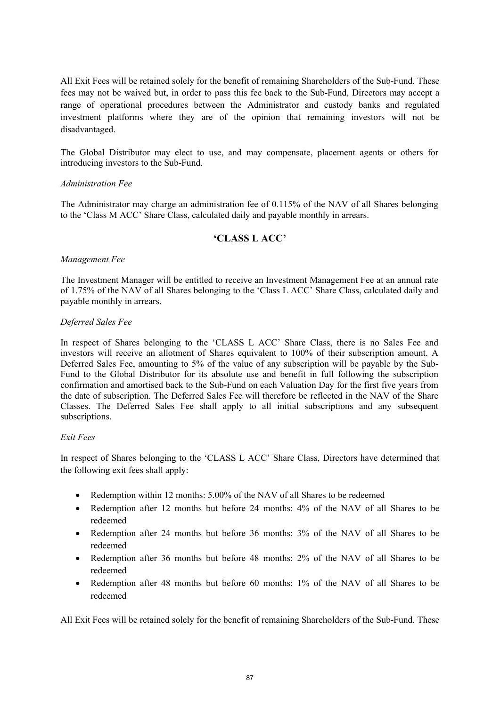All Exit Fees will be retained solely for the benefit of remaining Shareholders of the Sub-Fund. These fees may not be waived but, in order to pass this fee back to the Sub-Fund, Directors may accept a range of operational procedures between the Administrator and custody banks and regulated investment platforms where they are of the opinion that remaining investors will not be disadvantaged.

The Global Distributor may elect to use, and may compensate, placement agents or others for introducing investors to the Sub-Fund.

### *Administration Fee*

The Administrator may charge an administration fee of 0.115% of the NAV of all Shares belonging to the 'Class M ACC' Share Class, calculated daily and payable monthly in arrears.

## **'CLASS L ACC'**

### *Management Fee*

The Investment Manager will be entitled to receive an Investment Management Fee at an annual rate of 1.75% of the NAV of all Shares belonging to the 'Class L ACC' Share Class, calculated daily and payable monthly in arrears.

### *Deferred Sales Fee*

In respect of Shares belonging to the 'CLASS L ACC' Share Class, there is no Sales Fee and investors will receive an allotment of Shares equivalent to 100% of their subscription amount. A Deferred Sales Fee, amounting to 5% of the value of any subscription will be payable by the Sub-Fund to the Global Distributor for its absolute use and benefit in full following the subscription confirmation and amortised back to the Sub-Fund on each Valuation Day for the first five years from the date of subscription. The Deferred Sales Fee will therefore be reflected in the NAV of the Share Classes. The Deferred Sales Fee shall apply to all initial subscriptions and any subsequent subscriptions.

### *Exit Fees*

In respect of Shares belonging to the 'CLASS L ACC' Share Class, Directors have determined that the following exit fees shall apply:

- Redemption within 12 months: 5.00% of the NAV of all Shares to be redeemed
- Redemption after 12 months but before 24 months: 4% of the NAV of all Shares to be redeemed
- Redemption after 24 months but before 36 months: 3% of the NAV of all Shares to be redeemed
- Redemption after 36 months but before 48 months: 2% of the NAV of all Shares to be redeemed
- Redemption after 48 months but before 60 months: 1% of the NAV of all Shares to be redeemed

All Exit Fees will be retained solely for the benefit of remaining Shareholders of the Sub-Fund. These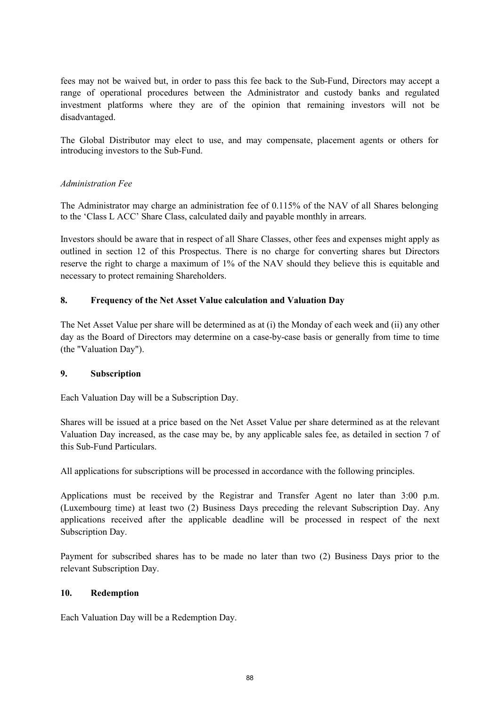fees may not be waived but, in order to pass this fee back to the Sub-Fund, Directors may accept a range of operational procedures between the Administrator and custody banks and regulated investment platforms where they are of the opinion that remaining investors will not be disadvantaged.

The Global Distributor may elect to use, and may compensate, placement agents or others for introducing investors to the Sub-Fund.

## *Administration Fee*

The Administrator may charge an administration fee of 0.115% of the NAV of all Shares belonging to the 'Class L ACC' Share Class, calculated daily and payable monthly in arrears.

Investors should be aware that in respect of all Share Classes, other fees and expenses might apply as outlined in section 12 of this Prospectus. There is no charge for converting shares but Directors reserve the right to charge a maximum of 1% of the NAV should they believe this is equitable and necessary to protect remaining Shareholders.

### **8. Frequency of the Net Asset Value calculation and Valuation Day**

The Net Asset Value per share will be determined as at (i) the Monday of each week and (ii) any other day as the Board of Directors may determine on a case-by-case basis or generally from time to time (the "Valuation Day").

### **9. Subscription**

Each Valuation Day will be a Subscription Day.

Shares will be issued at a price based on the Net Asset Value per share determined as at the relevant Valuation Day increased, as the case may be, by any applicable sales fee, as detailed in section 7 of this Sub-Fund Particulars.

All applications for subscriptions will be processed in accordance with the following principles.

Applications must be received by the Registrar and Transfer Agent no later than 3:00 p.m. (Luxembourg time) at least two (2) Business Days preceding the relevant Subscription Day. Any applications received after the applicable deadline will be processed in respect of the next Subscription Day.

Payment for subscribed shares has to be made no later than two (2) Business Days prior to the relevant Subscription Day.

### **10. Redemption**

Each Valuation Day will be a Redemption Day.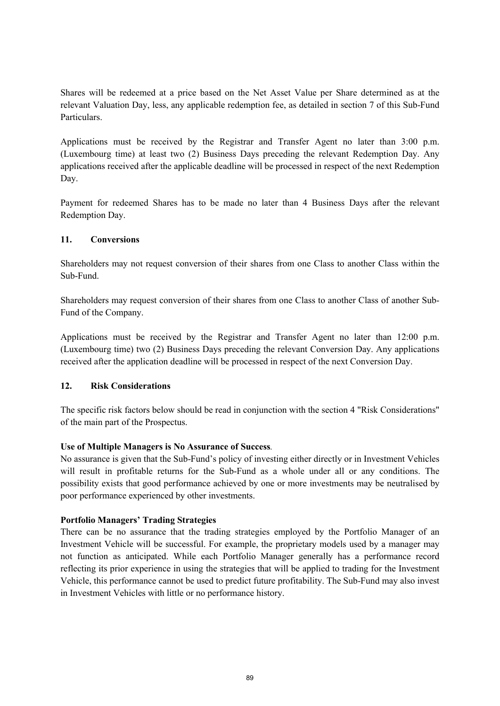Shares will be redeemed at a price based on the Net Asset Value per Share determined as at the relevant Valuation Day, less, any applicable redemption fee, as detailed in section 7 of this Sub-Fund Particulars.

Applications must be received by the Registrar and Transfer Agent no later than 3:00 p.m. (Luxembourg time) at least two (2) Business Days preceding the relevant Redemption Day. Any applications received after the applicable deadline will be processed in respect of the next Redemption Day.

Payment for redeemed Shares has to be made no later than 4 Business Days after the relevant Redemption Day.

## **11. Conversions**

Shareholders may not request conversion of their shares from one Class to another Class within the Sub-Fund.

Shareholders may request conversion of their shares from one Class to another Class of another Sub-Fund of the Company.

Applications must be received by the Registrar and Transfer Agent no later than 12:00 p.m. (Luxembourg time) two (2) Business Days preceding the relevant Conversion Day. Any applications received after the application deadline will be processed in respect of the next Conversion Day.

### **12. Risk Considerations**

The specific risk factors below should be read in conjunction with the section 4 "Risk Considerations" of the main part of the Prospectus.

## **Use of Multiple Managers is No Assurance of Success***.*

No assurance is given that the Sub-Fund's policy of investing either directly or in Investment Vehicles will result in profitable returns for the Sub-Fund as a whole under all or any conditions. The possibility exists that good performance achieved by one or more investments may be neutralised by poor performance experienced by other investments.

### **Portfolio Managers' Trading Strategies**

There can be no assurance that the trading strategies employed by the Portfolio Manager of an Investment Vehicle will be successful. For example, the proprietary models used by a manager may not function as anticipated. While each Portfolio Manager generally has a performance record reflecting its prior experience in using the strategies that will be applied to trading for the Investment Vehicle, this performance cannot be used to predict future profitability. The Sub-Fund may also invest in Investment Vehicles with little or no performance history.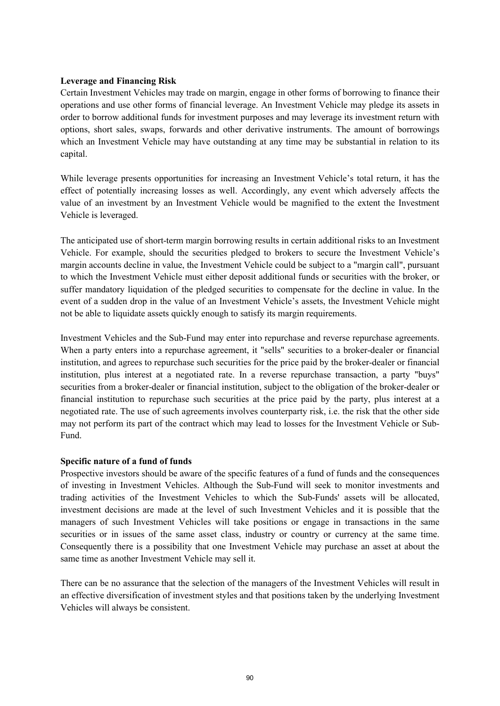### **Leverage and Financing Risk**

Certain Investment Vehicles may trade on margin, engage in other forms of borrowing to finance their operations and use other forms of financial leverage. An Investment Vehicle may pledge its assets in order to borrow additional funds for investment purposes and may leverage its investment return with options, short sales, swaps, forwards and other derivative instruments. The amount of borrowings which an Investment Vehicle may have outstanding at any time may be substantial in relation to its capital.

While leverage presents opportunities for increasing an Investment Vehicle's total return, it has the effect of potentially increasing losses as well. Accordingly, any event which adversely affects the value of an investment by an Investment Vehicle would be magnified to the extent the Investment Vehicle is leveraged.

The anticipated use of short-term margin borrowing results in certain additional risks to an Investment Vehicle. For example, should the securities pledged to brokers to secure the Investment Vehicle's margin accounts decline in value, the Investment Vehicle could be subject to a "margin call", pursuant to which the Investment Vehicle must either deposit additional funds or securities with the broker, or suffer mandatory liquidation of the pledged securities to compensate for the decline in value. In the event of a sudden drop in the value of an Investment Vehicle's assets, the Investment Vehicle might not be able to liquidate assets quickly enough to satisfy its margin requirements.

Investment Vehicles and the Sub-Fund may enter into repurchase and reverse repurchase agreements. When a party enters into a repurchase agreement, it "sells" securities to a broker-dealer or financial institution, and agrees to repurchase such securities for the price paid by the broker-dealer or financial institution, plus interest at a negotiated rate. In a reverse repurchase transaction, a party "buys" securities from a broker-dealer or financial institution, subject to the obligation of the broker-dealer or financial institution to repurchase such securities at the price paid by the party, plus interest at a negotiated rate. The use of such agreements involves counterparty risk, i.e. the risk that the other side may not perform its part of the contract which may lead to losses for the Investment Vehicle or Sub-Fund.

### **Specific nature of a fund of funds**

Prospective investors should be aware of the specific features of a fund of funds and the consequences of investing in Investment Vehicles. Although the Sub-Fund will seek to monitor investments and trading activities of the Investment Vehicles to which the Sub-Funds' assets will be allocated, investment decisions are made at the level of such Investment Vehicles and it is possible that the managers of such Investment Vehicles will take positions or engage in transactions in the same securities or in issues of the same asset class, industry or country or currency at the same time. Consequently there is a possibility that one Investment Vehicle may purchase an asset at about the same time as another Investment Vehicle may sell it.

There can be no assurance that the selection of the managers of the Investment Vehicles will result in an effective diversification of investment styles and that positions taken by the underlying Investment Vehicles will always be consistent.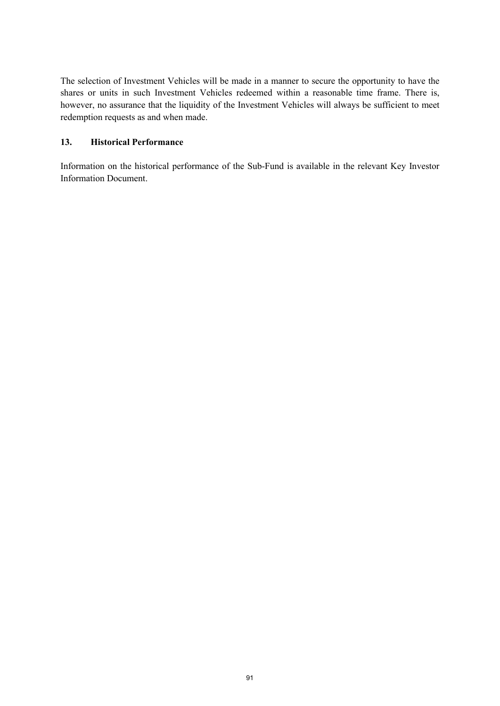The selection of Investment Vehicles will be made in a manner to secure the opportunity to have the shares or units in such Investment Vehicles redeemed within a reasonable time frame. There is, however, no assurance that the liquidity of the Investment Vehicles will always be sufficient to meet redemption requests as and when made.

## **13. Historical Performance**

Information on the historical performance of the Sub-Fund is available in the relevant Key Investor Information Document.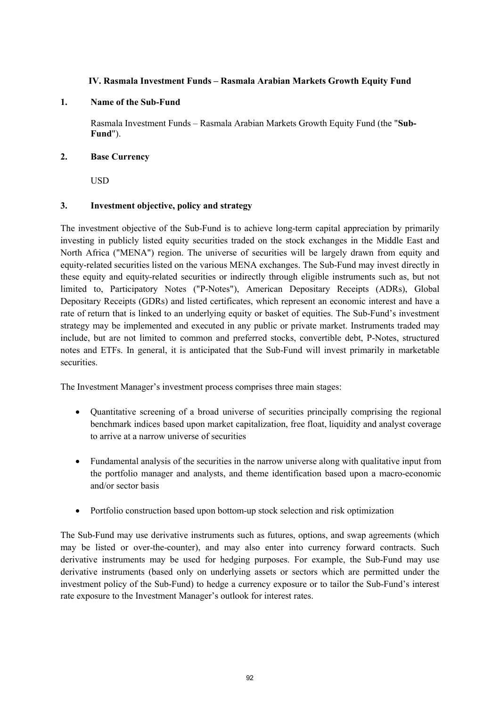## **IV. Rasmala Investment Funds – Rasmala Arabian Markets Growth Equity Fund**

### **1. Name of the Sub-Fund**

Rasmala Investment Funds – Rasmala Arabian Markets Growth Equity Fund (the "**Sub-Fund**").

### **2. Base Currency**

USD

### **3. Investment objective, policy and strategy**

The investment objective of the Sub-Fund is to achieve long-term capital appreciation by primarily investing in publicly listed equity securities traded on the stock exchanges in the Middle East and North Africa ("MENA") region. The universe of securities will be largely drawn from equity and equity-related securities listed on the various MENA exchanges. The Sub-Fund may invest directly in these equity and equity-related securities or indirectly through eligible instruments such as, but not limited to, Participatory Notes ("P-Notes"), American Depositary Receipts (ADRs), Global Depositary Receipts (GDRs) and listed certificates, which represent an economic interest and have a rate of return that is linked to an underlying equity or basket of equities. The Sub-Fund's investment strategy may be implemented and executed in any public or private market. Instruments traded may include, but are not limited to common and preferred stocks, convertible debt, P-Notes, structured notes and ETFs. In general, it is anticipated that the Sub-Fund will invest primarily in marketable securities.

The Investment Manager's investment process comprises three main stages:

- Quantitative screening of a broad universe of securities principally comprising the regional benchmark indices based upon market capitalization, free float, liquidity and analyst coverage to arrive at a narrow universe of securities
- Fundamental analysis of the securities in the narrow universe along with qualitative input from the portfolio manager and analysts, and theme identification based upon a macro-economic and/or sector basis
- Portfolio construction based upon bottom-up stock selection and risk optimization

The Sub-Fund may use derivative instruments such as futures, options, and swap agreements (which may be listed or over-the-counter), and may also enter into currency forward contracts. Such derivative instruments may be used for hedging purposes. For example, the Sub-Fund may use derivative instruments (based only on underlying assets or sectors which are permitted under the investment policy of the Sub-Fund) to hedge a currency exposure or to tailor the Sub-Fund's interest rate exposure to the Investment Manager's outlook for interest rates.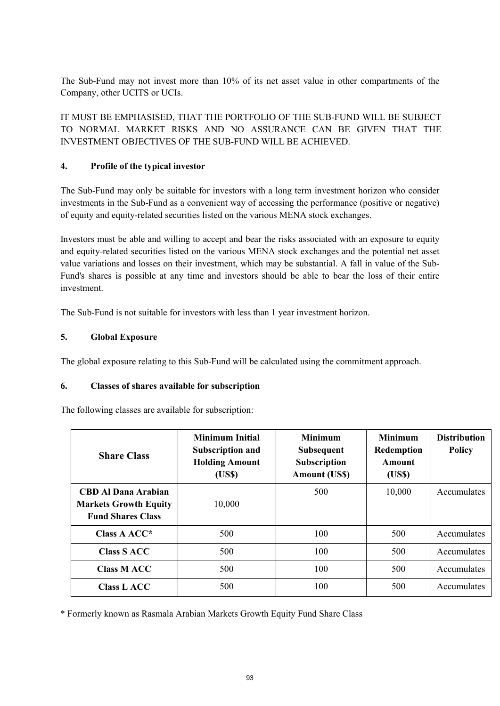The Sub-Fund may not invest more than 10% of its net asset value in other compartments of the Company, other UCITS or UCIs.

IT MUST BE EMPHASISED, THAT THE PORTFOLIO OF THE SUB-FUND WILL BE SUBJECT TO NORMAL MARKET RISKS AND NO ASSURANCE CAN BE GIVEN THAT THE INVESTMENT OBJECTIVES OF THE SUB-FUND WILL BE ACHIEVED.

# **4. Profile of the typical investor**

The Sub-Fund may only be suitable for investors with a long term investment horizon who consider investments in the Sub-Fund as a convenient way of accessing the performance (positive or negative) of equity and equity-related securities listed on the various MENA stock exchanges.

Investors must be able and willing to accept and bear the risks associated with an exposure to equity and equity-related securities listed on the various MENA stock exchanges and the potential net asset value variations and losses on their investment, which may be substantial. A fall in value of the Sub-Fund's shares is possible at any time and investors should be able to bear the loss of their entire investment.

The Sub-Fund is not suitable for investors with less than 1 year investment horizon.

# **5. Global Exposure**

The global exposure relating to this Sub-Fund will be calculated using the commitment approach.

## **6. Classes of shares available for subscription**

The following classes are available for subscription:

| <b>Share Class</b>                                                                     | <b>Minimum Initial</b><br><b>Subscription and</b><br><b>Holding Amount</b><br>(US\$) | <b>Minimum</b><br><b>Minimum</b><br>Redemption<br><b>Subsequent</b><br>Subscription<br>Amount<br><b>Amount (US\$)</b><br>(US\$) |        | <b>Distribution</b><br><b>Policy</b> |
|----------------------------------------------------------------------------------------|--------------------------------------------------------------------------------------|---------------------------------------------------------------------------------------------------------------------------------|--------|--------------------------------------|
| <b>CBD Al Dana Arabian</b><br><b>Markets Growth Equity</b><br><b>Fund Shares Class</b> | 10,000                                                                               | 500                                                                                                                             | 10,000 | Accumulates                          |
| Class A $ACC^*$                                                                        | 500                                                                                  | 100                                                                                                                             | 500    | Accumulates                          |
| <b>Class S ACC</b>                                                                     | 500                                                                                  | 100                                                                                                                             | 500    | Accumulates                          |
| <b>Class MACC</b>                                                                      | 500                                                                                  | 100                                                                                                                             | 500    | Accumulates                          |
| <b>Class L ACC</b>                                                                     | 500                                                                                  | 100                                                                                                                             | 500    | Accumulates                          |

\* Formerly known as Rasmala Arabian Markets Growth Equity Fund Share Class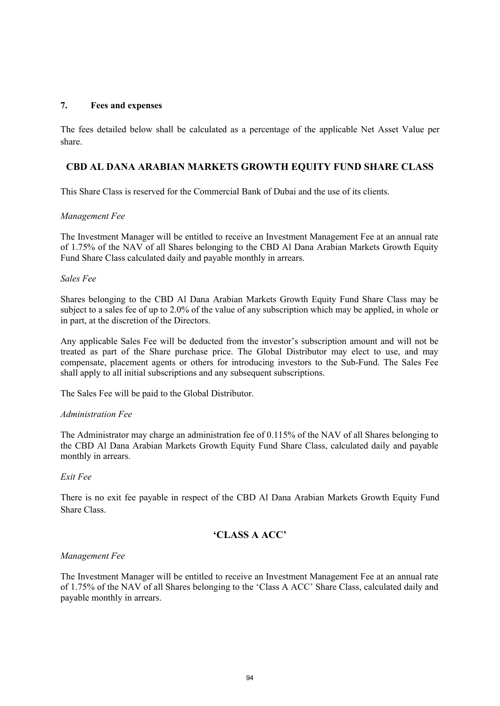### **7. Fees and expenses**

The fees detailed below shall be calculated as a percentage of the applicable Net Asset Value per share.

## **CBD AL DANA ARABIAN MARKETS GROWTH EQUITY FUND SHARE CLASS**

This Share Class is reserved for the Commercial Bank of Dubai and the use of its clients.

### *Management Fee*

The Investment Manager will be entitled to receive an Investment Management Fee at an annual rate of 1.75% of the NAV of all Shares belonging to the CBD Al Dana Arabian Markets Growth Equity Fund Share Class calculated daily and payable monthly in arrears.

### *Sales Fee*

Shares belonging to the CBD Al Dana Arabian Markets Growth Equity Fund Share Class may be subject to a sales fee of up to 2.0% of the value of any subscription which may be applied, in whole or in part, at the discretion of the Directors.

Any applicable Sales Fee will be deducted from the investor's subscription amount and will not be treated as part of the Share purchase price. The Global Distributor may elect to use, and may compensate, placement agents or others for introducing investors to the Sub-Fund. The Sales Fee shall apply to all initial subscriptions and any subsequent subscriptions.

The Sales Fee will be paid to the Global Distributor.

### *Administration Fee*

The Administrator may charge an administration fee of 0.115% of the NAV of all Shares belonging to the CBD Al Dana Arabian Markets Growth Equity Fund Share Class, calculated daily and payable monthly in arrears.

### *Exit Fee*

There is no exit fee payable in respect of the CBD Al Dana Arabian Markets Growth Equity Fund Share Class.

## **'CLASS A ACC'**

### *Management Fee*

The Investment Manager will be entitled to receive an Investment Management Fee at an annual rate of 1.75% of the NAV of all Shares belonging to the 'Class A ACC' Share Class, calculated daily and payable monthly in arrears.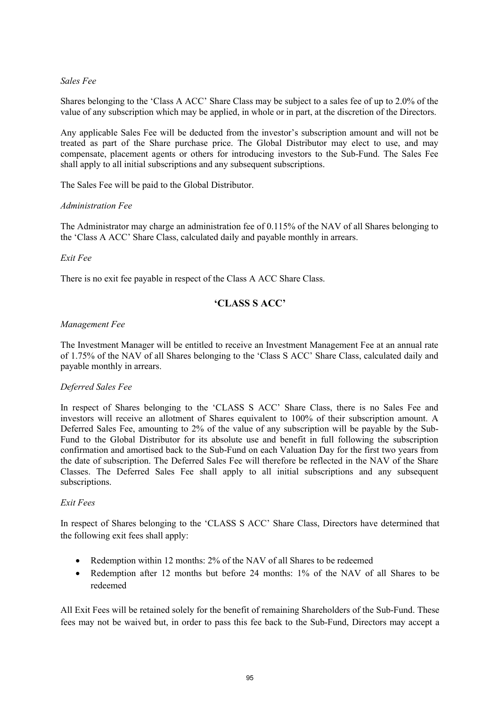### *Sales Fee*

Shares belonging to the 'Class A ACC' Share Class may be subject to a sales fee of up to 2.0% of the value of any subscription which may be applied, in whole or in part, at the discretion of the Directors.

Any applicable Sales Fee will be deducted from the investor's subscription amount and will not be treated as part of the Share purchase price. The Global Distributor may elect to use, and may compensate, placement agents or others for introducing investors to the Sub-Fund. The Sales Fee shall apply to all initial subscriptions and any subsequent subscriptions.

The Sales Fee will be paid to the Global Distributor.

### *Administration Fee*

The Administrator may charge an administration fee of 0.115% of the NAV of all Shares belonging to the 'Class A ACC' Share Class, calculated daily and payable monthly in arrears.

### *Exit Fee*

There is no exit fee payable in respect of the Class A ACC Share Class.

# **'CLASS S ACC'**

### *Management Fee*

The Investment Manager will be entitled to receive an Investment Management Fee at an annual rate of 1.75% of the NAV of all Shares belonging to the 'Class S ACC' Share Class, calculated daily and payable monthly in arrears.

### *Deferred Sales Fee*

In respect of Shares belonging to the 'CLASS S ACC' Share Class, there is no Sales Fee and investors will receive an allotment of Shares equivalent to 100% of their subscription amount. A Deferred Sales Fee, amounting to 2% of the value of any subscription will be payable by the Sub-Fund to the Global Distributor for its absolute use and benefit in full following the subscription confirmation and amortised back to the Sub-Fund on each Valuation Day for the first two years from the date of subscription. The Deferred Sales Fee will therefore be reflected in the NAV of the Share Classes. The Deferred Sales Fee shall apply to all initial subscriptions and any subsequent subscriptions.

### *Exit Fees*

In respect of Shares belonging to the 'CLASS S ACC' Share Class, Directors have determined that the following exit fees shall apply:

- Redemption within 12 months: 2% of the NAV of all Shares to be redeemed
- Redemption after 12 months but before 24 months: 1% of the NAV of all Shares to be redeemed

All Exit Fees will be retained solely for the benefit of remaining Shareholders of the Sub-Fund. These fees may not be waived but, in order to pass this fee back to the Sub-Fund, Directors may accept a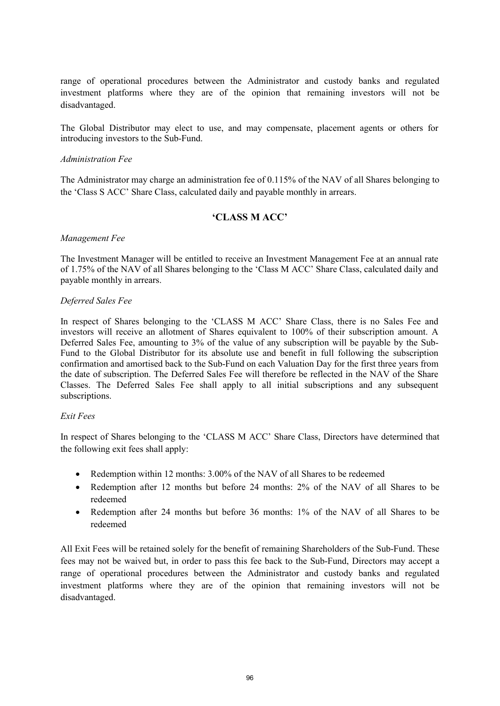range of operational procedures between the Administrator and custody banks and regulated investment platforms where they are of the opinion that remaining investors will not be disadvantaged.

The Global Distributor may elect to use, and may compensate, placement agents or others for introducing investors to the Sub-Fund.

#### *Administration Fee*

The Administrator may charge an administration fee of 0.115% of the NAV of all Shares belonging to the 'Class S ACC' Share Class, calculated daily and payable monthly in arrears.

## **'CLASS M ACC'**

#### *Management Fee*

The Investment Manager will be entitled to receive an Investment Management Fee at an annual rate of 1.75% of the NAV of all Shares belonging to the 'Class M ACC' Share Class, calculated daily and payable monthly in arrears.

#### *Deferred Sales Fee*

In respect of Shares belonging to the 'CLASS M ACC' Share Class, there is no Sales Fee and investors will receive an allotment of Shares equivalent to 100% of their subscription amount. A Deferred Sales Fee, amounting to 3% of the value of any subscription will be payable by the Sub-Fund to the Global Distributor for its absolute use and benefit in full following the subscription confirmation and amortised back to the Sub-Fund on each Valuation Day for the first three years from the date of subscription. The Deferred Sales Fee will therefore be reflected in the NAV of the Share Classes. The Deferred Sales Fee shall apply to all initial subscriptions and any subsequent subscriptions.

### *Exit Fees*

In respect of Shares belonging to the 'CLASS M ACC' Share Class, Directors have determined that the following exit fees shall apply:

- Redemption within 12 months: 3.00% of the NAV of all Shares to be redeemed
- Redemption after 12 months but before 24 months: 2% of the NAV of all Shares to be redeemed
- Redemption after 24 months but before 36 months: 1% of the NAV of all Shares to be redeemed

All Exit Fees will be retained solely for the benefit of remaining Shareholders of the Sub-Fund. These fees may not be waived but, in order to pass this fee back to the Sub-Fund, Directors may accept a range of operational procedures between the Administrator and custody banks and regulated investment platforms where they are of the opinion that remaining investors will not be disadvantaged.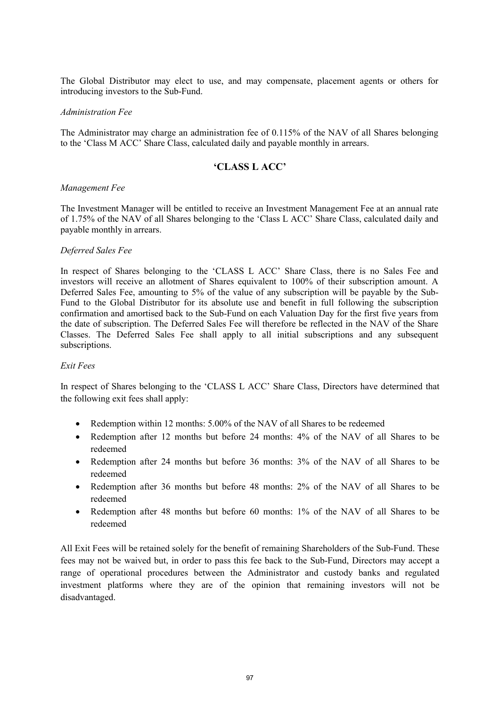The Global Distributor may elect to use, and may compensate, placement agents or others for introducing investors to the Sub-Fund.

#### *Administration Fee*

The Administrator may charge an administration fee of 0.115% of the NAV of all Shares belonging to the 'Class M ACC' Share Class, calculated daily and payable monthly in arrears.

### **'CLASS L ACC'**

#### *Management Fee*

The Investment Manager will be entitled to receive an Investment Management Fee at an annual rate of 1.75% of the NAV of all Shares belonging to the 'Class L ACC' Share Class, calculated daily and payable monthly in arrears.

#### *Deferred Sales Fee*

In respect of Shares belonging to the 'CLASS L ACC' Share Class, there is no Sales Fee and investors will receive an allotment of Shares equivalent to 100% of their subscription amount. A Deferred Sales Fee, amounting to 5% of the value of any subscription will be payable by the Sub-Fund to the Global Distributor for its absolute use and benefit in full following the subscription confirmation and amortised back to the Sub-Fund on each Valuation Day for the first five years from the date of subscription. The Deferred Sales Fee will therefore be reflected in the NAV of the Share Classes. The Deferred Sales Fee shall apply to all initial subscriptions and any subsequent subscriptions.

#### *Exit Fees*

In respect of Shares belonging to the 'CLASS L ACC' Share Class, Directors have determined that the following exit fees shall apply:

- Redemption within 12 months: 5.00% of the NAV of all Shares to be redeemed
- Redemption after 12 months but before 24 months: 4% of the NAV of all Shares to be redeemed
- Redemption after 24 months but before 36 months: 3% of the NAV of all Shares to be redeemed
- Redemption after 36 months but before 48 months: 2% of the NAV of all Shares to be redeemed
- Redemption after 48 months but before 60 months: 1% of the NAV of all Shares to be redeemed

All Exit Fees will be retained solely for the benefit of remaining Shareholders of the Sub-Fund. These fees may not be waived but, in order to pass this fee back to the Sub-Fund, Directors may accept a range of operational procedures between the Administrator and custody banks and regulated investment platforms where they are of the opinion that remaining investors will not be disadvantaged.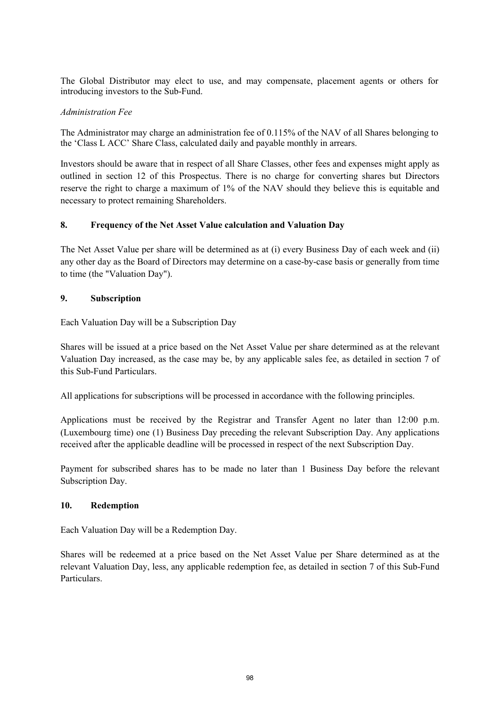The Global Distributor may elect to use, and may compensate, placement agents or others for introducing investors to the Sub-Fund.

### *Administration Fee*

The Administrator may charge an administration fee of 0.115% of the NAV of all Shares belonging to the 'Class L ACC' Share Class, calculated daily and payable monthly in arrears.

Investors should be aware that in respect of all Share Classes, other fees and expenses might apply as outlined in section 12 of this Prospectus. There is no charge for converting shares but Directors reserve the right to charge a maximum of 1% of the NAV should they believe this is equitable and necessary to protect remaining Shareholders.

## **8. Frequency of the Net Asset Value calculation and Valuation Day**

The Net Asset Value per share will be determined as at (i) every Business Day of each week and (ii) any other day as the Board of Directors may determine on a case-by-case basis or generally from time to time (the "Valuation Day").

### **9. Subscription**

Each Valuation Day will be a Subscription Day

Shares will be issued at a price based on the Net Asset Value per share determined as at the relevant Valuation Day increased, as the case may be, by any applicable sales fee, as detailed in section 7 of this Sub-Fund Particulars.

All applications for subscriptions will be processed in accordance with the following principles.

Applications must be received by the Registrar and Transfer Agent no later than 12:00 p.m. (Luxembourg time) one (1) Business Day preceding the relevant Subscription Day. Any applications received after the applicable deadline will be processed in respect of the next Subscription Day.

Payment for subscribed shares has to be made no later than 1 Business Day before the relevant Subscription Day.

### **10. Redemption**

Each Valuation Day will be a Redemption Day.

Shares will be redeemed at a price based on the Net Asset Value per Share determined as at the relevant Valuation Day, less, any applicable redemption fee, as detailed in section 7 of this Sub-Fund Particulars.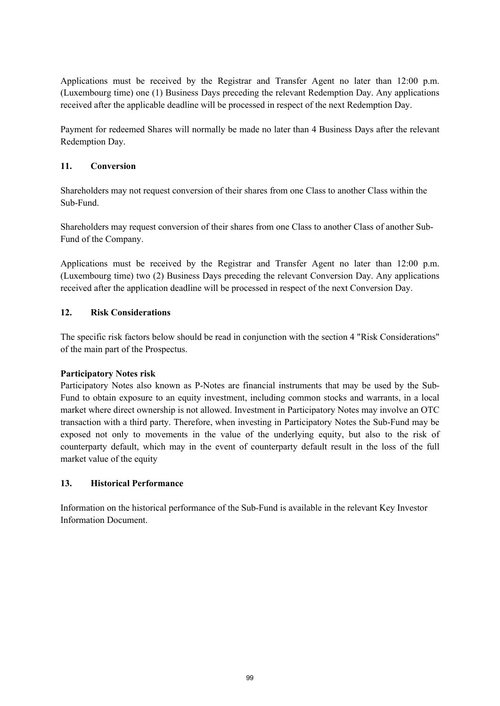Applications must be received by the Registrar and Transfer Agent no later than 12:00 p.m. (Luxembourg time) one (1) Business Days preceding the relevant Redemption Day. Any applications received after the applicable deadline will be processed in respect of the next Redemption Day.

Payment for redeemed Shares will normally be made no later than 4 Business Days after the relevant Redemption Day.

## **11. Conversion**

Shareholders may not request conversion of their shares from one Class to another Class within the Sub-Fund.

Shareholders may request conversion of their shares from one Class to another Class of another Sub-Fund of the Company.

Applications must be received by the Registrar and Transfer Agent no later than 12:00 p.m. (Luxembourg time) two (2) Business Days preceding the relevant Conversion Day. Any applications received after the application deadline will be processed in respect of the next Conversion Day.

# **12. Risk Considerations**

The specific risk factors below should be read in conjunction with the section 4 "Risk Considerations" of the main part of the Prospectus.

## **Participatory Notes risk**

Participatory Notes also known as P-Notes are financial instruments that may be used by the Sub-Fund to obtain exposure to an equity investment, including common stocks and warrants, in a local market where direct ownership is not allowed. Investment in Participatory Notes may involve an OTC transaction with a third party. Therefore, when investing in Participatory Notes the Sub-Fund may be exposed not only to movements in the value of the underlying equity, but also to the risk of counterparty default, which may in the event of counterparty default result in the loss of the full market value of the equity

## **13. Historical Performance**

Information on the historical performance of the Sub-Fund is available in the relevant Key Investor Information Document.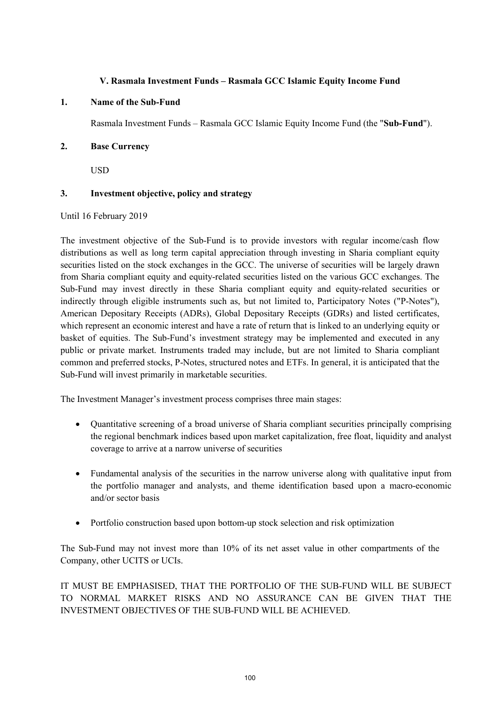### **V. Rasmala Investment Funds – Rasmala GCC Islamic Equity Income Fund**

### **1. Name of the Sub-Fund**

Rasmala Investment Funds – Rasmala GCC Islamic Equity Income Fund (the "**Sub-Fund**").

### **2. Base Currency**

USD

## **3. Investment objective, policy and strategy**

Until 16 February 2019

The investment objective of the Sub-Fund is to provide investors with regular income/cash flow distributions as well as long term capital appreciation through investing in Sharia compliant equity securities listed on the stock exchanges in the GCC. The universe of securities will be largely drawn from Sharia compliant equity and equity-related securities listed on the various GCC exchanges. The Sub-Fund may invest directly in these Sharia compliant equity and equity-related securities or indirectly through eligible instruments such as, but not limited to, Participatory Notes ("P-Notes"), American Depositary Receipts (ADRs), Global Depositary Receipts (GDRs) and listed certificates, which represent an economic interest and have a rate of return that is linked to an underlying equity or basket of equities. The Sub-Fund's investment strategy may be implemented and executed in any public or private market. Instruments traded may include, but are not limited to Sharia compliant common and preferred stocks, P-Notes, structured notes and ETFs. In general, it is anticipated that the Sub-Fund will invest primarily in marketable securities.

The Investment Manager's investment process comprises three main stages:

- Quantitative screening of a broad universe of Sharia compliant securities principally comprising the regional benchmark indices based upon market capitalization, free float, liquidity and analyst coverage to arrive at a narrow universe of securities
- Fundamental analysis of the securities in the narrow universe along with qualitative input from the portfolio manager and analysts, and theme identification based upon a macro-economic and/or sector basis
- Portfolio construction based upon bottom-up stock selection and risk optimization

The Sub-Fund may not invest more than 10% of its net asset value in other compartments of the Company, other UCITS or UCIs.

IT MUST BE EMPHASISED, THAT THE PORTFOLIO OF THE SUB-FUND WILL BE SUBJECT TO NORMAL MARKET RISKS AND NO ASSURANCE CAN BE GIVEN THAT THE INVESTMENT OBJECTIVES OF THE SUB-FUND WILL BE ACHIEVED.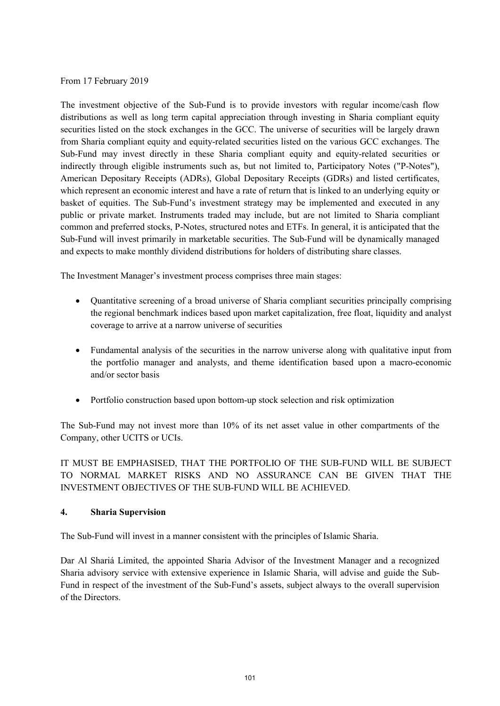### From 17 February 2019

The investment objective of the Sub-Fund is to provide investors with regular income/cash flow distributions as well as long term capital appreciation through investing in Sharia compliant equity securities listed on the stock exchanges in the GCC. The universe of securities will be largely drawn from Sharia compliant equity and equity-related securities listed on the various GCC exchanges. The Sub-Fund may invest directly in these Sharia compliant equity and equity-related securities or indirectly through eligible instruments such as, but not limited to, Participatory Notes ("P-Notes"), American Depositary Receipts (ADRs), Global Depositary Receipts (GDRs) and listed certificates, which represent an economic interest and have a rate of return that is linked to an underlying equity or basket of equities. The Sub-Fund's investment strategy may be implemented and executed in any public or private market. Instruments traded may include, but are not limited to Sharia compliant common and preferred stocks, P-Notes, structured notes and ETFs. In general, it is anticipated that the Sub-Fund will invest primarily in marketable securities. The Sub-Fund will be dynamically managed and expects to make monthly dividend distributions for holders of distributing share classes.

The Investment Manager's investment process comprises three main stages:

- Quantitative screening of a broad universe of Sharia compliant securities principally comprising the regional benchmark indices based upon market capitalization, free float, liquidity and analyst coverage to arrive at a narrow universe of securities
- Fundamental analysis of the securities in the narrow universe along with qualitative input from the portfolio manager and analysts, and theme identification based upon a macro-economic and/or sector basis
- Portfolio construction based upon bottom-up stock selection and risk optimization

The Sub-Fund may not invest more than 10% of its net asset value in other compartments of the Company, other UCITS or UCIs.

IT MUST BE EMPHASISED, THAT THE PORTFOLIO OF THE SUB-FUND WILL BE SUBJECT TO NORMAL MARKET RISKS AND NO ASSURANCE CAN BE GIVEN THAT THE INVESTMENT OBJECTIVES OF THE SUB-FUND WILL BE ACHIEVED.

## **4. Sharia Supervision**

The Sub-Fund will invest in a manner consistent with the principles of Islamic Sharia.

Dar Al Shariá Limited, the appointed Sharia Advisor of the Investment Manager and a recognized Sharia advisory service with extensive experience in Islamic Sharia, will advise and guide the Sub-Fund in respect of the investment of the Sub-Fund's assets, subject always to the overall supervision of the Directors.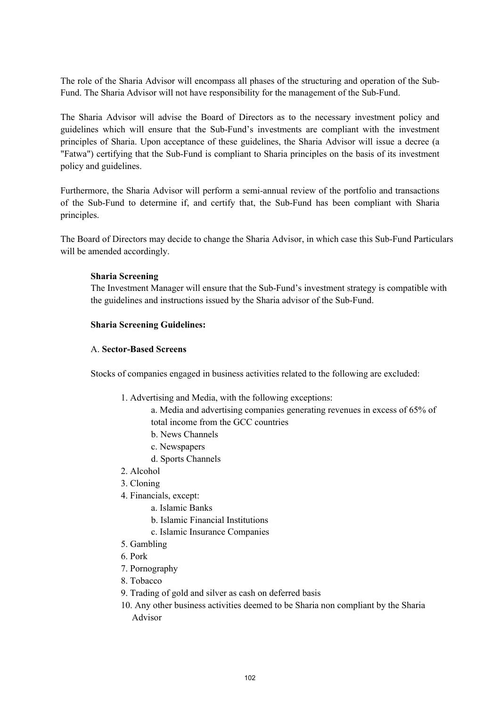The role of the Sharia Advisor will encompass all phases of the structuring and operation of the Sub-Fund. The Sharia Advisor will not have responsibility for the management of the Sub-Fund.

The Sharia Advisor will advise the Board of Directors as to the necessary investment policy and guidelines which will ensure that the Sub-Fund's investments are compliant with the investment principles of Sharia. Upon acceptance of these guidelines, the Sharia Advisor will issue a decree (a "Fatwa") certifying that the Sub-Fund is compliant to Sharia principles on the basis of its investment policy and guidelines.

Furthermore, the Sharia Advisor will perform a semi-annual review of the portfolio and transactions of the Sub-Fund to determine if, and certify that, the Sub-Fund has been compliant with Sharia principles.

The Board of Directors may decide to change the Sharia Advisor, in which case this Sub-Fund Particulars will be amended accordingly.

### **Sharia Screening**

The Investment Manager will ensure that the Sub-Fund's investment strategy is compatible with the guidelines and instructions issued by the Sharia advisor of the Sub-Fund.

### **Sharia Screening Guidelines:**

### A. **Sector-Based Screens**

Stocks of companies engaged in business activities related to the following are excluded:

- 1. Advertising and Media, with the following exceptions:
	- a. Media and advertising companies generating revenues in excess of 65% of total income from the GCC countries
	- b. News Channels
	- c. Newspapers
	- d. Sports Channels
- 2. Alcohol
- 3. Cloning
- 4. Financials, except:
	- a. Islamic Banks
	- b. Islamic Financial Institutions
	- c. Islamic Insurance Companies
- 5. Gambling
- 6. Pork
- 7. Pornography
- 8. Tobacco
- 9. Trading of gold and silver as cash on deferred basis
- 10. Any other business activities deemed to be Sharia non compliant by the Sharia Advisor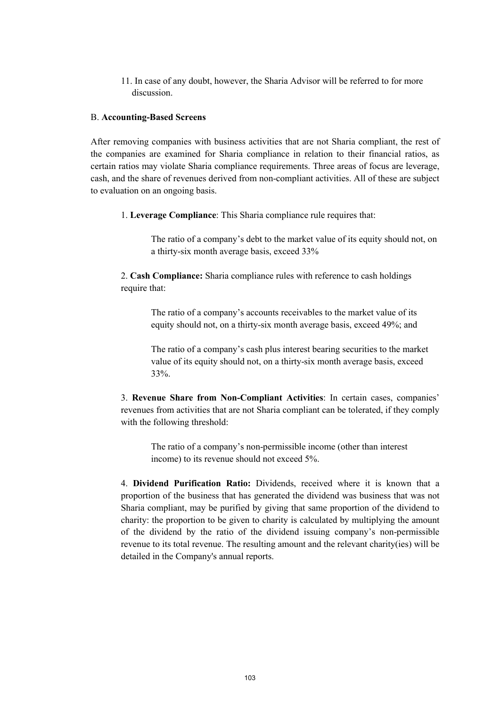11. In case of any doubt, however, the Sharia Advisor will be referred to for more discussion.

#### B. **Accounting-Based Screens**

After removing companies with business activities that are not Sharia compliant, the rest of the companies are examined for Sharia compliance in relation to their financial ratios, as certain ratios may violate Sharia compliance requirements. Three areas of focus are leverage, cash, and the share of revenues derived from non-compliant activities. All of these are subject to evaluation on an ongoing basis.

1. **Leverage Compliance**: This Sharia compliance rule requires that:

The ratio of a company's debt to the market value of its equity should not, on a thirty-six month average basis, exceed 33%

2. **Cash Compliance:** Sharia compliance rules with reference to cash holdings require that:

> The ratio of a company's accounts receivables to the market value of its equity should not, on a thirty-six month average basis, exceed 49%; and

The ratio of a company's cash plus interest bearing securities to the market value of its equity should not, on a thirty-six month average basis, exceed 33%.

3. **Revenue Share from Non-Compliant Activities**: In certain cases, companies' revenues from activities that are not Sharia compliant can be tolerated, if they comply with the following threshold:

The ratio of a company's non-permissible income (other than interest income) to its revenue should not exceed 5%.

4. **Dividend Purification Ratio:** Dividends, received where it is known that a proportion of the business that has generated the dividend was business that was not Sharia compliant, may be purified by giving that same proportion of the dividend to charity: the proportion to be given to charity is calculated by multiplying the amount of the dividend by the ratio of the dividend issuing company's non-permissible revenue to its total revenue. The resulting amount and the relevant charity(ies) will be detailed in the Company's annual reports.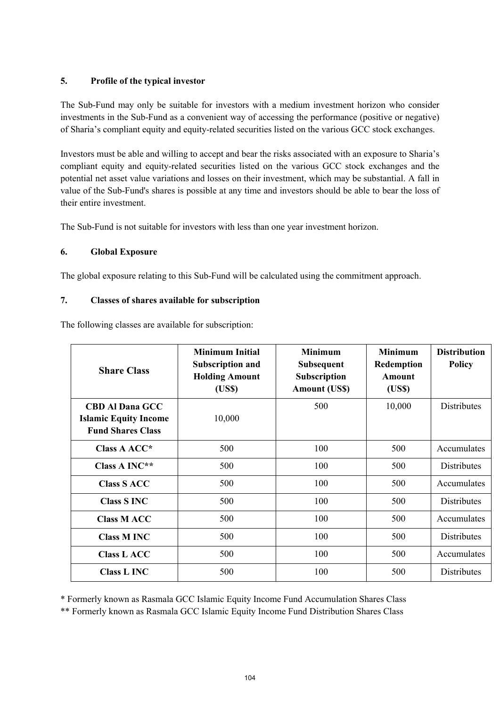# **5. Profile of the typical investor**

The Sub-Fund may only be suitable for investors with a medium investment horizon who consider investments in the Sub-Fund as a convenient way of accessing the performance (positive or negative) of Sharia's compliant equity and equity-related securities listed on the various GCC stock exchanges.

Investors must be able and willing to accept and bear the risks associated with an exposure to Sharia's compliant equity and equity-related securities listed on the various GCC stock exchanges and the potential net asset value variations and losses on their investment, which may be substantial. A fall in value of the Sub-Fund's shares is possible at any time and investors should be able to bear the loss of their entire investment.

The Sub-Fund is not suitable for investors with less than one year investment horizon.

# **6. Global Exposure**

The global exposure relating to this Sub-Fund will be calculated using the commitment approach.

## **7. Classes of shares available for subscription**

|  |  |  | The following classes are available for subscription: |  |
|--|--|--|-------------------------------------------------------|--|
|  |  |  |                                                       |  |

| <b>Share Class</b>                                                                 | <b>Minimum Initial</b><br><b>Subscription and</b><br><b>Holding Amount</b><br>(USS) | <b>Minimum</b><br><b>Minimum</b><br><b>Subsequent</b><br>Redemption<br>Subscription<br>Amount<br>(US\$)<br><b>Amount (US\$)</b> |        | <b>Distribution</b><br><b>Policy</b> |
|------------------------------------------------------------------------------------|-------------------------------------------------------------------------------------|---------------------------------------------------------------------------------------------------------------------------------|--------|--------------------------------------|
| <b>CBD Al Dana GCC</b><br><b>Islamic Equity Income</b><br><b>Fund Shares Class</b> | 10,000                                                                              | 500                                                                                                                             | 10,000 | <b>Distributes</b>                   |
| Class A ACC*                                                                       | 500                                                                                 | 100                                                                                                                             | 500    | Accumulates                          |
| Class A INC**                                                                      | 500                                                                                 | 100                                                                                                                             | 500    | <b>Distributes</b>                   |
| <b>Class S ACC</b>                                                                 | 500                                                                                 | 100                                                                                                                             | 500    | Accumulates                          |
| <b>Class S INC</b>                                                                 | 500                                                                                 | 100                                                                                                                             | 500    | <b>Distributes</b>                   |
| <b>Class M ACC</b>                                                                 | 500                                                                                 | 100                                                                                                                             | 500    | Accumulates                          |
| <b>Class M INC</b>                                                                 | 500                                                                                 | 100                                                                                                                             | 500    | <b>Distributes</b>                   |
| <b>Class L ACC</b>                                                                 | 500                                                                                 | 100                                                                                                                             | 500    | Accumulates                          |
| <b>Class L INC</b>                                                                 | 500                                                                                 | 100                                                                                                                             | 500    | <b>Distributes</b>                   |

\* Formerly known as Rasmala GCC Islamic Equity Income Fund Accumulation Shares Class

\*\* Formerly known as Rasmala GCC Islamic Equity Income Fund Distribution Shares Class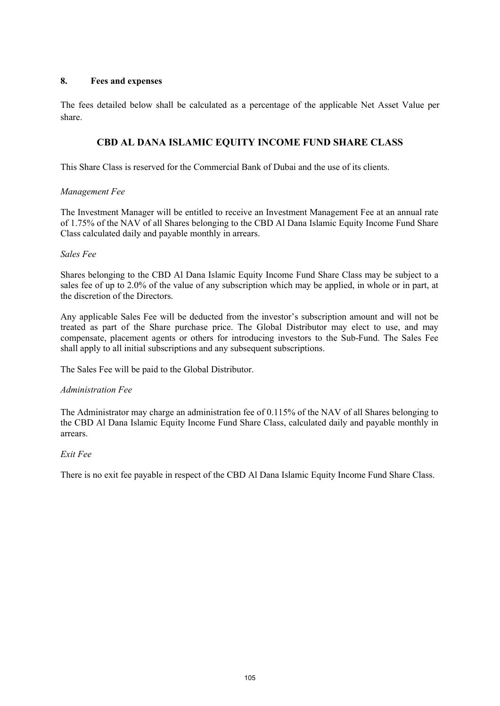### **8. Fees and expenses**

The fees detailed below shall be calculated as a percentage of the applicable Net Asset Value per share.

# **CBD AL DANA ISLAMIC EQUITY INCOME FUND SHARE CLASS**

This Share Class is reserved for the Commercial Bank of Dubai and the use of its clients.

### *Management Fee*

The Investment Manager will be entitled to receive an Investment Management Fee at an annual rate of 1.75% of the NAV of all Shares belonging to the CBD Al Dana Islamic Equity Income Fund Share Class calculated daily and payable monthly in arrears.

### *Sales Fee*

Shares belonging to the CBD Al Dana Islamic Equity Income Fund Share Class may be subject to a sales fee of up to 2.0% of the value of any subscription which may be applied, in whole or in part, at the discretion of the Directors.

Any applicable Sales Fee will be deducted from the investor's subscription amount and will not be treated as part of the Share purchase price. The Global Distributor may elect to use, and may compensate, placement agents or others for introducing investors to the Sub-Fund. The Sales Fee shall apply to all initial subscriptions and any subsequent subscriptions.

The Sales Fee will be paid to the Global Distributor.

### *Administration Fee*

The Administrator may charge an administration fee of 0.115% of the NAV of all Shares belonging to the CBD Al Dana Islamic Equity Income Fund Share Class, calculated daily and payable monthly in arrears.

### *Exit Fee*

There is no exit fee payable in respect of the CBD Al Dana Islamic Equity Income Fund Share Class.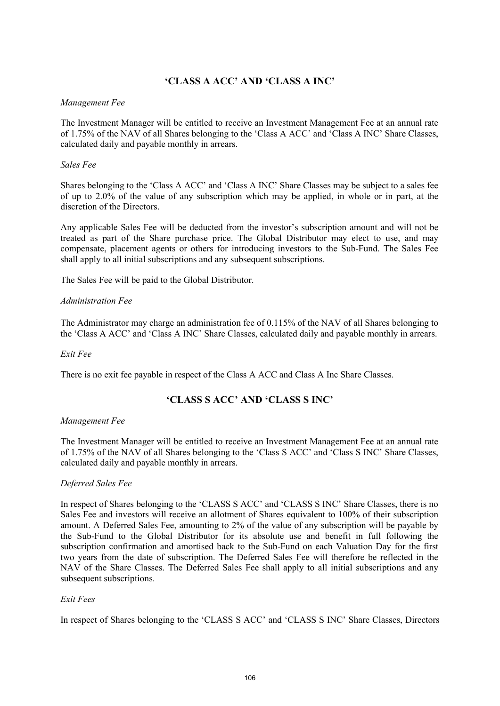# **'CLASS A ACC' AND 'CLASS A INC'**

### *Management Fee*

The Investment Manager will be entitled to receive an Investment Management Fee at an annual rate of 1.75% of the NAV of all Shares belonging to the 'Class A ACC' and 'Class A INC' Share Classes, calculated daily and payable monthly in arrears.

### *Sales Fee*

Shares belonging to the 'Class A ACC' and 'Class A INC' Share Classes may be subject to a sales fee of up to 2.0% of the value of any subscription which may be applied, in whole or in part, at the discretion of the Directors.

Any applicable Sales Fee will be deducted from the investor's subscription amount and will not be treated as part of the Share purchase price. The Global Distributor may elect to use, and may compensate, placement agents or others for introducing investors to the Sub-Fund. The Sales Fee shall apply to all initial subscriptions and any subsequent subscriptions.

The Sales Fee will be paid to the Global Distributor.

### *Administration Fee*

The Administrator may charge an administration fee of 0.115% of the NAV of all Shares belonging to the 'Class A ACC' and 'Class A INC' Share Classes, calculated daily and payable monthly in arrears.

### *Exit Fee*

There is no exit fee payable in respect of the Class A ACC and Class A Inc Share Classes.

## **'CLASS S ACC' AND 'CLASS S INC'**

### *Management Fee*

The Investment Manager will be entitled to receive an Investment Management Fee at an annual rate of 1.75% of the NAV of all Shares belonging to the 'Class S ACC' and 'Class S INC' Share Classes, calculated daily and payable monthly in arrears.

### *Deferred Sales Fee*

In respect of Shares belonging to the 'CLASS S ACC' and 'CLASS S INC' Share Classes, there is no Sales Fee and investors will receive an allotment of Shares equivalent to 100% of their subscription amount. A Deferred Sales Fee, amounting to 2% of the value of any subscription will be payable by the Sub-Fund to the Global Distributor for its absolute use and benefit in full following the subscription confirmation and amortised back to the Sub-Fund on each Valuation Day for the first two years from the date of subscription. The Deferred Sales Fee will therefore be reflected in the NAV of the Share Classes. The Deferred Sales Fee shall apply to all initial subscriptions and any subsequent subscriptions.

### *Exit Fees*

In respect of Shares belonging to the 'CLASS S ACC' and 'CLASS S INC' Share Classes, Directors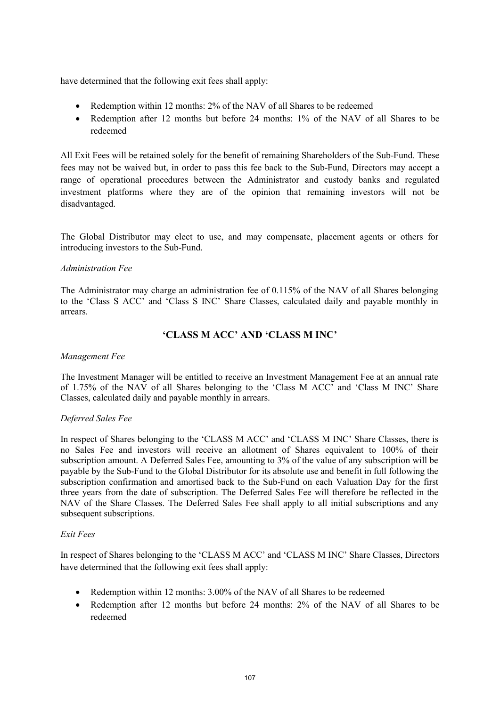have determined that the following exit fees shall apply:

- Redemption within 12 months: 2% of the NAV of all Shares to be redeemed
- Redemption after 12 months but before 24 months: 1% of the NAV of all Shares to be redeemed

All Exit Fees will be retained solely for the benefit of remaining Shareholders of the Sub-Fund. These fees may not be waived but, in order to pass this fee back to the Sub-Fund, Directors may accept a range of operational procedures between the Administrator and custody banks and regulated investment platforms where they are of the opinion that remaining investors will not be disadvantaged.

The Global Distributor may elect to use, and may compensate, placement agents or others for introducing investors to the Sub-Fund.

### *Administration Fee*

The Administrator may charge an administration fee of 0.115% of the NAV of all Shares belonging to the 'Class S ACC' and 'Class S INC' Share Classes, calculated daily and payable monthly in arrears.

# **'CLASS M ACC' AND 'CLASS M INC'**

### *Management Fee*

The Investment Manager will be entitled to receive an Investment Management Fee at an annual rate of 1.75% of the NAV of all Shares belonging to the 'Class M ACC' and 'Class M INC' Share Classes, calculated daily and payable monthly in arrears.

### *Deferred Sales Fee*

In respect of Shares belonging to the 'CLASS M ACC' and 'CLASS M INC' Share Classes, there is no Sales Fee and investors will receive an allotment of Shares equivalent to 100% of their subscription amount. A Deferred Sales Fee, amounting to 3% of the value of any subscription will be payable by the Sub-Fund to the Global Distributor for its absolute use and benefit in full following the subscription confirmation and amortised back to the Sub-Fund on each Valuation Day for the first three years from the date of subscription. The Deferred Sales Fee will therefore be reflected in the NAV of the Share Classes. The Deferred Sales Fee shall apply to all initial subscriptions and any subsequent subscriptions.

### *Exit Fees*

In respect of Shares belonging to the 'CLASS M ACC' and 'CLASS M INC' Share Classes, Directors have determined that the following exit fees shall apply:

- Redemption within 12 months: 3.00% of the NAV of all Shares to be redeemed
- Redemption after 12 months but before 24 months: 2% of the NAV of all Shares to be redeemed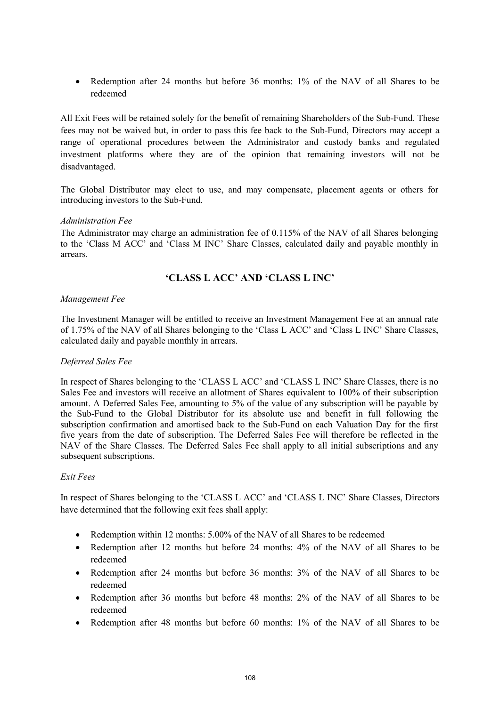• Redemption after 24 months but before 36 months: 1% of the NAV of all Shares to be redeemed

All Exit Fees will be retained solely for the benefit of remaining Shareholders of the Sub-Fund. These fees may not be waived but, in order to pass this fee back to the Sub-Fund, Directors may accept a range of operational procedures between the Administrator and custody banks and regulated investment platforms where they are of the opinion that remaining investors will not be disadvantaged.

The Global Distributor may elect to use, and may compensate, placement agents or others for introducing investors to the Sub-Fund.

### *Administration Fee*

The Administrator may charge an administration fee of 0.115% of the NAV of all Shares belonging to the 'Class M ACC' and 'Class M INC' Share Classes, calculated daily and payable monthly in arrears.

# **'CLASS L ACC' AND 'CLASS L INC'**

### *Management Fee*

The Investment Manager will be entitled to receive an Investment Management Fee at an annual rate of 1.75% of the NAV of all Shares belonging to the 'Class L ACC' and 'Class L INC' Share Classes, calculated daily and payable monthly in arrears.

## *Deferred Sales Fee*

In respect of Shares belonging to the 'CLASS L ACC' and 'CLASS L INC' Share Classes, there is no Sales Fee and investors will receive an allotment of Shares equivalent to 100% of their subscription amount. A Deferred Sales Fee, amounting to 5% of the value of any subscription will be payable by the Sub-Fund to the Global Distributor for its absolute use and benefit in full following the subscription confirmation and amortised back to the Sub-Fund on each Valuation Day for the first five years from the date of subscription. The Deferred Sales Fee will therefore be reflected in the NAV of the Share Classes. The Deferred Sales Fee shall apply to all initial subscriptions and any subsequent subscriptions.

### *Exit Fees*

In respect of Shares belonging to the 'CLASS L ACC' and 'CLASS L INC' Share Classes, Directors have determined that the following exit fees shall apply:

- Redemption within 12 months: 5.00% of the NAV of all Shares to be redeemed
- Redemption after 12 months but before 24 months: 4% of the NAV of all Shares to be redeemed
- Redemption after 24 months but before 36 months: 3% of the NAV of all Shares to be redeemed
- Redemption after 36 months but before 48 months: 2% of the NAV of all Shares to be redeemed
- Redemption after 48 months but before 60 months: 1% of the NAV of all Shares to be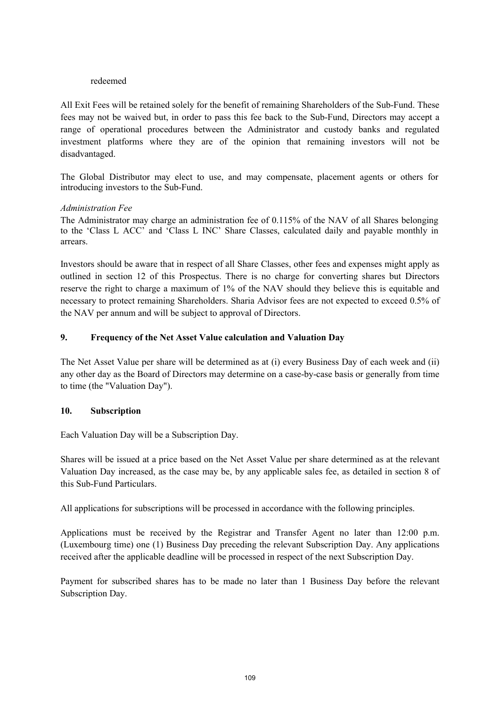### redeemed

All Exit Fees will be retained solely for the benefit of remaining Shareholders of the Sub-Fund. These fees may not be waived but, in order to pass this fee back to the Sub-Fund, Directors may accept a range of operational procedures between the Administrator and custody banks and regulated investment platforms where they are of the opinion that remaining investors will not be disadvantaged.

The Global Distributor may elect to use, and may compensate, placement agents or others for introducing investors to the Sub-Fund.

### *Administration Fee*

The Administrator may charge an administration fee of 0.115% of the NAV of all Shares belonging to the 'Class L ACC' and 'Class L INC' Share Classes, calculated daily and payable monthly in arrears.

Investors should be aware that in respect of all Share Classes, other fees and expenses might apply as outlined in section 12 of this Prospectus. There is no charge for converting shares but Directors reserve the right to charge a maximum of 1% of the NAV should they believe this is equitable and necessary to protect remaining Shareholders. Sharia Advisor fees are not expected to exceed 0.5% of the NAV per annum and will be subject to approval of Directors.

# **9. Frequency of the Net Asset Value calculation and Valuation Day**

The Net Asset Value per share will be determined as at (i) every Business Day of each week and (ii) any other day as the Board of Directors may determine on a case-by-case basis or generally from time to time (the "Valuation Day").

# **10. Subscription**

Each Valuation Day will be a Subscription Day.

Shares will be issued at a price based on the Net Asset Value per share determined as at the relevant Valuation Day increased, as the case may be, by any applicable sales fee, as detailed in section 8 of this Sub-Fund Particulars.

All applications for subscriptions will be processed in accordance with the following principles.

Applications must be received by the Registrar and Transfer Agent no later than 12:00 p.m. (Luxembourg time) one (1) Business Day preceding the relevant Subscription Day. Any applications received after the applicable deadline will be processed in respect of the next Subscription Day.

Payment for subscribed shares has to be made no later than 1 Business Day before the relevant Subscription Day.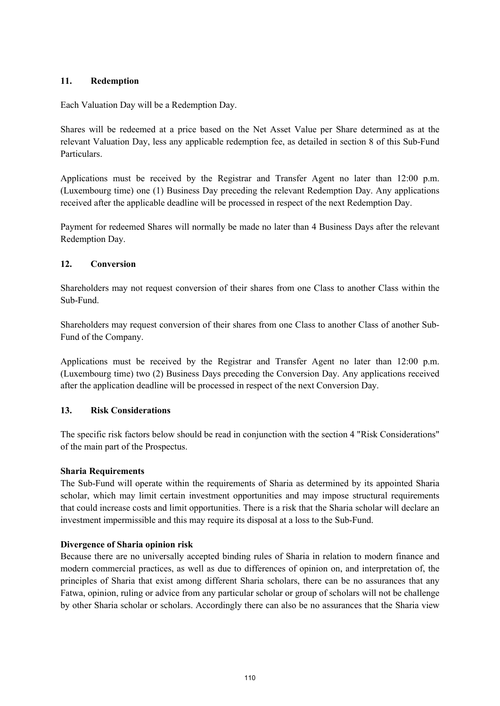# **11. Redemption**

Each Valuation Day will be a Redemption Day.

Shares will be redeemed at a price based on the Net Asset Value per Share determined as at the relevant Valuation Day, less any applicable redemption fee, as detailed in section 8 of this Sub-Fund Particulars.

Applications must be received by the Registrar and Transfer Agent no later than 12:00 p.m. (Luxembourg time) one (1) Business Day preceding the relevant Redemption Day. Any applications received after the applicable deadline will be processed in respect of the next Redemption Day.

Payment for redeemed Shares will normally be made no later than 4 Business Days after the relevant Redemption Day.

# **12. Conversion**

Shareholders may not request conversion of their shares from one Class to another Class within the Sub-Fund.

Shareholders may request conversion of their shares from one Class to another Class of another Sub-Fund of the Company.

Applications must be received by the Registrar and Transfer Agent no later than 12:00 p.m. (Luxembourg time) two (2) Business Days preceding the Conversion Day. Any applications received after the application deadline will be processed in respect of the next Conversion Day.

# **13. Risk Considerations**

The specific risk factors below should be read in conjunction with the section 4 "Risk Considerations" of the main part of the Prospectus.

# **Sharia Requirements**

The Sub-Fund will operate within the requirements of Sharia as determined by its appointed Sharia scholar, which may limit certain investment opportunities and may impose structural requirements that could increase costs and limit opportunities. There is a risk that the Sharia scholar will declare an investment impermissible and this may require its disposal at a loss to the Sub-Fund.

# **Divergence of Sharia opinion risk**

Because there are no universally accepted binding rules of Sharia in relation to modern finance and modern commercial practices, as well as due to differences of opinion on, and interpretation of, the principles of Sharia that exist among different Sharia scholars, there can be no assurances that any Fatwa, opinion, ruling or advice from any particular scholar or group of scholars will not be challenge by other Sharia scholar or scholars. Accordingly there can also be no assurances that the Sharia view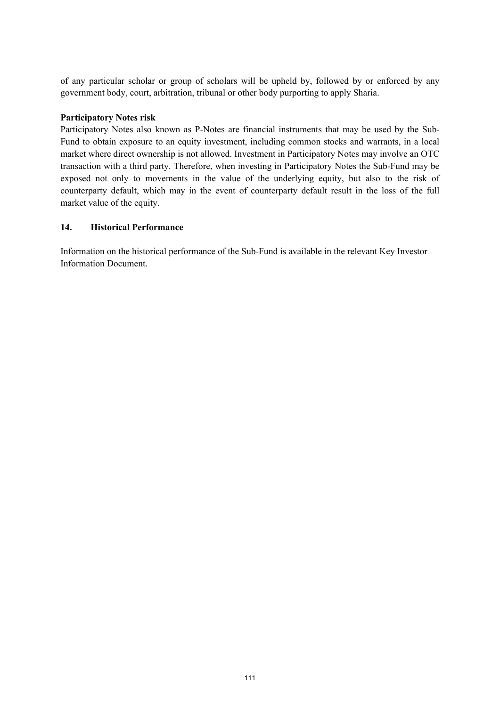of any particular scholar or group of scholars will be upheld by, followed by or enforced by any government body, court, arbitration, tribunal or other body purporting to apply Sharia.

### **Participatory Notes risk**

Participatory Notes also known as P-Notes are financial instruments that may be used by the Sub-Fund to obtain exposure to an equity investment, including common stocks and warrants, in a local market where direct ownership is not allowed. Investment in Participatory Notes may involve an OTC transaction with a third party. Therefore, when investing in Participatory Notes the Sub-Fund may be exposed not only to movements in the value of the underlying equity, but also to the risk of counterparty default, which may in the event of counterparty default result in the loss of the full market value of the equity.

### **14. Historical Performance**

Information on the historical performance of the Sub-Fund is available in the relevant Key Investor Information Document.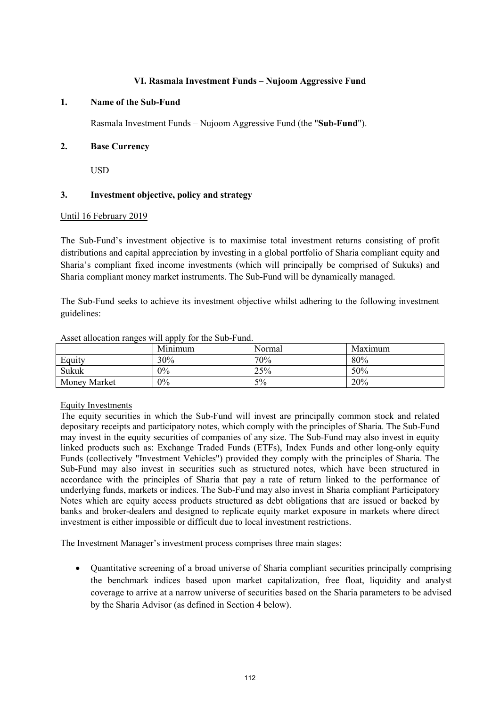#### **VI. Rasmala Investment Funds – Nujoom Aggressive Fund**

#### **1. Name of the Sub-Fund**

Rasmala Investment Funds – Nujoom Aggressive Fund (the "**Sub-Fund**").

### **2. Base Currency**

USD

# **3. Investment objective, policy and strategy**

#### Until 16 February 2019

The Sub-Fund's investment objective is to maximise total investment returns consisting of profit distributions and capital appreciation by investing in a global portfolio of Sharia compliant equity and Sharia's compliant fixed income investments (which will principally be comprised of Sukuks) and Sharia compliant money market instruments. The Sub-Fund will be dynamically managed.

The Sub-Fund seeks to achieve its investment objective whilst adhering to the following investment guidelines:

|              | Minimum | Normal | Maximum |
|--------------|---------|--------|---------|
| Equity       | 30%     | 70%    | 80%     |
| Sukuk        | 0%      | 25%    | 50%     |
| Money Market | $0\%$   | 5%     | 20%     |

#### Asset allocation ranges will apply for the Sub-Fund.

# Equity Investments

The equity securities in which the Sub-Fund will invest are principally common stock and related depositary receipts and participatory notes, which comply with the principles of Sharia. The Sub-Fund may invest in the equity securities of companies of any size. The Sub-Fund may also invest in equity linked products such as: Exchange Traded Funds (ETFs), Index Funds and other long-only equity Funds (collectively "Investment Vehicles") provided they comply with the principles of Sharia. The Sub-Fund may also invest in securities such as structured notes, which have been structured in accordance with the principles of Sharia that pay a rate of return linked to the performance of underlying funds, markets or indices. The Sub-Fund may also invest in Sharia compliant Participatory Notes which are equity access products structured as debt obligations that are issued or backed by banks and broker-dealers and designed to replicate equity market exposure in markets where direct investment is either impossible or difficult due to local investment restrictions.

The Investment Manager's investment process comprises three main stages:

 Quantitative screening of a broad universe of Sharia compliant securities principally comprising the benchmark indices based upon market capitalization, free float, liquidity and analyst coverage to arrive at a narrow universe of securities based on the Sharia parameters to be advised by the Sharia Advisor (as defined in Section 4 below).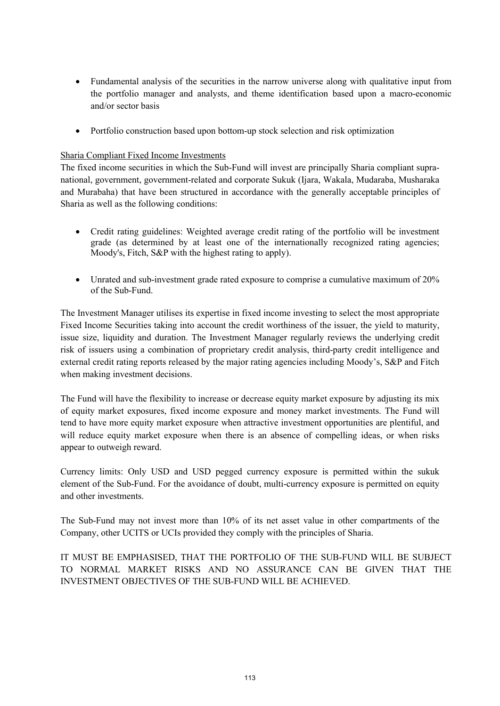- Fundamental analysis of the securities in the narrow universe along with qualitative input from the portfolio manager and analysts, and theme identification based upon a macro-economic and/or sector basis
- Portfolio construction based upon bottom-up stock selection and risk optimization

### Sharia Compliant Fixed Income Investments

The fixed income securities in which the Sub-Fund will invest are principally Sharia compliant supranational, government, government-related and corporate Sukuk (Ijara, Wakala, Mudaraba, Musharaka and Murabaha) that have been structured in accordance with the generally acceptable principles of Sharia as well as the following conditions:

- Credit rating guidelines: Weighted average credit rating of the portfolio will be investment grade (as determined by at least one of the internationally recognized rating agencies; Moody's, Fitch, S&P with the highest rating to apply).
- Unrated and sub-investment grade rated exposure to comprise a cumulative maximum of 20% of the Sub-Fund.

The Investment Manager utilises its expertise in fixed income investing to select the most appropriate Fixed Income Securities taking into account the credit worthiness of the issuer, the yield to maturity, issue size, liquidity and duration. The Investment Manager regularly reviews the underlying credit risk of issuers using a combination of proprietary credit analysis, third-party credit intelligence and external credit rating reports released by the major rating agencies including Moody's, S&P and Fitch when making investment decisions.

The Fund will have the flexibility to increase or decrease equity market exposure by adjusting its mix of equity market exposures, fixed income exposure and money market investments. The Fund will tend to have more equity market exposure when attractive investment opportunities are plentiful, and will reduce equity market exposure when there is an absence of compelling ideas, or when risks appear to outweigh reward.

Currency limits: Only USD and USD pegged currency exposure is permitted within the sukuk element of the Sub-Fund. For the avoidance of doubt, multi-currency exposure is permitted on equity and other investments.

The Sub-Fund may not invest more than 10% of its net asset value in other compartments of the Company, other UCITS or UCIs provided they comply with the principles of Sharia.

IT MUST BE EMPHASISED, THAT THE PORTFOLIO OF THE SUB-FUND WILL BE SUBJECT TO NORMAL MARKET RISKS AND NO ASSURANCE CAN BE GIVEN THAT THE INVESTMENT OBJECTIVES OF THE SUB-FUND WILL BE ACHIEVED.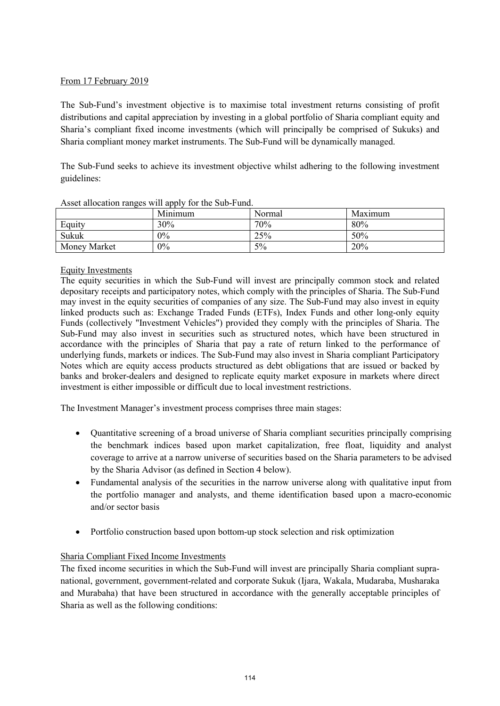# From 17 February 2019

The Sub-Fund's investment objective is to maximise total investment returns consisting of profit distributions and capital appreciation by investing in a global portfolio of Sharia compliant equity and Sharia's compliant fixed income investments (which will principally be comprised of Sukuks) and Sharia compliant money market instruments. The Sub-Fund will be dynamically managed.

The Sub-Fund seeks to achieve its investment objective whilst adhering to the following investment guidelines:

| Troper allocation ranges will apply for the bab I and. |         |        |         |  |
|--------------------------------------------------------|---------|--------|---------|--|
|                                                        | Minimum | Normal | Maximum |  |
| Equity                                                 | 30%     | 70%    | 80%     |  |
| Sukuk                                                  | 0%      | 25%    | 50%     |  |
| Money Market                                           | $0\%$   | 5%     | 20%     |  |

Asset allocation ranges will apply for the Sub-Fund.

# Equity Investments

The equity securities in which the Sub-Fund will invest are principally common stock and related depositary receipts and participatory notes, which comply with the principles of Sharia. The Sub-Fund may invest in the equity securities of companies of any size. The Sub-Fund may also invest in equity linked products such as: Exchange Traded Funds (ETFs), Index Funds and other long-only equity Funds (collectively "Investment Vehicles") provided they comply with the principles of Sharia. The Sub-Fund may also invest in securities such as structured notes, which have been structured in accordance with the principles of Sharia that pay a rate of return linked to the performance of underlying funds, markets or indices. The Sub-Fund may also invest in Sharia compliant Participatory Notes which are equity access products structured as debt obligations that are issued or backed by banks and broker-dealers and designed to replicate equity market exposure in markets where direct investment is either impossible or difficult due to local investment restrictions.

The Investment Manager's investment process comprises three main stages:

- Quantitative screening of a broad universe of Sharia compliant securities principally comprising the benchmark indices based upon market capitalization, free float, liquidity and analyst coverage to arrive at a narrow universe of securities based on the Sharia parameters to be advised by the Sharia Advisor (as defined in Section 4 below).
- Fundamental analysis of the securities in the narrow universe along with qualitative input from the portfolio manager and analysts, and theme identification based upon a macro-economic and/or sector basis
- Portfolio construction based upon bottom-up stock selection and risk optimization

# Sharia Compliant Fixed Income Investments

The fixed income securities in which the Sub-Fund will invest are principally Sharia compliant supranational, government, government-related and corporate Sukuk (Ijara, Wakala, Mudaraba, Musharaka and Murabaha) that have been structured in accordance with the generally acceptable principles of Sharia as well as the following conditions: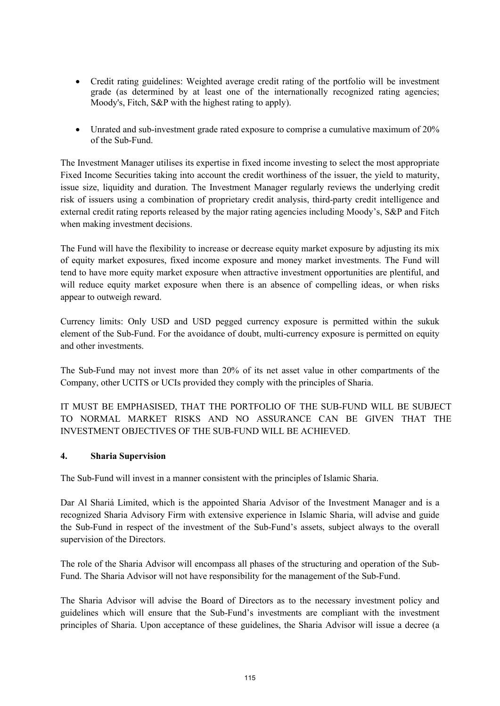- Credit rating guidelines: Weighted average credit rating of the portfolio will be investment grade (as determined by at least one of the internationally recognized rating agencies; Moody's, Fitch, S&P with the highest rating to apply).
- Unrated and sub-investment grade rated exposure to comprise a cumulative maximum of 20% of the Sub-Fund.

The Investment Manager utilises its expertise in fixed income investing to select the most appropriate Fixed Income Securities taking into account the credit worthiness of the issuer, the yield to maturity, issue size, liquidity and duration. The Investment Manager regularly reviews the underlying credit risk of issuers using a combination of proprietary credit analysis, third-party credit intelligence and external credit rating reports released by the major rating agencies including Moody's, S&P and Fitch when making investment decisions.

The Fund will have the flexibility to increase or decrease equity market exposure by adjusting its mix of equity market exposures, fixed income exposure and money market investments. The Fund will tend to have more equity market exposure when attractive investment opportunities are plentiful, and will reduce equity market exposure when there is an absence of compelling ideas, or when risks appear to outweigh reward.

Currency limits: Only USD and USD pegged currency exposure is permitted within the sukuk element of the Sub-Fund. For the avoidance of doubt, multi-currency exposure is permitted on equity and other investments.

The Sub-Fund may not invest more than 20% of its net asset value in other compartments of the Company, other UCITS or UCIs provided they comply with the principles of Sharia.

IT MUST BE EMPHASISED, THAT THE PORTFOLIO OF THE SUB-FUND WILL BE SUBJECT TO NORMAL MARKET RISKS AND NO ASSURANCE CAN BE GIVEN THAT THE INVESTMENT OBJECTIVES OF THE SUB-FUND WILL BE ACHIEVED.

# **4. Sharia Supervision**

The Sub-Fund will invest in a manner consistent with the principles of Islamic Sharia.

Dar Al Shariá Limited, which is the appointed Sharia Advisor of the Investment Manager and is a recognized Sharia Advisory Firm with extensive experience in Islamic Sharia, will advise and guide the Sub-Fund in respect of the investment of the Sub-Fund's assets, subject always to the overall supervision of the Directors.

The role of the Sharia Advisor will encompass all phases of the structuring and operation of the Sub-Fund. The Sharia Advisor will not have responsibility for the management of the Sub-Fund.

The Sharia Advisor will advise the Board of Directors as to the necessary investment policy and guidelines which will ensure that the Sub-Fund's investments are compliant with the investment principles of Sharia. Upon acceptance of these guidelines, the Sharia Advisor will issue a decree (a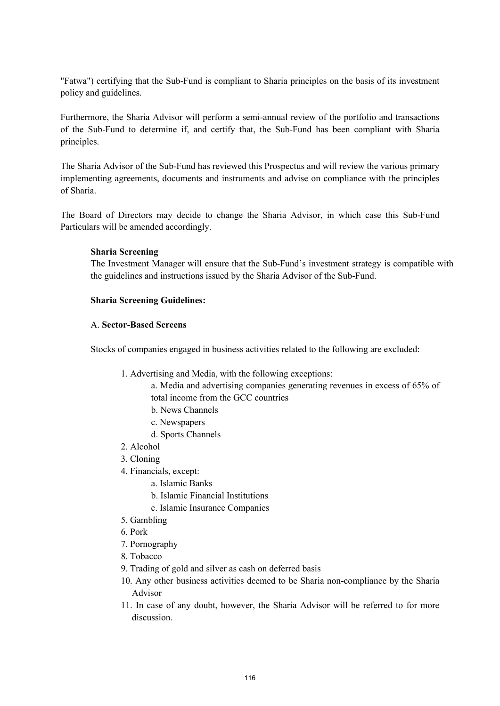"Fatwa") certifying that the Sub-Fund is compliant to Sharia principles on the basis of its investment policy and guidelines.

Furthermore, the Sharia Advisor will perform a semi-annual review of the portfolio and transactions of the Sub-Fund to determine if, and certify that, the Sub-Fund has been compliant with Sharia principles.

The Sharia Advisor of the Sub-Fund has reviewed this Prospectus and will review the various primary implementing agreements, documents and instruments and advise on compliance with the principles of Sharia.

The Board of Directors may decide to change the Sharia Advisor, in which case this Sub-Fund Particulars will be amended accordingly.

# **Sharia Screening**

The Investment Manager will ensure that the Sub-Fund's investment strategy is compatible with the guidelines and instructions issued by the Sharia Advisor of the Sub-Fund.

### **Sharia Screening Guidelines:**

#### A. **Sector-Based Screens**

Stocks of companies engaged in business activities related to the following are excluded:

- 1. Advertising and Media, with the following exceptions:
	- a. Media and advertising companies generating revenues in excess of 65% of total income from the GCC countries
	- b. News Channels
	- c. Newspapers
	- d. Sports Channels
- 2. Alcohol
- 3. Cloning
- 4. Financials, except:
	- a. Islamic Banks
	- b. Islamic Financial Institutions
	- c. Islamic Insurance Companies
- 5. Gambling
- 6. Pork
- 7. Pornography
- 8. Tobacco
- 9. Trading of gold and silver as cash on deferred basis
- 10. Any other business activities deemed to be Sharia non-compliance by the Sharia Advisor
- 11. In case of any doubt, however, the Sharia Advisor will be referred to for more discussion.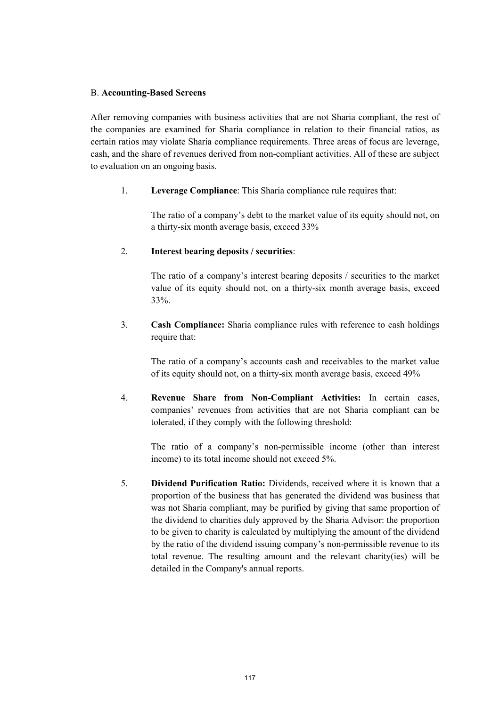#### B. **Accounting-Based Screens**

After removing companies with business activities that are not Sharia compliant, the rest of the companies are examined for Sharia compliance in relation to their financial ratios, as certain ratios may violate Sharia compliance requirements. Three areas of focus are leverage, cash, and the share of revenues derived from non-compliant activities. All of these are subject to evaluation on an ongoing basis.

1. **Leverage Compliance**: This Sharia compliance rule requires that:

The ratio of a company's debt to the market value of its equity should not, on a thirty-six month average basis, exceed 33%

# 2. **Interest bearing deposits / securities**:

The ratio of a company's interest bearing deposits / securities to the market value of its equity should not, on a thirty-six month average basis, exceed 33%.

3. **Cash Compliance:** Sharia compliance rules with reference to cash holdings require that:

The ratio of a company's accounts cash and receivables to the market value of its equity should not, on a thirty-six month average basis, exceed 49%

4. **Revenue Share from Non-Compliant Activities:** In certain cases, companies' revenues from activities that are not Sharia compliant can be tolerated, if they comply with the following threshold:

The ratio of a company's non-permissible income (other than interest income) to its total income should not exceed 5%.

5. **Dividend Purification Ratio:** Dividends, received where it is known that a proportion of the business that has generated the dividend was business that was not Sharia compliant, may be purified by giving that same proportion of the dividend to charities duly approved by the Sharia Advisor: the proportion to be given to charity is calculated by multiplying the amount of the dividend by the ratio of the dividend issuing company's non-permissible revenue to its total revenue. The resulting amount and the relevant charity(ies) will be detailed in the Company's annual reports.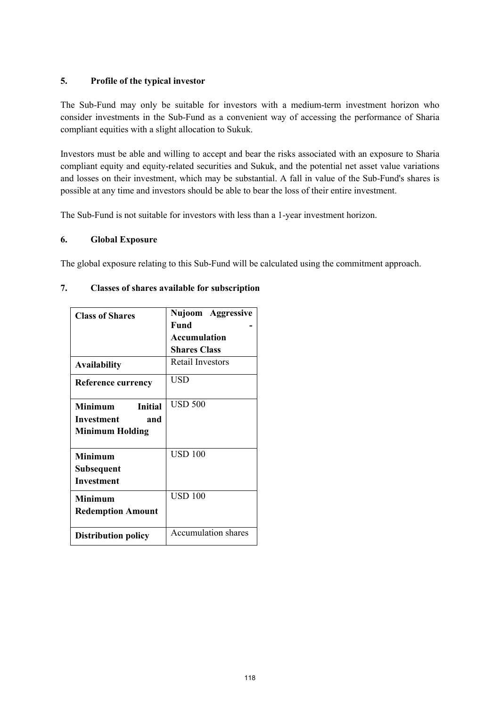# **5. Profile of the typical investor**

The Sub-Fund may only be suitable for investors with a medium-term investment horizon who consider investments in the Sub-Fund as a convenient way of accessing the performance of Sharia compliant equities with a slight allocation to Sukuk.

Investors must be able and willing to accept and bear the risks associated with an exposure to Sharia compliant equity and equity-related securities and Sukuk, and the potential net asset value variations and losses on their investment, which may be substantial. A fall in value of the Sub-Fund's shares is possible at any time and investors should be able to bear the loss of their entire investment.

The Sub-Fund is not suitable for investors with less than a 1-year investment horizon.

# **6. Global Exposure**

The global exposure relating to this Sub-Fund will be calculated using the commitment approach.

| 7. |  |  | Classes of shares available for subscription |
|----|--|--|----------------------------------------------|
|    |  |  |                                              |

| <b>Class of Shares</b>                            | Nujoom Aggressive          |
|---------------------------------------------------|----------------------------|
|                                                   | Fund                       |
|                                                   | <b>Accumulation</b>        |
|                                                   | <b>Shares Class</b>        |
| <b>Availability</b>                               | <b>Retail Investors</b>    |
| <b>Reference currency</b>                         | USD                        |
| Minimum<br>Initial                                | <b>USD 500</b>             |
| Investment<br>and                                 |                            |
| <b>Minimum Holding</b>                            |                            |
| <b>Minimum</b><br>Subsequent<br><b>Investment</b> | <b>USD 100</b>             |
| <b>Minimum</b><br><b>Redemption Amount</b>        | <b>USD 100</b>             |
| <b>Distribution policy</b>                        | <b>Accumulation shares</b> |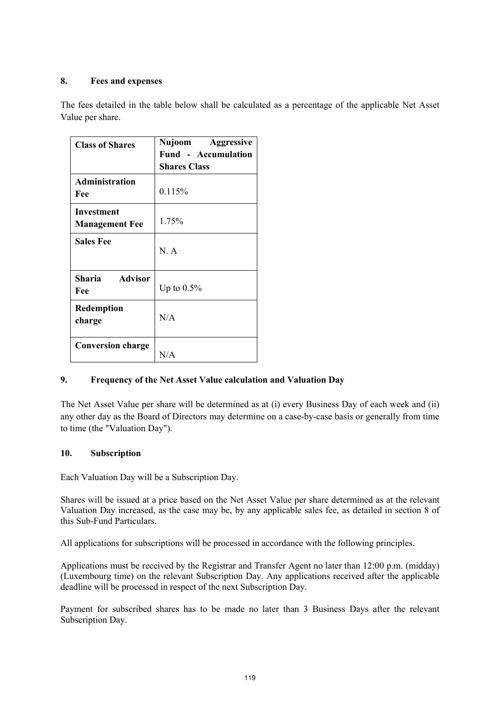# **8. Fees and expenses**

The fees detailed in the table below shall be calculated as a percentage of the applicable Net Asset Value per share.

| <b>Class of Shares</b>                     | Nujoom Aggressive<br><b>Fund - Accumulation</b> |
|--------------------------------------------|-------------------------------------------------|
|                                            | <b>Shares Class</b>                             |
| <b>Administration</b><br>Fee               | 0.115%                                          |
| <b>Investment</b><br><b>Management Fee</b> | 1.75%                                           |
| <b>Sales Fee</b>                           | N.A                                             |
| Sharia Advisor<br>Fee                      | Up to $0.5\%$                                   |
| <b>Redemption</b><br>charge                | N/A                                             |
| <b>Conversion charge</b>                   | N/A                                             |

# **9. Frequency of the Net Asset Value calculation and Valuation Day**

The Net Asset Value per share will be determined as at (i) every Business Day of each week and (ii) any other day as the Board of Directors may determine on a case-by-case basis or generally from time to time (the "Valuation Day").

# **10. Subscription**

Each Valuation Day will be a Subscription Day.

Shares will be issued at a price based on the Net Asset Value per share determined as at the relevant Valuation Day increased, as the case may be, by any applicable sales fee, as detailed in section 8 of this Sub-Fund Particulars.

All applications for subscriptions will be processed in accordance with the following principles.

Applications must be received by the Registrar and Transfer Agent no later than 12:00 p.m. (midday) (Luxembourg time) on the relevant Subscription Day. Any applications received after the applicable deadline will be processed in respect of the next Subscription Day.

Payment for subscribed shares has to be made no later than 3 Business Days after the relevant Subscription Day.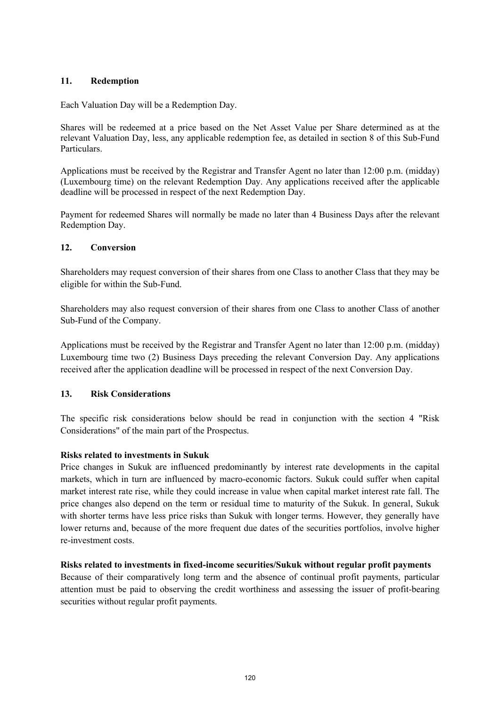# **11. Redemption**

Each Valuation Day will be a Redemption Day.

Shares will be redeemed at a price based on the Net Asset Value per Share determined as at the relevant Valuation Day, less, any applicable redemption fee, as detailed in section 8 of this Sub-Fund Particulars.

Applications must be received by the Registrar and Transfer Agent no later than 12:00 p.m. (midday) (Luxembourg time) on the relevant Redemption Day. Any applications received after the applicable deadline will be processed in respect of the next Redemption Day.

Payment for redeemed Shares will normally be made no later than 4 Business Days after the relevant Redemption Day.

# **12. Conversion**

Shareholders may request conversion of their shares from one Class to another Class that they may be eligible for within the Sub-Fund.

Shareholders may also request conversion of their shares from one Class to another Class of another Sub-Fund of the Company.

Applications must be received by the Registrar and Transfer Agent no later than 12:00 p.m. (midday) Luxembourg time two (2) Business Days preceding the relevant Conversion Day. Any applications received after the application deadline will be processed in respect of the next Conversion Day.

# **13. Risk Considerations**

The specific risk considerations below should be read in conjunction with the section 4 "Risk Considerations" of the main part of the Prospectus.

# **Risks related to investments in Sukuk**

Price changes in Sukuk are influenced predominantly by interest rate developments in the capital markets, which in turn are influenced by macro-economic factors. Sukuk could suffer when capital market interest rate rise, while they could increase in value when capital market interest rate fall. The price changes also depend on the term or residual time to maturity of the Sukuk. In general, Sukuk with shorter terms have less price risks than Sukuk with longer terms. However, they generally have lower returns and, because of the more frequent due dates of the securities portfolios, involve higher re-investment costs.

# **Risks related to investments in fixed-income securities/Sukuk without regular profit payments**

Because of their comparatively long term and the absence of continual profit payments, particular attention must be paid to observing the credit worthiness and assessing the issuer of profit-bearing securities without regular profit payments.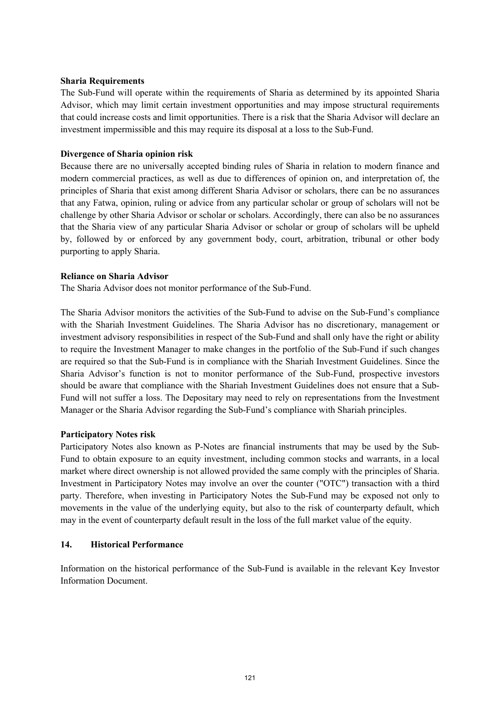#### **Sharia Requirements**

The Sub-Fund will operate within the requirements of Sharia as determined by its appointed Sharia Advisor, which may limit certain investment opportunities and may impose structural requirements that could increase costs and limit opportunities. There is a risk that the Sharia Advisor will declare an investment impermissible and this may require its disposal at a loss to the Sub-Fund.

# **Divergence of Sharia opinion risk**

Because there are no universally accepted binding rules of Sharia in relation to modern finance and modern commercial practices, as well as due to differences of opinion on, and interpretation of, the principles of Sharia that exist among different Sharia Advisor or scholars, there can be no assurances that any Fatwa, opinion, ruling or advice from any particular scholar or group of scholars will not be challenge by other Sharia Advisor or scholar or scholars. Accordingly, there can also be no assurances that the Sharia view of any particular Sharia Advisor or scholar or group of scholars will be upheld by, followed by or enforced by any government body, court, arbitration, tribunal or other body purporting to apply Sharia.

### **Reliance on Sharia Advisor**

The Sharia Advisor does not monitor performance of the Sub-Fund.

The Sharia Advisor monitors the activities of the Sub-Fund to advise on the Sub-Fund's compliance with the Shariah Investment Guidelines. The Sharia Advisor has no discretionary, management or investment advisory responsibilities in respect of the Sub-Fund and shall only have the right or ability to require the Investment Manager to make changes in the portfolio of the Sub-Fund if such changes are required so that the Sub-Fund is in compliance with the Shariah Investment Guidelines. Since the Sharia Advisor's function is not to monitor performance of the Sub-Fund, prospective investors should be aware that compliance with the Shariah Investment Guidelines does not ensure that a Sub-Fund will not suffer a loss. The Depositary may need to rely on representations from the Investment Manager or the Sharia Advisor regarding the Sub-Fund's compliance with Shariah principles.

#### **Participatory Notes risk**

Participatory Notes also known as P-Notes are financial instruments that may be used by the Sub-Fund to obtain exposure to an equity investment, including common stocks and warrants, in a local market where direct ownership is not allowed provided the same comply with the principles of Sharia. Investment in Participatory Notes may involve an over the counter ("OTC") transaction with a third party. Therefore, when investing in Participatory Notes the Sub-Fund may be exposed not only to movements in the value of the underlying equity, but also to the risk of counterparty default, which may in the event of counterparty default result in the loss of the full market value of the equity.

#### **14. Historical Performance**

Information on the historical performance of the Sub-Fund is available in the relevant Key Investor Information Document.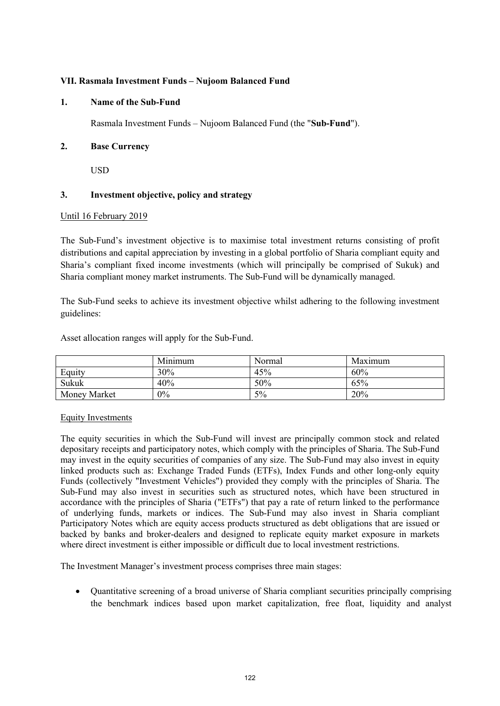### **VII. Rasmala Investment Funds – Nujoom Balanced Fund**

#### **1. Name of the Sub-Fund**

Rasmala Investment Funds – Nujoom Balanced Fund (the "**Sub-Fund**").

### **2. Base Currency**

USD

# **3. Investment objective, policy and strategy**

#### Until 16 February 2019

The Sub-Fund's investment objective is to maximise total investment returns consisting of profit distributions and capital appreciation by investing in a global portfolio of Sharia compliant equity and Sharia's compliant fixed income investments (which will principally be comprised of Sukuk) and Sharia compliant money market instruments. The Sub-Fund will be dynamically managed.

The Sub-Fund seeks to achieve its investment objective whilst adhering to the following investment guidelines:

Asset allocation ranges will apply for the Sub-Fund.

|                     | Minimum | Normal | Maximum |
|---------------------|---------|--------|---------|
| Equity              | 30%     | 45%    | 60%     |
| Sukuk               | 40%     | 50%    | 65%     |
| <b>Money Market</b> | $0\%$   | 5%     | 20%     |

#### Equity Investments

The equity securities in which the Sub-Fund will invest are principally common stock and related depositary receipts and participatory notes, which comply with the principles of Sharia. The Sub-Fund may invest in the equity securities of companies of any size. The Sub-Fund may also invest in equity linked products such as: Exchange Traded Funds (ETFs), Index Funds and other long-only equity Funds (collectively "Investment Vehicles") provided they comply with the principles of Sharia. The Sub-Fund may also invest in securities such as structured notes, which have been structured in accordance with the principles of Sharia ("ETFs") that pay a rate of return linked to the performance of underlying funds, markets or indices. The Sub-Fund may also invest in Sharia compliant Participatory Notes which are equity access products structured as debt obligations that are issued or backed by banks and broker-dealers and designed to replicate equity market exposure in markets where direct investment is either impossible or difficult due to local investment restrictions.

The Investment Manager's investment process comprises three main stages:

 Quantitative screening of a broad universe of Sharia compliant securities principally comprising the benchmark indices based upon market capitalization, free float, liquidity and analyst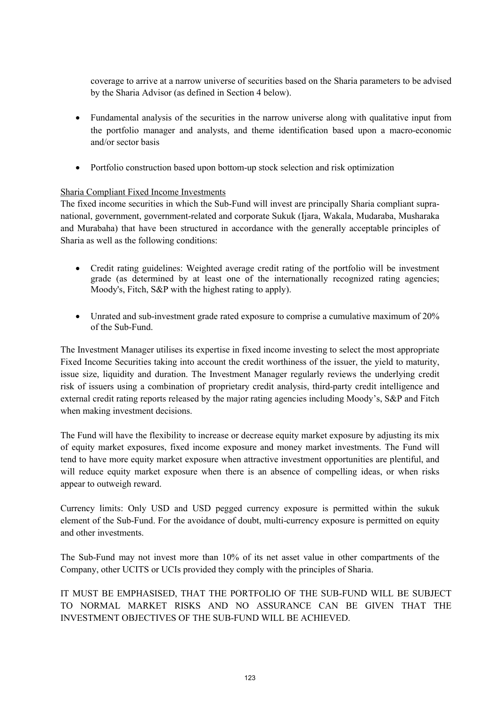coverage to arrive at a narrow universe of securities based on the Sharia parameters to be advised by the Sharia Advisor (as defined in Section 4 below).

- Fundamental analysis of the securities in the narrow universe along with qualitative input from the portfolio manager and analysts, and theme identification based upon a macro-economic and/or sector basis
- Portfolio construction based upon bottom-up stock selection and risk optimization

# Sharia Compliant Fixed Income Investments

The fixed income securities in which the Sub-Fund will invest are principally Sharia compliant supranational, government, government-related and corporate Sukuk (Ijara, Wakala, Mudaraba, Musharaka and Murabaha) that have been structured in accordance with the generally acceptable principles of Sharia as well as the following conditions:

- Credit rating guidelines: Weighted average credit rating of the portfolio will be investment grade (as determined by at least one of the internationally recognized rating agencies; Moody's, Fitch, S&P with the highest rating to apply).
- Unrated and sub-investment grade rated exposure to comprise a cumulative maximum of 20% of the Sub-Fund.

The Investment Manager utilises its expertise in fixed income investing to select the most appropriate Fixed Income Securities taking into account the credit worthiness of the issuer, the yield to maturity, issue size, liquidity and duration. The Investment Manager regularly reviews the underlying credit risk of issuers using a combination of proprietary credit analysis, third-party credit intelligence and external credit rating reports released by the major rating agencies including Moody's, S&P and Fitch when making investment decisions.

The Fund will have the flexibility to increase or decrease equity market exposure by adjusting its mix of equity market exposures, fixed income exposure and money market investments. The Fund will tend to have more equity market exposure when attractive investment opportunities are plentiful, and will reduce equity market exposure when there is an absence of compelling ideas, or when risks appear to outweigh reward.

Currency limits: Only USD and USD pegged currency exposure is permitted within the sukuk element of the Sub-Fund. For the avoidance of doubt, multi-currency exposure is permitted on equity and other investments.

The Sub-Fund may not invest more than 10% of its net asset value in other compartments of the Company, other UCITS or UCIs provided they comply with the principles of Sharia.

IT MUST BE EMPHASISED, THAT THE PORTFOLIO OF THE SUB-FUND WILL BE SUBJECT TO NORMAL MARKET RISKS AND NO ASSURANCE CAN BE GIVEN THAT THE INVESTMENT OBJECTIVES OF THE SUB-FUND WILL BE ACHIEVED.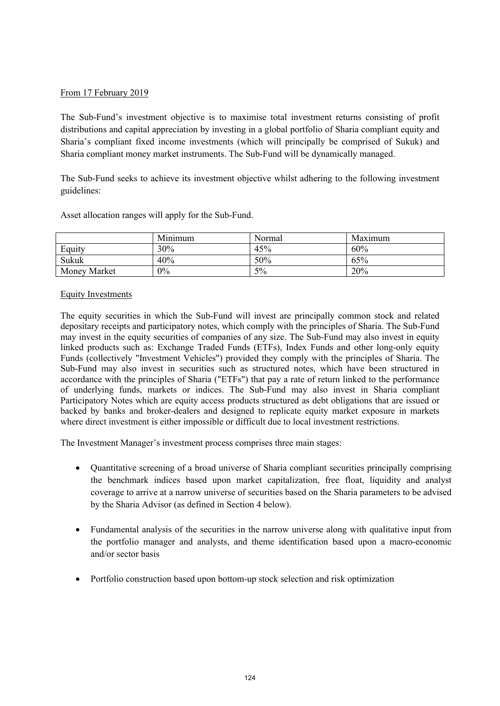### From 17 February 2019

The Sub-Fund's investment objective is to maximise total investment returns consisting of profit distributions and capital appreciation by investing in a global portfolio of Sharia compliant equity and Sharia's compliant fixed income investments (which will principally be comprised of Sukuk) and Sharia compliant money market instruments. The Sub-Fund will be dynamically managed.

The Sub-Fund seeks to achieve its investment objective whilst adhering to the following investment guidelines:

| Asset allocation ranges will apply for the Sub-Fund. |  |
|------------------------------------------------------|--|
|------------------------------------------------------|--|

|              | Minimum | Normal | Maximum |
|--------------|---------|--------|---------|
| Equity       | 30%     | 45%    | 60%     |
| Sukuk        | 40%     | 50%    | 65%     |
| Money Market | 0%      | 5%     | 20%     |

#### Equity Investments

The equity securities in which the Sub-Fund will invest are principally common stock and related depositary receipts and participatory notes, which comply with the principles of Sharia. The Sub-Fund may invest in the equity securities of companies of any size. The Sub-Fund may also invest in equity linked products such as: Exchange Traded Funds (ETFs), Index Funds and other long-only equity Funds (collectively "Investment Vehicles") provided they comply with the principles of Sharia. The Sub-Fund may also invest in securities such as structured notes, which have been structured in accordance with the principles of Sharia ("ETFs") that pay a rate of return linked to the performance of underlying funds, markets or indices. The Sub-Fund may also invest in Sharia compliant Participatory Notes which are equity access products structured as debt obligations that are issued or backed by banks and broker-dealers and designed to replicate equity market exposure in markets where direct investment is either impossible or difficult due to local investment restrictions.

The Investment Manager's investment process comprises three main stages:

- Quantitative screening of a broad universe of Sharia compliant securities principally comprising the benchmark indices based upon market capitalization, free float, liquidity and analyst coverage to arrive at a narrow universe of securities based on the Sharia parameters to be advised by the Sharia Advisor (as defined in Section 4 below).
- Fundamental analysis of the securities in the narrow universe along with qualitative input from the portfolio manager and analysts, and theme identification based upon a macro-economic and/or sector basis
- Portfolio construction based upon bottom-up stock selection and risk optimization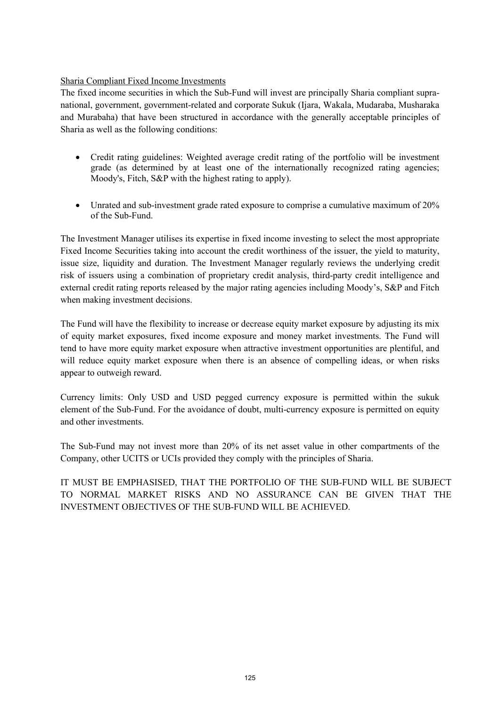# Sharia Compliant Fixed Income Investments

The fixed income securities in which the Sub-Fund will invest are principally Sharia compliant supranational, government, government-related and corporate Sukuk (Ijara, Wakala, Mudaraba, Musharaka and Murabaha) that have been structured in accordance with the generally acceptable principles of Sharia as well as the following conditions:

- Credit rating guidelines: Weighted average credit rating of the portfolio will be investment grade (as determined by at least one of the internationally recognized rating agencies; Moody's, Fitch, S&P with the highest rating to apply).
- Unrated and sub-investment grade rated exposure to comprise a cumulative maximum of 20% of the Sub-Fund.

The Investment Manager utilises its expertise in fixed income investing to select the most appropriate Fixed Income Securities taking into account the credit worthiness of the issuer, the yield to maturity, issue size, liquidity and duration. The Investment Manager regularly reviews the underlying credit risk of issuers using a combination of proprietary credit analysis, third-party credit intelligence and external credit rating reports released by the major rating agencies including Moody's, S&P and Fitch when making investment decisions.

The Fund will have the flexibility to increase or decrease equity market exposure by adjusting its mix of equity market exposures, fixed income exposure and money market investments. The Fund will tend to have more equity market exposure when attractive investment opportunities are plentiful, and will reduce equity market exposure when there is an absence of compelling ideas, or when risks appear to outweigh reward.

Currency limits: Only USD and USD pegged currency exposure is permitted within the sukuk element of the Sub-Fund. For the avoidance of doubt, multi-currency exposure is permitted on equity and other investments.

The Sub-Fund may not invest more than 20% of its net asset value in other compartments of the Company, other UCITS or UCIs provided they comply with the principles of Sharia.

IT MUST BE EMPHASISED, THAT THE PORTFOLIO OF THE SUB-FUND WILL BE SUBJECT TO NORMAL MARKET RISKS AND NO ASSURANCE CAN BE GIVEN THAT THE INVESTMENT OBJECTIVES OF THE SUB-FUND WILL BE ACHIEVED.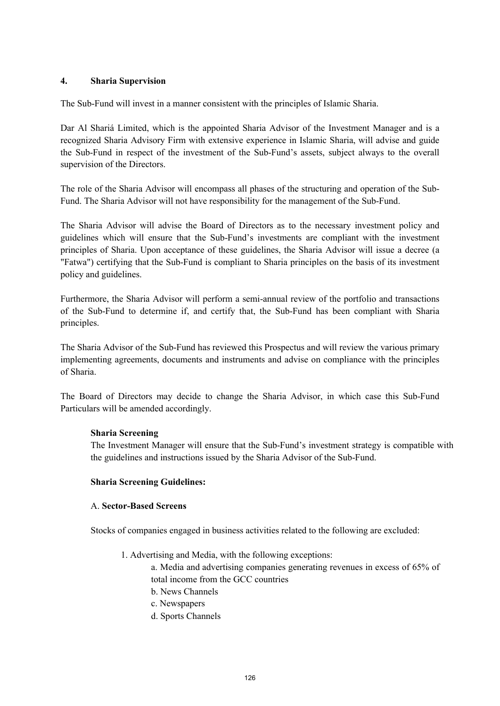### **4. Sharia Supervision**

The Sub-Fund will invest in a manner consistent with the principles of Islamic Sharia.

Dar Al Shariá Limited, which is the appointed Sharia Advisor of the Investment Manager and is a recognized Sharia Advisory Firm with extensive experience in Islamic Sharia, will advise and guide the Sub-Fund in respect of the investment of the Sub-Fund's assets, subject always to the overall supervision of the Directors.

The role of the Sharia Advisor will encompass all phases of the structuring and operation of the Sub-Fund. The Sharia Advisor will not have responsibility for the management of the Sub-Fund.

The Sharia Advisor will advise the Board of Directors as to the necessary investment policy and guidelines which will ensure that the Sub-Fund's investments are compliant with the investment principles of Sharia. Upon acceptance of these guidelines, the Sharia Advisor will issue a decree (a "Fatwa") certifying that the Sub-Fund is compliant to Sharia principles on the basis of its investment policy and guidelines.

Furthermore, the Sharia Advisor will perform a semi-annual review of the portfolio and transactions of the Sub-Fund to determine if, and certify that, the Sub-Fund has been compliant with Sharia principles.

The Sharia Advisor of the Sub-Fund has reviewed this Prospectus and will review the various primary implementing agreements, documents and instruments and advise on compliance with the principles of Sharia.

The Board of Directors may decide to change the Sharia Advisor, in which case this Sub-Fund Particulars will be amended accordingly.

#### **Sharia Screening**

The Investment Manager will ensure that the Sub-Fund's investment strategy is compatible with the guidelines and instructions issued by the Sharia Advisor of the Sub-Fund.

#### **Sharia Screening Guidelines:**

#### A. **Sector-Based Screens**

Stocks of companies engaged in business activities related to the following are excluded:

1. Advertising and Media, with the following exceptions:

a. Media and advertising companies generating revenues in excess of 65% of total income from the GCC countries

- b. News Channels
- c. Newspapers
- d. Sports Channels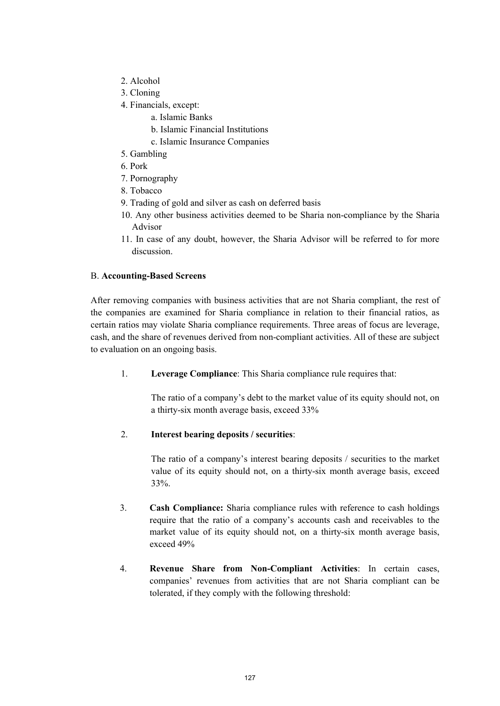- 2. Alcohol
- 3. Cloning
- 4. Financials, except:
	- a. Islamic Banks
	- b. Islamic Financial Institutions
	- c. Islamic Insurance Companies
- 5. Gambling
- 6. Pork
- 7. Pornography
- 8. Tobacco
- 9. Trading of gold and silver as cash on deferred basis
- 10. Any other business activities deemed to be Sharia non-compliance by the Sharia Advisor
- 11. In case of any doubt, however, the Sharia Advisor will be referred to for more discussion.

# B. **Accounting-Based Screens**

After removing companies with business activities that are not Sharia compliant, the rest of the companies are examined for Sharia compliance in relation to their financial ratios, as certain ratios may violate Sharia compliance requirements. Three areas of focus are leverage, cash, and the share of revenues derived from non-compliant activities. All of these are subject to evaluation on an ongoing basis.

1. **Leverage Compliance**: This Sharia compliance rule requires that:

The ratio of a company's debt to the market value of its equity should not, on a thirty-six month average basis, exceed 33%

# 2. **Interest bearing deposits / securities**:

The ratio of a company's interest bearing deposits / securities to the market value of its equity should not, on a thirty-six month average basis, exceed 33%.

- 3. **Cash Compliance:** Sharia compliance rules with reference to cash holdings require that the ratio of a company's accounts cash and receivables to the market value of its equity should not, on a thirty-six month average basis, exceed 49%
- 4. **Revenue Share from Non-Compliant Activities**: In certain cases, companies' revenues from activities that are not Sharia compliant can be tolerated, if they comply with the following threshold: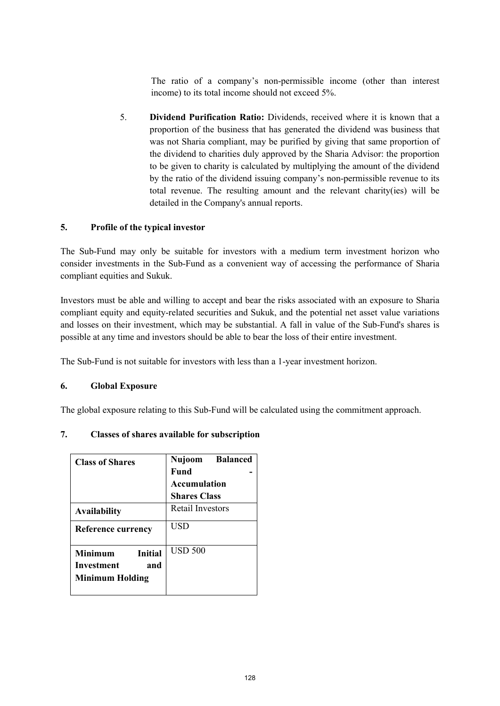The ratio of a company's non-permissible income (other than interest income) to its total income should not exceed 5%.

5. **Dividend Purification Ratio:** Dividends, received where it is known that a proportion of the business that has generated the dividend was business that was not Sharia compliant, may be purified by giving that same proportion of the dividend to charities duly approved by the Sharia Advisor: the proportion to be given to charity is calculated by multiplying the amount of the dividend by the ratio of the dividend issuing company's non-permissible revenue to its total revenue. The resulting amount and the relevant charity(ies) will be detailed in the Company's annual reports.

# **5. Profile of the typical investor**

The Sub-Fund may only be suitable for investors with a medium term investment horizon who consider investments in the Sub-Fund as a convenient way of accessing the performance of Sharia compliant equities and Sukuk.

Investors must be able and willing to accept and bear the risks associated with an exposure to Sharia compliant equity and equity-related securities and Sukuk, and the potential net asset value variations and losses on their investment, which may be substantial. A fall in value of the Sub-Fund's shares is possible at any time and investors should be able to bear the loss of their entire investment.

The Sub-Fund is not suitable for investors with less than a 1-year investment horizon.

# **6. Global Exposure**

The global exposure relating to this Sub-Fund will be calculated using the commitment approach.

# **7. Classes of shares available for subscription**

| <b>Class of Shares</b>                                                   | Nujoom Balanced<br><b>Fund</b> |  |
|--------------------------------------------------------------------------|--------------------------------|--|
|                                                                          | <b>Accumulation</b>            |  |
|                                                                          | <b>Shares Class</b>            |  |
| <b>Availability</b>                                                      | <b>Retail Investors</b>        |  |
| <b>Reference currency</b>                                                | USD                            |  |
| Minimum<br><b>Initial</b><br>Investment<br>and<br><b>Minimum Holding</b> | <b>USD 500</b>                 |  |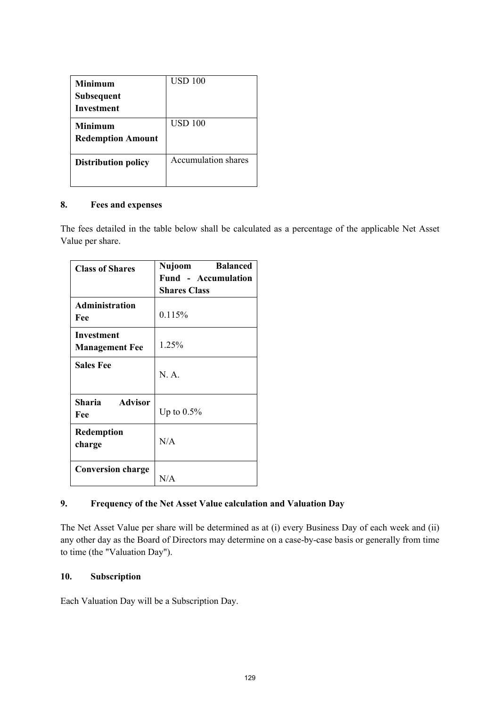| <b>Minimum</b><br><b>Subsequent</b><br>Investment | USD 100                    |
|---------------------------------------------------|----------------------------|
| <b>Minimum</b><br><b>Redemption Amount</b>        | USD 100                    |
| <b>Distribution policy</b>                        | <b>Accumulation shares</b> |

# **8. Fees and expenses**

The fees detailed in the table below shall be calculated as a percentage of the applicable Net Asset Value per share.

| <b>Class of Shares</b>              | <b>Balanced</b><br>Nujoom |
|-------------------------------------|---------------------------|
|                                     | Fund - Accumulation       |
|                                     | <b>Shares Class</b>       |
| <b>Administration</b><br>Fee        | 0.115%                    |
| Investment<br><b>Management Fee</b> | 1.25%                     |
| <b>Sales Fee</b>                    | N. A.                     |
| Sharia Advisor<br>Fee               | Up to $0.5\%$             |
| <b>Redemption</b><br>charge         | N/A                       |
| <b>Conversion charge</b>            | N/A                       |

# **9. Frequency of the Net Asset Value calculation and Valuation Day**

The Net Asset Value per share will be determined as at (i) every Business Day of each week and (ii) any other day as the Board of Directors may determine on a case-by-case basis or generally from time to time (the "Valuation Day").

# **10. Subscription**

Each Valuation Day will be a Subscription Day.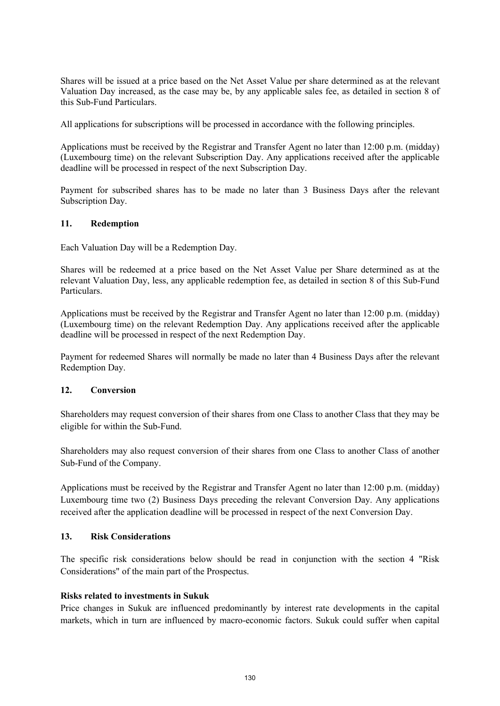Shares will be issued at a price based on the Net Asset Value per share determined as at the relevant Valuation Day increased, as the case may be, by any applicable sales fee, as detailed in section 8 of this Sub-Fund Particulars.

All applications for subscriptions will be processed in accordance with the following principles.

Applications must be received by the Registrar and Transfer Agent no later than 12:00 p.m. (midday) (Luxembourg time) on the relevant Subscription Day. Any applications received after the applicable deadline will be processed in respect of the next Subscription Day.

Payment for subscribed shares has to be made no later than 3 Business Days after the relevant Subscription Day.

### **11. Redemption**

Each Valuation Day will be a Redemption Day.

Shares will be redeemed at a price based on the Net Asset Value per Share determined as at the relevant Valuation Day, less, any applicable redemption fee, as detailed in section 8 of this Sub-Fund Particulars.

Applications must be received by the Registrar and Transfer Agent no later than 12:00 p.m. (midday) (Luxembourg time) on the relevant Redemption Day. Any applications received after the applicable deadline will be processed in respect of the next Redemption Day.

Payment for redeemed Shares will normally be made no later than 4 Business Days after the relevant Redemption Day.

# **12. Conversion**

Shareholders may request conversion of their shares from one Class to another Class that they may be eligible for within the Sub-Fund.

Shareholders may also request conversion of their shares from one Class to another Class of another Sub-Fund of the Company.

Applications must be received by the Registrar and Transfer Agent no later than 12:00 p.m. (midday) Luxembourg time two (2) Business Days preceding the relevant Conversion Day. Any applications received after the application deadline will be processed in respect of the next Conversion Day.

### **13. Risk Considerations**

The specific risk considerations below should be read in conjunction with the section 4 "Risk Considerations" of the main part of the Prospectus.

#### **Risks related to investments in Sukuk**

Price changes in Sukuk are influenced predominantly by interest rate developments in the capital markets, which in turn are influenced by macro-economic factors. Sukuk could suffer when capital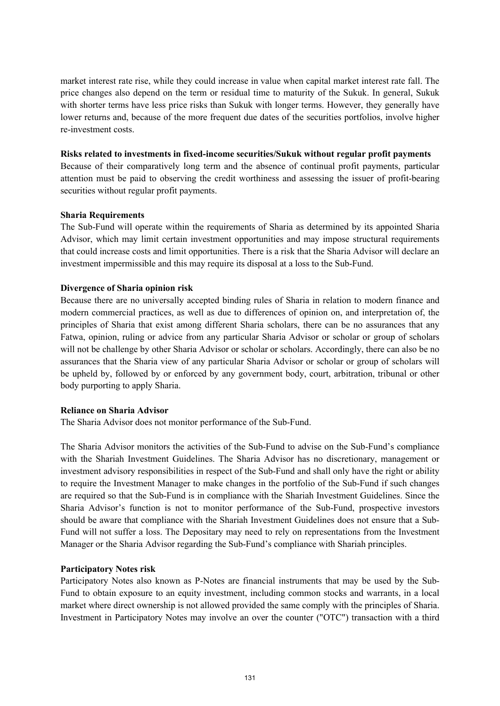market interest rate rise, while they could increase in value when capital market interest rate fall. The price changes also depend on the term or residual time to maturity of the Sukuk. In general, Sukuk with shorter terms have less price risks than Sukuk with longer terms. However, they generally have lower returns and, because of the more frequent due dates of the securities portfolios, involve higher re-investment costs.

### **Risks related to investments in fixed-income securities/Sukuk without regular profit payments**

Because of their comparatively long term and the absence of continual profit payments, particular attention must be paid to observing the credit worthiness and assessing the issuer of profit-bearing securities without regular profit payments.

### **Sharia Requirements**

The Sub-Fund will operate within the requirements of Sharia as determined by its appointed Sharia Advisor, which may limit certain investment opportunities and may impose structural requirements that could increase costs and limit opportunities. There is a risk that the Sharia Advisor will declare an investment impermissible and this may require its disposal at a loss to the Sub-Fund.

# **Divergence of Sharia opinion risk**

Because there are no universally accepted binding rules of Sharia in relation to modern finance and modern commercial practices, as well as due to differences of opinion on, and interpretation of, the principles of Sharia that exist among different Sharia scholars, there can be no assurances that any Fatwa, opinion, ruling or advice from any particular Sharia Advisor or scholar or group of scholars will not be challenge by other Sharia Advisor or scholar or scholars. Accordingly, there can also be no assurances that the Sharia view of any particular Sharia Advisor or scholar or group of scholars will be upheld by, followed by or enforced by any government body, court, arbitration, tribunal or other body purporting to apply Sharia.

#### **Reliance on Sharia Advisor**

The Sharia Advisor does not monitor performance of the Sub-Fund.

The Sharia Advisor monitors the activities of the Sub-Fund to advise on the Sub-Fund's compliance with the Shariah Investment Guidelines. The Sharia Advisor has no discretionary, management or investment advisory responsibilities in respect of the Sub-Fund and shall only have the right or ability to require the Investment Manager to make changes in the portfolio of the Sub-Fund if such changes are required so that the Sub-Fund is in compliance with the Shariah Investment Guidelines. Since the Sharia Advisor's function is not to monitor performance of the Sub-Fund, prospective investors should be aware that compliance with the Shariah Investment Guidelines does not ensure that a Sub-Fund will not suffer a loss. The Depositary may need to rely on representations from the Investment Manager or the Sharia Advisor regarding the Sub-Fund's compliance with Shariah principles.

# **Participatory Notes risk**

Participatory Notes also known as P-Notes are financial instruments that may be used by the Sub-Fund to obtain exposure to an equity investment, including common stocks and warrants, in a local market where direct ownership is not allowed provided the same comply with the principles of Sharia. Investment in Participatory Notes may involve an over the counter ("OTC") transaction with a third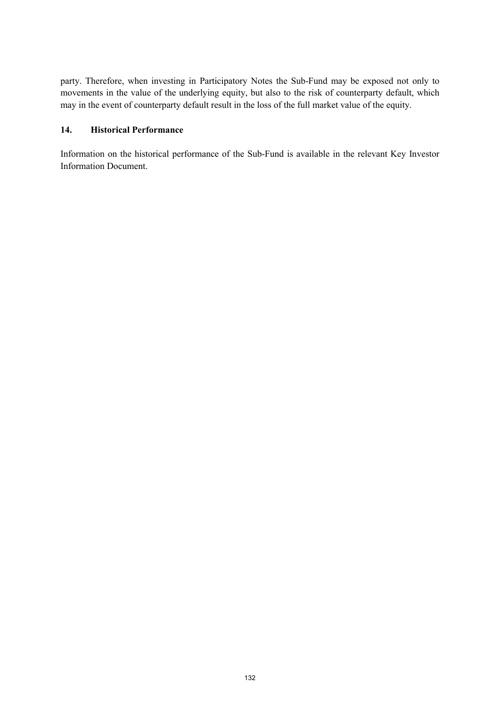party. Therefore, when investing in Participatory Notes the Sub-Fund may be exposed not only to movements in the value of the underlying equity, but also to the risk of counterparty default, which may in the event of counterparty default result in the loss of the full market value of the equity.

### **14. Historical Performance**

Information on the historical performance of the Sub-Fund is available in the relevant Key Investor Information Document.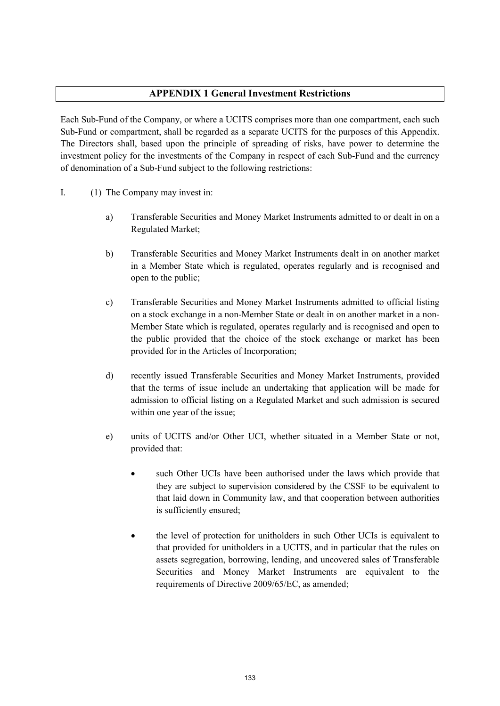# **APPENDIX 1 General Investment Restrictions**

Each Sub-Fund of the Company, or where a UCITS comprises more than one compartment, each such Sub-Fund or compartment, shall be regarded as a separate UCITS for the purposes of this Appendix. The Directors shall, based upon the principle of spreading of risks, have power to determine the investment policy for the investments of the Company in respect of each Sub-Fund and the currency of denomination of a Sub-Fund subject to the following restrictions:

- I. (1) The Company may invest in:
	- a) Transferable Securities and Money Market Instruments admitted to or dealt in on a Regulated Market;
	- b) Transferable Securities and Money Market Instruments dealt in on another market in a Member State which is regulated, operates regularly and is recognised and open to the public;
	- c) Transferable Securities and Money Market Instruments admitted to official listing on a stock exchange in a non-Member State or dealt in on another market in a non-Member State which is regulated, operates regularly and is recognised and open to the public provided that the choice of the stock exchange or market has been provided for in the Articles of Incorporation;
	- d) recently issued Transferable Securities and Money Market Instruments, provided that the terms of issue include an undertaking that application will be made for admission to official listing on a Regulated Market and such admission is secured within one year of the issue;
	- e) units of UCITS and/or Other UCI, whether situated in a Member State or not, provided that:
		- such Other UCIs have been authorised under the laws which provide that they are subject to supervision considered by the CSSF to be equivalent to that laid down in Community law, and that cooperation between authorities is sufficiently ensured;
		- the level of protection for unitholders in such Other UCIs is equivalent to that provided for unitholders in a UCITS, and in particular that the rules on assets segregation, borrowing, lending, and uncovered sales of Transferable Securities and Money Market Instruments are equivalent to the requirements of Directive 2009/65/EC, as amended;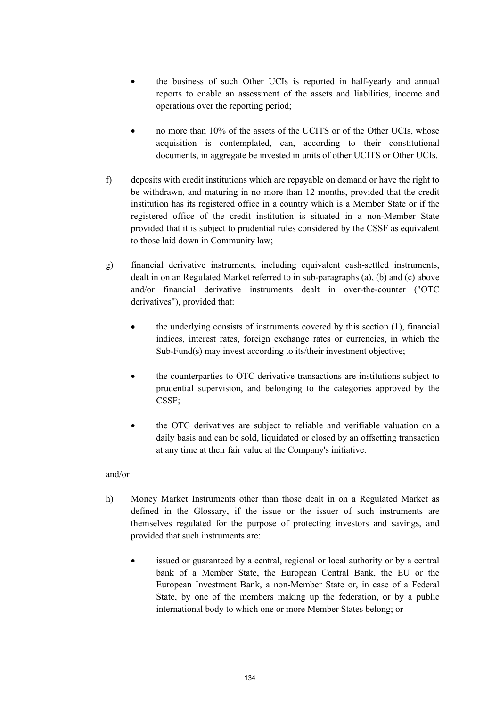- the business of such Other UCIs is reported in half-yearly and annual reports to enable an assessment of the assets and liabilities, income and operations over the reporting period;
- no more than 10% of the assets of the UCITS or of the Other UCIs, whose acquisition is contemplated, can, according to their constitutional documents, in aggregate be invested in units of other UCITS or Other UCIs.
- f) deposits with credit institutions which are repayable on demand or have the right to be withdrawn, and maturing in no more than 12 months, provided that the credit institution has its registered office in a country which is a Member State or if the registered office of the credit institution is situated in a non-Member State provided that it is subject to prudential rules considered by the CSSF as equivalent to those laid down in Community law;
- g) financial derivative instruments, including equivalent cash-settled instruments, dealt in on an Regulated Market referred to in sub-paragraphs (a), (b) and (c) above and/or financial derivative instruments dealt in over-the-counter ("OTC derivatives"), provided that:
	- the underlying consists of instruments covered by this section (1), financial indices, interest rates, foreign exchange rates or currencies, in which the Sub-Fund(s) may invest according to its/their investment objective;
	- the counterparties to OTC derivative transactions are institutions subject to prudential supervision, and belonging to the categories approved by the CSSF;
	- the OTC derivatives are subject to reliable and verifiable valuation on a daily basis and can be sold, liquidated or closed by an offsetting transaction at any time at their fair value at the Company's initiative.

# and/or

- h) Money Market Instruments other than those dealt in on a Regulated Market as defined in the Glossary, if the issue or the issuer of such instruments are themselves regulated for the purpose of protecting investors and savings, and provided that such instruments are:
	- issued or guaranteed by a central, regional or local authority or by a central bank of a Member State, the European Central Bank, the EU or the European Investment Bank, a non-Member State or, in case of a Federal State, by one of the members making up the federation, or by a public international body to which one or more Member States belong; or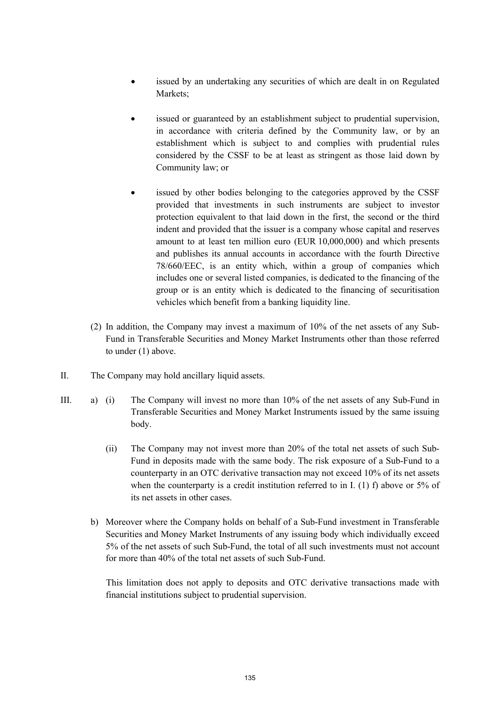- issued by an undertaking any securities of which are dealt in on Regulated Markets;
- issued or guaranteed by an establishment subject to prudential supervision, in accordance with criteria defined by the Community law, or by an establishment which is subject to and complies with prudential rules considered by the CSSF to be at least as stringent as those laid down by Community law; or
- issued by other bodies belonging to the categories approved by the CSSF provided that investments in such instruments are subject to investor protection equivalent to that laid down in the first, the second or the third indent and provided that the issuer is a company whose capital and reserves amount to at least ten million euro (EUR 10,000,000) and which presents and publishes its annual accounts in accordance with the fourth Directive 78/660/EEC, is an entity which, within a group of companies which includes one or several listed companies, is dedicated to the financing of the group or is an entity which is dedicated to the financing of securitisation vehicles which benefit from a banking liquidity line.
- (2) In addition, the Company may invest a maximum of 10% of the net assets of any Sub-Fund in Transferable Securities and Money Market Instruments other than those referred to under (1) above.
- II. The Company may hold ancillary liquid assets.
- III. a) (i) The Company will invest no more than 10% of the net assets of any Sub-Fund in Transferable Securities and Money Market Instruments issued by the same issuing body.
	- (ii) The Company may not invest more than 20% of the total net assets of such Sub-Fund in deposits made with the same body. The risk exposure of a Sub-Fund to a counterparty in an OTC derivative transaction may not exceed 10% of its net assets when the counterparty is a credit institution referred to in I. (1) f) above or 5% of its net assets in other cases.
	- b) Moreover where the Company holds on behalf of a Sub-Fund investment in Transferable Securities and Money Market Instruments of any issuing body which individually exceed 5% of the net assets of such Sub-Fund, the total of all such investments must not account for more than 40% of the total net assets of such Sub-Fund.

This limitation does not apply to deposits and OTC derivative transactions made with financial institutions subject to prudential supervision.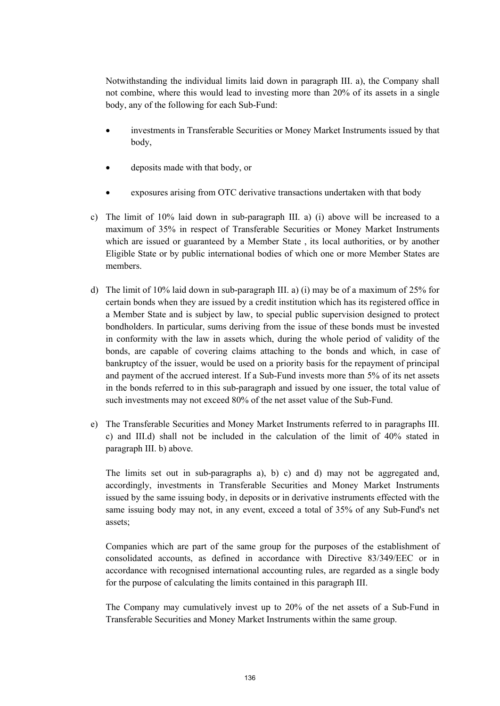Notwithstanding the individual limits laid down in paragraph III. a), the Company shall not combine, where this would lead to investing more than 20% of its assets in a single body, any of the following for each Sub-Fund:

- investments in Transferable Securities or Money Market Instruments issued by that body,
- deposits made with that body, or
- exposures arising from OTC derivative transactions undertaken with that body
- c) The limit of 10% laid down in sub-paragraph III. a) (i) above will be increased to a maximum of 35% in respect of Transferable Securities or Money Market Instruments which are issued or guaranteed by a Member State , its local authorities, or by another Eligible State or by public international bodies of which one or more Member States are members.
- d) The limit of 10% laid down in sub-paragraph III. a) (i) may be of a maximum of 25% for certain bonds when they are issued by a credit institution which has its registered office in a Member State and is subject by law, to special public supervision designed to protect bondholders. In particular, sums deriving from the issue of these bonds must be invested in conformity with the law in assets which, during the whole period of validity of the bonds, are capable of covering claims attaching to the bonds and which, in case of bankruptcy of the issuer, would be used on a priority basis for the repayment of principal and payment of the accrued interest. If a Sub-Fund invests more than 5% of its net assets in the bonds referred to in this sub-paragraph and issued by one issuer, the total value of such investments may not exceed 80% of the net asset value of the Sub-Fund.
- e) The Transferable Securities and Money Market Instruments referred to in paragraphs III. c) and III.d) shall not be included in the calculation of the limit of 40% stated in paragraph III. b) above.

The limits set out in sub-paragraphs a), b) c) and d) may not be aggregated and, accordingly, investments in Transferable Securities and Money Market Instruments issued by the same issuing body, in deposits or in derivative instruments effected with the same issuing body may not, in any event, exceed a total of 35% of any Sub-Fund's net assets;

Companies which are part of the same group for the purposes of the establishment of consolidated accounts, as defined in accordance with Directive 83/349/EEC or in accordance with recognised international accounting rules, are regarded as a single body for the purpose of calculating the limits contained in this paragraph III.

The Company may cumulatively invest up to 20% of the net assets of a Sub-Fund in Transferable Securities and Money Market Instruments within the same group.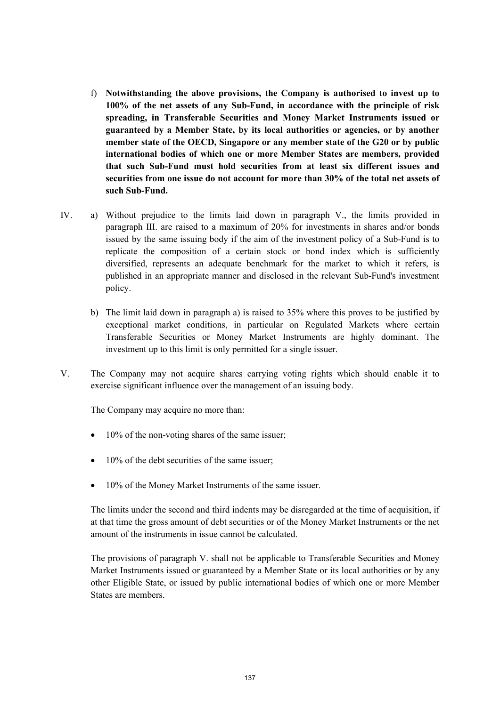- f) **Notwithstanding the above provisions, the Company is authorised to invest up to 100% of the net assets of any Sub-Fund, in accordance with the principle of risk spreading, in Transferable Securities and Money Market Instruments issued or guaranteed by a Member State, by its local authorities or agencies, or by another member state of the OECD, Singapore or any member state of the G20 or by public international bodies of which one or more Member States are members, provided that such Sub-Fund must hold securities from at least six different issues and securities from one issue do not account for more than 30% of the total net assets of such Sub-Fund.**
- IV. a) Without prejudice to the limits laid down in paragraph V., the limits provided in paragraph III. are raised to a maximum of 20% for investments in shares and/or bonds issued by the same issuing body if the aim of the investment policy of a Sub-Fund is to replicate the composition of a certain stock or bond index which is sufficiently diversified, represents an adequate benchmark for the market to which it refers, is published in an appropriate manner and disclosed in the relevant Sub-Fund's investment policy.
	- b) The limit laid down in paragraph a) is raised to 35% where this proves to be justified by exceptional market conditions, in particular on Regulated Markets where certain Transferable Securities or Money Market Instruments are highly dominant. The investment up to this limit is only permitted for a single issuer.
- V. The Company may not acquire shares carrying voting rights which should enable it to exercise significant influence over the management of an issuing body.

The Company may acquire no more than:

- 10% of the non-voting shares of the same issuer;
- 10% of the debt securities of the same issuer;
- 10% of the Money Market Instruments of the same issuer.

The limits under the second and third indents may be disregarded at the time of acquisition, if at that time the gross amount of debt securities or of the Money Market Instruments or the net amount of the instruments in issue cannot be calculated.

The provisions of paragraph V. shall not be applicable to Transferable Securities and Money Market Instruments issued or guaranteed by a Member State or its local authorities or by any other Eligible State, or issued by public international bodies of which one or more Member States are members.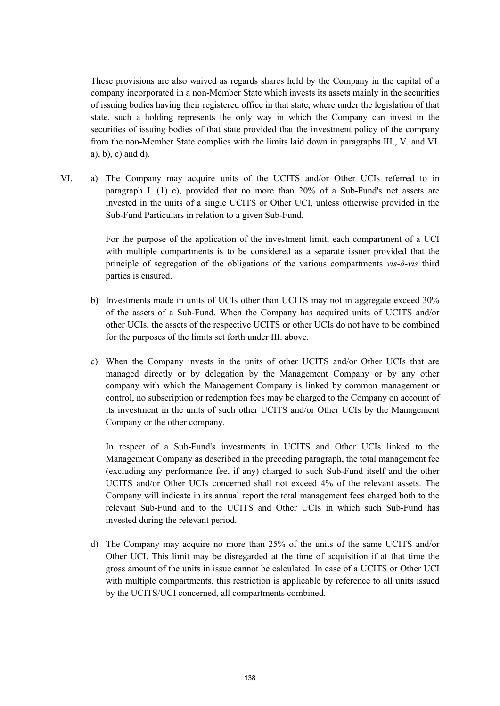These provisions are also waived as regards shares held by the Company in the capital of a company incorporated in a non-Member State which invests its assets mainly in the securities of issuing bodies having their registered office in that state, where under the legislation of that state, such a holding represents the only way in which the Company can invest in the securities of issuing bodies of that state provided that the investment policy of the company from the non-Member State complies with the limits laid down in paragraphs III., V. and VI. a), b), c) and d).

VI. a) The Company may acquire units of the UCITS and/or Other UCIs referred to in paragraph I. (1) e), provided that no more than 20% of a Sub-Fund's net assets are invested in the units of a single UCITS or Other UCI, unless otherwise provided in the Sub-Fund Particulars in relation to a given Sub-Fund.

> For the purpose of the application of the investment limit, each compartment of a UCI with multiple compartments is to be considered as a separate issuer provided that the principle of segregation of the obligations of the various compartments *vis-à-vis* third parties is ensured.

- b) Investments made in units of UCIs other than UCITS may not in aggregate exceed 30% of the assets of a Sub-Fund. When the Company has acquired units of UCITS and/or other UCIs, the assets of the respective UCITS or other UCIs do not have to be combined for the purposes of the limits set forth under III. above.
- c) When the Company invests in the units of other UCITS and/or Other UCIs that are managed directly or by delegation by the Management Company or by any other company with which the Management Company is linked by common management or control, no subscription or redemption fees may be charged to the Company on account of its investment in the units of such other UCITS and/or Other UCIs by the Management Company or the other company.

In respect of a Sub-Fund's investments in UCITS and Other UCIs linked to the Management Company as described in the preceding paragraph, the total management fee (excluding any performance fee, if any) charged to such Sub-Fund itself and the other UCITS and/or Other UCIs concerned shall not exceed 4% of the relevant assets. The Company will indicate in its annual report the total management fees charged both to the relevant Sub-Fund and to the UCITS and Other UCIs in which such Sub-Fund has invested during the relevant period.

d) The Company may acquire no more than 25% of the units of the same UCITS and/or Other UCI. This limit may be disregarded at the time of acquisition if at that time the gross amount of the units in issue cannot be calculated. In case of a UCITS or Other UCI with multiple compartments, this restriction is applicable by reference to all units issued by the UCITS/UCI concerned, all compartments combined.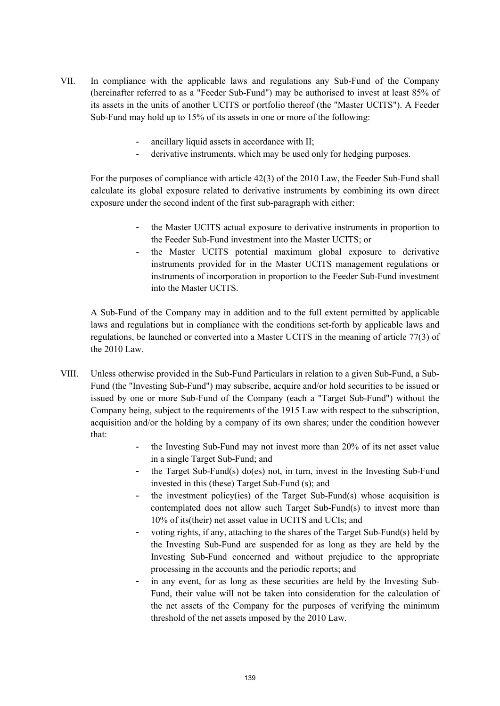- VII. In compliance with the applicable laws and regulations any Sub-Fund of the Company (hereinafter referred to as a "Feeder Sub-Fund") may be authorised to invest at least 85% of its assets in the units of another UCITS or portfolio thereof (the "Master UCITS"). A Feeder Sub-Fund may hold up to 15% of its assets in one or more of the following:
	- ancillary liquid assets in accordance with II;
	- derivative instruments, which may be used only for hedging purposes.

For the purposes of compliance with article 42(3) of the 2010 Law, the Feeder Sub-Fund shall calculate its global exposure related to derivative instruments by combining its own direct exposure under the second indent of the first sub-paragraph with either:

- the Master UCITS actual exposure to derivative instruments in proportion to the Feeder Sub-Fund investment into the Master UCITS; or
- the Master UCITS potential maximum global exposure to derivative instruments provided for in the Master UCITS management regulations or instruments of incorporation in proportion to the Feeder Sub-Fund investment into the Master UCITS.

A Sub-Fund of the Company may in addition and to the full extent permitted by applicable laws and regulations but in compliance with the conditions set-forth by applicable laws and regulations, be launched or converted into a Master UCITS in the meaning of article 77(3) of the 2010 Law.

- VIII. Unless otherwise provided in the Sub-Fund Particulars in relation to a given Sub-Fund, a Sub-Fund (the "Investing Sub-Fund") may subscribe, acquire and/or hold securities to be issued or issued by one or more Sub-Fund of the Company (each a "Target Sub-Fund") without the Company being, subject to the requirements of the 1915 Law with respect to the subscription, acquisition and/or the holding by a company of its own shares; under the condition however that:
	- the Investing Sub-Fund may not invest more than 20% of its net asset value in a single Target Sub-Fund; and
	- the Target Sub-Fund(s) do(es) not, in turn, invest in the Investing Sub-Fund invested in this (these) Target Sub-Fund (s); and
	- the investment policy(ies) of the Target Sub-Fund(s) whose acquisition is contemplated does not allow such Target Sub-Fund(s) to invest more than 10% of its(their) net asset value in UCITS and UCIs; and
	- voting rights, if any, attaching to the shares of the Target Sub-Fund(s) held by the Investing Sub-Fund are suspended for as long as they are held by the Investing Sub-Fund concerned and without prejudice to the appropriate processing in the accounts and the periodic reports; and
	- in any event, for as long as these securities are held by the Investing Sub-Fund, their value will not be taken into consideration for the calculation of the net assets of the Company for the purposes of verifying the minimum threshold of the net assets imposed by the 2010 Law.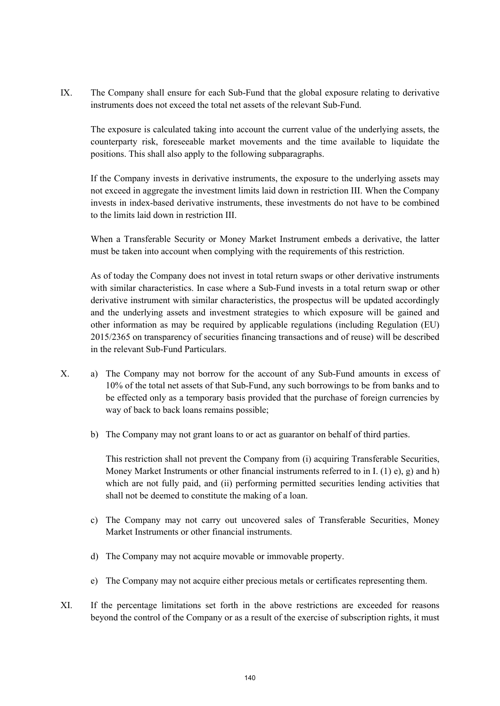IX. The Company shall ensure for each Sub-Fund that the global exposure relating to derivative instruments does not exceed the total net assets of the relevant Sub-Fund.

The exposure is calculated taking into account the current value of the underlying assets, the counterparty risk, foreseeable market movements and the time available to liquidate the positions. This shall also apply to the following subparagraphs.

If the Company invests in derivative instruments, the exposure to the underlying assets may not exceed in aggregate the investment limits laid down in restriction III. When the Company invests in index-based derivative instruments, these investments do not have to be combined to the limits laid down in restriction III.

When a Transferable Security or Money Market Instrument embeds a derivative, the latter must be taken into account when complying with the requirements of this restriction.

As of today the Company does not invest in total return swaps or other derivative instruments with similar characteristics. In case where a Sub-Fund invests in a total return swap or other derivative instrument with similar characteristics, the prospectus will be updated accordingly and the underlying assets and investment strategies to which exposure will be gained and other information as may be required by applicable regulations (including Regulation (EU) 2015/2365 on transparency of securities financing transactions and of reuse) will be described in the relevant Sub-Fund Particulars.

- X. a) The Company may not borrow for the account of any Sub-Fund amounts in excess of 10% of the total net assets of that Sub-Fund, any such borrowings to be from banks and to be effected only as a temporary basis provided that the purchase of foreign currencies by way of back to back loans remains possible;
	- b) The Company may not grant loans to or act as guarantor on behalf of third parties.

This restriction shall not prevent the Company from (i) acquiring Transferable Securities, Money Market Instruments or other financial instruments referred to in I. (1) e), g) and h) which are not fully paid, and (ii) performing permitted securities lending activities that shall not be deemed to constitute the making of a loan.

- c) The Company may not carry out uncovered sales of Transferable Securities, Money Market Instruments or other financial instruments.
- d) The Company may not acquire movable or immovable property.
- e) The Company may not acquire either precious metals or certificates representing them.
- XI. If the percentage limitations set forth in the above restrictions are exceeded for reasons beyond the control of the Company or as a result of the exercise of subscription rights, it must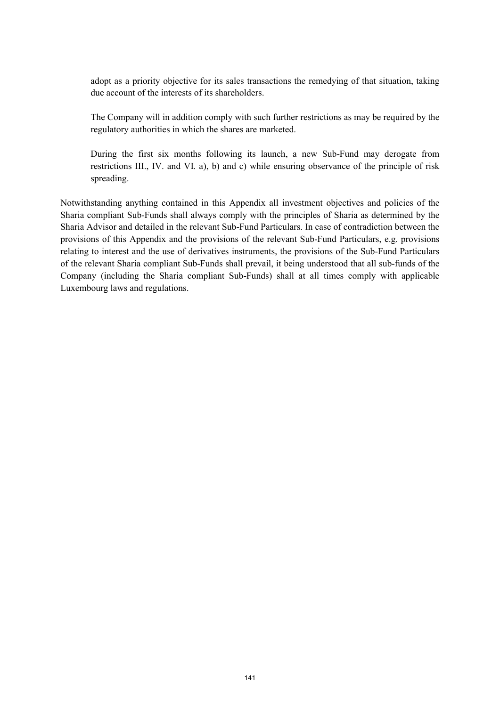adopt as a priority objective for its sales transactions the remedying of that situation, taking due account of the interests of its shareholders.

The Company will in addition comply with such further restrictions as may be required by the regulatory authorities in which the shares are marketed.

During the first six months following its launch, a new Sub-Fund may derogate from restrictions III., IV. and VI. a), b) and c) while ensuring observance of the principle of risk spreading.

Notwithstanding anything contained in this Appendix all investment objectives and policies of the Sharia compliant Sub-Funds shall always comply with the principles of Sharia as determined by the Sharia Advisor and detailed in the relevant Sub-Fund Particulars. In case of contradiction between the provisions of this Appendix and the provisions of the relevant Sub-Fund Particulars, e.g. provisions relating to interest and the use of derivatives instruments, the provisions of the Sub-Fund Particulars of the relevant Sharia compliant Sub-Funds shall prevail, it being understood that all sub-funds of the Company (including the Sharia compliant Sub-Funds) shall at all times comply with applicable Luxembourg laws and regulations.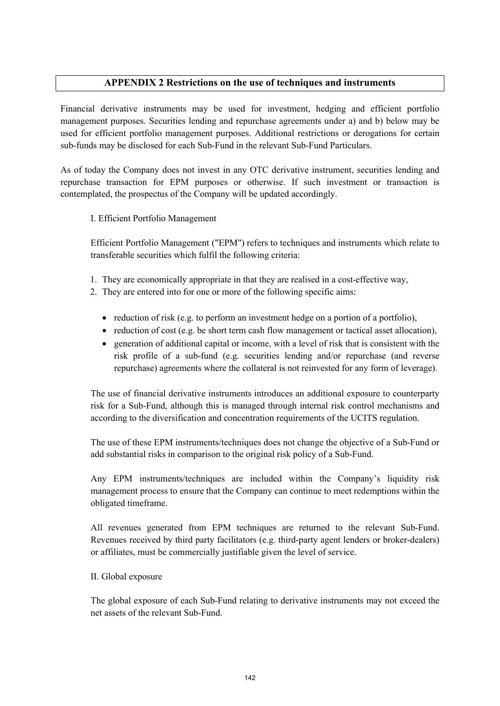# **APPENDIX 2 Restrictions on the use of techniques and instruments**

Financial derivative instruments may be used for investment, hedging and efficient portfolio management purposes. Securities lending and repurchase agreements under a) and b) below may be used for efficient portfolio management purposes. Additional restrictions or derogations for certain sub-funds may be disclosed for each Sub-Fund in the relevant Sub-Fund Particulars.

As of today the Company does not invest in any OTC derivative instrument, securities lending and repurchase transaction for EPM purposes or otherwise. If such investment or transaction is contemplated, the prospectus of the Company will be updated accordingly.

# I. Efficient Portfolio Management

Efficient Portfolio Management ("EPM") refers to techniques and instruments which relate to transferable securities which fulfil the following criteria:

- 1. They are economically appropriate in that they are realised in a cost-effective way,
- 2. They are entered into for one or more of the following specific aims:
	- reduction of risk (e.g. to perform an investment hedge on a portion of a portfolio),
	- reduction of cost (e.g. be short term cash flow management or tactical asset allocation),
	- generation of additional capital or income, with a level of risk that is consistent with the risk profile of a sub-fund (e.g. securities lending and/or repurchase (and reverse repurchase) agreements where the collateral is not reinvested for any form of leverage).

The use of financial derivative instruments introduces an additional exposure to counterparty risk for a Sub-Fund, although this is managed through internal risk control mechanisms and according to the diversification and concentration requirements of the UCITS regulation.

The use of these EPM instruments/techniques does not change the objective of a Sub-Fund or add substantial risks in comparison to the original risk policy of a Sub-Fund.

Any EPM instruments/techniques are included within the Company's liquidity risk management process to ensure that the Company can continue to meet redemptions within the obligated timeframe.

All revenues generated from EPM techniques are returned to the relevant Sub-Fund. Revenues received by third party facilitators (e.g. third-party agent lenders or broker-dealers) or affiliates, must be commercially justifiable given the level of service.

# II. Global exposure

The global exposure of each Sub-Fund relating to derivative instruments may not exceed the net assets of the relevant Sub-Fund.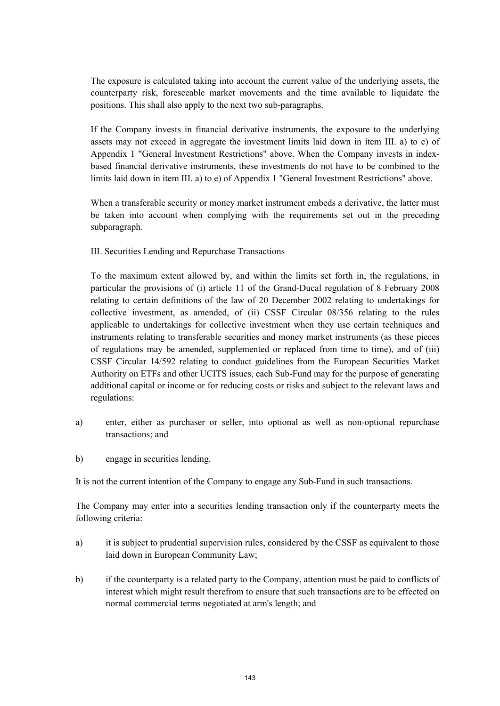The exposure is calculated taking into account the current value of the underlying assets, the counterparty risk, foreseeable market movements and the time available to liquidate the positions. This shall also apply to the next two sub-paragraphs.

If the Company invests in financial derivative instruments, the exposure to the underlying assets may not exceed in aggregate the investment limits laid down in item III. a) to e) of Appendix 1 "General Investment Restrictions" above. When the Company invests in indexbased financial derivative instruments, these investments do not have to be combined to the limits laid down in item III. a) to e) of Appendix 1 "General Investment Restrictions" above.

When a transferable security or money market instrument embeds a derivative, the latter must be taken into account when complying with the requirements set out in the preceding subparagraph.

III. Securities Lending and Repurchase Transactions

To the maximum extent allowed by, and within the limits set forth in, the regulations, in particular the provisions of (i) article 11 of the Grand-Ducal regulation of 8 February 2008 relating to certain definitions of the law of 20 December 2002 relating to undertakings for collective investment, as amended, of (ii) CSSF Circular 08/356 relating to the rules applicable to undertakings for collective investment when they use certain techniques and instruments relating to transferable securities and money market instruments (as these pieces of regulations may be amended, supplemented or replaced from time to time), and of (iii) CSSF Circular 14/592 relating to conduct guidelines from the European Securities Market Authority on ETFs and other UCITS issues, each Sub-Fund may for the purpose of generating additional capital or income or for reducing costs or risks and subject to the relevant laws and regulations:

- a) enter, either as purchaser or seller, into optional as well as non-optional repurchase transactions; and
- b) engage in securities lending.

It is not the current intention of the Company to engage any Sub-Fund in such transactions.

The Company may enter into a securities lending transaction only if the counterparty meets the following criteria:

- a) it is subject to prudential supervision rules, considered by the CSSF as equivalent to those laid down in European Community Law;
- b) if the counterparty is a related party to the Company, attention must be paid to conflicts of interest which might result therefrom to ensure that such transactions are to be effected on normal commercial terms negotiated at arm's length; and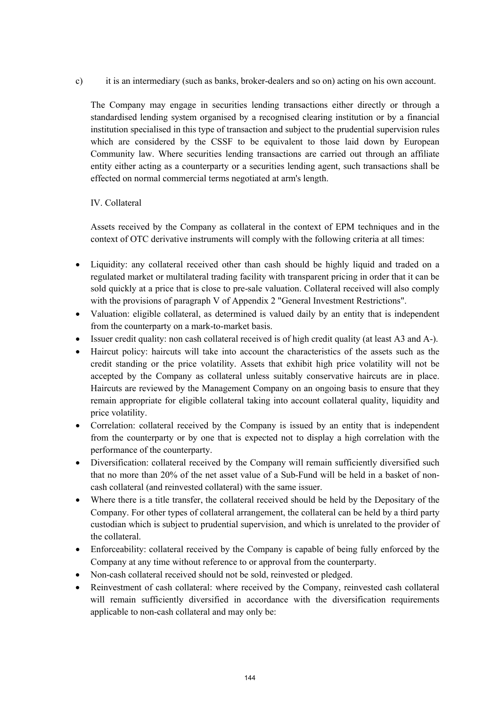c) it is an intermediary (such as banks, broker-dealers and so on) acting on his own account.

The Company may engage in securities lending transactions either directly or through a standardised lending system organised by a recognised clearing institution or by a financial institution specialised in this type of transaction and subject to the prudential supervision rules which are considered by the CSSF to be equivalent to those laid down by European Community law. Where securities lending transactions are carried out through an affiliate entity either acting as a counterparty or a securities lending agent, such transactions shall be effected on normal commercial terms negotiated at arm's length.

# IV. Collateral

Assets received by the Company as collateral in the context of EPM techniques and in the context of OTC derivative instruments will comply with the following criteria at all times:

- Liquidity: any collateral received other than cash should be highly liquid and traded on a regulated market or multilateral trading facility with transparent pricing in order that it can be sold quickly at a price that is close to pre-sale valuation. Collateral received will also comply with the provisions of paragraph V of Appendix 2 "General Investment Restrictions".
- Valuation: eligible collateral, as determined is valued daily by an entity that is independent from the counterparty on a mark-to-market basis.
- Issuer credit quality: non cash collateral received is of high credit quality (at least A3 and A-).
- Haircut policy: haircuts will take into account the characteristics of the assets such as the credit standing or the price volatility. Assets that exhibit high price volatility will not be accepted by the Company as collateral unless suitably conservative haircuts are in place. Haircuts are reviewed by the Management Company on an ongoing basis to ensure that they remain appropriate for eligible collateral taking into account collateral quality, liquidity and price volatility.
- Correlation: collateral received by the Company is issued by an entity that is independent from the counterparty or by one that is expected not to display a high correlation with the performance of the counterparty.
- Diversification: collateral received by the Company will remain sufficiently diversified such that no more than 20% of the net asset value of a Sub-Fund will be held in a basket of noncash collateral (and reinvested collateral) with the same issuer.
- Where there is a title transfer, the collateral received should be held by the Depositary of the Company. For other types of collateral arrangement, the collateral can be held by a third party custodian which is subject to prudential supervision, and which is unrelated to the provider of the collateral.
- Enforceability: collateral received by the Company is capable of being fully enforced by the Company at any time without reference to or approval from the counterparty.
- Non-cash collateral received should not be sold, reinvested or pledged.
- Reinvestment of cash collateral: where received by the Company, reinvested cash collateral will remain sufficiently diversified in accordance with the diversification requirements applicable to non-cash collateral and may only be: